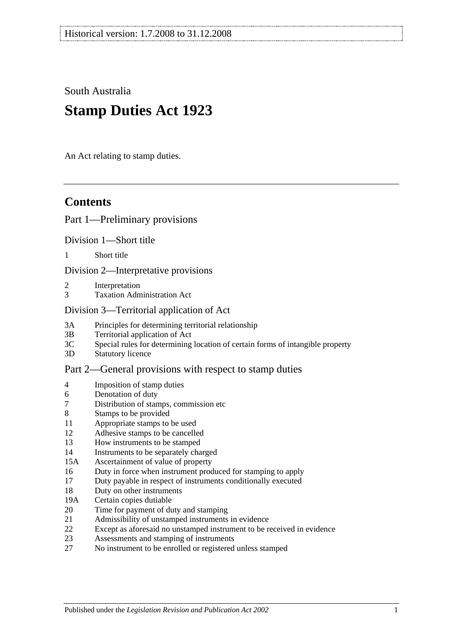South Australia

# **Stamp Duties Act 1923**

An Act relating to stamp duties.

# **Contents**

#### [Part 1—Preliminary provisions](#page-6-0)

[Division 1—Short title](#page-6-1)

1 [Short title](#page-6-2)

[Division 2—Interpretative provisions](#page-6-3)

- 2 [Interpretation](#page-6-4)
- 3 [Taxation Administration Act](#page-9-0)

#### [Division 3—Territorial application of Act](#page-9-1)

- 3A [Principles for determining territorial relationship](#page-9-2)
- 3B [Territorial application of Act](#page-10-0)
- 3C [Special rules for determining location of certain forms of intangible property](#page-10-1)
- 3D [Statutory licence](#page-11-0)

#### [Part 2—General provisions with respect to stamp duties](#page-12-0)

- 4 [Imposition of stamp duties](#page-12-1)
- 6 [Denotation of duty](#page-12-2)
- 7 [Distribution of stamps, commission etc](#page-12-3)
- 8 [Stamps to be provided](#page-12-4)
- 11 [Appropriate stamps to be used](#page-12-5)
- 12 [Adhesive stamps to be cancelled](#page-13-0)
- 13 [How instruments to be stamped](#page-13-1)
- 14 [Instruments to be separately charged](#page-13-2)
- 15A [Ascertainment of value of property](#page-13-3)
- 16 [Duty in force when instrument produced for stamping to apply](#page-14-0)
- 17 [Duty payable in respect of instruments conditionally executed](#page-14-1)
- 18 [Duty on other instruments](#page-14-2)
- 19A [Certain copies dutiable](#page-14-3)
- 20 [Time for payment of duty and stamping](#page-15-0)
- 21 [Admissibility of unstamped instruments in evidence](#page-15-1)
- 22 [Except as aforesaid no unstamped instrument to be received in evidence](#page-15-2)
- 23 [Assessments and stamping of instruments](#page-16-0)
- 27 [No instrument to be enrolled or registered unless stamped](#page-16-1)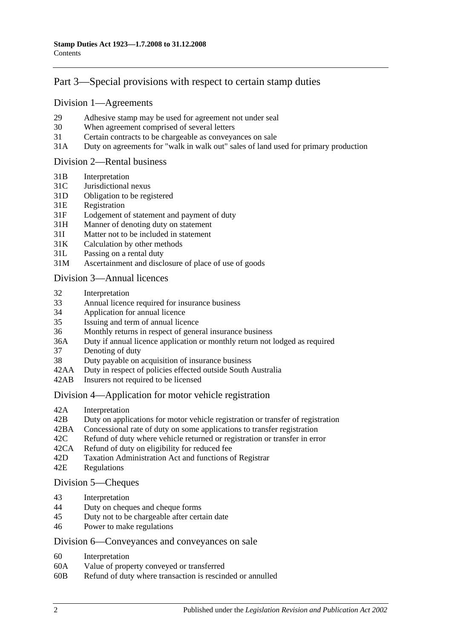## [Part 3—Special provisions with respect to certain stamp duties](#page-18-0)

#### [Division 1—Agreements](#page-18-1)

- 29 [Adhesive stamp may be used for agreement not under seal](#page-18-2)
- 30 [When agreement comprised of several letters](#page-18-3)
- 31 [Certain contracts to be chargeable as conveyances on sale](#page-18-4)
- 31A [Duty on agreements for "walk in walk out" sales of land used for primary production](#page-19-0)

#### [Division 2—Rental business](#page-19-1)

- 31B [Interpretation](#page-19-2)
- 31C [Jurisdictional nexus](#page-21-0)
- 31D [Obligation to be registered](#page-21-1)
- 31E [Registration](#page-21-2)
- 31F [Lodgement of statement and payment of duty](#page-21-3)
- 31H [Manner of denoting duty on statement](#page-23-0)
- 31I [Matter not to be included in statement](#page-23-1)
- 31K [Calculation by other methods](#page-25-0)
- 31L [Passing on a rental duty](#page-25-1)
- 31M [Ascertainment and disclosure of place of use of goods](#page-26-0)

#### [Division 3—Annual licences](#page-26-1)

- 32 [Interpretation](#page-26-2)
- 33 [Annual licence required for insurance business](#page-27-0)
- 34 [Application for annual licence](#page-27-1)
- 35 [Issuing and term of annual licence](#page-27-2)
- 36 [Monthly returns in respect of general insurance business](#page-28-0)
- 36A [Duty if annual licence application or monthly return not lodged as required](#page-28-1)
- 37 [Denoting of duty](#page-28-2)
- 38 [Duty payable on acquisition of insurance business](#page-28-3)
- 42AA [Duty in respect of policies effected outside South Australia](#page-29-0)
- 42AB [Insurers not required to be licensed](#page-29-1)

#### [Division 4—Application for motor vehicle registration](#page-30-0)

- 42A [Interpretation](#page-30-1)
- 42B [Duty on applications for motor vehicle registration or transfer of registration](#page-31-0)
- 42BA [Concessional rate of duty on some applications to transfer registration](#page-33-0)
- 42C [Refund of duty where vehicle returned or registration or transfer in error](#page-33-1)
- 42CA [Refund of duty on eligibility for reduced fee](#page-34-0)
- 42D [Taxation Administration Act and functions of Registrar](#page-34-1)
- 42E [Regulations](#page-34-2)

#### [Division 5—Cheques](#page-34-3)

- 43 [Interpretation](#page-34-4)
- 44 [Duty on cheques and cheque forms](#page-34-5)
- 45 [Duty not to be chargeable after certain date](#page-35-0)
- 46 [Power to make regulations](#page-35-1)

#### [Division 6—Conveyances and conveyances on sale](#page-36-0)

- 60 [Interpretation](#page-36-1)
- 60A [Value of property conveyed or transferred](#page-36-2)
- 60B [Refund of duty where transaction is rescinded or annulled](#page-38-0)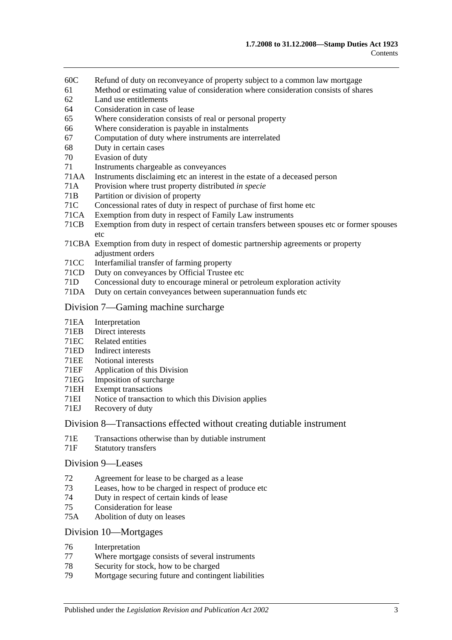- 60C [Refund of duty on reconveyance of property subject to a common law mortgage](#page-38-1)
- 61 [Method or estimating value of consideration where consideration consists of shares](#page-39-0)
- 62 [Land use entitlements](#page-39-1)
- 64 [Consideration in case of lease](#page-40-0)
- 65 [Where consideration consists of real or personal property](#page-40-1)
- 66 [Where consideration is payable in instalments](#page-40-2)
- 67 [Computation of duty where instruments are interrelated](#page-40-3)
- 68 [Duty in certain cases](#page-41-0)
- 70 [Evasion of duty](#page-41-1)
- 71 [Instruments chargeable as conveyances](#page-42-0)
- 71AA [Instruments disclaiming etc an interest in the estate of a deceased person](#page-47-0)
- 71A [Provision where trust property distributed](#page-47-1) *in specie*
- 71B [Partition or division of property](#page-47-2)
- 71C [Concessional rates of duty in respect of purchase of first home etc](#page-48-0)
- 71CA [Exemption from duty in respect of Family Law instruments](#page-52-0)
- 71CB [Exemption from duty in respect of certain transfers between spouses etc or former spouses](#page-54-0)  [etc](#page-54-0)
- 71CBA [Exemption from duty in respect of domestic partnership agreements or property](#page-55-0)  [adjustment orders](#page-55-0)
- 71CC [Interfamilial transfer of farming property](#page-57-0)
- 71CD [Duty on conveyances by Official Trustee etc](#page-59-0)
- 71D [Concessional duty to encourage mineral or petroleum exploration activity](#page-59-1)
- 71DA [Duty on certain conveyances between superannuation funds etc](#page-60-0)

#### [Division 7—Gaming machine surcharge](#page-62-0)

- 71EA [Interpretation](#page-62-1)
- 71EB [Direct interests](#page-63-0)
- 71EC [Related entities](#page-64-0)
- 71ED [Indirect interests](#page-64-1)
- 71EE [Notional interests](#page-64-2)
- 71EF [Application of this](#page-65-0) Division<br>71EG Imposition of surcharge
- 71EG [Imposition of surcharge](#page-65-1)<br>71EH Exempt transactions
- [Exempt transactions](#page-66-0)
- 71EI [Notice of transaction to which this Division applies](#page-66-1)
- 71EJ [Recovery of duty](#page-66-2)

#### [Division 8—Transactions effected without creating dutiable instrument](#page-67-0)

- 71E [Transactions otherwise than by dutiable instrument](#page-67-1)
- 71F [Statutory transfers](#page-68-0)

#### [Division 9—Leases](#page-69-0)

- 72 [Agreement for lease to be charged as a lease](#page-69-1)
- 73 [Leases, how to be charged in respect of produce etc](#page-69-2)
- 74 [Duty in respect of certain kinds of lease](#page-70-0)
- 75 [Consideration for lease](#page-70-1)
- 75A [Abolition of duty on leases](#page-71-0)

#### [Division 10—Mortgages](#page-71-1)

- 76 [Interpretation](#page-71-2)
- 77 [Where mortgage consists of several instruments](#page-71-3)
- 78 [Security for stock, how to be charged](#page-71-4)
- 79 [Mortgage securing future and contingent liabilities](#page-72-0)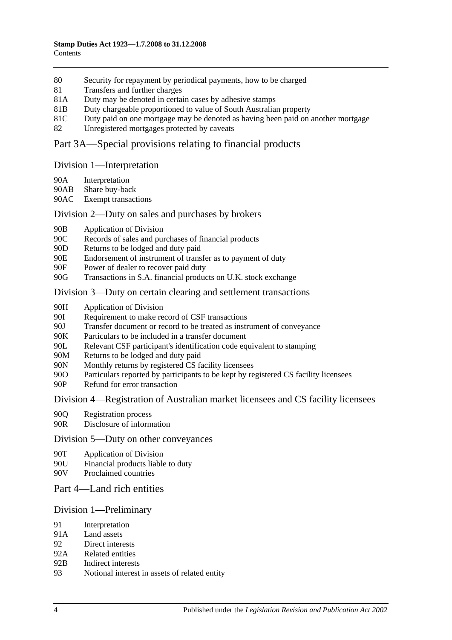- 80 [Security for repayment by periodical payments, how to be charged](#page-73-0)
- 81 [Transfers and further charges](#page-74-0)
- 81A [Duty may be denoted in certain cases by adhesive stamps](#page-74-1)
- 81B [Duty chargeable proportioned to value of South Australian property](#page-74-2)
- 81C [Duty paid on one mortgage may be denoted as having been paid on another mortgage](#page-75-0)
- 82 [Unregistered mortgages protected by caveats](#page-75-1)

## [Part 3A—Special provisions relating to financial products](#page-78-0)

#### [Division 1—Interpretation](#page-78-1)

- 90A [Interpretation](#page-78-2)
- 90AB [Share buy-back](#page-80-0)
- 90AC [Exempt transactions](#page-80-1)

#### [Division 2—Duty on sales and purchases by brokers](#page-80-2)

- 90B [Application of Division](#page-80-3)
- 90C [Records of sales and purchases of financial products](#page-81-0)
- 90D [Returns to be lodged and duty paid](#page-82-0)
- 90E [Endorsement of instrument of transfer as to payment of duty](#page-83-0)
- 90F [Power of dealer to recover paid duty](#page-83-1)
- 90G [Transactions in S.A. financial products on U.K. stock exchange](#page-83-2)

#### [Division 3—Duty on certain clearing and settlement transactions](#page-85-0)

- 90H [Application of Division](#page-85-1)
- 90I [Requirement to make record of CSF transactions](#page-86-0)
- 90J [Transfer document or record to be treated as instrument of conveyance](#page-86-1)
- 90K [Particulars to be included in a transfer document](#page-87-0)
- 90L [Relevant CSF participant's identification code equivalent to stamping](#page-87-1)
- 90M [Returns to be lodged and duty paid](#page-87-2)
- 90N [Monthly returns by registered CS facility licensees](#page-87-3)
- 90O [Particulars reported by participants to be kept by registered CS facility licensees](#page-88-0)
- 90P [Refund for error transaction](#page-88-1)

#### [Division 4—Registration of Australian market licensees and CS facility licensees](#page-88-2)

- 90Q [Registration process](#page-88-3)
- 90R [Disclosure of information](#page-89-0)

#### [Division 5—Duty on other conveyances](#page-89-1)

- 90T [Application of Division](#page-89-2)
- 90U [Financial products liable to duty](#page-89-3)
- 90V [Proclaimed countries](#page-89-4)

## [Part 4—Land rich entities](#page-90-0)

#### [Division 1—Preliminary](#page-90-1)

- 91 [Interpretation](#page-90-2)
- 91A [Land assets](#page-92-0)
- 92 [Direct interests](#page-93-0)
- 92A [Related entities](#page-93-1)
- 92B [Indirect interests](#page-94-0)
- 93 [Notional interest in assets of related entity](#page-94-1)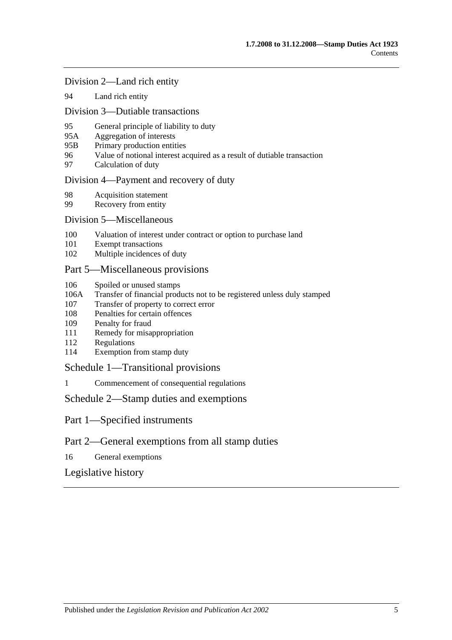#### [Division 2—Land rich entity](#page-94-2)

94 [Land rich entity](#page-94-3)

#### [Division 3—Dutiable transactions](#page-95-0)

- 95 [General principle of liability to duty](#page-95-1)
- 95A [Aggregation of interests](#page-96-0)
- 95B [Primary production entities](#page-96-1)
- 96 [Value of notional interest acquired as a result of dutiable transaction](#page-97-0)
- 97 [Calculation of duty](#page-97-1)

#### [Division 4—Payment and recovery of duty](#page-98-0)

- 98 [Acquisition statement](#page-98-1)<br>99 Recovery from entity
- [Recovery from entity](#page-99-0)

#### [Division 5—Miscellaneous](#page-100-0)

- 100 [Valuation of interest under contract or option to purchase land](#page-100-1)
- 101 [Exempt transactions](#page-100-2)
- 102 [Multiple incidences of duty](#page-100-3)

### [Part 5—Miscellaneous provisions](#page-102-0)

- 106 [Spoiled or unused stamps](#page-102-1)
- 106A [Transfer of financial products not to be registered unless duly stamped](#page-102-2)
- 107 [Transfer of property to correct error](#page-103-0)
- 108 [Penalties for certain offences](#page-103-1)
- 109 [Penalty for fraud](#page-104-0)
- 111 [Remedy for misappropriation](#page-104-1)
- 112 [Regulations](#page-104-2)
- 114 [Exemption from stamp duty](#page-105-0)

#### [Schedule 1—Transitional provisions](#page-106-0)

1 [Commencement of consequential regulations](#page-106-1)

#### [Schedule 2—Stamp duties and exemptions](#page-106-2)

- Part 1—Specified instruments
- Part 2—General exemptions from all stamp duties
- 16 [General exemptions](#page-120-0)

### [Legislative history](#page-126-0)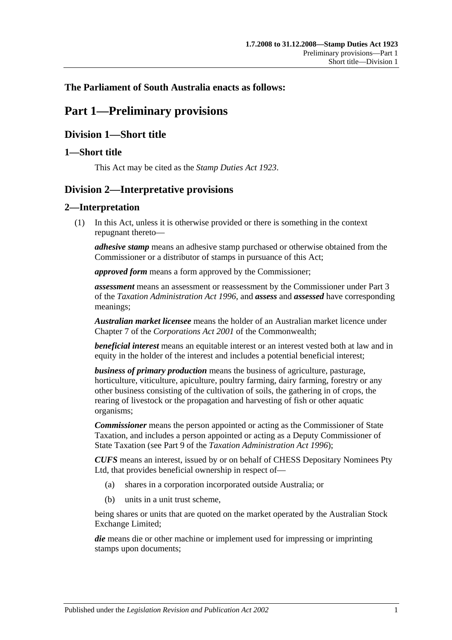## <span id="page-6-0"></span>**The Parliament of South Australia enacts as follows:**

# **Part 1—Preliminary provisions**

## <span id="page-6-1"></span>**Division 1—Short title**

## <span id="page-6-2"></span>**1—Short title**

This Act may be cited as the *Stamp Duties Act 1923*.

## <span id="page-6-3"></span>**Division 2—Interpretative provisions**

## <span id="page-6-4"></span>**2—Interpretation**

(1) In this Act, unless it is otherwise provided or there is something in the context repugnant thereto—

*adhesive stamp* means an adhesive stamp purchased or otherwise obtained from the Commissioner or a distributor of stamps in pursuance of this Act;

*approved form* means a form approved by the Commissioner;

*assessment* means an assessment or reassessment by the Commissioner under Part 3 of the *[Taxation Administration Act](http://www.legislation.sa.gov.au/index.aspx?action=legref&type=act&legtitle=Taxation%20Administration%20Act%201996) 1996*, and *assess* and *assessed* have corresponding meanings;

*Australian market licensee* means the holder of an Australian market licence under Chapter 7 of the *Corporations Act 2001* of the Commonwealth;

*beneficial interest* means an equitable interest or an interest vested both at law and in equity in the holder of the interest and includes a potential beneficial interest;

*business of primary production* means the business of agriculture, pasturage, horticulture, viticulture, apiculture, poultry farming, dairy farming, forestry or any other business consisting of the cultivation of soils, the gathering in of crops, the rearing of livestock or the propagation and harvesting of fish or other aquatic organisms;

*Commissioner* means the person appointed or acting as the Commissioner of State Taxation, and includes a person appointed or acting as a Deputy Commissioner of State Taxation (see Part 9 of the *[Taxation Administration Act](http://www.legislation.sa.gov.au/index.aspx?action=legref&type=act&legtitle=Taxation%20Administration%20Act%201996) 1996*);

*CUFS* means an interest, issued by or on behalf of CHESS Depositary Nominees Pty Ltd, that provides beneficial ownership in respect of—

- (a) shares in a corporation incorporated outside Australia; or
- (b) units in a unit trust scheme,

being shares or units that are quoted on the market operated by the Australian Stock Exchange Limited;

*die* means die or other machine or implement used for impressing or imprinting stamps upon documents;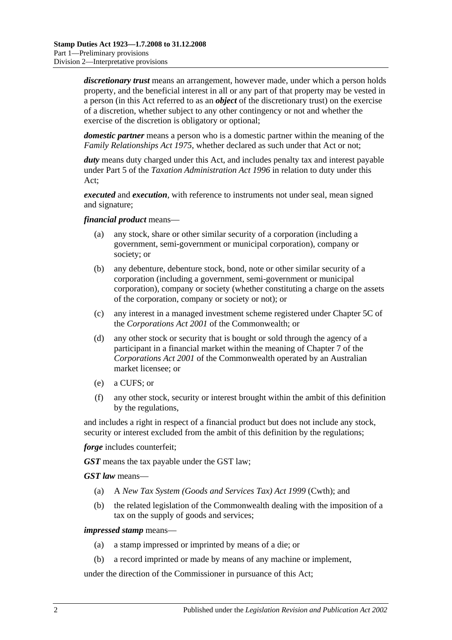*discretionary trust* means an arrangement, however made, under which a person holds property, and the beneficial interest in all or any part of that property may be vested in a person (in this Act referred to as an *object* of the discretionary trust) on the exercise of a discretion, whether subject to any other contingency or not and whether the exercise of the discretion is obligatory or optional;

*domestic partner* means a person who is a domestic partner within the meaning of the *[Family Relationships Act](http://www.legislation.sa.gov.au/index.aspx?action=legref&type=act&legtitle=Family%20Relationships%20Act%201975) 1975*, whether declared as such under that Act or not;

duty means duty charged under this Act, and includes penalty tax and interest payable under Part 5 of the *[Taxation Administration Act](http://www.legislation.sa.gov.au/index.aspx?action=legref&type=act&legtitle=Taxation%20Administration%20Act%201996) 1996* in relation to duty under this Act;

*executed* and *execution*, with reference to instruments not under seal, mean signed and signature;

#### *financial product* means—

- (a) any stock, share or other similar security of a corporation (including a government, semi-government or municipal corporation), company or society; or
- (b) any debenture, debenture stock, bond, note or other similar security of a corporation (including a government, semi-government or municipal corporation), company or society (whether constituting a charge on the assets of the corporation, company or society or not); or
- (c) any interest in a managed investment scheme registered under Chapter 5C of the *Corporations Act 2001* of the Commonwealth; or
- (d) any other stock or security that is bought or sold through the agency of a participant in a financial market within the meaning of Chapter 7 of the *Corporations Act 2001* of the Commonwealth operated by an Australian market licensee; or
- (e) a CUFS; or
- (f) any other stock, security or interest brought within the ambit of this definition by the regulations,

and includes a right in respect of a financial product but does not include any stock, security or interest excluded from the ambit of this definition by the regulations;

*forge* includes counterfeit:

*GST* means the tax payable under the GST law;

*GST law* means—

- (a) A *New Tax System (Goods and Services Tax) Act 1999* (Cwth); and
- (b) the related legislation of the Commonwealth dealing with the imposition of a tax on the supply of goods and services;

#### *impressed stamp* means—

- (a) a stamp impressed or imprinted by means of a die; or
- (b) a record imprinted or made by means of any machine or implement,

under the direction of the Commissioner in pursuance of this Act;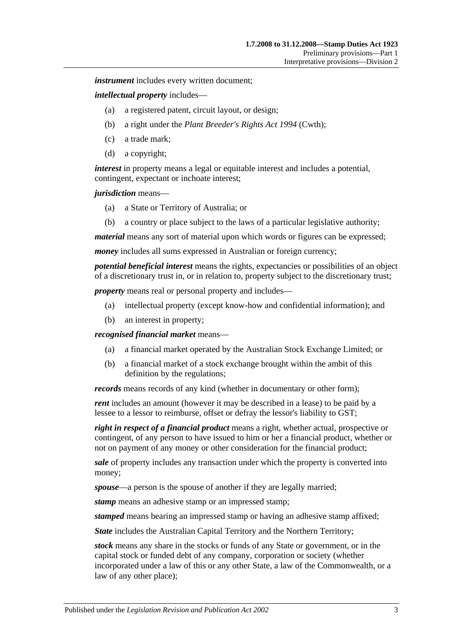*instrument* includes every written document:

*intellectual property* includes—

- (a) a registered patent, circuit layout, or design;
- (b) a right under the *Plant Breeder's Rights Act 1994* (Cwth);
- (c) a trade mark;
- (d) a copyright;

*interest* in property means a legal or equitable interest and includes a potential, contingent, expectant or inchoate interest;

*jurisdiction* means—

- (a) a State or Territory of Australia; or
- (b) a country or place subject to the laws of a particular legislative authority;

*material* means any sort of material upon which words or figures can be expressed;

*money* includes all sums expressed in Australian or foreign currency;

*potential beneficial interest* means the rights, expectancies or possibilities of an object of a discretionary trust in, or in relation to, property subject to the discretionary trust;

*property* means real or personal property and includes—

- (a) intellectual property (except know-how and confidential information); and
- (b) an interest in property;

*recognised financial market* means—

- (a) a financial market operated by the Australian Stock Exchange Limited; or
- (b) a financial market of a stock exchange brought within the ambit of this definition by the regulations;

*records* means records of any kind (whether in documentary or other form);

*rent* includes an amount (however it may be described in a lease) to be paid by a lessee to a lessor to reimburse, offset or defray the lessor's liability to GST;

*right in respect of a financial product* means a right, whether actual, prospective or contingent, of any person to have issued to him or her a financial product, whether or not on payment of any money or other consideration for the financial product;

*sale* of property includes any transaction under which the property is converted into money;

*spouse*—a person is the spouse of another if they are legally married;

*stamp* means an adhesive stamp or an impressed stamp;

*stamped* means bearing an impressed stamp or having an adhesive stamp affixed;

*State* includes the Australian Capital Territory and the Northern Territory;

*stock* means any share in the stocks or funds of any State or government, or in the capital stock or funded debt of any company, corporation or society (whether incorporated under a law of this or any other State, a law of the Commonwealth, or a law of any other place);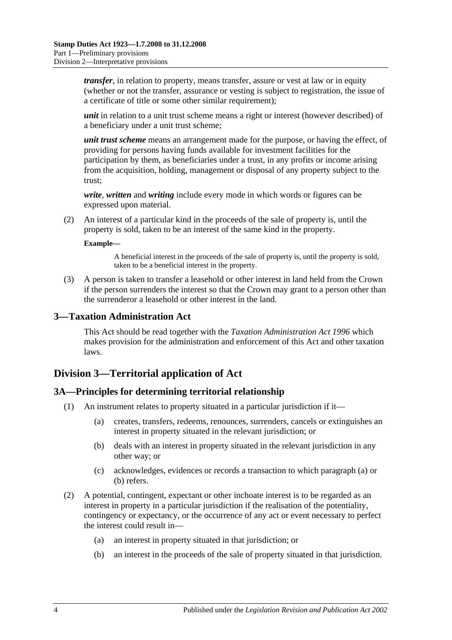*transfer*, in relation to property, means transfer, assure or vest at law or in equity (whether or not the transfer, assurance or vesting is subject to registration, the issue of a certificate of title or some other similar requirement);

*unit* in relation to a unit trust scheme means a right or interest (however described) of a beneficiary under a unit trust scheme;

*unit trust scheme* means an arrangement made for the purpose, or having the effect, of providing for persons having funds available for investment facilities for the participation by them, as beneficiaries under a trust, in any profits or income arising from the acquisition, holding, management or disposal of any property subject to the trust;

*write*, *written* and *writing* include every mode in which words or figures can be expressed upon material.

(2) An interest of a particular kind in the proceeds of the sale of property is, until the property is sold, taken to be an interest of the same kind in the property.

#### **Example—**

A beneficial interest in the proceeds of the sale of property is, until the property is sold, taken to be a beneficial interest in the property.

(3) A person is taken to transfer a leasehold or other interest in land held from the Crown if the person surrenders the interest so that the Crown may grant to a person other than the surrenderor a leasehold or other interest in the land.

#### <span id="page-9-0"></span>**3—Taxation Administration Act**

This Act should be read together with the *[Taxation Administration Act](http://www.legislation.sa.gov.au/index.aspx?action=legref&type=act&legtitle=Taxation%20Administration%20Act%201996) 1996* which makes provision for the administration and enforcement of this Act and other taxation laws.

## <span id="page-9-1"></span>**Division 3—Territorial application of Act**

#### <span id="page-9-2"></span>**3A—Principles for determining territorial relationship**

- <span id="page-9-4"></span><span id="page-9-3"></span>(1) An instrument relates to property situated in a particular jurisdiction if it—
	- (a) creates, transfers, redeems, renounces, surrenders, cancels or extinguishes an interest in property situated in the relevant jurisdiction; or
	- (b) deals with an interest in property situated in the relevant jurisdiction in any other way; or
	- (c) acknowledges, evidences or records a transaction to which [paragraph](#page-9-3) (a) or [\(b\)](#page-9-4) refers.
- (2) A potential, contingent, expectant or other inchoate interest is to be regarded as an interest in property in a particular jurisdiction if the realisation of the potentiality, contingency or expectancy, or the occurrence of any act or event necessary to perfect the interest could result in—
	- (a) an interest in property situated in that jurisdiction; or
	- (b) an interest in the proceeds of the sale of property situated in that jurisdiction.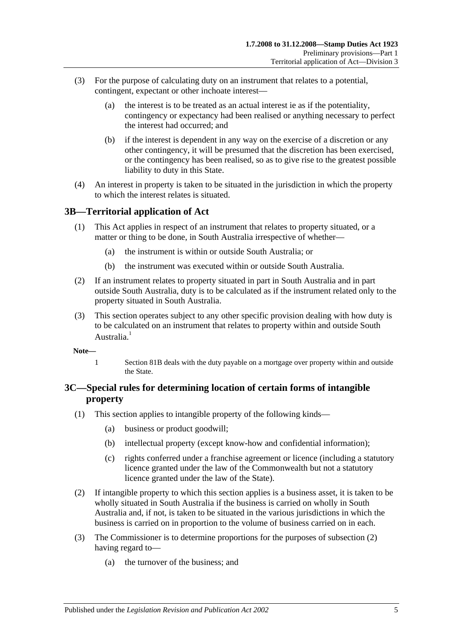- (3) For the purpose of calculating duty on an instrument that relates to a potential, contingent, expectant or other inchoate interest—
	- (a) the interest is to be treated as an actual interest ie as if the potentiality, contingency or expectancy had been realised or anything necessary to perfect the interest had occurred; and
	- (b) if the interest is dependent in any way on the exercise of a discretion or any other contingency, it will be presumed that the discretion has been exercised, or the contingency has been realised, so as to give rise to the greatest possible liability to duty in this State.
- (4) An interest in property is taken to be situated in the jurisdiction in which the property to which the interest relates is situated.

## <span id="page-10-0"></span>**3B—Territorial application of Act**

- (1) This Act applies in respect of an instrument that relates to property situated, or a matter or thing to be done, in South Australia irrespective of whether—
	- (a) the instrument is within or outside South Australia; or
	- (b) the instrument was executed within or outside South Australia.
- (2) If an instrument relates to property situated in part in South Australia and in part outside South Australia, duty is to be calculated as if the instrument related only to the property situated in South Australia.
- (3) This section operates subject to any other specific provision dealing with how duty is to be calculated on an instrument that relates to property within and outside South Australia<sup>1</sup>
- **Note—**
	- 1 [Section](#page-74-2) 81B deals with the duty payable on a mortgage over property within and outside the State.

## <span id="page-10-1"></span>**3C—Special rules for determining location of certain forms of intangible property**

- (1) This section applies to intangible property of the following kinds—
	- (a) business or product goodwill;
	- (b) intellectual property (except know-how and confidential information);
	- (c) rights conferred under a franchise agreement or licence (including a statutory licence granted under the law of the Commonwealth but not a statutory licence granted under the law of the State).
- <span id="page-10-2"></span>(2) If intangible property to which this section applies is a business asset, it is taken to be wholly situated in South Australia if the business is carried on wholly in South Australia and, if not, is taken to be situated in the various jurisdictions in which the business is carried on in proportion to the volume of business carried on in each.
- (3) The Commissioner is to determine proportions for the purposes of [subsection](#page-10-2) (2) having regard to—
	- (a) the turnover of the business; and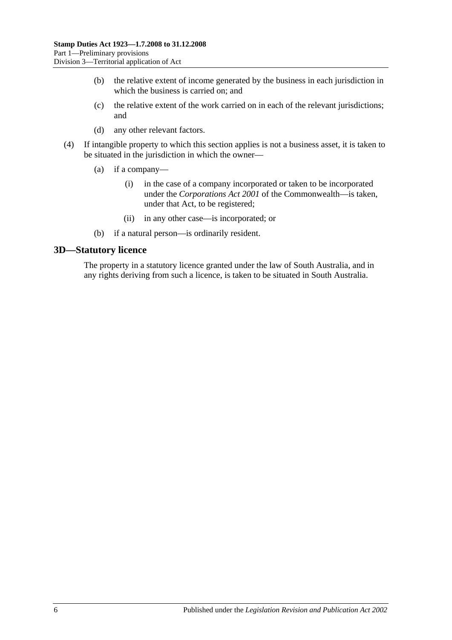- (b) the relative extent of income generated by the business in each jurisdiction in which the business is carried on; and
- (c) the relative extent of the work carried on in each of the relevant jurisdictions; and
- (d) any other relevant factors.
- (4) If intangible property to which this section applies is not a business asset, it is taken to be situated in the jurisdiction in which the owner—
	- (a) if a company—
		- (i) in the case of a company incorporated or taken to be incorporated under the *Corporations Act 2001* of the Commonwealth—is taken, under that Act, to be registered;
		- (ii) in any other case—is incorporated; or
	- (b) if a natural person—is ordinarily resident.

### <span id="page-11-0"></span>**3D—Statutory licence**

The property in a statutory licence granted under the law of South Australia, and in any rights deriving from such a licence, is taken to be situated in South Australia.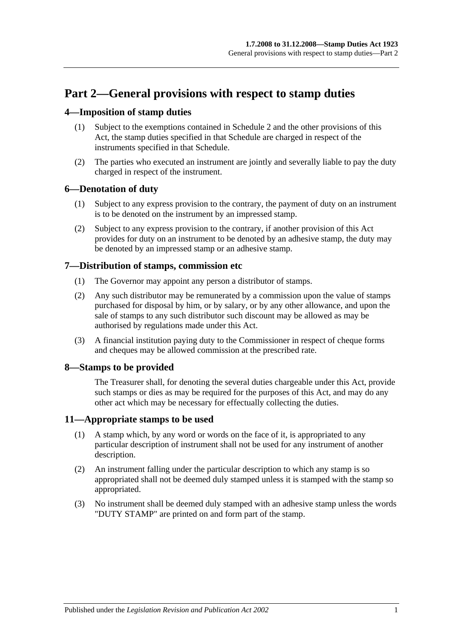# <span id="page-12-0"></span>**Part 2—General provisions with respect to stamp duties**

## <span id="page-12-1"></span>**4—Imposition of stamp duties**

- (1) Subject to the exemptions contained in [Schedule 2](#page-106-2) and the other provisions of this Act, the stamp duties specified in that Schedule are charged in respect of the instruments specified in that Schedule.
- (2) The parties who executed an instrument are jointly and severally liable to pay the duty charged in respect of the instrument.

## <span id="page-12-2"></span>**6—Denotation of duty**

- (1) Subject to any express provision to the contrary, the payment of duty on an instrument is to be denoted on the instrument by an impressed stamp.
- (2) Subject to any express provision to the contrary, if another provision of this Act provides for duty on an instrument to be denoted by an adhesive stamp, the duty may be denoted by an impressed stamp or an adhesive stamp.

## <span id="page-12-3"></span>**7—Distribution of stamps, commission etc**

- (1) The Governor may appoint any person a distributor of stamps.
- (2) Any such distributor may be remunerated by a commission upon the value of stamps purchased for disposal by him, or by salary, or by any other allowance, and upon the sale of stamps to any such distributor such discount may be allowed as may be authorised by regulations made under this Act.
- (3) A financial institution paying duty to the Commissioner in respect of cheque forms and cheques may be allowed commission at the prescribed rate.

## <span id="page-12-4"></span>**8—Stamps to be provided**

The Treasurer shall, for denoting the several duties chargeable under this Act, provide such stamps or dies as may be required for the purposes of this Act, and may do any other act which may be necessary for effectually collecting the duties.

## <span id="page-12-5"></span>**11—Appropriate stamps to be used**

- (1) A stamp which, by any word or words on the face of it, is appropriated to any particular description of instrument shall not be used for any instrument of another description.
- (2) An instrument falling under the particular description to which any stamp is so appropriated shall not be deemed duly stamped unless it is stamped with the stamp so appropriated.
- (3) No instrument shall be deemed duly stamped with an adhesive stamp unless the words "DUTY STAMP" are printed on and form part of the stamp.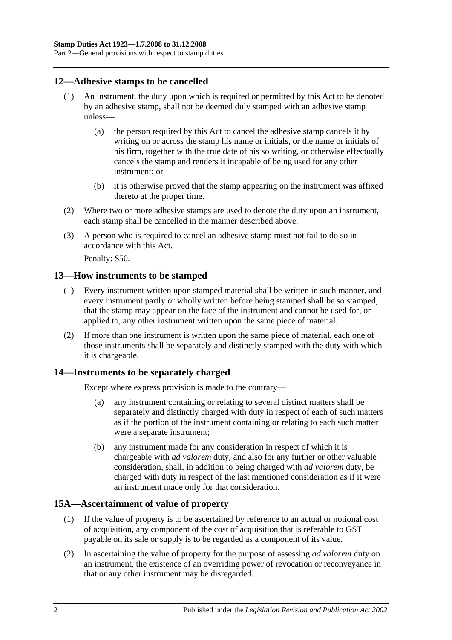## <span id="page-13-0"></span>**12—Adhesive stamps to be cancelled**

- (1) An instrument, the duty upon which is required or permitted by this Act to be denoted by an adhesive stamp, shall not be deemed duly stamped with an adhesive stamp unless—
	- (a) the person required by this Act to cancel the adhesive stamp cancels it by writing on or across the stamp his name or initials, or the name or initials of his firm, together with the true date of his so writing, or otherwise effectually cancels the stamp and renders it incapable of being used for any other instrument; or
	- (b) it is otherwise proved that the stamp appearing on the instrument was affixed thereto at the proper time.
- (2) Where two or more adhesive stamps are used to denote the duty upon an instrument, each stamp shall be cancelled in the manner described above.
- (3) A person who is required to cancel an adhesive stamp must not fail to do so in accordance with this Act.

Penalty: \$50.

### <span id="page-13-1"></span>**13—How instruments to be stamped**

- (1) Every instrument written upon stamped material shall be written in such manner, and every instrument partly or wholly written before being stamped shall be so stamped, that the stamp may appear on the face of the instrument and cannot be used for, or applied to, any other instrument written upon the same piece of material.
- (2) If more than one instrument is written upon the same piece of material, each one of those instruments shall be separately and distinctly stamped with the duty with which it is chargeable.

## <span id="page-13-2"></span>**14—Instruments to be separately charged**

Except where express provision is made to the contrary—

- (a) any instrument containing or relating to several distinct matters shall be separately and distinctly charged with duty in respect of each of such matters as if the portion of the instrument containing or relating to each such matter were a separate instrument;
- (b) any instrument made for any consideration in respect of which it is chargeable with *ad valorem* duty, and also for any further or other valuable consideration, shall, in addition to being charged with *ad valorem* duty, be charged with duty in respect of the last mentioned consideration as if it were an instrument made only for that consideration.

## <span id="page-13-3"></span>**15A—Ascertainment of value of property**

- (1) If the value of property is to be ascertained by reference to an actual or notional cost of acquisition, any component of the cost of acquisition that is referable to GST payable on its sale or supply is to be regarded as a component of its value.
- (2) In ascertaining the value of property for the purpose of assessing *ad valorem* duty on an instrument, the existence of an overriding power of revocation or reconveyance in that or any other instrument may be disregarded.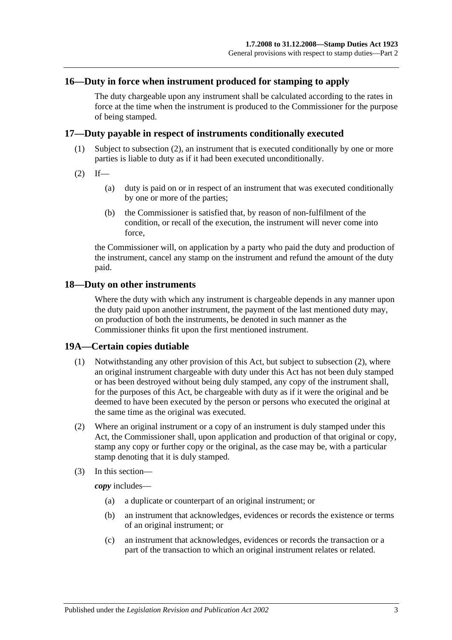## <span id="page-14-0"></span>**16—Duty in force when instrument produced for stamping to apply**

The duty chargeable upon any instrument shall be calculated according to the rates in force at the time when the instrument is produced to the Commissioner for the purpose of being stamped.

#### <span id="page-14-1"></span>**17—Duty payable in respect of instruments conditionally executed**

- (1) Subject to [subsection](#page-14-4) (2), an instrument that is executed conditionally by one or more parties is liable to duty as if it had been executed unconditionally.
- <span id="page-14-4"></span> $(2)$  If—
	- (a) duty is paid on or in respect of an instrument that was executed conditionally by one or more of the parties;
	- (b) the Commissioner is satisfied that, by reason of non-fulfilment of the condition, or recall of the execution, the instrument will never come into force,

the Commissioner will, on application by a party who paid the duty and production of the instrument, cancel any stamp on the instrument and refund the amount of the duty paid.

#### <span id="page-14-2"></span>**18—Duty on other instruments**

Where the duty with which any instrument is chargeable depends in any manner upon the duty paid upon another instrument, the payment of the last mentioned duty may, on production of both the instruments, be denoted in such manner as the Commissioner thinks fit upon the first mentioned instrument.

#### <span id="page-14-3"></span>**19A—Certain copies dutiable**

- (1) Notwithstanding any other provision of this Act, but subject to [subsection](#page-14-5) (2), where an original instrument chargeable with duty under this Act has not been duly stamped or has been destroyed without being duly stamped, any copy of the instrument shall, for the purposes of this Act, be chargeable with duty as if it were the original and be deemed to have been executed by the person or persons who executed the original at the same time as the original was executed.
- <span id="page-14-5"></span>(2) Where an original instrument or a copy of an instrument is duly stamped under this Act, the Commissioner shall, upon application and production of that original or copy, stamp any copy or further copy or the original, as the case may be, with a particular stamp denoting that it is duly stamped.
- (3) In this section—

*copy* includes—

- (a) a duplicate or counterpart of an original instrument; or
- (b) an instrument that acknowledges, evidences or records the existence or terms of an original instrument; or
- (c) an instrument that acknowledges, evidences or records the transaction or a part of the transaction to which an original instrument relates or related.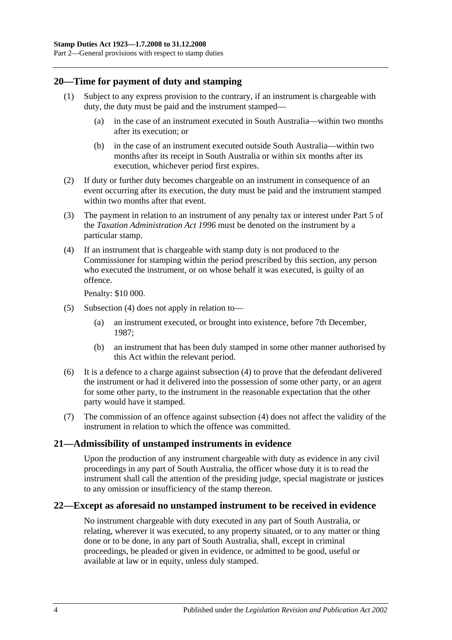## <span id="page-15-0"></span>**20—Time for payment of duty and stamping**

- (1) Subject to any express provision to the contrary, if an instrument is chargeable with duty, the duty must be paid and the instrument stamped—
	- (a) in the case of an instrument executed in South Australia—within two months after its execution; or
	- (b) in the case of an instrument executed outside South Australia—within two months after its receipt in South Australia or within six months after its execution, whichever period first expires.
- (2) If duty or further duty becomes chargeable on an instrument in consequence of an event occurring after its execution, the duty must be paid and the instrument stamped within two months after that event.
- (3) The payment in relation to an instrument of any penalty tax or interest under Part 5 of the *[Taxation Administration Act](http://www.legislation.sa.gov.au/index.aspx?action=legref&type=act&legtitle=Taxation%20Administration%20Act%201996) 1996* must be denoted on the instrument by a particular stamp.
- <span id="page-15-3"></span>(4) If an instrument that is chargeable with stamp duty is not produced to the Commissioner for stamping within the period prescribed by this section, any person who executed the instrument, or on whose behalf it was executed, is guilty of an offence.

Penalty: \$10 000.

- (5) [Subsection](#page-15-3) (4) does not apply in relation to—
	- (a) an instrument executed, or brought into existence, before 7th December, 1987;
	- (b) an instrument that has been duly stamped in some other manner authorised by this Act within the relevant period.
- (6) It is a defence to a charge against [subsection](#page-15-3) (4) to prove that the defendant delivered the instrument or had it delivered into the possession of some other party, or an agent for some other party, to the instrument in the reasonable expectation that the other party would have it stamped.
- (7) The commission of an offence against [subsection](#page-15-3) (4) does not affect the validity of the instrument in relation to which the offence was committed.

## <span id="page-15-1"></span>**21—Admissibility of unstamped instruments in evidence**

Upon the production of any instrument chargeable with duty as evidence in any civil proceedings in any part of South Australia, the officer whose duty it is to read the instrument shall call the attention of the presiding judge, special magistrate or justices to any omission or insufficiency of the stamp thereon.

## <span id="page-15-2"></span>**22—Except as aforesaid no unstamped instrument to be received in evidence**

No instrument chargeable with duty executed in any part of South Australia, or relating, wherever it was executed, to any property situated, or to any matter or thing done or to be done, in any part of South Australia, shall, except in criminal proceedings, be pleaded or given in evidence, or admitted to be good, useful or available at law or in equity, unless duly stamped.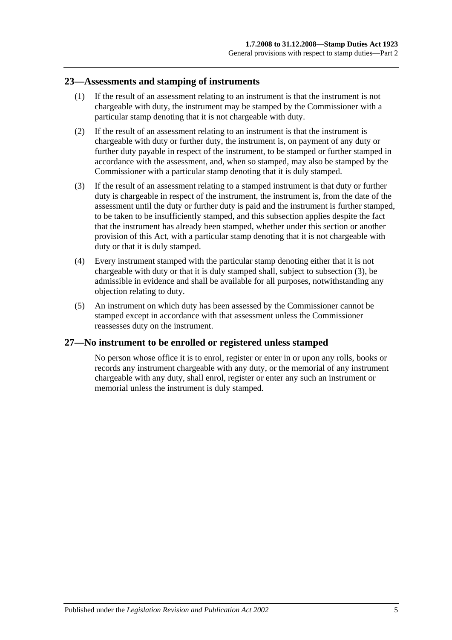### <span id="page-16-0"></span>**23—Assessments and stamping of instruments**

- (1) If the result of an assessment relating to an instrument is that the instrument is not chargeable with duty, the instrument may be stamped by the Commissioner with a particular stamp denoting that it is not chargeable with duty.
- (2) If the result of an assessment relating to an instrument is that the instrument is chargeable with duty or further duty, the instrument is, on payment of any duty or further duty payable in respect of the instrument, to be stamped or further stamped in accordance with the assessment, and, when so stamped, may also be stamped by the Commissioner with a particular stamp denoting that it is duly stamped.
- <span id="page-16-2"></span>(3) If the result of an assessment relating to a stamped instrument is that duty or further duty is chargeable in respect of the instrument, the instrument is, from the date of the assessment until the duty or further duty is paid and the instrument is further stamped, to be taken to be insufficiently stamped, and this subsection applies despite the fact that the instrument has already been stamped, whether under this section or another provision of this Act, with a particular stamp denoting that it is not chargeable with duty or that it is duly stamped.
- (4) Every instrument stamped with the particular stamp denoting either that it is not chargeable with duty or that it is duly stamped shall, subject to [subsection](#page-16-2) (3), be admissible in evidence and shall be available for all purposes, notwithstanding any objection relating to duty.
- (5) An instrument on which duty has been assessed by the Commissioner cannot be stamped except in accordance with that assessment unless the Commissioner reassesses duty on the instrument.

## <span id="page-16-1"></span>**27—No instrument to be enrolled or registered unless stamped**

No person whose office it is to enrol, register or enter in or upon any rolls, books or records any instrument chargeable with any duty, or the memorial of any instrument chargeable with any duty, shall enrol, register or enter any such an instrument or memorial unless the instrument is duly stamped.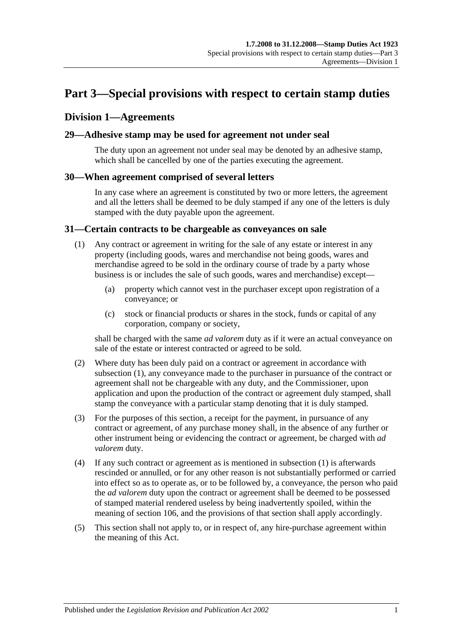# <span id="page-18-0"></span>**Part 3—Special provisions with respect to certain stamp duties**

## <span id="page-18-1"></span>**Division 1—Agreements**

### <span id="page-18-2"></span>**29—Adhesive stamp may be used for agreement not under seal**

The duty upon an agreement not under seal may be denoted by an adhesive stamp, which shall be cancelled by one of the parties executing the agreement.

### <span id="page-18-3"></span>**30—When agreement comprised of several letters**

In any case where an agreement is constituted by two or more letters, the agreement and all the letters shall be deemed to be duly stamped if any one of the letters is duly stamped with the duty payable upon the agreement.

#### <span id="page-18-5"></span><span id="page-18-4"></span>**31—Certain contracts to be chargeable as conveyances on sale**

- (1) Any contract or agreement in writing for the sale of any estate or interest in any property (including goods, wares and merchandise not being goods, wares and merchandise agreed to be sold in the ordinary course of trade by a party whose business is or includes the sale of such goods, wares and merchandise) except—
	- (a) property which cannot vest in the purchaser except upon registration of a conveyance; or
	- (c) stock or financial products or shares in the stock, funds or capital of any corporation, company or society,

shall be charged with the same *ad valorem* duty as if it were an actual conveyance on sale of the estate or interest contracted or agreed to be sold.

- (2) Where duty has been duly paid on a contract or agreement in accordance with [subsection](#page-18-5) (1), any conveyance made to the purchaser in pursuance of the contract or agreement shall not be chargeable with any duty, and the Commissioner, upon application and upon the production of the contract or agreement duly stamped, shall stamp the conveyance with a particular stamp denoting that it is duly stamped.
- (3) For the purposes of this section, a receipt for the payment, in pursuance of any contract or agreement, of any purchase money shall, in the absence of any further or other instrument being or evidencing the contract or agreement, be charged with *ad valorem* duty.
- (4) If any such contract or agreement as is mentioned in [subsection](#page-18-5) (1) is afterwards rescinded or annulled, or for any other reason is not substantially performed or carried into effect so as to operate as, or to be followed by, a conveyance, the person who paid the *ad valorem* duty upon the contract or agreement shall be deemed to be possessed of stamped material rendered useless by being inadvertently spoiled, within the meaning of [section](#page-102-1) 106, and the provisions of that section shall apply accordingly.
- (5) This section shall not apply to, or in respect of, any hire-purchase agreement within the meaning of this Act.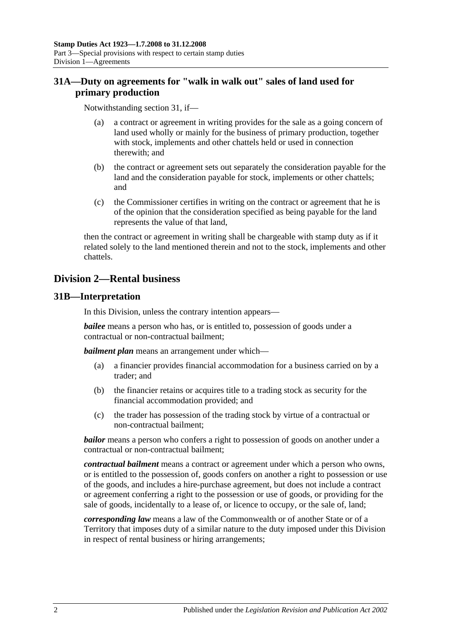## <span id="page-19-0"></span>**31A—Duty on agreements for "walk in walk out" sales of land used for primary production**

Notwithstanding [section](#page-18-4) 31, if—

- (a) a contract or agreement in writing provides for the sale as a going concern of land used wholly or mainly for the business of primary production, together with stock, implements and other chattels held or used in connection therewith; and
- (b) the contract or agreement sets out separately the consideration payable for the land and the consideration payable for stock, implements or other chattels; and
- (c) the Commissioner certifies in writing on the contract or agreement that he is of the opinion that the consideration specified as being payable for the land represents the value of that land,

then the contract or agreement in writing shall be chargeable with stamp duty as if it related solely to the land mentioned therein and not to the stock, implements and other chattels.

## <span id="page-19-1"></span>**Division 2—Rental business**

## <span id="page-19-2"></span>**31B—Interpretation**

In this Division, unless the contrary intention appears—

*bailee* means a person who has, or is entitled to, possession of goods under a contractual or non-contractual bailment;

*bailment plan* means an arrangement under which—

- (a) a financier provides financial accommodation for a business carried on by a trader; and
- (b) the financier retains or acquires title to a trading stock as security for the financial accommodation provided; and
- (c) the trader has possession of the trading stock by virtue of a contractual or non-contractual bailment;

*bailor* means a person who confers a right to possession of goods on another under a contractual or non-contractual bailment;

*contractual bailment* means a contract or agreement under which a person who owns, or is entitled to the possession of, goods confers on another a right to possession or use of the goods, and includes a hire-purchase agreement, but does not include a contract or agreement conferring a right to the possession or use of goods, or providing for the sale of goods, incidentally to a lease of, or licence to occupy, or the sale of, land;

*corresponding law* means a law of the Commonwealth or of another State or of a Territory that imposes duty of a similar nature to the duty imposed under this Division in respect of rental business or hiring arrangements;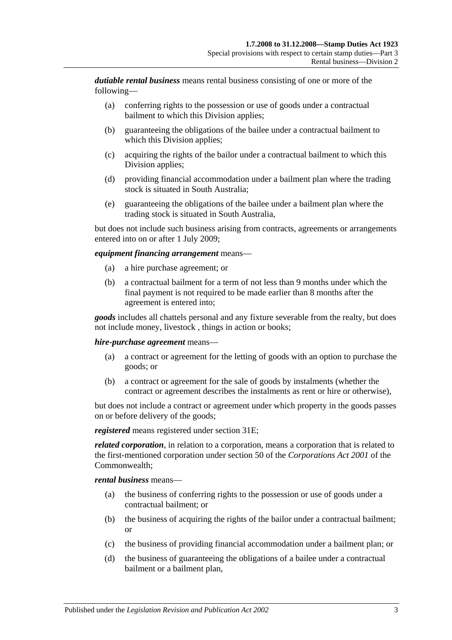*dutiable rental business* means rental business consisting of one or more of the following—

- (a) conferring rights to the possession or use of goods under a contractual bailment to which this Division applies;
- (b) guaranteeing the obligations of the bailee under a contractual bailment to which this Division applies;
- (c) acquiring the rights of the bailor under a contractual bailment to which this Division applies;
- (d) providing financial accommodation under a bailment plan where the trading stock is situated in South Australia;
- (e) guaranteeing the obligations of the bailee under a bailment plan where the trading stock is situated in South Australia,

but does not include such business arising from contracts, agreements or arrangements entered into on or after 1 July 2009;

#### *equipment financing arrangement* means—

- (a) a hire purchase agreement; or
- (b) a contractual bailment for a term of not less than 9 months under which the final payment is not required to be made earlier than 8 months after the agreement is entered into;

*goods* includes all chattels personal and any fixture severable from the realty, but does not include money, livestock , things in action or books;

#### *hire-purchase agreement* means—

- (a) a contract or agreement for the letting of goods with an option to purchase the goods; or
- (b) a contract or agreement for the sale of goods by instalments (whether the contract or agreement describes the instalments as rent or hire or otherwise),

but does not include a contract or agreement under which property in the goods passes on or before delivery of the goods;

*registered* means registered under [section](#page-21-2) 31E;

*related corporation*, in relation to a corporation, means a corporation that is related to the first-mentioned corporation under section 50 of the *Corporations Act 2001* of the Commonwealth;

*rental business* means—

- (a) the business of conferring rights to the possession or use of goods under a contractual bailment; or
- (b) the business of acquiring the rights of the bailor under a contractual bailment; or
- (c) the business of providing financial accommodation under a bailment plan; or
- (d) the business of guaranteeing the obligations of a bailee under a contractual bailment or a bailment plan,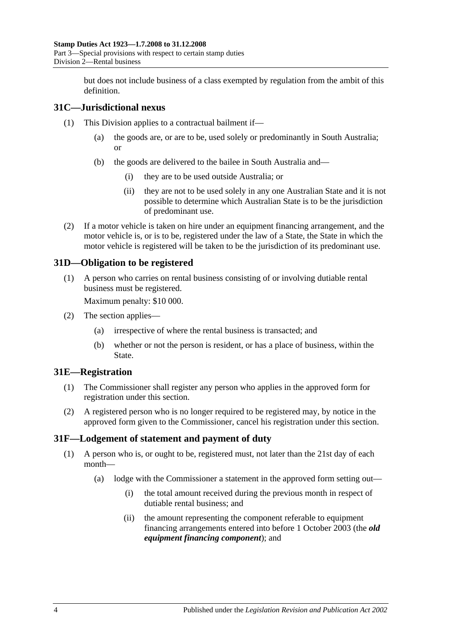but does not include business of a class exempted by regulation from the ambit of this definition.

## <span id="page-21-0"></span>**31C—Jurisdictional nexus**

- (1) This Division applies to a contractual bailment if—
	- (a) the goods are, or are to be, used solely or predominantly in South Australia; or
	- (b) the goods are delivered to the bailee in South Australia and—
		- (i) they are to be used outside Australia; or
		- (ii) they are not to be used solely in any one Australian State and it is not possible to determine which Australian State is to be the jurisdiction of predominant use.
- (2) If a motor vehicle is taken on hire under an equipment financing arrangement, and the motor vehicle is, or is to be, registered under the law of a State, the State in which the motor vehicle is registered will be taken to be the jurisdiction of its predominant use.

## <span id="page-21-1"></span>**31D—Obligation to be registered**

(1) A person who carries on rental business consisting of or involving dutiable rental business must be registered.

Maximum penalty: \$10 000.

- (2) The section applies—
	- (a) irrespective of where the rental business is transacted; and
	- (b) whether or not the person is resident, or has a place of business, within the State.

#### <span id="page-21-2"></span>**31E—Registration**

- (1) The Commissioner shall register any person who applies in the approved form for registration under this section.
- (2) A registered person who is no longer required to be registered may, by notice in the approved form given to the Commissioner, cancel his registration under this section.

## <span id="page-21-4"></span><span id="page-21-3"></span>**31F—Lodgement of statement and payment of duty**

- (1) A person who is, or ought to be, registered must, not later than the 21st day of each month—
	- (a) lodge with the Commissioner a statement in the approved form setting out—
		- (i) the total amount received during the previous month in respect of dutiable rental business; and
		- (ii) the amount representing the component referable to equipment financing arrangements entered into before 1 October 2003 (the *old equipment financing component*); and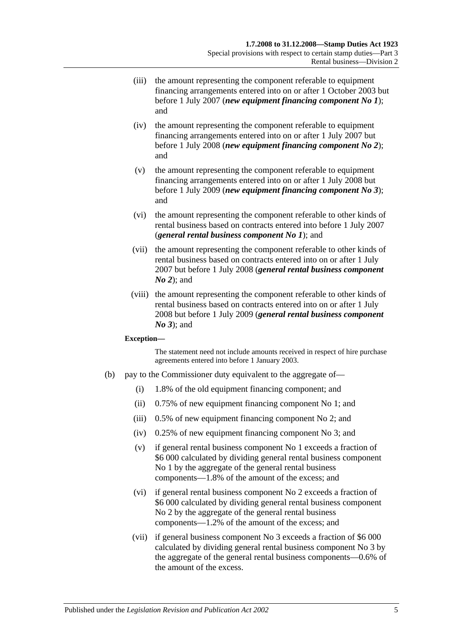- (iii) the amount representing the component referable to equipment financing arrangements entered into on or after 1 October 2003 but before 1 July 2007 (*new equipment financing component No 1*); and
- (iv) the amount representing the component referable to equipment financing arrangements entered into on or after 1 July 2007 but before 1 July 2008 (*new equipment financing component No 2*); and
- (v) the amount representing the component referable to equipment financing arrangements entered into on or after 1 July 2008 but before 1 July 2009 (*new equipment financing component No 3*); and
- (vi) the amount representing the component referable to other kinds of rental business based on contracts entered into before 1 July 2007 (*general rental business component No 1*); and
- (vii) the amount representing the component referable to other kinds of rental business based on contracts entered into on or after 1 July 2007 but before 1 July 2008 (*general rental business component No 2*); and
- (viii) the amount representing the component referable to other kinds of rental business based on contracts entered into on or after 1 July 2008 but before 1 July 2009 (*general rental business component No 3*); and

#### **Exception—**

The statement need not include amounts received in respect of hire purchase agreements entered into before 1 January 2003.

- (b) pay to the Commissioner duty equivalent to the aggregate of—
	- (i) 1.8% of the old equipment financing component; and
	- (ii) 0.75% of new equipment financing component No 1; and
	- (iii) 0.5% of new equipment financing component No 2; and
	- (iv) 0.25% of new equipment financing component No 3; and
	- (v) if general rental business component No 1 exceeds a fraction of \$6 000 calculated by dividing general rental business component No 1 by the aggregate of the general rental business components—1.8% of the amount of the excess; and
	- (vi) if general rental business component No 2 exceeds a fraction of \$6 000 calculated by dividing general rental business component No 2 by the aggregate of the general rental business components—1.2% of the amount of the excess; and
	- (vii) if general business component No 3 exceeds a fraction of \$6 000 calculated by dividing general rental business component No 3 by the aggregate of the general rental business components—0.6% of the amount of the excess.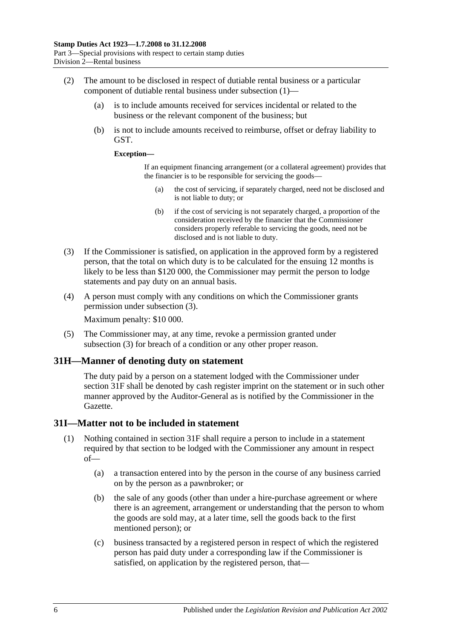- (2) The amount to be disclosed in respect of dutiable rental business or a particular component of dutiable rental business under [subsection](#page-21-4) (1)—
	- (a) is to include amounts received for services incidental or related to the business or the relevant component of the business; but
	- (b) is not to include amounts received to reimburse, offset or defray liability to GST.

#### **Exception—**

If an equipment financing arrangement (or a collateral agreement) provides that the financier is to be responsible for servicing the goods—

- (a) the cost of servicing, if separately charged, need not be disclosed and is not liable to duty; or
- (b) if the cost of servicing is not separately charged, a proportion of the consideration received by the financier that the Commissioner considers properly referable to servicing the goods, need not be disclosed and is not liable to duty.
- <span id="page-23-2"></span>(3) If the Commissioner is satisfied, on application in the approved form by a registered person, that the total on which duty is to be calculated for the ensuing 12 months is likely to be less than \$120 000, the Commissioner may permit the person to lodge statements and pay duty on an annual basis.
- (4) A person must comply with any conditions on which the Commissioner grants permission under [subsection](#page-23-2) (3).

Maximum penalty: \$10 000.

(5) The Commissioner may, at any time, revoke a permission granted under [subsection](#page-23-2) (3) for breach of a condition or any other proper reason.

#### <span id="page-23-0"></span>**31H—Manner of denoting duty on statement**

The duty paid by a person on a statement lodged with the Commissioner under [section](#page-21-3) 31F shall be denoted by cash register imprint on the statement or in such other manner approved by the Auditor-General as is notified by the Commissioner in the Gazette.

## <span id="page-23-1"></span>**31I—Matter not to be included in statement**

- (1) Nothing contained in [section](#page-21-3) 31F shall require a person to include in a statement required by that section to be lodged with the Commissioner any amount in respect of—
	- (a) a transaction entered into by the person in the course of any business carried on by the person as a pawnbroker; or
	- (b) the sale of any goods (other than under a hire-purchase agreement or where there is an agreement, arrangement or understanding that the person to whom the goods are sold may, at a later time, sell the goods back to the first mentioned person); or
	- (c) business transacted by a registered person in respect of which the registered person has paid duty under a corresponding law if the Commissioner is satisfied, on application by the registered person, that—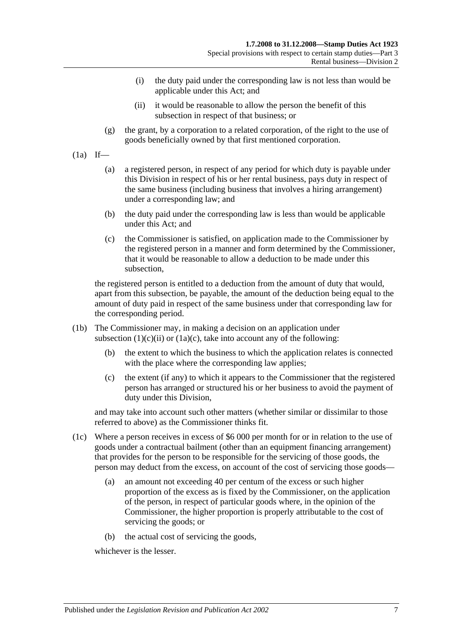- (i) the duty paid under the corresponding law is not less than would be applicable under this Act; and
- (ii) it would be reasonable to allow the person the benefit of this subsection in respect of that business; or
- <span id="page-24-0"></span>(g) the grant, by a corporation to a related corporation, of the right to the use of goods beneficially owned by that first mentioned corporation.

 $(1a)$  If—

- (a) a registered person, in respect of any period for which duty is payable under this Division in respect of his or her rental business, pays duty in respect of the same business (including business that involves a hiring arrangement) under a corresponding law; and
- (b) the duty paid under the corresponding law is less than would be applicable under this Act; and
- <span id="page-24-1"></span>(c) the Commissioner is satisfied, on application made to the Commissioner by the registered person in a manner and form determined by the Commissioner, that it would be reasonable to allow a deduction to be made under this subsection,

the registered person is entitled to a deduction from the amount of duty that would, apart from this subsection, be payable, the amount of the deduction being equal to the amount of duty paid in respect of the same business under that corresponding law for the corresponding period.

- (1b) The Commissioner may, in making a decision on an application under [subsection](#page-24-0)  $(1)(c)(ii)$  or  $(1a)(c)$ , take into account any of the following:
	- (b) the extent to which the business to which the application relates is connected with the place where the corresponding law applies;
	- (c) the extent (if any) to which it appears to the Commissioner that the registered person has arranged or structured his or her business to avoid the payment of duty under this Division,

and may take into account such other matters (whether similar or dissimilar to those referred to above) as the Commissioner thinks fit.

- (1c) Where a person receives in excess of \$6 000 per month for or in relation to the use of goods under a contractual bailment (other than an equipment financing arrangement) that provides for the person to be responsible for the servicing of those goods, the person may deduct from the excess, on account of the cost of servicing those goods—
	- (a) an amount not exceeding 40 per centum of the excess or such higher proportion of the excess as is fixed by the Commissioner, on the application of the person, in respect of particular goods where, in the opinion of the Commissioner, the higher proportion is properly attributable to the cost of servicing the goods; or
	- (b) the actual cost of servicing the goods,

whichever is the lesser.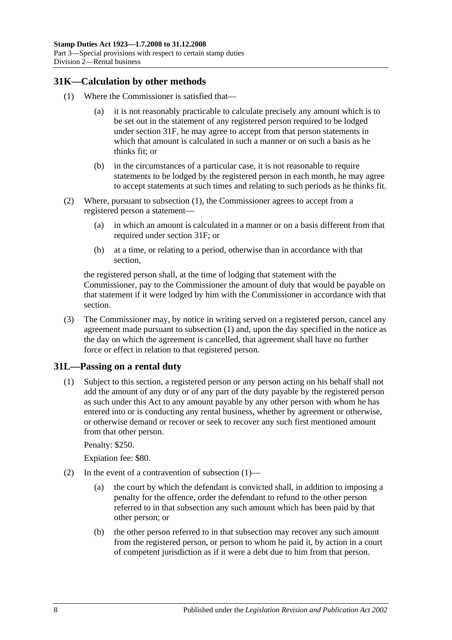## <span id="page-25-2"></span><span id="page-25-0"></span>**31K—Calculation by other methods**

- (1) Where the Commissioner is satisfied that—
	- (a) it is not reasonably practicable to calculate precisely any amount which is to be set out in the statement of any registered person required to be lodged under [section](#page-21-3) 31F, he may agree to accept from that person statements in which that amount is calculated in such a manner or on such a basis as he thinks fit; or
	- (b) in the circumstances of a particular case, it is not reasonable to require statements to be lodged by the registered person in each month, he may agree to accept statements at such times and relating to such periods as he thinks fit.
- (2) Where, pursuant to [subsection](#page-25-2) (1), the Commissioner agrees to accept from a registered person a statement—
	- (a) in which an amount is calculated in a manner or on a basis different from that required under [section](#page-21-3) 31F; or
	- (b) at a time, or relating to a period, otherwise than in accordance with that section,

the registered person shall, at the time of lodging that statement with the Commissioner, pay to the Commissioner the amount of duty that would be payable on that statement if it were lodged by him with the Commissioner in accordance with that section.

(3) The Commissioner may, by notice in writing served on a registered person, cancel any agreement made pursuant to [subsection](#page-25-2) (1) and, upon the day specified in the notice as the day on which the agreement is cancelled, that agreement shall have no further force or effect in relation to that registered person.

## <span id="page-25-3"></span><span id="page-25-1"></span>**31L—Passing on a rental duty**

(1) Subject to this section, a registered person or any person acting on his behalf shall not add the amount of any duty or of any part of the duty payable by the registered person as such under this Act to any amount payable by any other person with whom he has entered into or is conducting any rental business, whether by agreement or otherwise, or otherwise demand or recover or seek to recover any such first mentioned amount from that other person.

Penalty: \$250.

Expiation fee: \$80.

- (2) In the event of a contravention of [subsection](#page-25-3)  $(1)$ 
	- (a) the court by which the defendant is convicted shall, in addition to imposing a penalty for the offence, order the defendant to refund to the other person referred to in that subsection any such amount which has been paid by that other person; or
	- (b) the other person referred to in that subsection may recover any such amount from the registered person, or person to whom he paid it, by action in a court of competent jurisdiction as if it were a debt due to him from that person.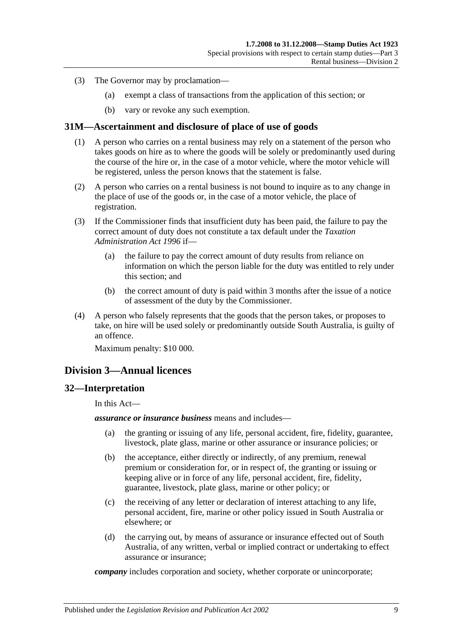- (3) The Governor may by proclamation—
	- (a) exempt a class of transactions from the application of this section; or
	- (b) vary or revoke any such exemption.

## <span id="page-26-0"></span>**31M—Ascertainment and disclosure of place of use of goods**

- (1) A person who carries on a rental business may rely on a statement of the person who takes goods on hire as to where the goods will be solely or predominantly used during the course of the hire or, in the case of a motor vehicle, where the motor vehicle will be registered, unless the person knows that the statement is false.
- (2) A person who carries on a rental business is not bound to inquire as to any change in the place of use of the goods or, in the case of a motor vehicle, the place of registration.
- (3) If the Commissioner finds that insufficient duty has been paid, the failure to pay the correct amount of duty does not constitute a tax default under the *[Taxation](http://www.legislation.sa.gov.au/index.aspx?action=legref&type=act&legtitle=Taxation%20Administration%20Act%201996)  [Administration Act](http://www.legislation.sa.gov.au/index.aspx?action=legref&type=act&legtitle=Taxation%20Administration%20Act%201996) 1996* if—
	- (a) the failure to pay the correct amount of duty results from reliance on information on which the person liable for the duty was entitled to rely under this section; and
	- (b) the correct amount of duty is paid within 3 months after the issue of a notice of assessment of the duty by the Commissioner.
- (4) A person who falsely represents that the goods that the person takes, or proposes to take, on hire will be used solely or predominantly outside South Australia, is guilty of an offence.

Maximum penalty: \$10 000.

## <span id="page-26-1"></span>**Division 3—Annual licences**

#### <span id="page-26-2"></span>**32—Interpretation**

In this Act—

*assurance or insurance business* means and includes—

- (a) the granting or issuing of any life, personal accident, fire, fidelity, guarantee, livestock, plate glass, marine or other assurance or insurance policies; or
- (b) the acceptance, either directly or indirectly, of any premium, renewal premium or consideration for, or in respect of, the granting or issuing or keeping alive or in force of any life, personal accident, fire, fidelity, guarantee, livestock, plate glass, marine or other policy; or
- (c) the receiving of any letter or declaration of interest attaching to any life, personal accident, fire, marine or other policy issued in South Australia or elsewhere; or
- (d) the carrying out, by means of assurance or insurance effected out of South Australia, of any written, verbal or implied contract or undertaking to effect assurance or insurance;

*company* includes corporation and society, whether corporate or unincorporate;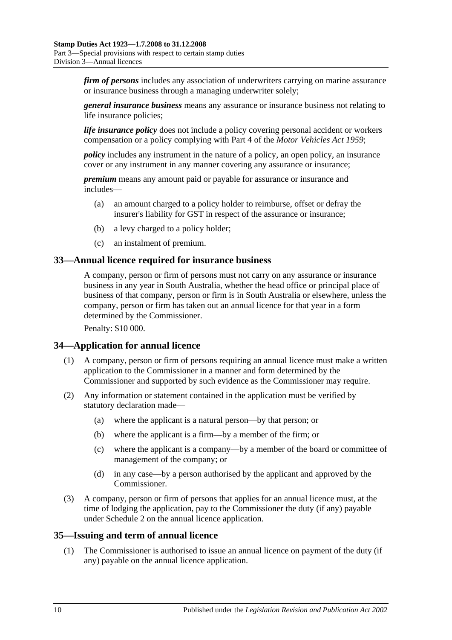*firm of persons* includes any association of underwriters carrying on marine assurance or insurance business through a managing underwriter solely;

*general insurance business* means any assurance or insurance business not relating to life insurance policies;

*life insurance policy* does not include a policy covering personal accident or workers compensation or a policy complying with Part 4 of the *[Motor Vehicles Act](http://www.legislation.sa.gov.au/index.aspx?action=legref&type=act&legtitle=Motor%20Vehicles%20Act%201959) 1959*;

*policy* includes any instrument in the nature of a policy, an open policy, an insurance cover or any instrument in any manner covering any assurance or insurance;

*premium* means any amount paid or payable for assurance or insurance and includes—

- (a) an amount charged to a policy holder to reimburse, offset or defray the insurer's liability for GST in respect of the assurance or insurance;
- (b) a levy charged to a policy holder;
- (c) an instalment of premium.

### <span id="page-27-0"></span>**33—Annual licence required for insurance business**

A company, person or firm of persons must not carry on any assurance or insurance business in any year in South Australia, whether the head office or principal place of business of that company, person or firm is in South Australia or elsewhere, unless the company, person or firm has taken out an annual licence for that year in a form determined by the Commissioner.

Penalty: \$10 000.

## <span id="page-27-1"></span>**34—Application for annual licence**

- (1) A company, person or firm of persons requiring an annual licence must make a written application to the Commissioner in a manner and form determined by the Commissioner and supported by such evidence as the Commissioner may require.
- (2) Any information or statement contained in the application must be verified by statutory declaration made—
	- (a) where the applicant is a natural person—by that person; or
	- (b) where the applicant is a firm—by a member of the firm; or
	- (c) where the applicant is a company—by a member of the board or committee of management of the company; or
	- (d) in any case—by a person authorised by the applicant and approved by the Commissioner.
- (3) A company, person or firm of persons that applies for an annual licence must, at the time of lodging the application, pay to the Commissioner the duty (if any) payable under [Schedule 2](#page-106-2) on the annual licence application.

#### <span id="page-27-2"></span>**35—Issuing and term of annual licence**

(1) The Commissioner is authorised to issue an annual licence on payment of the duty (if any) payable on the annual licence application.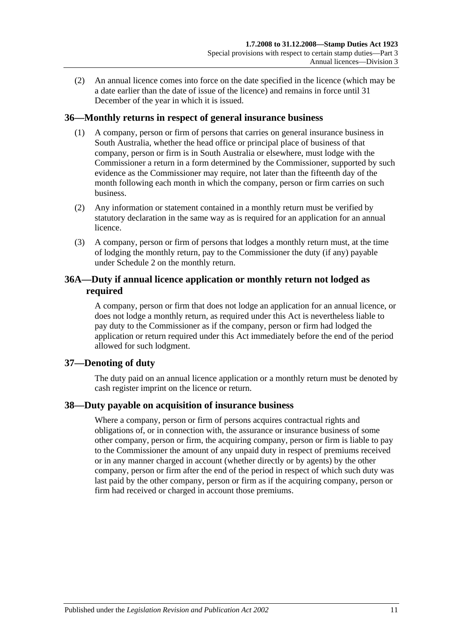(2) An annual licence comes into force on the date specified in the licence (which may be a date earlier than the date of issue of the licence) and remains in force until 31 December of the year in which it is issued.

## <span id="page-28-0"></span>**36—Monthly returns in respect of general insurance business**

- (1) A company, person or firm of persons that carries on general insurance business in South Australia, whether the head office or principal place of business of that company, person or firm is in South Australia or elsewhere, must lodge with the Commissioner a return in a form determined by the Commissioner, supported by such evidence as the Commissioner may require, not later than the fifteenth day of the month following each month in which the company, person or firm carries on such business.
- (2) Any information or statement contained in a monthly return must be verified by statutory declaration in the same way as is required for an application for an annual licence.
- (3) A company, person or firm of persons that lodges a monthly return must, at the time of lodging the monthly return, pay to the Commissioner the duty (if any) payable under [Schedule 2](#page-106-2) on the monthly return.

## <span id="page-28-1"></span>**36A—Duty if annual licence application or monthly return not lodged as required**

A company, person or firm that does not lodge an application for an annual licence, or does not lodge a monthly return, as required under this Act is nevertheless liable to pay duty to the Commissioner as if the company, person or firm had lodged the application or return required under this Act immediately before the end of the period allowed for such lodgment.

## <span id="page-28-2"></span>**37—Denoting of duty**

The duty paid on an annual licence application or a monthly return must be denoted by cash register imprint on the licence or return.

## <span id="page-28-3"></span>**38—Duty payable on acquisition of insurance business**

Where a company, person or firm of persons acquires contractual rights and obligations of, or in connection with, the assurance or insurance business of some other company, person or firm, the acquiring company, person or firm is liable to pay to the Commissioner the amount of any unpaid duty in respect of premiums received or in any manner charged in account (whether directly or by agents) by the other company, person or firm after the end of the period in respect of which such duty was last paid by the other company, person or firm as if the acquiring company, person or firm had received or charged in account those premiums.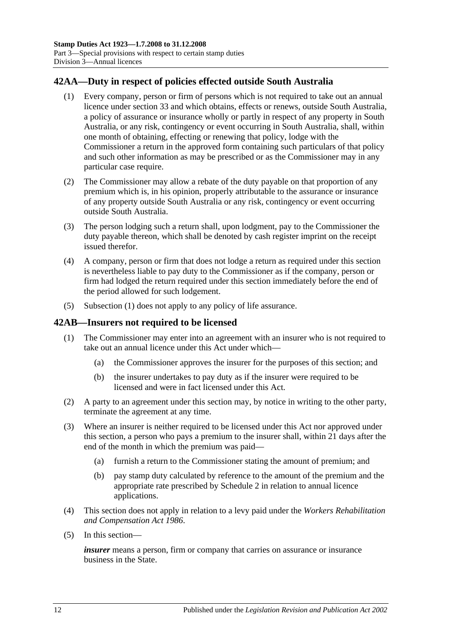## <span id="page-29-2"></span><span id="page-29-0"></span>**42AA—Duty in respect of policies effected outside South Australia**

- (1) Every company, person or firm of persons which is not required to take out an annual licence under [section](#page-27-0) 33 and which obtains, effects or renews, outside South Australia, a policy of assurance or insurance wholly or partly in respect of any property in South Australia, or any risk, contingency or event occurring in South Australia, shall, within one month of obtaining, effecting or renewing that policy, lodge with the Commissioner a return in the approved form containing such particulars of that policy and such other information as may be prescribed or as the Commissioner may in any particular case require.
- (2) The Commissioner may allow a rebate of the duty payable on that proportion of any premium which is, in his opinion, properly attributable to the assurance or insurance of any property outside South Australia or any risk, contingency or event occurring outside South Australia.
- (3) The person lodging such a return shall, upon lodgment, pay to the Commissioner the duty payable thereon, which shall be denoted by cash register imprint on the receipt issued therefor.
- (4) A company, person or firm that does not lodge a return as required under this section is nevertheless liable to pay duty to the Commissioner as if the company, person or firm had lodged the return required under this section immediately before the end of the period allowed for such lodgement.
- (5) [Subsection](#page-29-2) (1) does not apply to any policy of life assurance.

## <span id="page-29-1"></span>**42AB—Insurers not required to be licensed**

- (1) The Commissioner may enter into an agreement with an insurer who is not required to take out an annual licence under this Act under which—
	- (a) the Commissioner approves the insurer for the purposes of this section; and
	- (b) the insurer undertakes to pay duty as if the insurer were required to be licensed and were in fact licensed under this Act.
- (2) A party to an agreement under this section may, by notice in writing to the other party, terminate the agreement at any time.
- (3) Where an insurer is neither required to be licensed under this Act nor approved under this section, a person who pays a premium to the insurer shall, within 21 days after the end of the month in which the premium was paid—
	- (a) furnish a return to the Commissioner stating the amount of premium; and
	- (b) pay stamp duty calculated by reference to the amount of the premium and the appropriate rate prescribed by [Schedule 2](#page-106-2) in relation to annual licence applications.
- (4) This section does not apply in relation to a levy paid under the *[Workers Rehabilitation](http://www.legislation.sa.gov.au/index.aspx?action=legref&type=act&legtitle=Workers%20Rehabilitation%20and%20Compensation%20Act%201986)  [and Compensation Act](http://www.legislation.sa.gov.au/index.aspx?action=legref&type=act&legtitle=Workers%20Rehabilitation%20and%20Compensation%20Act%201986) 1986*.
- (5) In this section—

*insurer* means a person, firm or company that carries on assurance or insurance business in the State.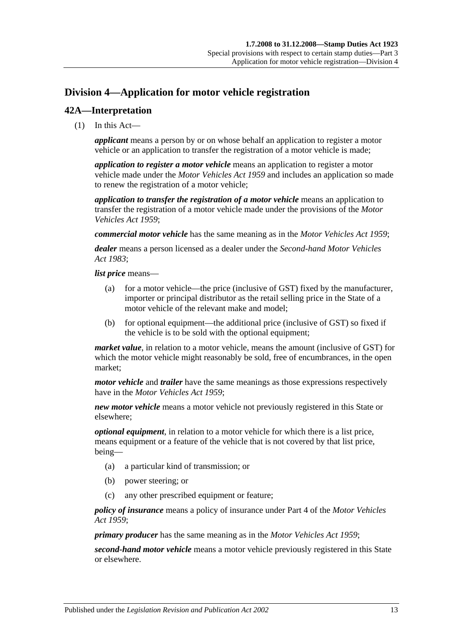# <span id="page-30-0"></span>**Division 4—Application for motor vehicle registration**

## <span id="page-30-1"></span>**42A—Interpretation**

(1) In this Act—

*applicant* means a person by or on whose behalf an application to register a motor vehicle or an application to transfer the registration of a motor vehicle is made;

*application to register a motor vehicle* means an application to register a motor vehicle made under the *[Motor Vehicles Act](http://www.legislation.sa.gov.au/index.aspx?action=legref&type=act&legtitle=Motor%20Vehicles%20Act%201959) 1959* and includes an application so made to renew the registration of a motor vehicle;

*application to transfer the registration of a motor vehicle* means an application to transfer the registration of a motor vehicle made under the provisions of the *[Motor](http://www.legislation.sa.gov.au/index.aspx?action=legref&type=act&legtitle=Motor%20Vehicles%20Act%201959)  [Vehicles Act](http://www.legislation.sa.gov.au/index.aspx?action=legref&type=act&legtitle=Motor%20Vehicles%20Act%201959) 1959*;

*commercial motor vehicle* has the same meaning as in the *[Motor Vehicles Act](http://www.legislation.sa.gov.au/index.aspx?action=legref&type=act&legtitle=Motor%20Vehicles%20Act%201959) 1959*;

*dealer* means a person licensed as a dealer under the *[Second-hand Motor Vehicles](http://www.legislation.sa.gov.au/index.aspx?action=legref&type=act&legtitle=Second-hand%20Motor%20Vehicles%20Act%201983)  Act [1983](http://www.legislation.sa.gov.au/index.aspx?action=legref&type=act&legtitle=Second-hand%20Motor%20Vehicles%20Act%201983)*;

*list price* means—

- (a) for a motor vehicle—the price (inclusive of GST) fixed by the manufacturer, importer or principal distributor as the retail selling price in the State of a motor vehicle of the relevant make and model;
- (b) for optional equipment—the additional price (inclusive of GST) so fixed if the vehicle is to be sold with the optional equipment;

*market value*, in relation to a motor vehicle, means the amount (inclusive of GST) for which the motor vehicle might reasonably be sold, free of encumbrances, in the open market;

*motor vehicle* and *trailer* have the same meanings as those expressions respectively have in the *[Motor Vehicles Act](http://www.legislation.sa.gov.au/index.aspx?action=legref&type=act&legtitle=Motor%20Vehicles%20Act%201959) 1959*;

*new motor vehicle* means a motor vehicle not previously registered in this State or elsewhere;

*optional equipment*, in relation to a motor vehicle for which there is a list price, means equipment or a feature of the vehicle that is not covered by that list price, being—

- (a) a particular kind of transmission; or
- (b) power steering; or
- (c) any other prescribed equipment or feature;

*policy of insurance* means a policy of insurance under Part 4 of the *[Motor Vehicles](http://www.legislation.sa.gov.au/index.aspx?action=legref&type=act&legtitle=Motor%20Vehicles%20Act%201959)  Act [1959](http://www.legislation.sa.gov.au/index.aspx?action=legref&type=act&legtitle=Motor%20Vehicles%20Act%201959)*;

*primary producer* has the same meaning as in the *[Motor Vehicles Act](http://www.legislation.sa.gov.au/index.aspx?action=legref&type=act&legtitle=Motor%20Vehicles%20Act%201959) 1959*;

*second-hand motor vehicle* means a motor vehicle previously registered in this State or elsewhere.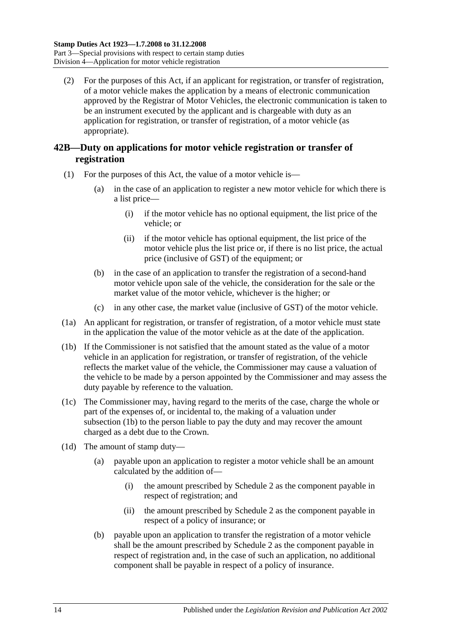(2) For the purposes of this Act, if an applicant for registration, or transfer of registration, of a motor vehicle makes the application by a means of electronic communication approved by the Registrar of Motor Vehicles, the electronic communication is taken to be an instrument executed by the applicant and is chargeable with duty as an application for registration, or transfer of registration, of a motor vehicle (as appropriate).

## <span id="page-31-0"></span>**42B—Duty on applications for motor vehicle registration or transfer of registration**

- (1) For the purposes of this Act, the value of a motor vehicle is—
	- (a) in the case of an application to register a new motor vehicle for which there is a list price—
		- (i) if the motor vehicle has no optional equipment, the list price of the vehicle; or
		- (ii) if the motor vehicle has optional equipment, the list price of the motor vehicle plus the list price or, if there is no list price, the actual price (inclusive of GST) of the equipment; or
	- (b) in the case of an application to transfer the registration of a second-hand motor vehicle upon sale of the vehicle, the consideration for the sale or the market value of the motor vehicle, whichever is the higher; or
	- (c) in any other case, the market value (inclusive of GST) of the motor vehicle.
- (1a) An applicant for registration, or transfer of registration, of a motor vehicle must state in the application the value of the motor vehicle as at the date of the application.
- <span id="page-31-1"></span>(1b) If the Commissioner is not satisfied that the amount stated as the value of a motor vehicle in an application for registration, or transfer of registration, of the vehicle reflects the market value of the vehicle, the Commissioner may cause a valuation of the vehicle to be made by a person appointed by the Commissioner and may assess the duty payable by reference to the valuation.
- (1c) The Commissioner may, having regard to the merits of the case, charge the whole or part of the expenses of, or incidental to, the making of a valuation under [subsection](#page-31-1)  $(\overline{1b})$  to the person liable to pay the duty and may recover the amount charged as a debt due to the Crown.
- <span id="page-31-2"></span>(1d) The amount of stamp duty—
	- (a) payable upon an application to register a motor vehicle shall be an amount calculated by the addition of—
		- (i) the amount prescribed by [Schedule 2](#page-106-2) as the component payable in respect of registration; and
		- (ii) the amount prescribed by [Schedule 2](#page-106-2) as the component payable in respect of a policy of insurance; or
	- (b) payable upon an application to transfer the registration of a motor vehicle shall be the amount prescribed by [Schedule 2](#page-106-2) as the component payable in respect of registration and, in the case of such an application, no additional component shall be payable in respect of a policy of insurance.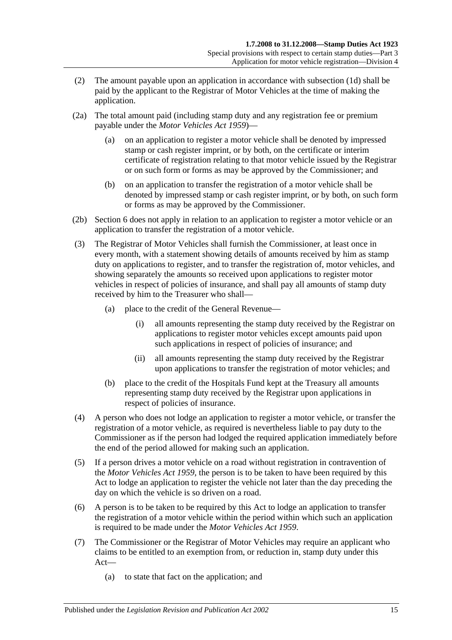- (2) The amount payable upon an application in accordance with [subsection](#page-31-2) (1d) shall be paid by the applicant to the Registrar of Motor Vehicles at the time of making the application.
- (2a) The total amount paid (including stamp duty and any registration fee or premium payable under the *[Motor Vehicles Act](http://www.legislation.sa.gov.au/index.aspx?action=legref&type=act&legtitle=Motor%20Vehicles%20Act%201959) 1959*)—
	- (a) on an application to register a motor vehicle shall be denoted by impressed stamp or cash register imprint, or by both, on the certificate or interim certificate of registration relating to that motor vehicle issued by the Registrar or on such form or forms as may be approved by the Commissioner; and
	- (b) on an application to transfer the registration of a motor vehicle shall be denoted by impressed stamp or cash register imprint, or by both, on such form or forms as may be approved by the Commissioner.
- (2b) Section 6 does not apply in relation to an application to register a motor vehicle or an application to transfer the registration of a motor vehicle.
- (3) The Registrar of Motor Vehicles shall furnish the Commissioner, at least once in every month, with a statement showing details of amounts received by him as stamp duty on applications to register, and to transfer the registration of, motor vehicles, and showing separately the amounts so received upon applications to register motor vehicles in respect of policies of insurance, and shall pay all amounts of stamp duty received by him to the Treasurer who shall—
	- (a) place to the credit of the General Revenue—
		- (i) all amounts representing the stamp duty received by the Registrar on applications to register motor vehicles except amounts paid upon such applications in respect of policies of insurance; and
		- (ii) all amounts representing the stamp duty received by the Registrar upon applications to transfer the registration of motor vehicles; and
	- (b) place to the credit of the Hospitals Fund kept at the Treasury all amounts representing stamp duty received by the Registrar upon applications in respect of policies of insurance.
- (4) A person who does not lodge an application to register a motor vehicle, or transfer the registration of a motor vehicle, as required is nevertheless liable to pay duty to the Commissioner as if the person had lodged the required application immediately before the end of the period allowed for making such an application.
- (5) If a person drives a motor vehicle on a road without registration in contravention of the *[Motor Vehicles Act](http://www.legislation.sa.gov.au/index.aspx?action=legref&type=act&legtitle=Motor%20Vehicles%20Act%201959) 1959*, the person is to be taken to have been required by this Act to lodge an application to register the vehicle not later than the day preceding the day on which the vehicle is so driven on a road.
- (6) A person is to be taken to be required by this Act to lodge an application to transfer the registration of a motor vehicle within the period within which such an application is required to be made under the *[Motor Vehicles Act](http://www.legislation.sa.gov.au/index.aspx?action=legref&type=act&legtitle=Motor%20Vehicles%20Act%201959) 1959*.
- (7) The Commissioner or the Registrar of Motor Vehicles may require an applicant who claims to be entitled to an exemption from, or reduction in, stamp duty under this Act—
	- (a) to state that fact on the application; and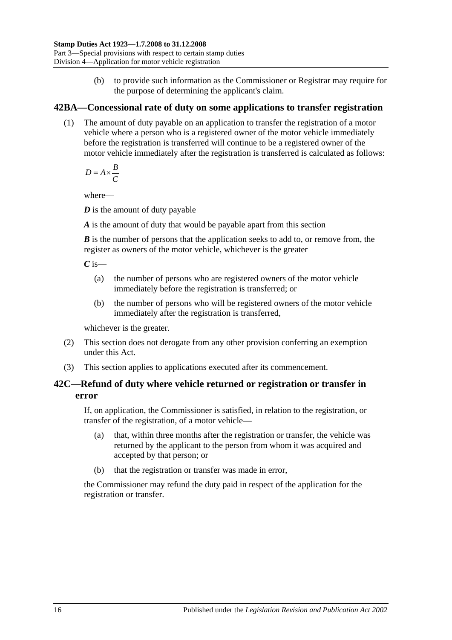(b) to provide such information as the Commissioner or Registrar may require for the purpose of determining the applicant's claim.

## <span id="page-33-0"></span>**42BA—Concessional rate of duty on some applications to transfer registration**

(1) The amount of duty payable on an application to transfer the registration of a motor vehicle where a person who is a registered owner of the motor vehicle immediately before the registration is transferred will continue to be a registered owner of the motor vehicle immediately after the registration is transferred is calculated as follows:

 $D = A \times \frac{B}{a}$ *C*  $= A \times$ 

where—

*D* is the amount of duty payable

*A* is the amount of duty that would be payable apart from this section

*B* is the number of persons that the application seeks to add to, or remove from, the register as owners of the motor vehicle, whichever is the greater

 $C$  is—

- (a) the number of persons who are registered owners of the motor vehicle immediately before the registration is transferred; or
- (b) the number of persons who will be registered owners of the motor vehicle immediately after the registration is transferred,

whichever is the greater.

- (2) This section does not derogate from any other provision conferring an exemption under this Act.
- (3) This section applies to applications executed after its commencement.

## <span id="page-33-1"></span>**42C—Refund of duty where vehicle returned or registration or transfer in error**

If, on application, the Commissioner is satisfied, in relation to the registration, or transfer of the registration, of a motor vehicle—

- (a) that, within three months after the registration or transfer, the vehicle was returned by the applicant to the person from whom it was acquired and accepted by that person; or
- (b) that the registration or transfer was made in error,

the Commissioner may refund the duty paid in respect of the application for the registration or transfer.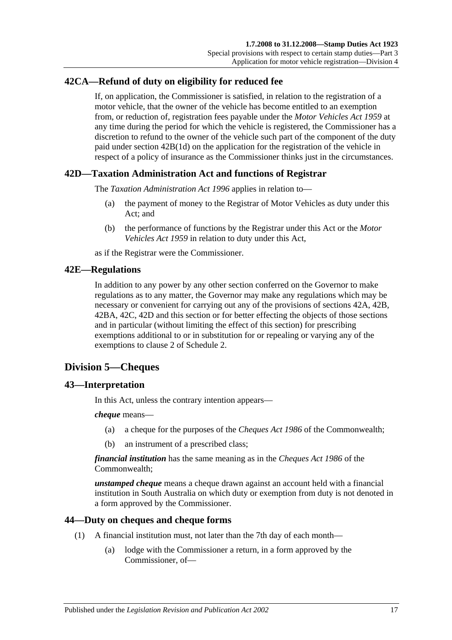## <span id="page-34-0"></span>**42CA—Refund of duty on eligibility for reduced fee**

If, on application, the Commissioner is satisfied, in relation to the registration of a motor vehicle, that the owner of the vehicle has become entitled to an exemption from, or reduction of, registration fees payable under the *[Motor Vehicles Act](http://www.legislation.sa.gov.au/index.aspx?action=legref&type=act&legtitle=Motor%20Vehicles%20Act%201959) 1959* at any time during the period for which the vehicle is registered, the Commissioner has a discretion to refund to the owner of the vehicle such part of the component of the duty paid under section [42B\(1d\)](#page-31-2) on the application for the registration of the vehicle in respect of a policy of insurance as the Commissioner thinks just in the circumstances.

## <span id="page-34-1"></span>**42D—Taxation Administration Act and functions of Registrar**

The *[Taxation Administration Act](http://www.legislation.sa.gov.au/index.aspx?action=legref&type=act&legtitle=Taxation%20Administration%20Act%201996) 1996* applies in relation to—

- (a) the payment of money to the Registrar of Motor Vehicles as duty under this Act; and
- (b) the performance of functions by the Registrar under this Act or the *[Motor](http://www.legislation.sa.gov.au/index.aspx?action=legref&type=act&legtitle=Motor%20Vehicles%20Act%201959)  [Vehicles Act](http://www.legislation.sa.gov.au/index.aspx?action=legref&type=act&legtitle=Motor%20Vehicles%20Act%201959) 1959* in relation to duty under this Act,

as if the Registrar were the Commissioner.

## <span id="page-34-2"></span>**42E—Regulations**

In addition to any power by any other section conferred on the Governor to make regulations as to any matter, the Governor may make any regulations which may be necessary or convenient for carrying out any of the provisions of [sections](#page-30-1) 42A, [42B,](#page-31-0) [42BA,](#page-33-0) [42C,](#page-33-1) [42D](#page-34-1) and this section or for better effecting the objects of those sections and in particular (without limiting the effect of this section) for prescribing exemptions additional to or in substitution for or repealing or varying any of the exemptions to clause 2 of [Schedule 2.](#page-106-2)

## <span id="page-34-3"></span>**Division 5—Cheques**

#### <span id="page-34-4"></span>**43—Interpretation**

In this Act, unless the contrary intention appears—

#### *cheque* means—

- (a) a cheque for the purposes of the *Cheques Act 1986* of the Commonwealth;
- (b) an instrument of a prescribed class;

*financial institution* has the same meaning as in the *Cheques Act 1986* of the Commonwealth;

*unstamped cheque* means a cheque drawn against an account held with a financial institution in South Australia on which duty or exemption from duty is not denoted in a form approved by the Commissioner.

#### <span id="page-34-6"></span><span id="page-34-5"></span>**44—Duty on cheques and cheque forms**

- (1) A financial institution must, not later than the 7th day of each month—
	- (a) lodge with the Commissioner a return, in a form approved by the Commissioner, of—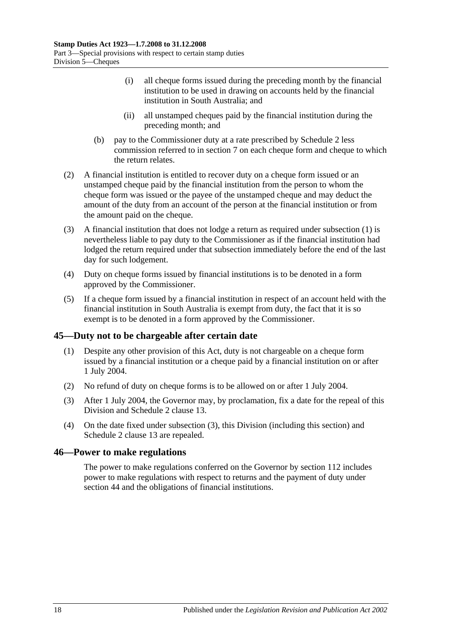- (i) all cheque forms issued during the preceding month by the financial institution to be used in drawing on accounts held by the financial institution in South Australia; and
- (ii) all unstamped cheques paid by the financial institution during the preceding month; and
- (b) pay to the Commissioner duty at a rate prescribed by [Schedule 2](#page-106-2) less commission referred to in [section](#page-12-3) 7 on each cheque form and cheque to which the return relates.
- (2) A financial institution is entitled to recover duty on a cheque form issued or an unstamped cheque paid by the financial institution from the person to whom the cheque form was issued or the payee of the unstamped cheque and may deduct the amount of the duty from an account of the person at the financial institution or from the amount paid on the cheque.
- (3) A financial institution that does not lodge a return as required under [subsection](#page-34-6) (1) is nevertheless liable to pay duty to the Commissioner as if the financial institution had lodged the return required under that subsection immediately before the end of the last day for such lodgement.
- (4) Duty on cheque forms issued by financial institutions is to be denoted in a form approved by the Commissioner.
- (5) If a cheque form issued by a financial institution in respect of an account held with the financial institution in South Australia is exempt from duty, the fact that it is so exempt is to be denoted in a form approved by the Commissioner.

## <span id="page-35-0"></span>**45—Duty not to be chargeable after certain date**

- (1) Despite any other provision of this Act, duty is not chargeable on a cheque form issued by a financial institution or a cheque paid by a financial institution on or after 1 July 2004.
- (2) No refund of duty on cheque forms is to be allowed on or after 1 July 2004.
- <span id="page-35-2"></span>(3) After 1 July 2004, the Governor may, by proclamation, fix a date for the repeal of this Division and Schedule 2 clause 13.
- (4) On the date fixed under [subsection](#page-35-2) (3), this Division (including this section) and Schedule 2 clause 13 are repealed.

## <span id="page-35-1"></span>**46—Power to make regulations**

The power to make regulations conferred on the Governor by [section](#page-104-2) 112 includes power to make regulations with respect to returns and the payment of duty under [section](#page-34-5) 44 and the obligations of financial institutions.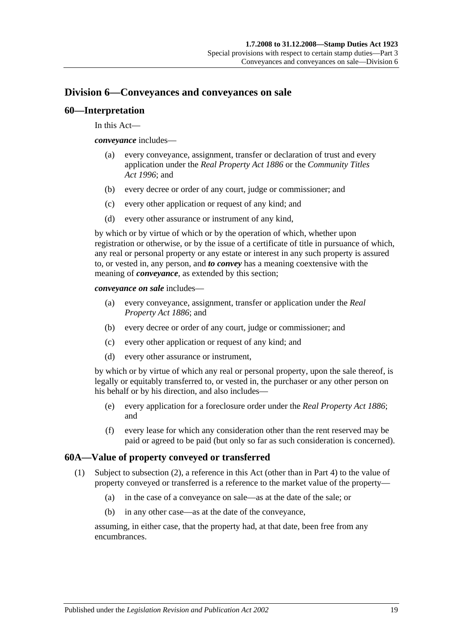# **Division 6—Conveyances and conveyances on sale**

## **60—Interpretation**

In this Act—

*conveyance* includes—

- (a) every conveyance, assignment, transfer or declaration of trust and every application under the *[Real Property Act](http://www.legislation.sa.gov.au/index.aspx?action=legref&type=act&legtitle=Real%20Property%20Act%201886) 1886* or the *[Community Titles](http://www.legislation.sa.gov.au/index.aspx?action=legref&type=act&legtitle=Community%20Titles%20Act%201996)  Act [1996](http://www.legislation.sa.gov.au/index.aspx?action=legref&type=act&legtitle=Community%20Titles%20Act%201996)*; and
- (b) every decree or order of any court, judge or commissioner; and
- (c) every other application or request of any kind; and
- (d) every other assurance or instrument of any kind,

by which or by virtue of which or by the operation of which, whether upon registration or otherwise, or by the issue of a certificate of title in pursuance of which, any real or personal property or any estate or interest in any such property is assured to, or vested in, any person, and *to convey* has a meaning coextensive with the meaning of *conveyance*, as extended by this section;

*conveyance on sale* includes—

- (a) every conveyance, assignment, transfer or application under the *[Real](http://www.legislation.sa.gov.au/index.aspx?action=legref&type=act&legtitle=Real%20Property%20Act%201886)  [Property Act](http://www.legislation.sa.gov.au/index.aspx?action=legref&type=act&legtitle=Real%20Property%20Act%201886) 1886*; and
- (b) every decree or order of any court, judge or commissioner; and
- (c) every other application or request of any kind; and
- (d) every other assurance or instrument,

by which or by virtue of which any real or personal property, upon the sale thereof, is legally or equitably transferred to, or vested in, the purchaser or any other person on his behalf or by his direction, and also includes—

- (e) every application for a foreclosure order under the *[Real Property Act](http://www.legislation.sa.gov.au/index.aspx?action=legref&type=act&legtitle=Real%20Property%20Act%201886) 1886*; and
- (f) every lease for which any consideration other than the rent reserved may be paid or agreed to be paid (but only so far as such consideration is concerned).

## <span id="page-36-0"></span>**60A—Value of property conveyed or transferred**

- (1) Subject to [subsection](#page-37-0) (2), a reference in this Act (other than in [Part 4\)](#page-90-0) to the value of property conveyed or transferred is a reference to the market value of the property—
	- (a) in the case of a conveyance on sale—as at the date of the sale; or
	- (b) in any other case—as at the date of the conveyance,

assuming, in either case, that the property had, at that date, been free from any encumbrances.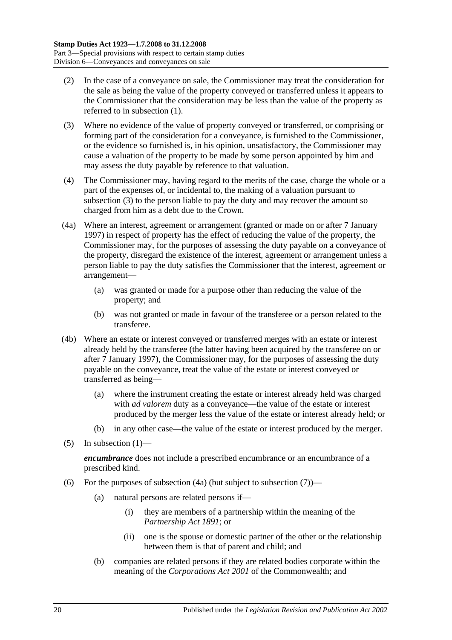- <span id="page-37-0"></span>(2) In the case of a conveyance on sale, the Commissioner may treat the consideration for the sale as being the value of the property conveyed or transferred unless it appears to the Commissioner that the consideration may be less than the value of the property as referred to in [subsection](#page-36-0) (1).
- <span id="page-37-1"></span>(3) Where no evidence of the value of property conveyed or transferred, or comprising or forming part of the consideration for a conveyance, is furnished to the Commissioner, or the evidence so furnished is, in his opinion, unsatisfactory, the Commissioner may cause a valuation of the property to be made by some person appointed by him and may assess the duty payable by reference to that valuation.
- (4) The Commissioner may, having regard to the merits of the case, charge the whole or a part of the expenses of, or incidental to, the making of a valuation pursuant to [subsection](#page-37-1) (3) to the person liable to pay the duty and may recover the amount so charged from him as a debt due to the Crown.
- <span id="page-37-2"></span>(4a) Where an interest, agreement or arrangement (granted or made on or after 7 January 1997) in respect of property has the effect of reducing the value of the property, the Commissioner may, for the purposes of assessing the duty payable on a conveyance of the property, disregard the existence of the interest, agreement or arrangement unless a person liable to pay the duty satisfies the Commissioner that the interest, agreement or arrangement—
	- (a) was granted or made for a purpose other than reducing the value of the property; and
	- (b) was not granted or made in favour of the transferee or a person related to the transferee.
- (4b) Where an estate or interest conveyed or transferred merges with an estate or interest already held by the transferee (the latter having been acquired by the transferee on or after 7 January 1997), the Commissioner may, for the purposes of assessing the duty payable on the conveyance, treat the value of the estate or interest conveyed or transferred as being—
	- (a) where the instrument creating the estate or interest already held was charged with *ad valorem* duty as a conveyance—the value of the estate or interest produced by the merger less the value of the estate or interest already held; or
	- (b) in any other case—the value of the estate or interest produced by the merger.
- (5) In [subsection](#page-36-0)  $(1)$ —

*encumbrance* does not include a prescribed encumbrance or an encumbrance of a prescribed kind.

- <span id="page-37-3"></span>(6) For the purposes of [subsection](#page-38-0)  $(4a)$  (but subject to subsection  $(7)$ )—
	- (a) natural persons are related persons if—
		- (i) they are members of a partnership within the meaning of the *[Partnership Act](http://www.legislation.sa.gov.au/index.aspx?action=legref&type=act&legtitle=Partnership%20Act%201891) 1891*; or
		- (ii) one is the spouse or domestic partner of the other or the relationship between them is that of parent and child; and
	- (b) companies are related persons if they are related bodies corporate within the meaning of the *Corporations Act 2001* of the Commonwealth; and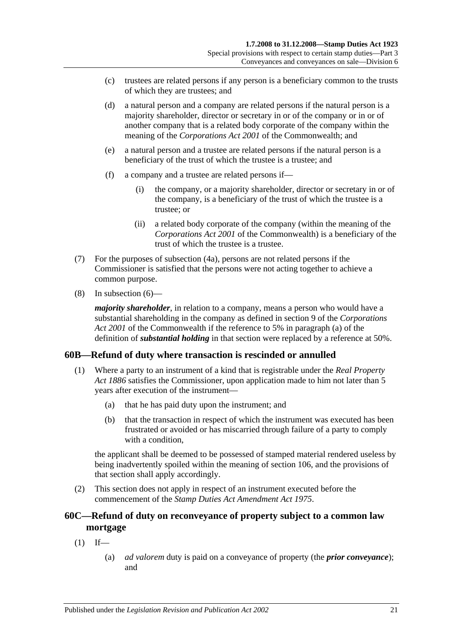- (c) trustees are related persons if any person is a beneficiary common to the trusts of which they are trustees; and
- (d) a natural person and a company are related persons if the natural person is a majority shareholder, director or secretary in or of the company or in or of another company that is a related body corporate of the company within the meaning of the *Corporations Act 2001* of the Commonwealth; and
- (e) a natural person and a trustee are related persons if the natural person is a beneficiary of the trust of which the trustee is a trustee; and
- (f) a company and a trustee are related persons if—
	- (i) the company, or a majority shareholder, director or secretary in or of the company, is a beneficiary of the trust of which the trustee is a trustee; or
	- (ii) a related body corporate of the company (within the meaning of the *Corporations Act 2001* of the Commonwealth) is a beneficiary of the trust of which the trustee is a trustee.
- <span id="page-38-0"></span>(7) For the purposes of [subsection](#page-37-2) (4a), persons are not related persons if the Commissioner is satisfied that the persons were not acting together to achieve a common purpose.
- (8) In [subsection](#page-37-3) (6)—

*majority shareholder*, in relation to a company, means a person who would have a substantial shareholding in the company as defined in section 9 of the *Corporations Act 2001* of the Commonwealth if the reference to 5% in paragraph (a) of the definition of *substantial holding* in that section were replaced by a reference at 50%.

## **60B—Refund of duty where transaction is rescinded or annulled**

- (1) Where a party to an instrument of a kind that is registrable under the *[Real Property](http://www.legislation.sa.gov.au/index.aspx?action=legref&type=act&legtitle=Real%20Property%20Act%201886)  Act [1886](http://www.legislation.sa.gov.au/index.aspx?action=legref&type=act&legtitle=Real%20Property%20Act%201886)* satisfies the Commissioner, upon application made to him not later than 5 years after execution of the instrument—
	- (a) that he has paid duty upon the instrument; and
	- (b) that the transaction in respect of which the instrument was executed has been frustrated or avoided or has miscarried through failure of a party to comply with a condition.

the applicant shall be deemed to be possessed of stamped material rendered useless by being inadvertently spoiled within the meaning of [section](#page-102-0) 106, and the provisions of that section shall apply accordingly.

(2) This section does not apply in respect of an instrument executed before the commencement of the *[Stamp Duties Act Amendment Act](http://www.legislation.sa.gov.au/index.aspx?action=legref&type=act&legtitle=Stamp%20Duties%20Act%20Amendment%20Act%201975) 1975*.

# **60C—Refund of duty on reconveyance of property subject to a common law mortgage**

- $(1)$  If—
	- (a) *ad valorem* duty is paid on a conveyance of property (the *prior conveyance*); and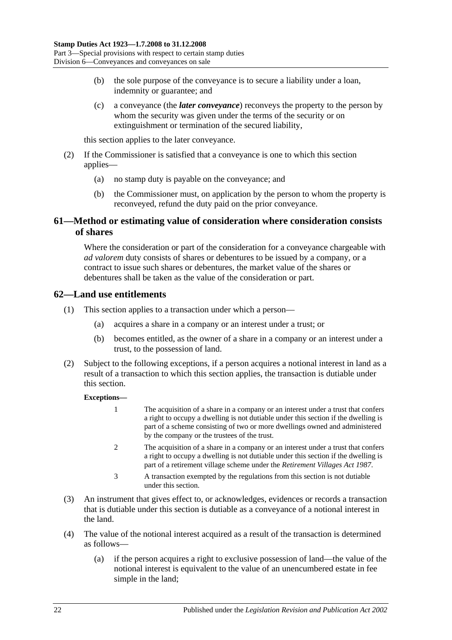- (b) the sole purpose of the conveyance is to secure a liability under a loan, indemnity or guarantee; and
- (c) a conveyance (the *later conveyance*) reconveys the property to the person by whom the security was given under the terms of the security or on extinguishment or termination of the secured liability,

this section applies to the later conveyance.

- (2) If the Commissioner is satisfied that a conveyance is one to which this section applies—
	- (a) no stamp duty is payable on the conveyance; and
	- (b) the Commissioner must, on application by the person to whom the property is reconveyed, refund the duty paid on the prior conveyance.

# **61—Method or estimating value of consideration where consideration consists of shares**

Where the consideration or part of the consideration for a conveyance chargeable with *ad valorem* duty consists of shares or debentures to be issued by a company, or a contract to issue such shares or debentures, the market value of the shares or debentures shall be taken as the value of the consideration or part.

## **62—Land use entitlements**

- (1) This section applies to a transaction under which a person—
	- (a) acquires a share in a company or an interest under a trust; or
	- (b) becomes entitled, as the owner of a share in a company or an interest under a trust, to the possession of land.
- (2) Subject to the following exceptions, if a person acquires a notional interest in land as a result of a transaction to which this section applies, the transaction is dutiable under this section.

## **Exceptions—**

- 1 The acquisition of a share in a company or an interest under a trust that confers a right to occupy a dwelling is not dutiable under this section if the dwelling is part of a scheme consisting of two or more dwellings owned and administered by the company or the trustees of the trust.
- 2 The acquisition of a share in a company or an interest under a trust that confers a right to occupy a dwelling is not dutiable under this section if the dwelling is part of a retirement village scheme under the *[Retirement Villages Act](http://www.legislation.sa.gov.au/index.aspx?action=legref&type=act&legtitle=Retirement%20Villages%20Act%201987) 1987*.
- 3 A transaction exempted by the regulations from this section is not dutiable under this section.
- (3) An instrument that gives effect to, or acknowledges, evidences or records a transaction that is dutiable under this section is dutiable as a conveyance of a notional interest in the land.
- (4) The value of the notional interest acquired as a result of the transaction is determined as follows—
	- (a) if the person acquires a right to exclusive possession of land—the value of the notional interest is equivalent to the value of an unencumbered estate in fee simple in the land;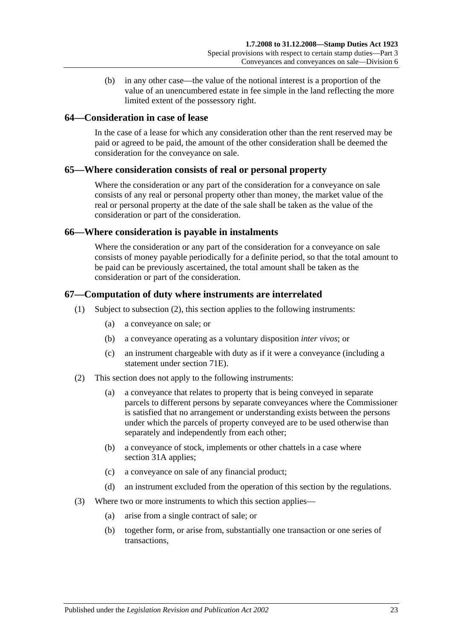(b) in any other case—the value of the notional interest is a proportion of the value of an unencumbered estate in fee simple in the land reflecting the more limited extent of the possessory right.

## **64—Consideration in case of lease**

In the case of a lease for which any consideration other than the rent reserved may be paid or agreed to be paid, the amount of the other consideration shall be deemed the consideration for the conveyance on sale.

## **65—Where consideration consists of real or personal property**

Where the consideration or any part of the consideration for a conveyance on sale consists of any real or personal property other than money, the market value of the real or personal property at the date of the sale shall be taken as the value of the consideration or part of the consideration.

## **66—Where consideration is payable in instalments**

Where the consideration or any part of the consideration for a conveyance on sale consists of money payable periodically for a definite period, so that the total amount to be paid can be previously ascertained, the total amount shall be taken as the consideration or part of the consideration.

## **67—Computation of duty where instruments are interrelated**

- (1) Subject to [subsection](#page-40-0) (2), this section applies to the following instruments:
	- (a) a conveyance on sale; or
	- (b) a conveyance operating as a voluntary disposition *inter vivos*; or
	- (c) an instrument chargeable with duty as if it were a conveyance (including a statement under [section](#page-67-0) 71E).
- <span id="page-40-0"></span>(2) This section does not apply to the following instruments:
	- (a) a conveyance that relates to property that is being conveyed in separate parcels to different persons by separate conveyances where the Commissioner is satisfied that no arrangement or understanding exists between the persons under which the parcels of property conveyed are to be used otherwise than separately and independently from each other;
	- (b) a conveyance of stock, implements or other chattels in a case where [section](#page-19-0) 31A applies;
	- (c) a conveyance on sale of any financial product;
	- (d) an instrument excluded from the operation of this section by the regulations.
- (3) Where two or more instruments to which this section applies—
	- (a) arise from a single contract of sale; or
	- (b) together form, or arise from, substantially one transaction or one series of transactions,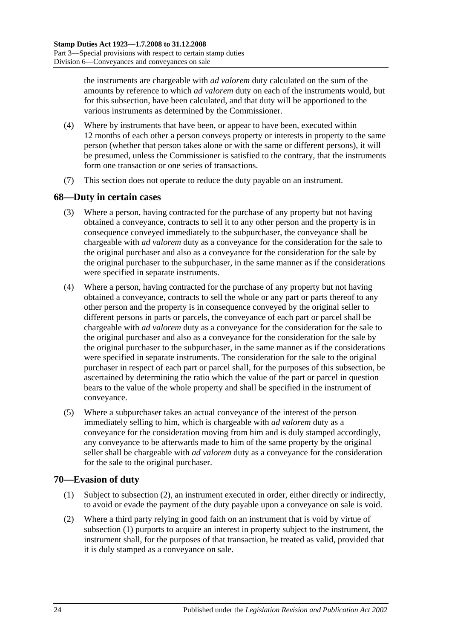the instruments are chargeable with *ad valorem* duty calculated on the sum of the amounts by reference to which *ad valorem* duty on each of the instruments would, but for this subsection, have been calculated, and that duty will be apportioned to the various instruments as determined by the Commissioner.

- (4) Where by instruments that have been, or appear to have been, executed within 12 months of each other a person conveys property or interests in property to the same person (whether that person takes alone or with the same or different persons), it will be presumed, unless the Commissioner is satisfied to the contrary, that the instruments form one transaction or one series of transactions.
- (7) This section does not operate to reduce the duty payable on an instrument.

## **68—Duty in certain cases**

- (3) Where a person, having contracted for the purchase of any property but not having obtained a conveyance, contracts to sell it to any other person and the property is in consequence conveyed immediately to the subpurchaser, the conveyance shall be chargeable with *ad valorem* duty as a conveyance for the consideration for the sale to the original purchaser and also as a conveyance for the consideration for the sale by the original purchaser to the subpurchaser, in the same manner as if the considerations were specified in separate instruments.
- (4) Where a person, having contracted for the purchase of any property but not having obtained a conveyance, contracts to sell the whole or any part or parts thereof to any other person and the property is in consequence conveyed by the original seller to different persons in parts or parcels, the conveyance of each part or parcel shall be chargeable with *ad valorem* duty as a conveyance for the consideration for the sale to the original purchaser and also as a conveyance for the consideration for the sale by the original purchaser to the subpurchaser, in the same manner as if the considerations were specified in separate instruments. The consideration for the sale to the original purchaser in respect of each part or parcel shall, for the purposes of this subsection, be ascertained by determining the ratio which the value of the part or parcel in question bears to the value of the whole property and shall be specified in the instrument of conveyance.
- (5) Where a subpurchaser takes an actual conveyance of the interest of the person immediately selling to him, which is chargeable with *ad valorem* duty as a conveyance for the consideration moving from him and is duly stamped accordingly, any conveyance to be afterwards made to him of the same property by the original seller shall be chargeable with *ad valorem* duty as a conveyance for the consideration for the sale to the original purchaser.

## <span id="page-41-1"></span>**70—Evasion of duty**

- (1) Subject to [subsection](#page-41-0) (2), an instrument executed in order, either directly or indirectly, to avoid or evade the payment of the duty payable upon a conveyance on sale is void.
- <span id="page-41-0"></span>(2) Where a third party relying in good faith on an instrument that is void by virtue of [subsection](#page-41-1) (1) purports to acquire an interest in property subject to the instrument, the instrument shall, for the purposes of that transaction, be treated as valid, provided that it is duly stamped as a conveyance on sale.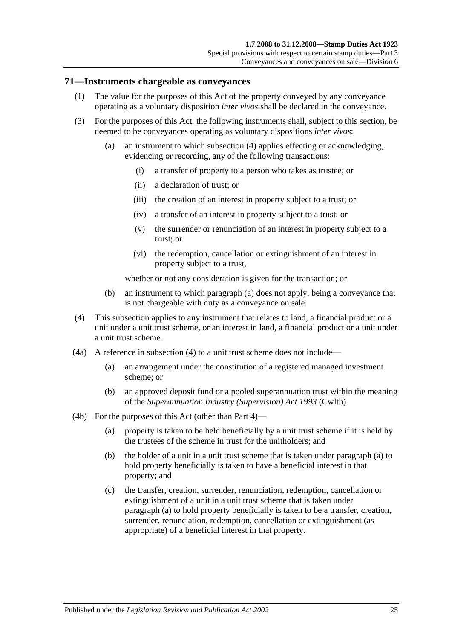### **71—Instruments chargeable as conveyances**

- (1) The value for the purposes of this Act of the property conveyed by any conveyance operating as a voluntary disposition *inter vivos* shall be declared in the conveyance.
- <span id="page-42-1"></span>(3) For the purposes of this Act, the following instruments shall, subject to this section, be deemed to be conveyances operating as voluntary dispositions *inter vivos*:
	- (a) an instrument to which [subsection](#page-42-0) (4) applies effecting or acknowledging, evidencing or recording, any of the following transactions:
		- (i) a transfer of property to a person who takes as trustee; or
		- (ii) a declaration of trust; or
		- (iii) the creation of an interest in property subject to a trust; or
		- (iv) a transfer of an interest in property subject to a trust; or
		- (v) the surrender or renunciation of an interest in property subject to a trust; or
		- (vi) the redemption, cancellation or extinguishment of an interest in property subject to a trust,

whether or not any consideration is given for the transaction; or

- (b) an instrument to which [paragraph](#page-42-1) (a) does not apply, being a conveyance that is not chargeable with duty as a conveyance on sale.
- <span id="page-42-0"></span>(4) This subsection applies to any instrument that relates to land, a financial product or a unit under a unit trust scheme, or an interest in land, a financial product or a unit under a unit trust scheme.
- (4a) A reference in [subsection](#page-42-0) (4) to a unit trust scheme does not include—
	- (a) an arrangement under the constitution of a registered managed investment scheme; or
	- (b) an approved deposit fund or a pooled superannuation trust within the meaning of the *Superannuation Industry (Supervision) Act 1993* (Cwlth).
- <span id="page-42-2"></span>(4b) For the purposes of this Act (other than [Part 4\)](#page-90-0)—
	- (a) property is taken to be held beneficially by a unit trust scheme if it is held by the trustees of the scheme in trust for the unitholders; and
	- (b) the holder of a unit in a unit trust scheme that is taken under [paragraph](#page-42-2) (a) to hold property beneficially is taken to have a beneficial interest in that property; and
	- (c) the transfer, creation, surrender, renunciation, redemption, cancellation or extinguishment of a unit in a unit trust scheme that is taken under [paragraph](#page-42-2) (a) to hold property beneficially is taken to be a transfer, creation, surrender, renunciation, redemption, cancellation or extinguishment (as appropriate) of a beneficial interest in that property.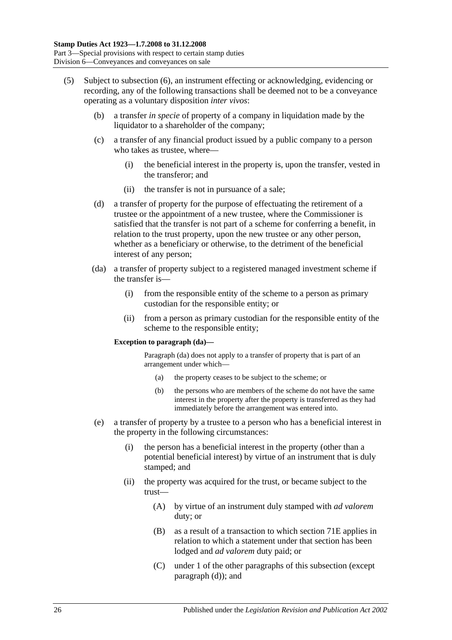- <span id="page-43-0"></span>(5) Subject to [subsection](#page-45-0) (6), an instrument effecting or acknowledging, evidencing or recording, any of the following transactions shall be deemed not to be a conveyance operating as a voluntary disposition *inter vivos*:
	- (b) a transfer *in specie* of property of a company in liquidation made by the liquidator to a shareholder of the company;
	- (c) a transfer of any financial product issued by a public company to a person who takes as trustee, where—
		- (i) the beneficial interest in the property is, upon the transfer, vested in the transferor; and
		- (ii) the transfer is not in pursuance of a sale;
	- (d) a transfer of property for the purpose of effectuating the retirement of a trustee or the appointment of a new trustee, where the Commissioner is satisfied that the transfer is not part of a scheme for conferring a benefit, in relation to the trust property, upon the new trustee or any other person, whether as a beneficiary or otherwise, to the detriment of the beneficial interest of any person;
	- (da) a transfer of property subject to a registered managed investment scheme if the transfer is—
		- (i) from the responsible entity of the scheme to a person as primary custodian for the responsible entity; or
		- (ii) from a person as primary custodian for the responsible entity of the scheme to the responsible entity;

#### **Exception to paragraph (da)—**

Paragraph (da) does not apply to a transfer of property that is part of an arrangement under which—

- (a) the property ceases to be subject to the scheme; or
- (b) the persons who are members of the scheme do not have the same interest in the property after the property is transferred as they had immediately before the arrangement was entered into.
- <span id="page-43-1"></span>(e) a transfer of property by a trustee to a person who has a beneficial interest in the property in the following circumstances:
	- (i) the person has a beneficial interest in the property (other than a potential beneficial interest) by virtue of an instrument that is duly stamped; and
	- (ii) the property was acquired for the trust, or became subject to the trust—
		- (A) by virtue of an instrument duly stamped with *ad valorem* duty; or
		- (B) as a result of a transaction to which section 71E applies in relation to which a statement under that section has been lodged and *ad valorem* duty paid; or
		- (C) under 1 of the other paragraphs of this subsection (except paragraph (d)); and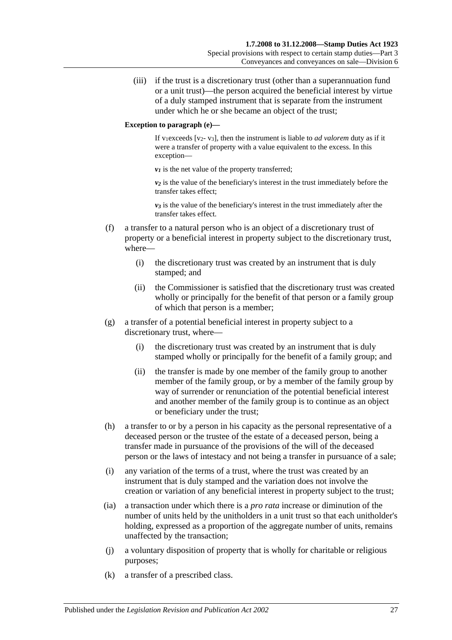(iii) if the trust is a discretionary trust (other than a superannuation fund or a unit trust)—the person acquired the beneficial interest by virtue of a duly stamped instrument that is separate from the instrument under which he or she became an object of the trust;

### **Exception to paragraph (e)—**

If v<sub>1</sub>exceeds [v<sub>2</sub>- v<sub>3</sub>], then the instrument is liable to *ad valorem* duty as if it were a transfer of property with a value equivalent to the excess. In this exception—

 $v_1$  is the net value of the property transferred;

*v2* is the value of the beneficiary's interest in the trust immediately before the transfer takes effect;

 $v_3$  is the value of the beneficiary's interest in the trust immediately after the transfer takes effect.

- (f) a transfer to a natural person who is an object of a discretionary trust of property or a beneficial interest in property subject to the discretionary trust, where—
	- (i) the discretionary trust was created by an instrument that is duly stamped; and
	- (ii) the Commissioner is satisfied that the discretionary trust was created wholly or principally for the benefit of that person or a family group of which that person is a member;
- (g) a transfer of a potential beneficial interest in property subject to a discretionary trust, where—
	- (i) the discretionary trust was created by an instrument that is duly stamped wholly or principally for the benefit of a family group; and
	- (ii) the transfer is made by one member of the family group to another member of the family group, or by a member of the family group by way of surrender or renunciation of the potential beneficial interest and another member of the family group is to continue as an object or beneficiary under the trust;
- (h) a transfer to or by a person in his capacity as the personal representative of a deceased person or the trustee of the estate of a deceased person, being a transfer made in pursuance of the provisions of the will of the deceased person or the laws of intestacy and not being a transfer in pursuance of a sale;
- (i) any variation of the terms of a trust, where the trust was created by an instrument that is duly stamped and the variation does not involve the creation or variation of any beneficial interest in property subject to the trust;
- (ia) a transaction under which there is a *pro rata* increase or diminution of the number of units held by the unitholders in a unit trust so that each unitholder's holding, expressed as a proportion of the aggregate number of units, remains unaffected by the transaction;
- (j) a voluntary disposition of property that is wholly for charitable or religious purposes;
- (k) a transfer of a prescribed class.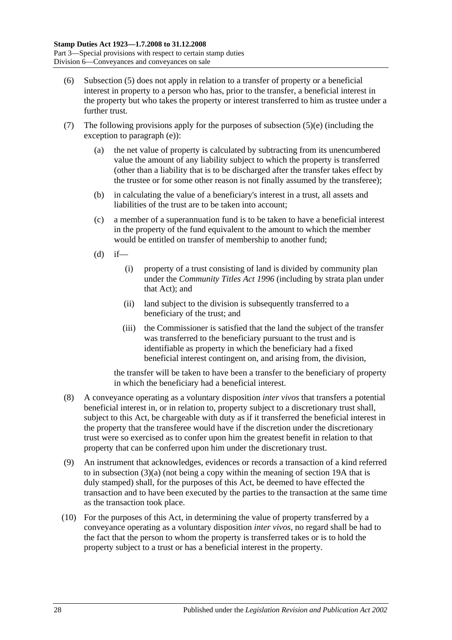- <span id="page-45-0"></span>(6) [Subsection](#page-43-0) (5) does not apply in relation to a transfer of property or a beneficial interest in property to a person who has, prior to the transfer, a beneficial interest in the property but who takes the property or interest transferred to him as trustee under a further trust.
- (7) The following provisions apply for the purposes of [subsection](#page-43-1)  $(5)(e)$  (including the exception to [paragraph](#page-43-1) (e)):
	- (a) the net value of property is calculated by subtracting from its unencumbered value the amount of any liability subject to which the property is transferred (other than a liability that is to be discharged after the transfer takes effect by the trustee or for some other reason is not finally assumed by the transferee);
	- (b) in calculating the value of a beneficiary's interest in a trust, all assets and liabilities of the trust are to be taken into account;
	- (c) a member of a superannuation fund is to be taken to have a beneficial interest in the property of the fund equivalent to the amount to which the member would be entitled on transfer of membership to another fund;
	- $(d)$  if—
		- (i) property of a trust consisting of land is divided by community plan under the *[Community Titles Act](http://www.legislation.sa.gov.au/index.aspx?action=legref&type=act&legtitle=Community%20Titles%20Act%201996) 1996* (including by strata plan under that Act); and
		- (ii) land subject to the division is subsequently transferred to a beneficiary of the trust; and
		- (iii) the Commissioner is satisfied that the land the subject of the transfer was transferred to the beneficiary pursuant to the trust and is identifiable as property in which the beneficiary had a fixed beneficial interest contingent on, and arising from, the division,

the transfer will be taken to have been a transfer to the beneficiary of property in which the beneficiary had a beneficial interest.

- (8) A conveyance operating as a voluntary disposition *inter vivos* that transfers a potential beneficial interest in, or in relation to, property subject to a discretionary trust shall, subject to this Act, be chargeable with duty as if it transferred the beneficial interest in the property that the transferee would have if the discretion under the discretionary trust were so exercised as to confer upon him the greatest benefit in relation to that property that can be conferred upon him under the discretionary trust.
- (9) An instrument that acknowledges, evidences or records a transaction of a kind referred to in [subsection](#page-42-1) (3)(a) (not being a copy within the meaning of [section](#page-14-0) 19A that is duly stamped) shall, for the purposes of this Act, be deemed to have effected the transaction and to have been executed by the parties to the transaction at the same time as the transaction took place.
- (10) For the purposes of this Act, in determining the value of property transferred by a conveyance operating as a voluntary disposition *inter vivos*, no regard shall be had to the fact that the person to whom the property is transferred takes or is to hold the property subject to a trust or has a beneficial interest in the property.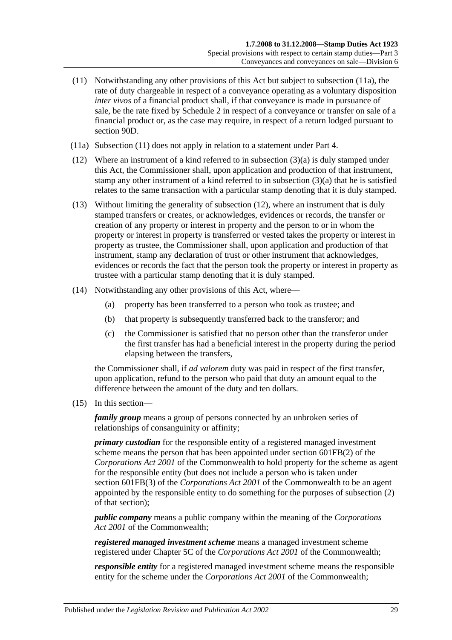- <span id="page-46-1"></span>(11) Notwithstanding any other provisions of this Act but subject to [subsection](#page-46-0) (11a), the rate of duty chargeable in respect of a conveyance operating as a voluntary disposition *inter vivos* of a financial product shall, if that conveyance is made in pursuance of sale, be the rate fixed by [Schedule 2](#page-106-0) in respect of a conveyance or transfer on sale of a financial product or, as the case may require, in respect of a return lodged pursuant to [section](#page-82-0) 90D.
- <span id="page-46-0"></span>(11a) [Subsection](#page-46-1) (11) does not apply in relation to a statement under [Part 4.](#page-90-0)
- <span id="page-46-2"></span>(12) Where an instrument of a kind referred to in [subsection](#page-42-1) (3)(a) is duly stamped under this Act, the Commissioner shall, upon application and production of that instrument, stamp any other instrument of a kind referred to in [subsection](#page-42-1) (3)(a) that he is satisfied relates to the same transaction with a particular stamp denoting that it is duly stamped.
- (13) Without limiting the generality of [subsection](#page-46-2) (12), where an instrument that is duly stamped transfers or creates, or acknowledges, evidences or records, the transfer or creation of any property or interest in property and the person to or in whom the property or interest in property is transferred or vested takes the property or interest in property as trustee, the Commissioner shall, upon application and production of that instrument, stamp any declaration of trust or other instrument that acknowledges, evidences or records the fact that the person took the property or interest in property as trustee with a particular stamp denoting that it is duly stamped.
- (14) Notwithstanding any other provisions of this Act, where—
	- (a) property has been transferred to a person who took as trustee; and
	- (b) that property is subsequently transferred back to the transferor; and
	- (c) the Commissioner is satisfied that no person other than the transferor under the first transfer has had a beneficial interest in the property during the period elapsing between the transfers,

the Commissioner shall, if *ad valorem* duty was paid in respect of the first transfer, upon application, refund to the person who paid that duty an amount equal to the difference between the amount of the duty and ten dollars.

<span id="page-46-3"></span>(15) In this section—

*family group* means a group of persons connected by an unbroken series of relationships of consanguinity or affinity;

*primary custodian* for the responsible entity of a registered managed investment scheme means the person that has been appointed under section 601FB(2) of the *Corporations Act 2001* of the Commonwealth to hold property for the scheme as agent for the responsible entity (but does not include a person who is taken under section 601FB(3) of the *Corporations Act 2001* of the Commonwealth to be an agent appointed by the responsible entity to do something for the purposes of subsection (2) of that section);

*public company* means a public company within the meaning of the *Corporations Act 2001* of the Commonwealth;

*registered managed investment scheme* means a managed investment scheme registered under Chapter 5C of the *Corporations Act 2001* of the Commonwealth;

*responsible entity* for a registered managed investment scheme means the responsible entity for the scheme under the *Corporations Act 2001* of the Commonwealth;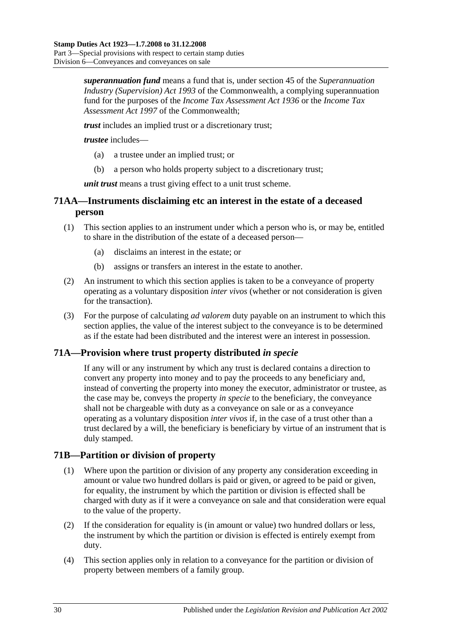*superannuation fund* means a fund that is, under section 45 of the *Superannuation Industry (Supervision) Act 1993* of the Commonwealth, a complying superannuation fund for the purposes of the *Income Tax Assessment Act 1936* or the *Income Tax Assessment Act 1997* of the Commonwealth;

*trust* includes an implied trust or a discretionary trust;

*trustee* includes—

- (a) a trustee under an implied trust; or
- (b) a person who holds property subject to a discretionary trust;

*unit trust* means a trust giving effect to a unit trust scheme.

# **71AA—Instruments disclaiming etc an interest in the estate of a deceased person**

- (1) This section applies to an instrument under which a person who is, or may be, entitled to share in the distribution of the estate of a deceased person—
	- (a) disclaims an interest in the estate; or
	- (b) assigns or transfers an interest in the estate to another.
- (2) An instrument to which this section applies is taken to be a conveyance of property operating as a voluntary disposition *inter vivos* (whether or not consideration is given for the transaction).
- (3) For the purpose of calculating *ad valorem* duty payable on an instrument to which this section applies, the value of the interest subject to the conveyance is to be determined as if the estate had been distributed and the interest were an interest in possession.

## **71A—Provision where trust property distributed** *in specie*

If any will or any instrument by which any trust is declared contains a direction to convert any property into money and to pay the proceeds to any beneficiary and, instead of converting the property into money the executor, administrator or trustee, as the case may be, conveys the property *in specie* to the beneficiary, the conveyance shall not be chargeable with duty as a conveyance on sale or as a conveyance operating as a voluntary disposition *inter vivos* if, in the case of a trust other than a trust declared by a will, the beneficiary is beneficiary by virtue of an instrument that is duly stamped.

## **71B—Partition or division of property**

- (1) Where upon the partition or division of any property any consideration exceeding in amount or value two hundred dollars is paid or given, or agreed to be paid or given, for equality, the instrument by which the partition or division is effected shall be charged with duty as if it were a conveyance on sale and that consideration were equal to the value of the property.
- (2) If the consideration for equality is (in amount or value) two hundred dollars or less, the instrument by which the partition or division is effected is entirely exempt from duty.
- (4) This section applies only in relation to a conveyance for the partition or division of property between members of a family group.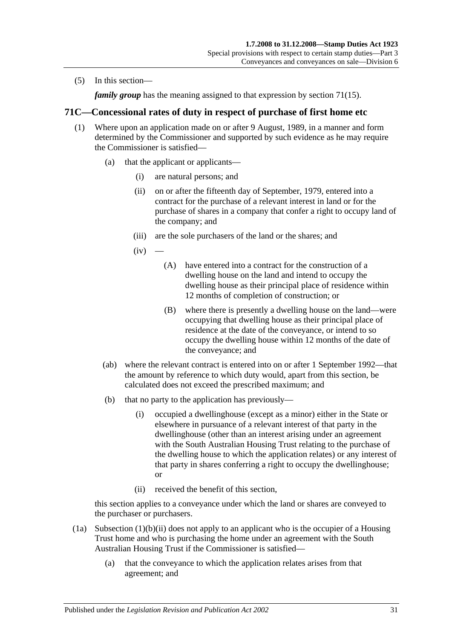(5) In this section—

*family group* has the meaning assigned to that expression by [section](#page-46-3) 71(15).

## **71C—Concessional rates of duty in respect of purchase of first home etc**

- <span id="page-48-2"></span>(1) Where upon an application made on or after 9 August, 1989, in a manner and form determined by the Commissioner and supported by such evidence as he may require the Commissioner is satisfied—
	- (a) that the applicant or applicants—
		- (i) are natural persons; and
		- (ii) on or after the fifteenth day of September, 1979, entered into a contract for the purchase of a relevant interest in land or for the purchase of shares in a company that confer a right to occupy land of the company; and
		- (iii) are the sole purchasers of the land or the shares; and
		- $(iv)$
- <span id="page-48-3"></span><span id="page-48-1"></span>(A) have entered into a contract for the construction of a dwelling house on the land and intend to occupy the dwelling house as their principal place of residence within 12 months of completion of construction; or
- (B) where there is presently a dwelling house on the land—were occupying that dwelling house as their principal place of residence at the date of the conveyance, or intend to so occupy the dwelling house within 12 months of the date of the conveyance; and
- (ab) where the relevant contract is entered into on or after 1 September 1992—that the amount by reference to which duty would, apart from this section, be calculated does not exceed the prescribed maximum; and
- (b) that no party to the application has previously—
	- (i) occupied a dwellinghouse (except as a minor) either in the State or elsewhere in pursuance of a relevant interest of that party in the dwellinghouse (other than an interest arising under an agreement with the South Australian Housing Trust relating to the purchase of the dwelling house to which the application relates) or any interest of that party in shares conferring a right to occupy the dwellinghouse; or
	- (ii) received the benefit of this section,

<span id="page-48-0"></span>this section applies to a conveyance under which the land or shares are conveyed to the purchaser or purchasers.

- (1a) [Subsection](#page-48-0) (1)(b)(ii) does not apply to an applicant who is the occupier of a Housing Trust home and who is purchasing the home under an agreement with the South Australian Housing Trust if the Commissioner is satisfied—
	- (a) that the conveyance to which the application relates arises from that agreement; and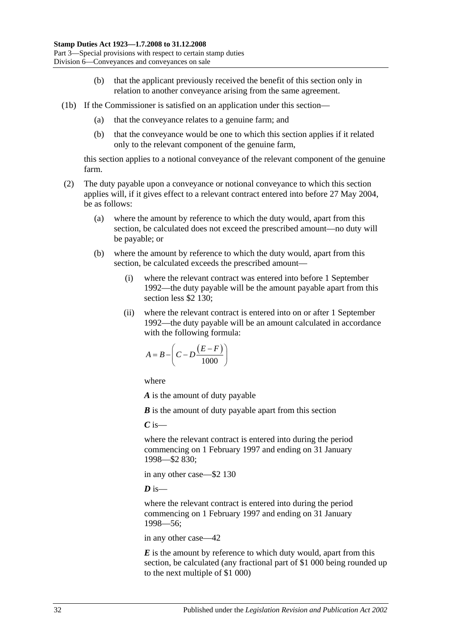- (b) that the applicant previously received the benefit of this section only in relation to another conveyance arising from the same agreement.
- (1b) If the Commissioner is satisfied on an application under this section—
	- (a) that the conveyance relates to a genuine farm; and
	- (b) that the conveyance would be one to which this section applies if it related only to the relevant component of the genuine farm,

this section applies to a notional conveyance of the relevant component of the genuine farm.

- (2) The duty payable upon a conveyance or notional conveyance to which this section applies will, if it gives effect to a relevant contract entered into before 27 May 2004, be as follows:
	- (a) where the amount by reference to which the duty would, apart from this section, be calculated does not exceed the prescribed amount—no duty will be payable; or
	- (b) where the amount by reference to which the duty would, apart from this section, be calculated exceeds the prescribed amount—
		- (i) where the relevant contract was entered into before 1 September 1992—the duty payable will be the amount payable apart from this section less \$2 130;
		- (ii) where the relevant contract is entered into on or after 1 September 1992—the duty payable will be an amount calculated in accordance with the following formula:

$$
A = B - \left(C - D \frac{(E - F)}{1000}\right)
$$

where

*A* is the amount of duty payable

*B* is the amount of duty payable apart from this section

*C* is—

where the relevant contract is entered into during the period commencing on 1 February 1997 and ending on 31 January 1998—\$2 830;

in any other case—\$2 130

 $\overline{D}$  is—

where the relevant contract is entered into during the period commencing on 1 February 1997 and ending on 31 January 1998—56;

in any other case—42

*E* is the amount by reference to which duty would, apart from this section, be calculated (any fractional part of \$1 000 being rounded up to the next multiple of \$1 000)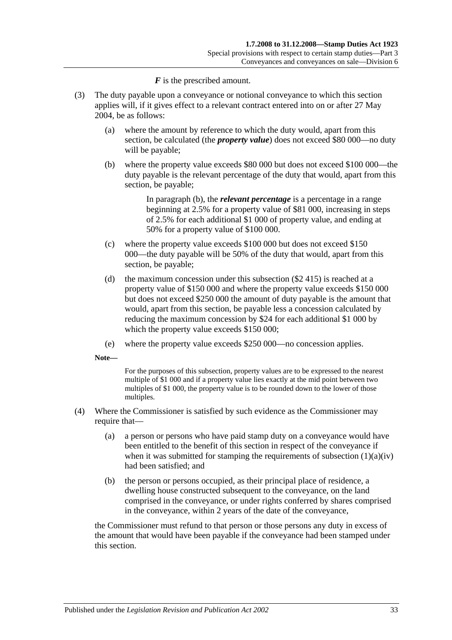*F* is the prescribed amount.

- <span id="page-50-0"></span>(3) The duty payable upon a conveyance or notional conveyance to which this section applies will, if it gives effect to a relevant contract entered into on or after 27 May 2004, be as follows:
	- (a) where the amount by reference to which the duty would, apart from this section, be calculated (the *property value*) does not exceed \$80 000—no duty will be payable;
	- (b) where the property value exceeds \$80 000 but does not exceed \$100 000—the duty payable is the relevant percentage of the duty that would, apart from this section, be payable;

In [paragraph](#page-50-0) (b), the *relevant percentage* is a percentage in a range beginning at 2.5% for a property value of \$81 000, increasing in steps of 2.5% for each additional \$1 000 of property value, and ending at 50% for a property value of \$100 000.

- (c) where the property value exceeds \$100 000 but does not exceed \$150 000—the duty payable will be 50% of the duty that would, apart from this section, be payable;
- (d) the maximum concession under this subsection (\$2 415) is reached at a property value of \$150 000 and where the property value exceeds \$150 000 but does not exceed \$250 000 the amount of duty payable is the amount that would, apart from this section, be payable less a concession calculated by reducing the maximum concession by \$24 for each additional \$1 000 by which the property value exceeds \$150 000;
- (e) where the property value exceeds \$250 000—no concession applies.

**Note—**

For the purposes of this subsection, property values are to be expressed to the nearest multiple of \$1 000 and if a property value lies exactly at the mid point between two multiples of \$1 000, the property value is to be rounded down to the lower of those multiples.

- (4) Where the Commissioner is satisfied by such evidence as the Commissioner may require that—
	- (a) a person or persons who have paid stamp duty on a conveyance would have been entitled to the benefit of this section in respect of the conveyance if when it was submitted for stamping the requirements of [subsection](#page-48-1)  $(1)(a)(iv)$ had been satisfied; and
	- (b) the person or persons occupied, as their principal place of residence, a dwelling house constructed subsequent to the conveyance, on the land comprised in the conveyance, or under rights conferred by shares comprised in the conveyance, within 2 years of the date of the conveyance,

the Commissioner must refund to that person or those persons any duty in excess of the amount that would have been payable if the conveyance had been stamped under this section.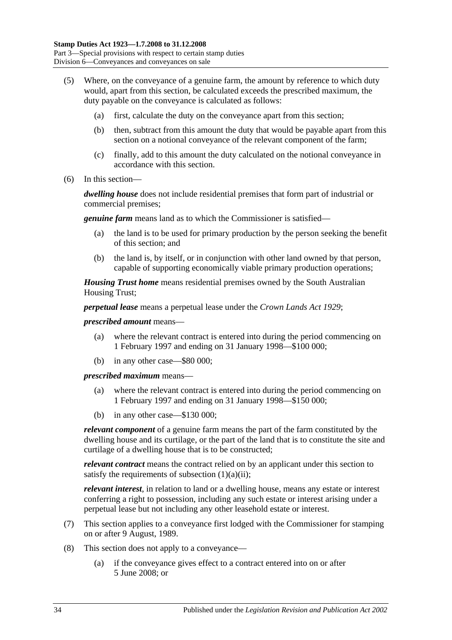- (5) Where, on the conveyance of a genuine farm, the amount by reference to which duty would, apart from this section, be calculated exceeds the prescribed maximum, the duty payable on the conveyance is calculated as follows:
	- (a) first, calculate the duty on the conveyance apart from this section;
	- (b) then, subtract from this amount the duty that would be payable apart from this section on a notional conveyance of the relevant component of the farm;
	- (c) finally, add to this amount the duty calculated on the notional conveyance in accordance with this section.
- (6) In this section—

*dwelling house* does not include residential premises that form part of industrial or commercial premises;

*genuine farm* means land as to which the Commissioner is satisfied—

- (a) the land is to be used for primary production by the person seeking the benefit of this section; and
- (b) the land is, by itself, or in conjunction with other land owned by that person, capable of supporting economically viable primary production operations;

*Housing Trust home* means residential premises owned by the South Australian Housing Trust;

*perpetual lease* means a perpetual lease under the *[Crown Lands Act](http://www.legislation.sa.gov.au/index.aspx?action=legref&type=act&legtitle=Crown%20Lands%20Act%201929) 1929*;

#### *prescribed amount* means—

- (a) where the relevant contract is entered into during the period commencing on 1 February 1997 and ending on 31 January 1998—\$100 000;
- (b) in any other case—\$80 000;

*prescribed maximum* means—

- (a) where the relevant contract is entered into during the period commencing on 1 February 1997 and ending on 31 January 1998—\$150 000;
- (b) in any other case—\$130 000;

*relevant component* of a genuine farm means the part of the farm constituted by the dwelling house and its curtilage, or the part of the land that is to constitute the site and curtilage of a dwelling house that is to be constructed;

*relevant contract* means the contract relied on by an applicant under this section to satisfy the requirements of [subsection](#page-48-2)  $(1)(a)(ii)$ ;

*relevant interest*, in relation to land or a dwelling house, means any estate or interest conferring a right to possession, including any such estate or interest arising under a perpetual lease but not including any other leasehold estate or interest.

- (7) This section applies to a conveyance first lodged with the Commissioner for stamping on or after 9 August, 1989.
- (8) This section does not apply to a conveyance—
	- (a) if the conveyance gives effect to a contract entered into on or after 5 June 2008; or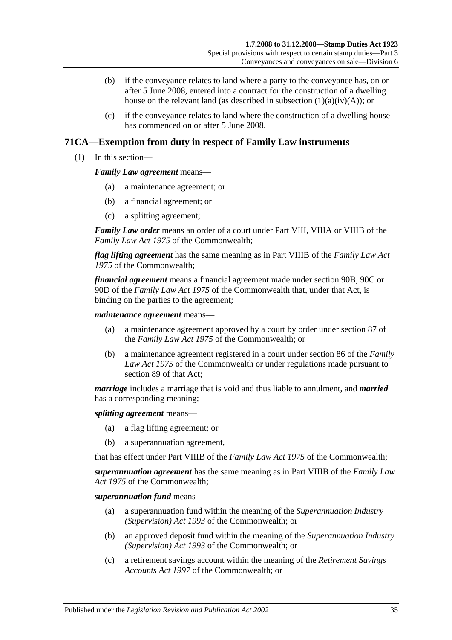- (b) if the conveyance relates to land where a party to the conveyance has, on or after 5 June 2008, entered into a contract for the construction of a dwelling house on the relevant land (as described in subsection  $(1)(a)(iv)(A)$ ); or
- (c) if the conveyance relates to land where the construction of a dwelling house has commenced on or after 5 June 2008.

# **71CA—Exemption from duty in respect of Family Law instruments**

(1) In this section—

#### *Family Law agreement* means—

- (a) a maintenance agreement; or
- (b) a financial agreement; or
- (c) a splitting agreement;

*Family Law order* means an order of a court under Part VIII, VIIIA or VIIIB of the *Family Law Act 1975* of the Commonwealth;

*flag lifting agreement* has the same meaning as in Part VIIIB of the *Family Law Act 1975* of the Commonwealth;

*financial agreement* means a financial agreement made under section 90B, 90C or 90D of the *Family Law Act 1975* of the Commonwealth that, under that Act, is binding on the parties to the agreement;

*maintenance agreement* means—

- (a) a maintenance agreement approved by a court by order under section 87 of the *Family Law Act 1975* of the Commonwealth; or
- (b) a maintenance agreement registered in a court under section 86 of the *Family Law Act 1975* of the Commonwealth or under regulations made pursuant to section 89 of that Act;

*marriage* includes a marriage that is void and thus liable to annulment, and *married* has a corresponding meaning;

*splitting agreement* means—

- (a) a flag lifting agreement; or
- (b) a superannuation agreement,

that has effect under Part VIIIB of the *Family Law Act 1975* of the Commonwealth;

*superannuation agreement* has the same meaning as in Part VIIIB of the *Family Law Act 1975* of the Commonwealth;

*superannuation fund* means—

- (a) a superannuation fund within the meaning of the *Superannuation Industry (Supervision) Act 1993* of the Commonwealth; or
- (b) an approved deposit fund within the meaning of the *Superannuation Industry (Supervision) Act 1993* of the Commonwealth; or
- (c) a retirement savings account within the meaning of the *Retirement Savings Accounts Act 1997* of the Commonwealth; or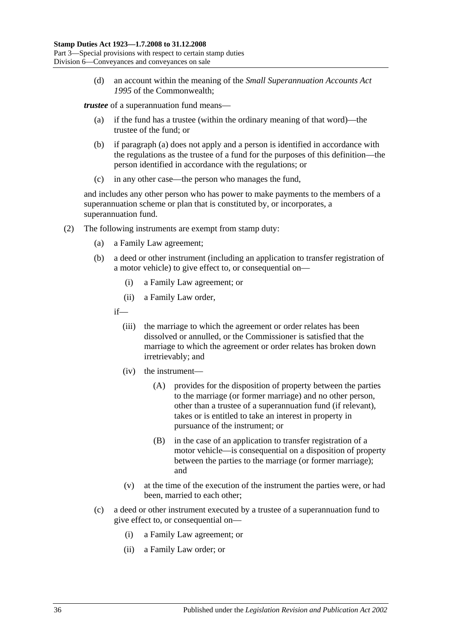(d) an account within the meaning of the *Small Superannuation Accounts Act 1995* of the Commonwealth;

<span id="page-53-0"></span>*trustee* of a superannuation fund means—

- (a) if the fund has a trustee (within the ordinary meaning of that word)—the trustee of the fund; or
- (b) if [paragraph](#page-53-0) (a) does not apply and a person is identified in accordance with the regulations as the trustee of a fund for the purposes of this definition—the person identified in accordance with the regulations; or
- (c) in any other case—the person who manages the fund,

and includes any other person who has power to make payments to the members of a superannuation scheme or plan that is constituted by, or incorporates, a superannuation fund.

- (2) The following instruments are exempt from stamp duty:
	- (a) a Family Law agreement;
	- (b) a deed or other instrument (including an application to transfer registration of a motor vehicle) to give effect to, or consequential on—
		- (i) a Family Law agreement; or
		- (ii) a Family Law order,

if—

- (iii) the marriage to which the agreement or order relates has been dissolved or annulled, or the Commissioner is satisfied that the marriage to which the agreement or order relates has broken down irretrievably; and
- (iv) the instrument—
	- (A) provides for the disposition of property between the parties to the marriage (or former marriage) and no other person, other than a trustee of a superannuation fund (if relevant), takes or is entitled to take an interest in property in pursuance of the instrument; or
	- (B) in the case of an application to transfer registration of a motor vehicle—is consequential on a disposition of property between the parties to the marriage (or former marriage); and
- (v) at the time of the execution of the instrument the parties were, or had been, married to each other;
- (c) a deed or other instrument executed by a trustee of a superannuation fund to give effect to, or consequential on—
	- (i) a Family Law agreement; or
	- (ii) a Family Law order; or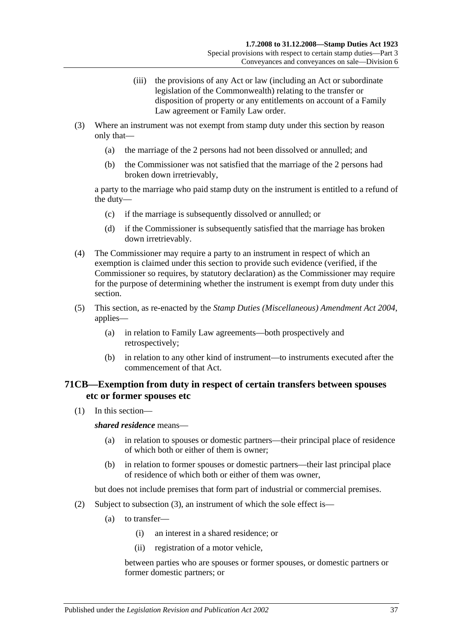- (iii) the provisions of any Act or law (including an Act or subordinate legislation of the Commonwealth) relating to the transfer or disposition of property or any entitlements on account of a Family Law agreement or Family Law order.
- (3) Where an instrument was not exempt from stamp duty under this section by reason only that—
	- (a) the marriage of the 2 persons had not been dissolved or annulled; and
	- (b) the Commissioner was not satisfied that the marriage of the 2 persons had broken down irretrievably,

a party to the marriage who paid stamp duty on the instrument is entitled to a refund of the duty—

- (c) if the marriage is subsequently dissolved or annulled; or
- (d) if the Commissioner is subsequently satisfied that the marriage has broken down irretrievably.
- (4) The Commissioner may require a party to an instrument in respect of which an exemption is claimed under this section to provide such evidence (verified, if the Commissioner so requires, by statutory declaration) as the Commissioner may require for the purpose of determining whether the instrument is exempt from duty under this section.
- (5) This section, as re-enacted by the *[Stamp Duties \(Miscellaneous\) Amendment Act 2004](http://www.legislation.sa.gov.au/index.aspx?action=legref&type=act&legtitle=Stamp%20Duties%20(Miscellaneous)%20Amendment%20Act%202004)*, applies—
	- (a) in relation to Family Law agreements—both prospectively and retrospectively;
	- (b) in relation to any other kind of instrument—to instruments executed after the commencement of that Act.

# **71CB—Exemption from duty in respect of certain transfers between spouses etc or former spouses etc**

(1) In this section—

*shared residence* means—

- (a) in relation to spouses or domestic partners—their principal place of residence of which both or either of them is owner;
- (b) in relation to former spouses or domestic partners—their last principal place of residence of which both or either of them was owner,

but does not include premises that form part of industrial or commercial premises.

- (2) Subject to [subsection](#page-55-0) (3), an instrument of which the sole effect is—
	- (a) to transfer—
		- (i) an interest in a shared residence; or
		- (ii) registration of a motor vehicle,

between parties who are spouses or former spouses, or domestic partners or former domestic partners; or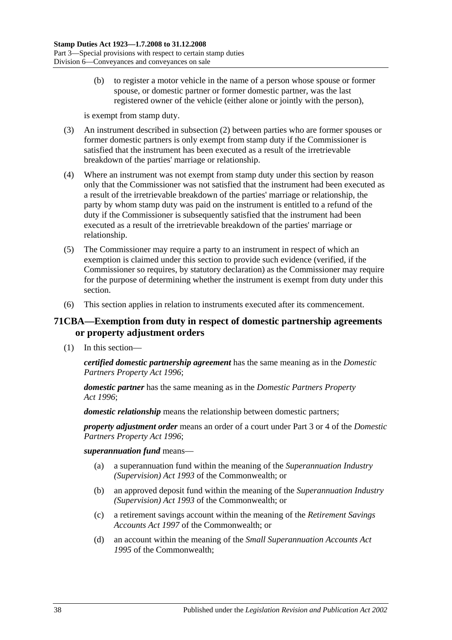(b) to register a motor vehicle in the name of a person whose spouse or former spouse, or domestic partner or former domestic partner, was the last registered owner of the vehicle (either alone or jointly with the person),

is exempt from stamp duty.

- <span id="page-55-0"></span>(3) An instrument described in subsection (2) between parties who are former spouses or former domestic partners is only exempt from stamp duty if the Commissioner is satisfied that the instrument has been executed as a result of the irretrievable breakdown of the parties' marriage or relationship.
- (4) Where an instrument was not exempt from stamp duty under this section by reason only that the Commissioner was not satisfied that the instrument had been executed as a result of the irretrievable breakdown of the parties' marriage or relationship, the party by whom stamp duty was paid on the instrument is entitled to a refund of the duty if the Commissioner is subsequently satisfied that the instrument had been executed as a result of the irretrievable breakdown of the parties' marriage or relationship.
- (5) The Commissioner may require a party to an instrument in respect of which an exemption is claimed under this section to provide such evidence (verified, if the Commissioner so requires, by statutory declaration) as the Commissioner may require for the purpose of determining whether the instrument is exempt from duty under this section.
- (6) This section applies in relation to instruments executed after its commencement.

## **71CBA—Exemption from duty in respect of domestic partnership agreements or property adjustment orders**

(1) In this section—

*certified domestic partnership agreement* has the same meaning as in the *[Domestic](http://www.legislation.sa.gov.au/index.aspx?action=legref&type=act&legtitle=Domestic%20Partners%20Property%20Act%201996)  [Partners Property Act](http://www.legislation.sa.gov.au/index.aspx?action=legref&type=act&legtitle=Domestic%20Partners%20Property%20Act%201996) 1996*;

*domestic partner* has the same meaning as in the *[Domestic Partners Property](http://www.legislation.sa.gov.au/index.aspx?action=legref&type=act&legtitle=Domestic%20Partners%20Property%20Act%201996)  Act [1996](http://www.legislation.sa.gov.au/index.aspx?action=legref&type=act&legtitle=Domestic%20Partners%20Property%20Act%201996)*;

*domestic relationship* means the relationship between domestic partners;

*property adjustment order* means an order of a court under Part 3 or 4 of the *[Domestic](http://www.legislation.sa.gov.au/index.aspx?action=legref&type=act&legtitle=Domestic%20Partners%20Property%20Act%201996)  [Partners Property Act](http://www.legislation.sa.gov.au/index.aspx?action=legref&type=act&legtitle=Domestic%20Partners%20Property%20Act%201996) 1996*;

## *superannuation fund* means—

- (a) a superannuation fund within the meaning of the *Superannuation Industry (Supervision) Act 1993* of the Commonwealth; or
- (b) an approved deposit fund within the meaning of the *Superannuation Industry (Supervision) Act 1993* of the Commonwealth; or
- (c) a retirement savings account within the meaning of the *Retirement Savings Accounts Act 1997* of the Commonwealth; or
- (d) an account within the meaning of the *Small Superannuation Accounts Act 1995* of the Commonwealth;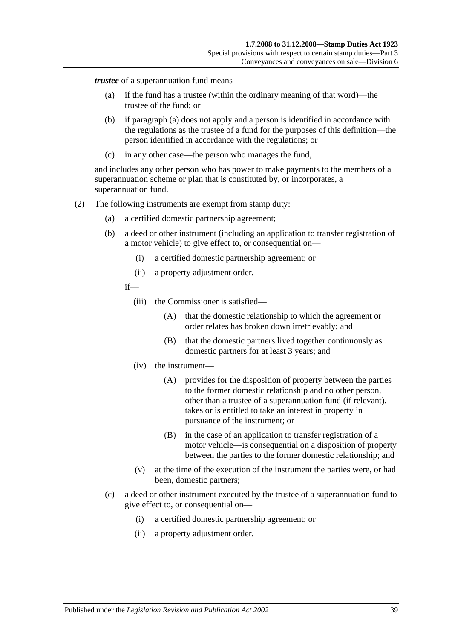<span id="page-56-0"></span>*trustee* of a superannuation fund means—

- (a) if the fund has a trustee (within the ordinary meaning of that word)—the trustee of the fund; or
- (b) if [paragraph](#page-56-0) (a) does not apply and a person is identified in accordance with the regulations as the trustee of a fund for the purposes of this definition—the person identified in accordance with the regulations; or
- (c) in any other case—the person who manages the fund,

and includes any other person who has power to make payments to the members of a superannuation scheme or plan that is constituted by, or incorporates, a superannuation fund.

- (2) The following instruments are exempt from stamp duty:
	- (a) a certified domestic partnership agreement;
	- (b) a deed or other instrument (including an application to transfer registration of a motor vehicle) to give effect to, or consequential on—
		- (i) a certified domestic partnership agreement; or
		- (ii) a property adjustment order,
		- if—
			- (iii) the Commissioner is satisfied—
				- (A) that the domestic relationship to which the agreement or order relates has broken down irretrievably; and
				- (B) that the domestic partners lived together continuously as domestic partners for at least 3 years; and
			- (iv) the instrument—
				- (A) provides for the disposition of property between the parties to the former domestic relationship and no other person, other than a trustee of a superannuation fund (if relevant), takes or is entitled to take an interest in property in pursuance of the instrument; or
				- (B) in the case of an application to transfer registration of a motor vehicle—is consequential on a disposition of property between the parties to the former domestic relationship; and
			- (v) at the time of the execution of the instrument the parties were, or had been, domestic partners;
	- (c) a deed or other instrument executed by the trustee of a superannuation fund to give effect to, or consequential on—
		- (i) a certified domestic partnership agreement; or
		- (ii) a property adjustment order.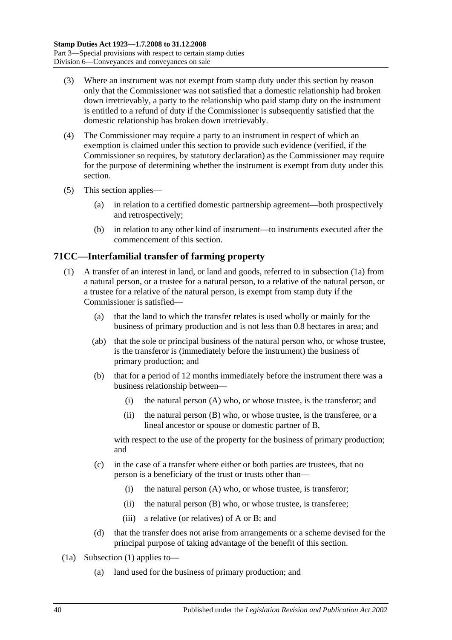- (3) Where an instrument was not exempt from stamp duty under this section by reason only that the Commissioner was not satisfied that a domestic relationship had broken down irretrievably, a party to the relationship who paid stamp duty on the instrument is entitled to a refund of duty if the Commissioner is subsequently satisfied that the domestic relationship has broken down irretrievably.
- (4) The Commissioner may require a party to an instrument in respect of which an exemption is claimed under this section to provide such evidence (verified, if the Commissioner so requires, by statutory declaration) as the Commissioner may require for the purpose of determining whether the instrument is exempt from duty under this section.
- (5) This section applies—
	- (a) in relation to a certified domestic partnership agreement—both prospectively and retrospectively;
	- (b) in relation to any other kind of instrument—to instruments executed after the commencement of this section.

# <span id="page-57-1"></span>**71CC—Interfamilial transfer of farming property**

- (1) A transfer of an interest in land, or land and goods, referred to in [subsection](#page-57-0) (1a) from a natural person, or a trustee for a natural person, to a relative of the natural person, or a trustee for a relative of the natural person, is exempt from stamp duty if the Commissioner is satisfied—
	- (a) that the land to which the transfer relates is used wholly or mainly for the business of primary production and is not less than 0.8 hectares in area; and
	- (ab) that the sole or principal business of the natural person who, or whose trustee, is the transferor is (immediately before the instrument) the business of primary production; and
	- (b) that for a period of 12 months immediately before the instrument there was a business relationship between—
		- (i) the natural person (A) who, or whose trustee, is the transferor; and
		- (ii) the natural person (B) who, or whose trustee, is the transferee, or a lineal ancestor or spouse or domestic partner of B,

<span id="page-57-3"></span>with respect to the use of the property for the business of primary production; and

- (c) in the case of a transfer where either or both parties are trustees, that no person is a beneficiary of the trust or trusts other than—
	- (i) the natural person (A) who, or whose trustee, is transferor;
	- (ii) the natural person (B) who, or whose trustee, is transferee;
	- (iii) a relative (or relatives) of A or B; and
- (d) that the transfer does not arise from arrangements or a scheme devised for the principal purpose of taking advantage of the benefit of this section.
- <span id="page-57-2"></span><span id="page-57-0"></span>(1a) [Subsection](#page-57-1) (1) applies to—
	- (a) land used for the business of primary production; and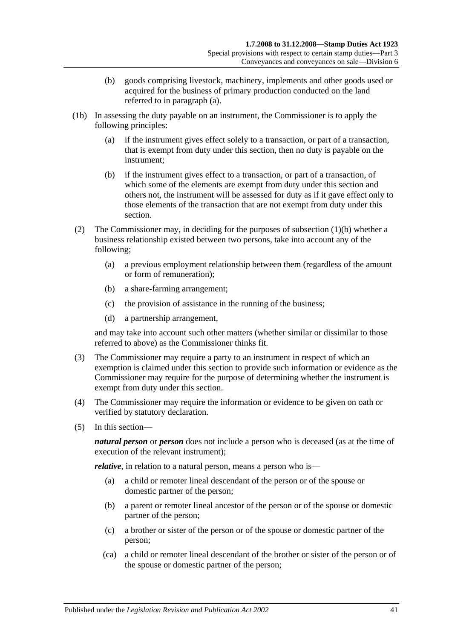- (b) goods comprising livestock, machinery, implements and other goods used or acquired for the business of primary production conducted on the land referred to in [paragraph](#page-57-2) (a).
- (1b) In assessing the duty payable on an instrument, the Commissioner is to apply the following principles:
	- (a) if the instrument gives effect solely to a transaction, or part of a transaction, that is exempt from duty under this section, then no duty is payable on the instrument;
	- (b) if the instrument gives effect to a transaction, or part of a transaction, of which some of the elements are exempt from duty under this section and others not, the instrument will be assessed for duty as if it gave effect only to those elements of the transaction that are not exempt from duty under this section.
- (2) The Commissioner may, in deciding for the purposes of [subsection](#page-57-3) (1)(b) whether a business relationship existed between two persons, take into account any of the following;
	- (a) a previous employment relationship between them (regardless of the amount or form of remuneration);
	- (b) a share-farming arrangement;
	- (c) the provision of assistance in the running of the business;
	- (d) a partnership arrangement,

and may take into account such other matters (whether similar or dissimilar to those referred to above) as the Commissioner thinks fit.

- (3) The Commissioner may require a party to an instrument in respect of which an exemption is claimed under this section to provide such information or evidence as the Commissioner may require for the purpose of determining whether the instrument is exempt from duty under this section.
- (4) The Commissioner may require the information or evidence to be given on oath or verified by statutory declaration.
- (5) In this section—

*natural person* or *person* does not include a person who is deceased (as at the time of execution of the relevant instrument);

<span id="page-58-0"></span>*relative*, in relation to a natural person, means a person who is—

- (a) a child or remoter lineal descendant of the person or of the spouse or domestic partner of the person;
- <span id="page-58-1"></span>(b) a parent or remoter lineal ancestor of the person or of the spouse or domestic partner of the person;
- <span id="page-58-2"></span>(c) a brother or sister of the person or of the spouse or domestic partner of the person;
- (ca) a child or remoter lineal descendant of the brother or sister of the person or of the spouse or domestic partner of the person;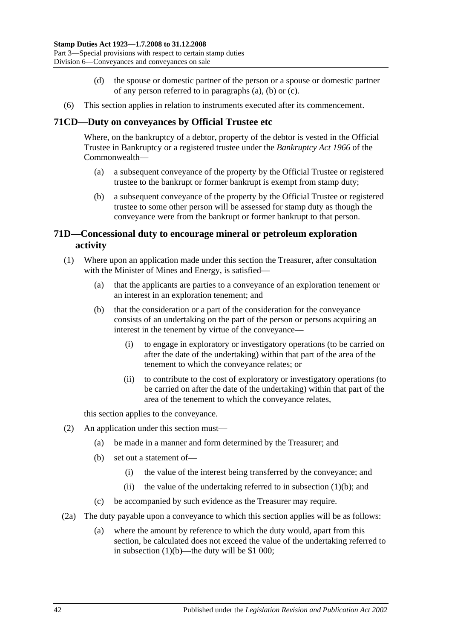- (d) the spouse or domestic partner of the person or a spouse or domestic partner of any person referred to in [paragraphs](#page-58-0) (a), [\(b\)](#page-58-1) or [\(c\).](#page-58-2)
- (6) This section applies in relation to instruments executed after its commencement.

## **71CD—Duty on conveyances by Official Trustee etc**

Where, on the bankruptcy of a debtor, property of the debtor is vested in the Official Trustee in Bankruptcy or a registered trustee under the *Bankruptcy Act 1966* of the Commonwealth—

- (a) a subsequent conveyance of the property by the Official Trustee or registered trustee to the bankrupt or former bankrupt is exempt from stamp duty;
- (b) a subsequent conveyance of the property by the Official Trustee or registered trustee to some other person will be assessed for stamp duty as though the conveyance were from the bankrupt or former bankrupt to that person.

# **71D—Concessional duty to encourage mineral or petroleum exploration activity**

- <span id="page-59-0"></span>(1) Where upon an application made under this section the Treasurer, after consultation with the Minister of Mines and Energy, is satisfied—
	- (a) that the applicants are parties to a conveyance of an exploration tenement or an interest in an exploration tenement; and
	- (b) that the consideration or a part of the consideration for the conveyance consists of an undertaking on the part of the person or persons acquiring an interest in the tenement by virtue of the conveyance—
		- (i) to engage in exploratory or investigatory operations (to be carried on after the date of the undertaking) within that part of the area of the tenement to which the conveyance relates; or
		- (ii) to contribute to the cost of exploratory or investigatory operations (to be carried on after the date of the undertaking) within that part of the area of the tenement to which the conveyance relates,

this section applies to the conveyance.

- (2) An application under this section must—
	- (a) be made in a manner and form determined by the Treasurer; and
	- (b) set out a statement of—
		- (i) the value of the interest being transferred by the conveyance; and
		- (ii) the value of the undertaking referred to in [subsection](#page-59-0)  $(1)(b)$ ; and
	- (c) be accompanied by such evidence as the Treasurer may require.
- (2a) The duty payable upon a conveyance to which this section applies will be as follows:
	- (a) where the amount by reference to which the duty would, apart from this section, be calculated does not exceed the value of the undertaking referred to in [subsection](#page-59-0)  $(1)(b)$ —the duty will be \$1 000;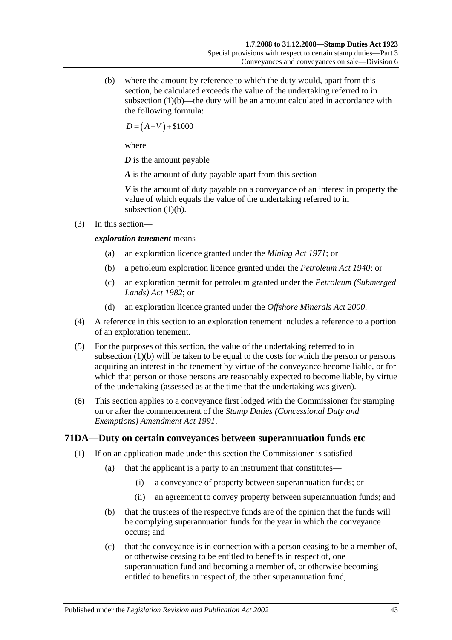(b) where the amount by reference to which the duty would, apart from this section, be calculated exceeds the value of the undertaking referred to in [subsection](#page-59-0)  $(1)(b)$ —the duty will be an amount calculated in accordance with the following formula:

 $D = (A-V) + $1000$ 

where

*D* is the amount payable

*A* is the amount of duty payable apart from this section

*V* is the amount of duty payable on a conveyance of an interest in property the value of which equals the value of the undertaking referred to in [subsection](#page-59-0)  $(1)(b)$ .

(3) In this section—

## *exploration tenement* means—

- (a) an exploration licence granted under the *[Mining Act](http://www.legislation.sa.gov.au/index.aspx?action=legref&type=act&legtitle=Mining%20Act%201971) 1971*; or
- (b) a petroleum exploration licence granted under the *[Petroleum Act](http://www.legislation.sa.gov.au/index.aspx?action=legref&type=act&legtitle=Petroleum%20Act%201940) 1940*; or
- (c) an exploration permit for petroleum granted under the *[Petroleum \(Submerged](http://www.legislation.sa.gov.au/index.aspx?action=legref&type=act&legtitle=Petroleum%20(Submerged%20Lands)%20Act%201982)  [Lands\) Act](http://www.legislation.sa.gov.au/index.aspx?action=legref&type=act&legtitle=Petroleum%20(Submerged%20Lands)%20Act%201982) 1982*; or
- (d) an exploration licence granted under the *Offshore [Minerals Act](http://www.legislation.sa.gov.au/index.aspx?action=legref&type=act&legtitle=Offshore%20Minerals%20Act%202000) 2000*.
- (4) A reference in this section to an exploration tenement includes a reference to a portion of an exploration tenement.
- (5) For the purposes of this section, the value of the undertaking referred to in [subsection](#page-59-0) (1)(b) will be taken to be equal to the costs for which the person or persons acquiring an interest in the tenement by virtue of the conveyance become liable, or for which that person or those persons are reasonably expected to become liable, by virtue of the undertaking (assessed as at the time that the undertaking was given).
- (6) This section applies to a conveyance first lodged with the Commissioner for stamping on or after the commencement of the *[Stamp Duties \(Concessional](http://www.legislation.sa.gov.au/index.aspx?action=legref&type=act&legtitle=Stamp%20Duties%20(Concessional%20Duty%20and%20Exemptions)%20Amendment%20Act%201991) Duty and [Exemptions\) Amendment Act](http://www.legislation.sa.gov.au/index.aspx?action=legref&type=act&legtitle=Stamp%20Duties%20(Concessional%20Duty%20and%20Exemptions)%20Amendment%20Act%201991) 1991*.

## <span id="page-60-0"></span>**71DA—Duty on certain conveyances between superannuation funds etc**

- (1) If on an application made under this section the Commissioner is satisfied—
	- (a) that the applicant is a party to an instrument that constitutes—
		- (i) a conveyance of property between superannuation funds; or
		- (ii) an agreement to convey property between superannuation funds; and
	- (b) that the trustees of the respective funds are of the opinion that the funds will be complying superannuation funds for the year in which the conveyance occurs; and
	- (c) that the conveyance is in connection with a person ceasing to be a member of, or otherwise ceasing to be entitled to benefits in respect of, one superannuation fund and becoming a member of, or otherwise becoming entitled to benefits in respect of, the other superannuation fund,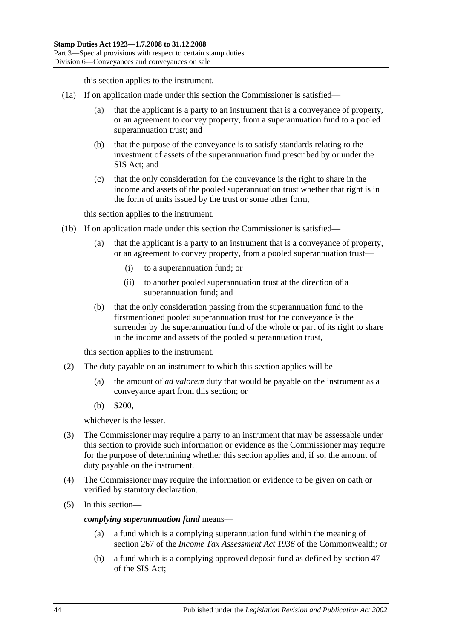this section applies to the instrument.

- <span id="page-61-0"></span>(1a) If on application made under this section the Commissioner is satisfied—
	- (a) that the applicant is a party to an instrument that is a conveyance of property, or an agreement to convey property, from a superannuation fund to a pooled superannuation trust; and
	- (b) that the purpose of the conveyance is to satisfy standards relating to the investment of assets of the superannuation fund prescribed by or under the SIS Act; and
	- (c) that the only consideration for the conveyance is the right to share in the income and assets of the pooled superannuation trust whether that right is in the form of units issued by the trust or some other form,

this section applies to the instrument.

- <span id="page-61-1"></span>(1b) If on application made under this section the Commissioner is satisfied—
	- (a) that the applicant is a party to an instrument that is a conveyance of property, or an agreement to convey property, from a pooled superannuation trust—
		- (i) to a superannuation fund; or
		- (ii) to another pooled superannuation trust at the direction of a superannuation fund; and
	- (b) that the only consideration passing from the superannuation fund to the firstmentioned pooled superannuation trust for the conveyance is the surrender by the superannuation fund of the whole or part of its right to share in the income and assets of the pooled superannuation trust,

this section applies to the instrument.

- (2) The duty payable on an instrument to which this section applies will be—
	- (a) the amount of *ad valorem* duty that would be payable on the instrument as a conveyance apart from this section; or
	- (b) \$200,

whichever is the lesser.

- (3) The Commissioner may require a party to an instrument that may be assessable under this section to provide such information or evidence as the Commissioner may require for the purpose of determining whether this section applies and, if so, the amount of duty payable on the instrument.
- (4) The Commissioner may require the information or evidence to be given on oath or verified by statutory declaration.
- (5) In this section—

*complying superannuation fund* means—

- (a) a fund which is a complying superannuation fund within the meaning of section 267 of the *Income Tax Assessment Act 1936* of the Commonwealth; or
- (b) a fund which is a complying approved deposit fund as defined by section 47 of the SIS Act;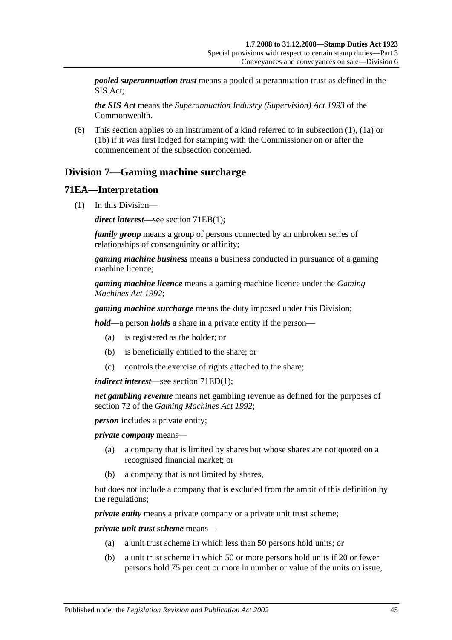*pooled superannuation trust* means a pooled superannuation trust as defined in the SIS Act;

*the SIS Act* means the *Superannuation Industry (Supervision) Act 1993* of the Commonwealth.

(6) This section applies to an instrument of a kind referred to in [subsection](#page-60-0) (1), [\(1a\)](#page-61-0) or [\(1b\)](#page-61-1) if it was first lodged for stamping with the Commissioner on or after the commencement of the subsection concerned.

# **Division 7—Gaming machine surcharge**

## **71EA—Interpretation**

(1) In this Division—

*direct interest*—see section [71EB\(1\);](#page-63-0)

*family group* means a group of persons connected by an unbroken series of relationships of consanguinity or affinity;

*gaming machine business* means a business conducted in pursuance of a gaming machine licence;

*gaming machine licence* means a gaming machine licence under the *[Gaming](http://www.legislation.sa.gov.au/index.aspx?action=legref&type=act&legtitle=Gaming%20Machines%20Act%201992)  [Machines Act](http://www.legislation.sa.gov.au/index.aspx?action=legref&type=act&legtitle=Gaming%20Machines%20Act%201992) 1992*;

*gaming machine surcharge* means the duty imposed under this Division;

*hold*—a person *holds* a share in a private entity if the person—

- (a) is registered as the holder; or
- (b) is beneficially entitled to the share; or
- (c) controls the exercise of rights attached to the share;

*indirect interest*—see section [71ED\(1\);](#page-64-0)

*net gambling revenue* means net gambling revenue as defined for the purposes of section 72 of the *[Gaming Machines Act](http://www.legislation.sa.gov.au/index.aspx?action=legref&type=act&legtitle=Gaming%20Machines%20Act%201992) 1992*;

*person* includes a private entity;

*private company* means—

- (a) a company that is limited by shares but whose shares are not quoted on a recognised financial market; or
- (b) a company that is not limited by shares,

but does not include a company that is excluded from the ambit of this definition by the regulations;

*private entity* means a private company or a private unit trust scheme:

*private unit trust scheme* means—

- (a) a unit trust scheme in which less than 50 persons hold units; or
- (b) a unit trust scheme in which 50 or more persons hold units if 20 or fewer persons hold 75 per cent or more in number or value of the units on issue,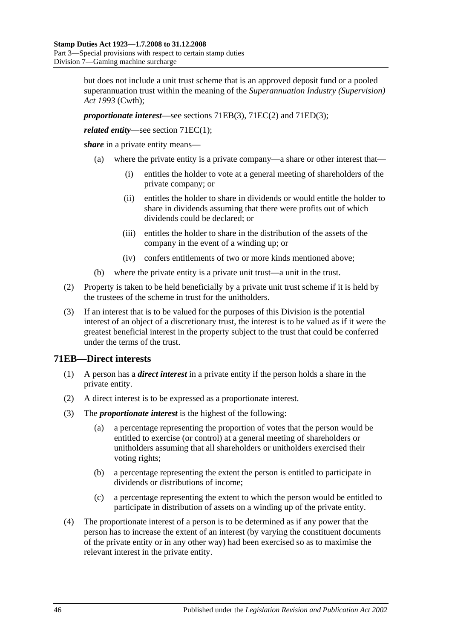but does not include a unit trust scheme that is an approved deposit fund or a pooled superannuation trust within the meaning of the *Superannuation Industry (Supervision) Act 1993* (Cwth);

*proportionate interest*—see sections [71EB\(3\),](#page-63-1) [71EC\(2\)](#page-64-1) and [71ED\(3\);](#page-64-2)

*related entity—see section [71EC\(1\);](#page-64-3)* 

*share* in a private entity means—

- (a) where the private entity is a private company—a share or other interest that—
	- (i) entitles the holder to vote at a general meeting of shareholders of the private company; or
	- (ii) entitles the holder to share in dividends or would entitle the holder to share in dividends assuming that there were profits out of which dividends could be declared; or
	- (iii) entitles the holder to share in the distribution of the assets of the company in the event of a winding up; or
	- (iv) confers entitlements of two or more kinds mentioned above;
- (b) where the private entity is a private unit trust—a unit in the trust.
- (2) Property is taken to be held beneficially by a private unit trust scheme if it is held by the trustees of the scheme in trust for the unitholders.
- (3) If an interest that is to be valued for the purposes of this Division is the potential interest of an object of a discretionary trust, the interest is to be valued as if it were the greatest beneficial interest in the property subject to the trust that could be conferred under the terms of the trust.

## <span id="page-63-0"></span>**71EB—Direct interests**

- (1) A person has a *direct interest* in a private entity if the person holds a share in the private entity.
- (2) A direct interest is to be expressed as a proportionate interest.
- <span id="page-63-1"></span>(3) The *proportionate interest* is the highest of the following:
	- (a) a percentage representing the proportion of votes that the person would be entitled to exercise (or control) at a general meeting of shareholders or unitholders assuming that all shareholders or unitholders exercised their voting rights;
	- (b) a percentage representing the extent the person is entitled to participate in dividends or distributions of income;
	- (c) a percentage representing the extent to which the person would be entitled to participate in distribution of assets on a winding up of the private entity.
- (4) The proportionate interest of a person is to be determined as if any power that the person has to increase the extent of an interest (by varying the constituent documents of the private entity or in any other way) had been exercised so as to maximise the relevant interest in the private entity.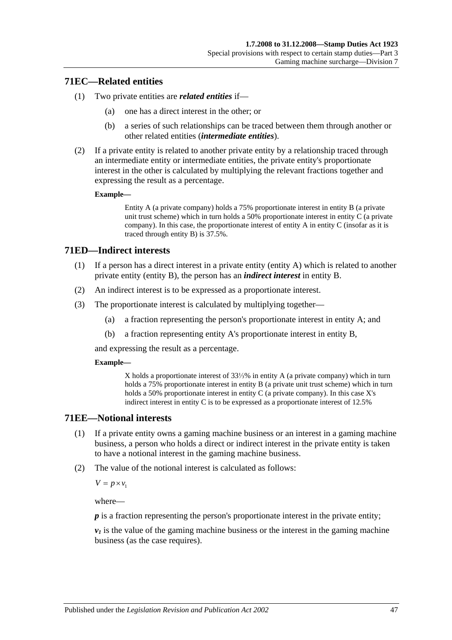## <span id="page-64-3"></span>**71EC—Related entities**

- (1) Two private entities are *related entities* if—
	- (a) one has a direct interest in the other; or
	- (b) a series of such relationships can be traced between them through another or other related entities (*intermediate entities*).
- <span id="page-64-1"></span>(2) If a private entity is related to another private entity by a relationship traced through an intermediate entity or intermediate entities, the private entity's proportionate interest in the other is calculated by multiplying the relevant fractions together and expressing the result as a percentage.

#### **Example—**

Entity A (a private company) holds a 75% proportionate interest in entity B (a private unit trust scheme) which in turn holds a 50% proportionate interest in entity C (a private company). In this case, the proportionate interest of entity A in entity C (insofar as it is traced through entity B) is 37.5%.

## <span id="page-64-0"></span>**71ED—Indirect interests**

- (1) If a person has a direct interest in a private entity (entity A) which is related to another private entity (entity B), the person has an *indirect interest* in entity B.
- (2) An indirect interest is to be expressed as a proportionate interest.
- <span id="page-64-2"></span>(3) The proportionate interest is calculated by multiplying together—
	- (a) a fraction representing the person's proportionate interest in entity A; and
	- (b) a fraction representing entity A's proportionate interest in entity B,

and expressing the result as a percentage.

#### **Example—**

X holds a proportionate interest of 33⅓% in entity A (a private company) which in turn holds a 75% proportionate interest in entity B (a private unit trust scheme) which in turn holds a 50% proportionate interest in entity C (a private company). In this case X's indirect interest in entity C is to be expressed as a proportionate interest of 12.5%

## **71EE—Notional interests**

- (1) If a private entity owns a gaming machine business or an interest in a gaming machine business, a person who holds a direct or indirect interest in the private entity is taken to have a notional interest in the gaming machine business.
- (2) The value of the notional interest is calculated as follows:

 $V = p \times v_1$ 

where—

*p* is a fraction representing the person's proportionate interest in the private entity;

 $v_1$  is the value of the gaming machine business or the interest in the gaming machine business (as the case requires).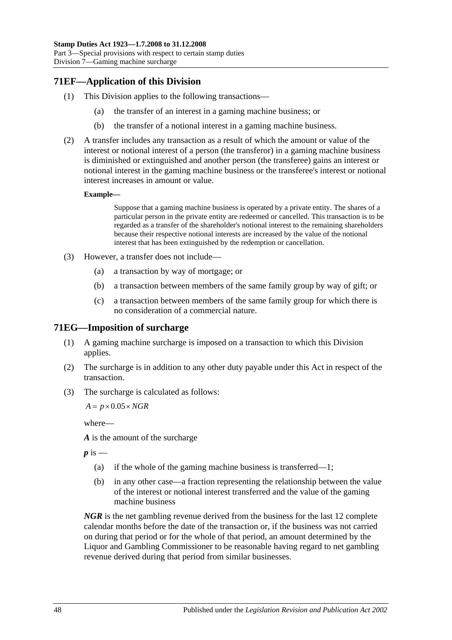# **71EF—Application of this Division**

- (1) This Division applies to the following transactions—
	- (a) the transfer of an interest in a gaming machine business; or
	- (b) the transfer of a notional interest in a gaming machine business.
- (2) A transfer includes any transaction as a result of which the amount or value of the interest or notional interest of a person (the transferor) in a gaming machine business is diminished or extinguished and another person (the transferee) gains an interest or notional interest in the gaming machine business or the transferee's interest or notional interest increases in amount or value.

#### **Example—**

Suppose that a gaming machine business is operated by a private entity. The shares of a particular person in the private entity are redeemed or cancelled. This transaction is to be regarded as a transfer of the shareholder's notional interest to the remaining shareholders because their respective notional interests are increased by the value of the notional interest that has been extinguished by the redemption or cancellation.

- (3) However, a transfer does not include—
	- (a) a transaction by way of mortgage; or
	- (b) a transaction between members of the same family group by way of gift; or
	- (c) a transaction between members of the same family group for which there is no consideration of a commercial nature.

## **71EG—Imposition of surcharge**

- (1) A gaming machine surcharge is imposed on a transaction to which this Division applies.
- (2) The surcharge is in addition to any other duty payable under this Act in respect of the transaction.
- (3) The surcharge is calculated as follows:

 $A = p \times 0.05 \times NGR$ 

where—

*A* is the amount of the surcharge

 $p$  is  $-$ 

- (a) if the whole of the gaming machine business is transferred—1;
- (b) in any other case—a fraction representing the relationship between the value of the interest or notional interest transferred and the value of the gaming machine business

*NGR* is the net gambling revenue derived from the business for the last 12 complete calendar months before the date of the transaction or, if the business was not carried on during that period or for the whole of that period, an amount determined by the Liquor and Gambling Commissioner to be reasonable having regard to net gambling revenue derived during that period from similar businesses.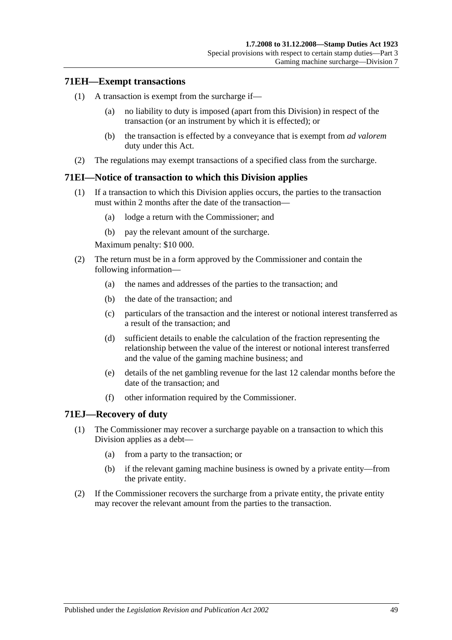## **71EH—Exempt transactions**

- (1) A transaction is exempt from the surcharge if—
	- (a) no liability to duty is imposed (apart from this Division) in respect of the transaction (or an instrument by which it is effected); or
	- (b) the transaction is effected by a conveyance that is exempt from *ad valorem* duty under this Act.
- (2) The regulations may exempt transactions of a specified class from the surcharge.

## **71EI—Notice of transaction to which this Division applies**

- (1) If a transaction to which this Division applies occurs, the parties to the transaction must within 2 months after the date of the transaction—
	- (a) lodge a return with the Commissioner; and
	- (b) pay the relevant amount of the surcharge.

Maximum penalty: \$10 000.

- (2) The return must be in a form approved by the Commissioner and contain the following information—
	- (a) the names and addresses of the parties to the transaction; and
	- (b) the date of the transaction; and
	- (c) particulars of the transaction and the interest or notional interest transferred as a result of the transaction; and
	- (d) sufficient details to enable the calculation of the fraction representing the relationship between the value of the interest or notional interest transferred and the value of the gaming machine business; and
	- (e) details of the net gambling revenue for the last 12 calendar months before the date of the transaction; and
	- (f) other information required by the Commissioner.

## **71EJ—Recovery of duty**

- (1) The Commissioner may recover a surcharge payable on a transaction to which this Division applies as a debt—
	- (a) from a party to the transaction; or
	- (b) if the relevant gaming machine business is owned by a private entity—from the private entity.
- (2) If the Commissioner recovers the surcharge from a private entity, the private entity may recover the relevant amount from the parties to the transaction.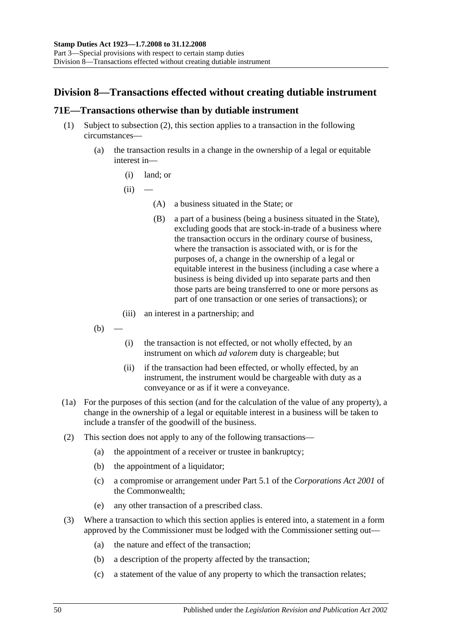# **Division 8—Transactions effected without creating dutiable instrument**

## <span id="page-67-0"></span>**71E—Transactions otherwise than by dutiable instrument**

- (1) Subject to [subsection](#page-67-1) (2), this section applies to a transaction in the following circumstances—
	- (a) the transaction results in a change in the ownership of a legal or equitable interest in—
		- (i) land; or
		- $(ii)$ 
			- (A) a business situated in the State; or
			- (B) a part of a business (being a business situated in the State), excluding goods that are stock-in-trade of a business where the transaction occurs in the ordinary course of business, where the transaction is associated with, or is for the purposes of, a change in the ownership of a legal or equitable interest in the business (including a case where a business is being divided up into separate parts and then those parts are being transferred to one or more persons as part of one transaction or one series of transactions); or
		- (iii) an interest in a partnership; and
	- $(b)$
- (i) the transaction is not effected, or not wholly effected, by an instrument on which *ad valorem* duty is chargeable; but
- (ii) if the transaction had been effected, or wholly effected, by an instrument, the instrument would be chargeable with duty as a conveyance or as if it were a conveyance.
- (1a) For the purposes of this section (and for the calculation of the value of any property), a change in the ownership of a legal or equitable interest in a business will be taken to include a transfer of the goodwill of the business.
- <span id="page-67-1"></span>(2) This section does not apply to any of the following transactions—
	- (a) the appointment of a receiver or trustee in bankruptcy;
	- (b) the appointment of a liquidator;
	- (c) a compromise or arrangement under Part 5.1 of the *Corporations Act 2001* of the Commonwealth;
	- (e) any other transaction of a prescribed class.
- (3) Where a transaction to which this section applies is entered into, a statement in a form approved by the Commissioner must be lodged with the Commissioner setting out—
	- (a) the nature and effect of the transaction;
	- (b) a description of the property affected by the transaction;
	- (c) a statement of the value of any property to which the transaction relates;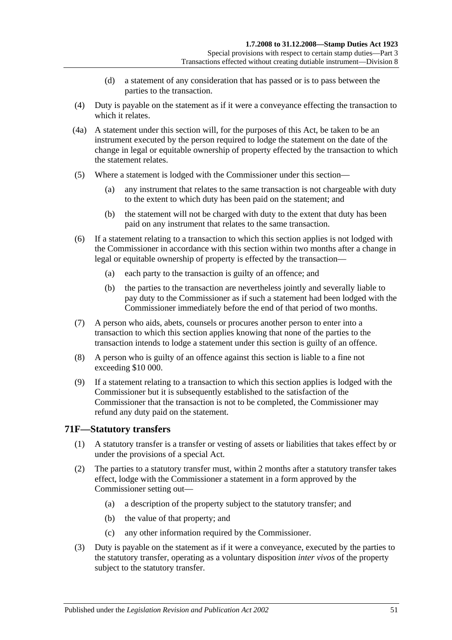- (d) a statement of any consideration that has passed or is to pass between the parties to the transaction.
- (4) Duty is payable on the statement as if it were a conveyance effecting the transaction to which it relates.
- (4a) A statement under this section will, for the purposes of this Act, be taken to be an instrument executed by the person required to lodge the statement on the date of the change in legal or equitable ownership of property effected by the transaction to which the statement relates.
- (5) Where a statement is lodged with the Commissioner under this section—
	- (a) any instrument that relates to the same transaction is not chargeable with duty to the extent to which duty has been paid on the statement; and
	- (b) the statement will not be charged with duty to the extent that duty has been paid on any instrument that relates to the same transaction.
- (6) If a statement relating to a transaction to which this section applies is not lodged with the Commissioner in accordance with this section within two months after a change in legal or equitable ownership of property is effected by the transaction—
	- (a) each party to the transaction is guilty of an offence; and
	- (b) the parties to the transaction are nevertheless jointly and severally liable to pay duty to the Commissioner as if such a statement had been lodged with the Commissioner immediately before the end of that period of two months.
- (7) A person who aids, abets, counsels or procures another person to enter into a transaction to which this section applies knowing that none of the parties to the transaction intends to lodge a statement under this section is guilty of an offence.
- (8) A person who is guilty of an offence against this section is liable to a fine not exceeding \$10 000.
- (9) If a statement relating to a transaction to which this section applies is lodged with the Commissioner but it is subsequently established to the satisfaction of the Commissioner that the transaction is not to be completed, the Commissioner may refund any duty paid on the statement.

## **71F—Statutory transfers**

- (1) A statutory transfer is a transfer or vesting of assets or liabilities that takes effect by or under the provisions of a special Act.
- (2) The parties to a statutory transfer must, within 2 months after a statutory transfer takes effect, lodge with the Commissioner a statement in a form approved by the Commissioner setting out—
	- (a) a description of the property subject to the statutory transfer; and
	- (b) the value of that property; and
	- (c) any other information required by the Commissioner.
- (3) Duty is payable on the statement as if it were a conveyance, executed by the parties to the statutory transfer, operating as a voluntary disposition *inter vivos* of the property subject to the statutory transfer.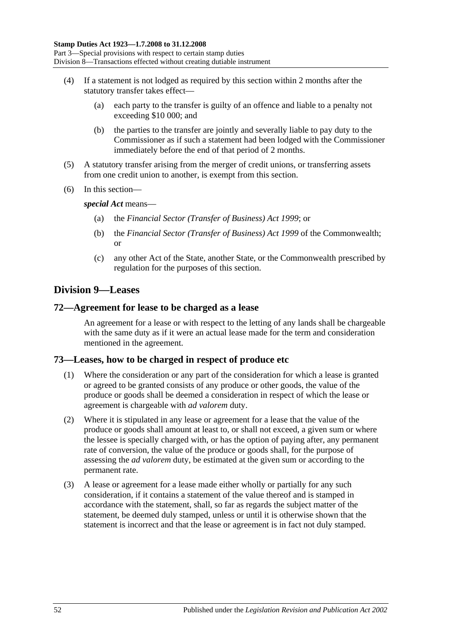- (4) If a statement is not lodged as required by this section within 2 months after the statutory transfer takes effect—
	- (a) each party to the transfer is guilty of an offence and liable to a penalty not exceeding \$10 000; and
	- (b) the parties to the transfer are jointly and severally liable to pay duty to the Commissioner as if such a statement had been lodged with the Commissioner immediately before the end of that period of 2 months.
- (5) A statutory transfer arising from the merger of credit unions, or transferring assets from one credit union to another, is exempt from this section.
- (6) In this section—

*special Act* means—

- (a) the *[Financial Sector \(Transfer of Business\) Act](http://www.legislation.sa.gov.au/index.aspx?action=legref&type=act&legtitle=Financial%20Sector%20(Transfer%20of%20Business)%20Act%201999) 1999*; or
- (b) the *Financial Sector (Transfer of Business) Act 1999* of the Commonwealth; or
- (c) any other Act of the State, another State, or the Commonwealth prescribed by regulation for the purposes of this section.

# **Division 9—Leases**

## **72—Agreement for lease to be charged as a lease**

An agreement for a lease or with respect to the letting of any lands shall be chargeable with the same duty as if it were an actual lease made for the term and consideration mentioned in the agreement.

## **73—Leases, how to be charged in respect of produce etc**

- (1) Where the consideration or any part of the consideration for which a lease is granted or agreed to be granted consists of any produce or other goods, the value of the produce or goods shall be deemed a consideration in respect of which the lease or agreement is chargeable with *ad valorem* duty.
- (2) Where it is stipulated in any lease or agreement for a lease that the value of the produce or goods shall amount at least to, or shall not exceed, a given sum or where the lessee is specially charged with, or has the option of paying after, any permanent rate of conversion, the value of the produce or goods shall, for the purpose of assessing the *ad valorem* duty, be estimated at the given sum or according to the permanent rate.
- (3) A lease or agreement for a lease made either wholly or partially for any such consideration, if it contains a statement of the value thereof and is stamped in accordance with the statement, shall, so far as regards the subject matter of the statement, be deemed duly stamped, unless or until it is otherwise shown that the statement is incorrect and that the lease or agreement is in fact not duly stamped.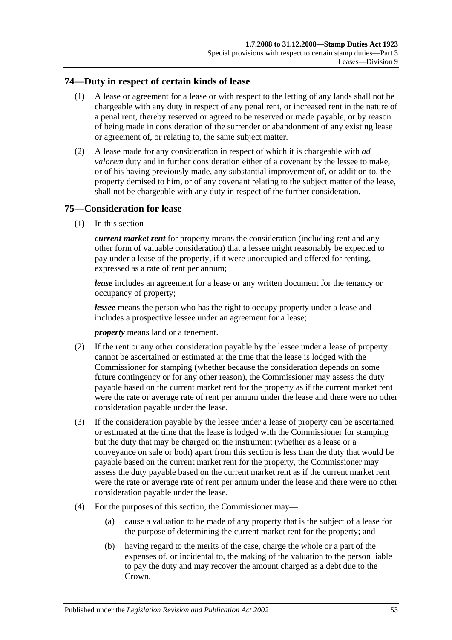## **74—Duty in respect of certain kinds of lease**

- (1) A lease or agreement for a lease or with respect to the letting of any lands shall not be chargeable with any duty in respect of any penal rent, or increased rent in the nature of a penal rent, thereby reserved or agreed to be reserved or made payable, or by reason of being made in consideration of the surrender or abandonment of any existing lease or agreement of, or relating to, the same subject matter.
- (2) A lease made for any consideration in respect of which it is chargeable with *ad valorem* duty and in further consideration either of a covenant by the lessee to make, or of his having previously made, any substantial improvement of, or addition to, the property demised to him, or of any covenant relating to the subject matter of the lease, shall not be chargeable with any duty in respect of the further consideration.

# **75—Consideration for lease**

(1) In this section—

*current market rent* for property means the consideration (including rent and any other form of valuable consideration) that a lessee might reasonably be expected to pay under a lease of the property, if it were unoccupied and offered for renting, expressed as a rate of rent per annum;

*lease* includes an agreement for a lease or any written document for the tenancy or occupancy of property;

*lessee* means the person who has the right to occupy property under a lease and includes a prospective lessee under an agreement for a lease;

*property* means land or a tenement.

- (2) If the rent or any other consideration payable by the lessee under a lease of property cannot be ascertained or estimated at the time that the lease is lodged with the Commissioner for stamping (whether because the consideration depends on some future contingency or for any other reason), the Commissioner may assess the duty payable based on the current market rent for the property as if the current market rent were the rate or average rate of rent per annum under the lease and there were no other consideration payable under the lease.
- (3) If the consideration payable by the lessee under a lease of property can be ascertained or estimated at the time that the lease is lodged with the Commissioner for stamping but the duty that may be charged on the instrument (whether as a lease or a conveyance on sale or both) apart from this section is less than the duty that would be payable based on the current market rent for the property, the Commissioner may assess the duty payable based on the current market rent as if the current market rent were the rate or average rate of rent per annum under the lease and there were no other consideration payable under the lease.
- (4) For the purposes of this section, the Commissioner may—
	- (a) cause a valuation to be made of any property that is the subject of a lease for the purpose of determining the current market rent for the property; and
	- (b) having regard to the merits of the case, charge the whole or a part of the expenses of, or incidental to, the making of the valuation to the person liable to pay the duty and may recover the amount charged as a debt due to the Crown.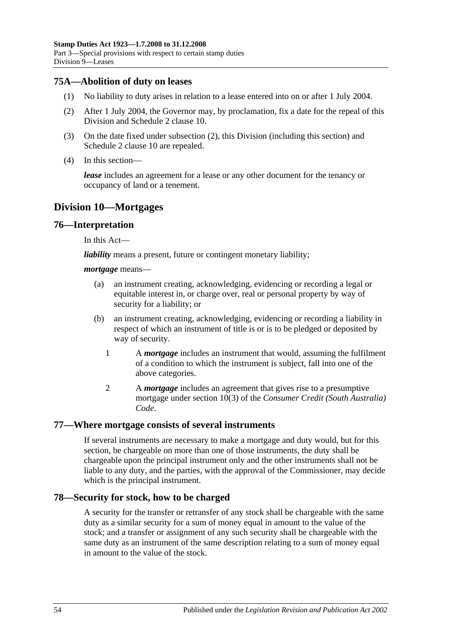## **75A—Abolition of duty on leases**

- (1) No liability to duty arises in relation to a lease entered into on or after 1 July 2004.
- <span id="page-71-0"></span>(2) After 1 July 2004, the Governor may, by proclamation, fix a date for the repeal of this Division and Schedule 2 clause 10.
- (3) On the date fixed under [subsection](#page-71-0) (2), this Division (including this section) and Schedule 2 clause 10 are repealed.
- (4) In this section—

*lease* includes an agreement for a lease or any other document for the tenancy or occupancy of land or a tenement.

# **Division 10—Mortgages**

## **76—Interpretation**

In this Act—

*liability* means a present, future or contingent monetary liability;

#### *mortgage* means—

- (a) an instrument creating, acknowledging, evidencing or recording a legal or equitable interest in, or charge over, real or personal property by way of security for a liability; or
- (b) an instrument creating, acknowledging, evidencing or recording a liability in respect of which an instrument of title is or is to be pledged or deposited by way of security.
	- 1 A *mortgage* includes an instrument that would, assuming the fulfilment of a condition to which the instrument is subject, fall into one of the above categories.
	- 2 A *mortgage* includes an agreement that gives rise to a presumptive mortgage under section 10(3) of the *Consumer Credit (South Australia) Code*.

## **77—Where mortgage consists of several instruments**

If several instruments are necessary to make a mortgage and duty would, but for this section, be chargeable on more than one of those instruments, the duty shall be chargeable upon the principal instrument only and the other instruments shall not be liable to any duty, and the parties, with the approval of the Commissioner, may decide which is the principal instrument.

## **78—Security for stock, how to be charged**

A security for the transfer or retransfer of any stock shall be chargeable with the same duty as a similar security for a sum of money equal in amount to the value of the stock; and a transfer or assignment of any such security shall be chargeable with the same duty as an instrument of the same description relating to a sum of money equal in amount to the value of the stock.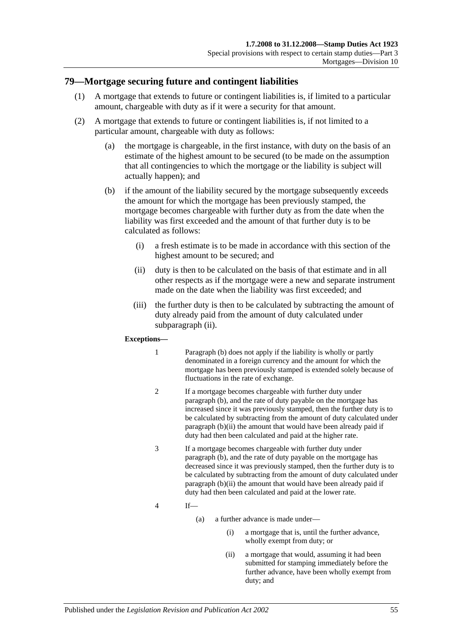#### **79—Mortgage securing future and contingent liabilities**

- (1) A mortgage that extends to future or contingent liabilities is, if limited to a particular amount, chargeable with duty as if it were a security for that amount.
- <span id="page-72-2"></span><span id="page-72-1"></span>(2) A mortgage that extends to future or contingent liabilities is, if not limited to a particular amount, chargeable with duty as follows:
	- (a) the mortgage is chargeable, in the first instance, with duty on the basis of an estimate of the highest amount to be secured (to be made on the assumption that all contingencies to which the mortgage or the liability is subject will actually happen); and
	- (b) if the amount of the liability secured by the mortgage subsequently exceeds the amount for which the mortgage has been previously stamped, the mortgage becomes chargeable with further duty as from the date when the liability was first exceeded and the amount of that further duty is to be calculated as follows:
		- (i) a fresh estimate is to be made in accordance with this section of the highest amount to be secured; and
		- (ii) duty is then to be calculated on the basis of that estimate and in all other respects as if the mortgage were a new and separate instrument made on the date when the liability was first exceeded; and
		- (iii) the further duty is then to be calculated by subtracting the amount of duty already paid from the amount of duty calculated under [subparagraph](#page-72-0) (ii).

#### <span id="page-72-0"></span>**Exceptions—**

- 1 [Paragraph](#page-72-1) (b) does not apply if the liability is wholly or partly denominated in a foreign currency and the amount for which the mortgage has been previously stamped is extended solely because of fluctuations in the rate of exchange.
- 2 If a mortgage becomes chargeable with further duty under [paragraph](#page-72-1) (b), and the rate of duty payable on the mortgage has increased since it was previously stamped, then the further duty is to be calculated by subtracting from the amount of duty calculated under [paragraph](#page-72-0) (b)(ii) the amount that would have been already paid if duty had then been calculated and paid at the higher rate.
- 3 If a mortgage becomes chargeable with further duty under [paragraph](#page-72-1) (b), and the rate of duty payable on the mortgage has decreased since it was previously stamped, then the further duty is to be calculated by subtracting from the amount of duty calculated under [paragraph](#page-72-0) (b)(ii) the amount that would have been already paid if duty had then been calculated and paid at the lower rate.
- 4 If—
	- (a) a further advance is made under—
		- (i) a mortgage that is, until the further advance, wholly exempt from duty; or
		- (ii) a mortgage that would, assuming it had been submitted for stamping immediately before the further advance, have been wholly exempt from duty; and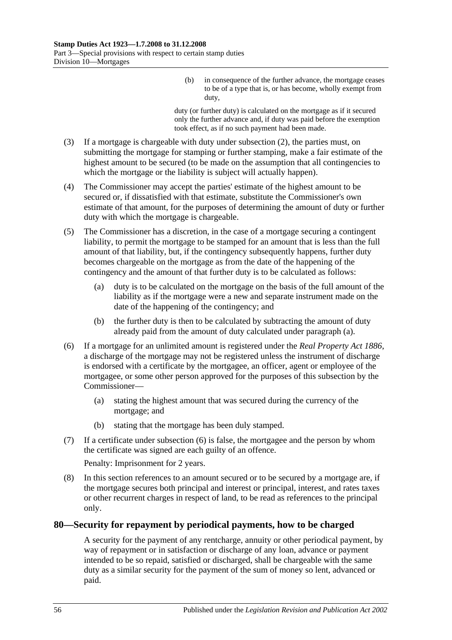(b) in consequence of the further advance, the mortgage ceases to be of a type that is, or has become, wholly exempt from duty,

duty (or further duty) is calculated on the mortgage as if it secured only the further advance and, if duty was paid before the exemption took effect, as if no such payment had been made.

- (3) If a mortgage is chargeable with duty under [subsection](#page-72-2) (2), the parties must, on submitting the mortgage for stamping or further stamping, make a fair estimate of the highest amount to be secured (to be made on the assumption that all contingencies to which the mortgage or the liability is subject will actually happen).
- (4) The Commissioner may accept the parties' estimate of the highest amount to be secured or, if dissatisfied with that estimate, substitute the Commissioner's own estimate of that amount, for the purposes of determining the amount of duty or further duty with which the mortgage is chargeable.
- <span id="page-73-0"></span>(5) The Commissioner has a discretion, in the case of a mortgage securing a contingent liability, to permit the mortgage to be stamped for an amount that is less than the full amount of that liability, but, if the contingency subsequently happens, further duty becomes chargeable on the mortgage as from the date of the happening of the contingency and the amount of that further duty is to be calculated as follows:
	- (a) duty is to be calculated on the mortgage on the basis of the full amount of the liability as if the mortgage were a new and separate instrument made on the date of the happening of the contingency; and
	- (b) the further duty is then to be calculated by subtracting the amount of duty already paid from the amount of duty calculated under [paragraph](#page-73-0) (a).
- <span id="page-73-1"></span>(6) If a mortgage for an unlimited amount is registered under the *[Real Property Act](http://www.legislation.sa.gov.au/index.aspx?action=legref&type=act&legtitle=Real%20Property%20Act%201886) 1886*, a discharge of the mortgage may not be registered unless the instrument of discharge is endorsed with a certificate by the mortgagee, an officer, agent or employee of the mortgagee, or some other person approved for the purposes of this subsection by the Commissioner—
	- (a) stating the highest amount that was secured during the currency of the mortgage; and
	- (b) stating that the mortgage has been duly stamped.
- (7) If a certificate under [subsection](#page-73-1) (6) is false, the mortgagee and the person by whom the certificate was signed are each guilty of an offence.

Penalty: Imprisonment for 2 years.

(8) In this section references to an amount secured or to be secured by a mortgage are, if the mortgage secures both principal and interest or principal, interest, and rates taxes or other recurrent charges in respect of land, to be read as references to the principal only.

### **80—Security for repayment by periodical payments, how to be charged**

A security for the payment of any rentcharge, annuity or other periodical payment, by way of repayment or in satisfaction or discharge of any loan, advance or payment intended to be so repaid, satisfied or discharged, shall be chargeable with the same duty as a similar security for the payment of the sum of money so lent, advanced or paid.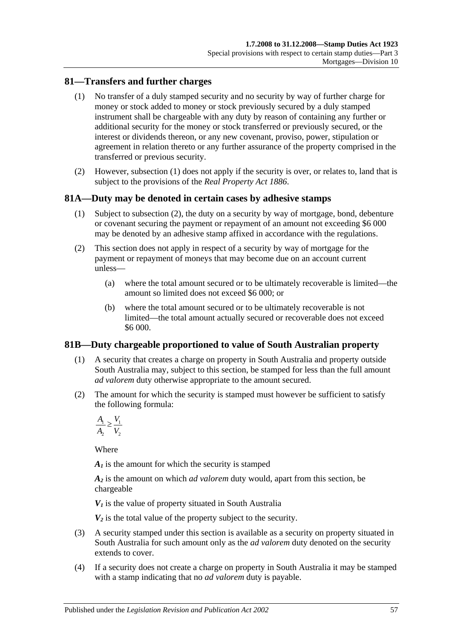## <span id="page-74-0"></span>**81—Transfers and further charges**

- (1) No transfer of a duly stamped security and no security by way of further charge for money or stock added to money or stock previously secured by a duly stamped instrument shall be chargeable with any duty by reason of containing any further or additional security for the money or stock transferred or previously secured, or the interest or dividends thereon, or any new covenant, proviso, power, stipulation or agreement in relation thereto or any further assurance of the property comprised in the transferred or previous security.
- (2) However, [subsection](#page-74-0) (1) does not apply if the security is over, or relates to, land that is subject to the provisions of the *[Real Property Act](http://www.legislation.sa.gov.au/index.aspx?action=legref&type=act&legtitle=Real%20Property%20Act%201886) 1886*.

### **81A—Duty may be denoted in certain cases by adhesive stamps**

- (1) Subject to [subsection](#page-74-1) (2), the duty on a security by way of mortgage, bond, debenture or covenant securing the payment or repayment of an amount not exceeding \$6 000 may be denoted by an adhesive stamp affixed in accordance with the regulations.
- <span id="page-74-1"></span>(2) This section does not apply in respect of a security by way of mortgage for the payment or repayment of moneys that may become due on an account current unless—
	- (a) where the total amount secured or to be ultimately recoverable is limited—the amount so limited does not exceed \$6 000; or
	- (b) where the total amount secured or to be ultimately recoverable is not limited—the total amount actually secured or recoverable does not exceed \$6 000.

### **81B—Duty chargeable proportioned to value of South Australian property**

- (1) A security that creates a charge on property in South Australia and property outside South Australia may, subject to this section, be stamped for less than the full amount *ad valorem* duty otherwise appropriate to the amount secured.
- (2) The amount for which the security is stamped must however be sufficient to satisfy the following formula:

$$
\frac{A_1}{A_2} \ge \frac{V_1}{V_2}
$$

Where

*A1* is the amount for which the security is stamped

*A2* is the amount on which *ad valorem* duty would, apart from this section, be chargeable

 $V_1$  is the value of property situated in South Australia

 $V_2$  is the total value of the property subject to the security.

- (3) A security stamped under this section is available as a security on property situated in South Australia for such amount only as the *ad valorem* duty denoted on the security extends to cover.
- (4) If a security does not create a charge on property in South Australia it may be stamped with a stamp indicating that no *ad valorem* duty is payable.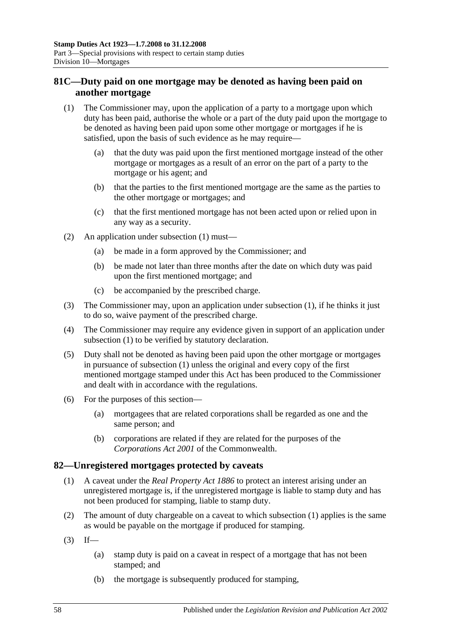# **81C—Duty paid on one mortgage may be denoted as having been paid on another mortgage**

- <span id="page-75-0"></span>(1) The Commissioner may, upon the application of a party to a mortgage upon which duty has been paid, authorise the whole or a part of the duty paid upon the mortgage to be denoted as having been paid upon some other mortgage or mortgages if he is satisfied, upon the basis of such evidence as he may require—
	- (a) that the duty was paid upon the first mentioned mortgage instead of the other mortgage or mortgages as a result of an error on the part of a party to the mortgage or his agent; and
	- (b) that the parties to the first mentioned mortgage are the same as the parties to the other mortgage or mortgages; and
	- (c) that the first mentioned mortgage has not been acted upon or relied upon in any way as a security.
- (2) An application under [subsection](#page-75-0) (1) must—
	- (a) be made in a form approved by the Commissioner; and
	- (b) be made not later than three months after the date on which duty was paid upon the first mentioned mortgage; and
	- (c) be accompanied by the prescribed charge.
- (3) The Commissioner may, upon an application under [subsection](#page-75-0) (1), if he thinks it just to do so, waive payment of the prescribed charge.
- (4) The Commissioner may require any evidence given in support of an application under [subsection](#page-75-0) (1) to be verified by statutory declaration.
- (5) Duty shall not be denoted as having been paid upon the other mortgage or mortgages in pursuance of [subsection](#page-75-0) (1) unless the original and every copy of the first mentioned mortgage stamped under this Act has been produced to the Commissioner and dealt with in accordance with the regulations.
- (6) For the purposes of this section—
	- (a) mortgagees that are related corporations shall be regarded as one and the same person; and
	- (b) corporations are related if they are related for the purposes of the *Corporations Act 2001* of the Commonwealth.

# <span id="page-75-1"></span>**82—Unregistered mortgages protected by caveats**

- (1) A caveat under the *[Real Property Act](http://www.legislation.sa.gov.au/index.aspx?action=legref&type=act&legtitle=Real%20Property%20Act%201886) 1886* to protect an interest arising under an unregistered mortgage is, if the unregistered mortgage is liable to stamp duty and has not been produced for stamping, liable to stamp duty.
- (2) The amount of duty chargeable on a caveat to which [subsection](#page-75-1) (1) applies is the same as would be payable on the mortgage if produced for stamping.
- $(3)$  If—
	- (a) stamp duty is paid on a caveat in respect of a mortgage that has not been stamped; and
	- (b) the mortgage is subsequently produced for stamping,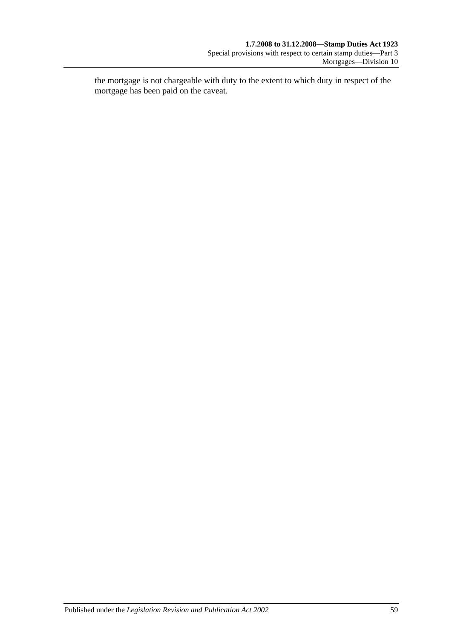the mortgage is not chargeable with duty to the extent to which duty in respect of the mortgage has been paid on the caveat.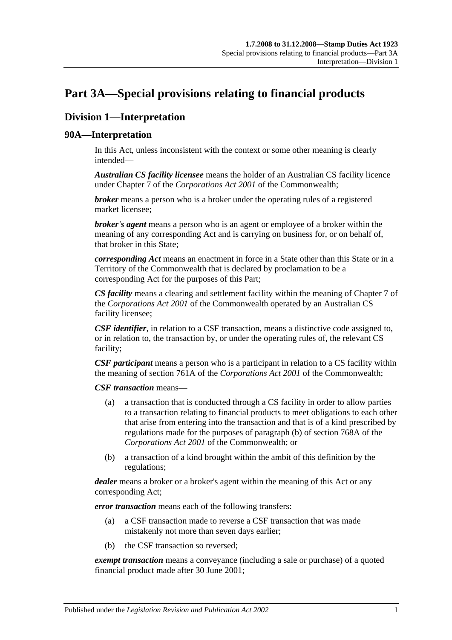# <span id="page-78-0"></span>**Part 3A—Special provisions relating to financial products**

# **Division 1—Interpretation**

## **90A—Interpretation**

In this Act, unless inconsistent with the context or some other meaning is clearly intended—

*Australian CS facility licensee* means the holder of an Australian CS facility licence under Chapter 7 of the *Corporations Act 2001* of the Commonwealth;

*broker* means a person who is a broker under the operating rules of a registered market licensee;

*broker's agent* means a person who is an agent or employee of a broker within the meaning of any corresponding Act and is carrying on business for, or on behalf of, that broker in this State;

*corresponding Act* means an enactment in force in a State other than this State or in a Territory of the Commonwealth that is declared by proclamation to be a corresponding Act for the purposes of this Part;

*CS facility* means a clearing and settlement facility within the meaning of Chapter 7 of the *Corporations Act 2001* of the Commonwealth operated by an Australian CS facility licensee;

*CSF identifier*, in relation to a CSF transaction, means a distinctive code assigned to, or in relation to, the transaction by, or under the operating rules of, the relevant CS facility;

*CSF participant* means a person who is a participant in relation to a CS facility within the meaning of section 761A of the *Corporations Act 2001* of the Commonwealth;

*CSF transaction* means—

- (a) a transaction that is conducted through a CS facility in order to allow parties to a transaction relating to financial products to meet obligations to each other that arise from entering into the transaction and that is of a kind prescribed by regulations made for the purposes of paragraph (b) of section 768A of the *Corporations Act 2001* of the Commonwealth; or
- (b) a transaction of a kind brought within the ambit of this definition by the regulations;

*dealer* means a broker or a broker's agent within the meaning of this Act or any corresponding Act;

*error transaction* means each of the following transfers:

- (a) a CSF transaction made to reverse a CSF transaction that was made mistakenly not more than seven days earlier;
- (b) the CSF transaction so reversed;

*exempt transaction* means a conveyance (including a sale or purchase) of a quoted financial product made after 30 June 2001;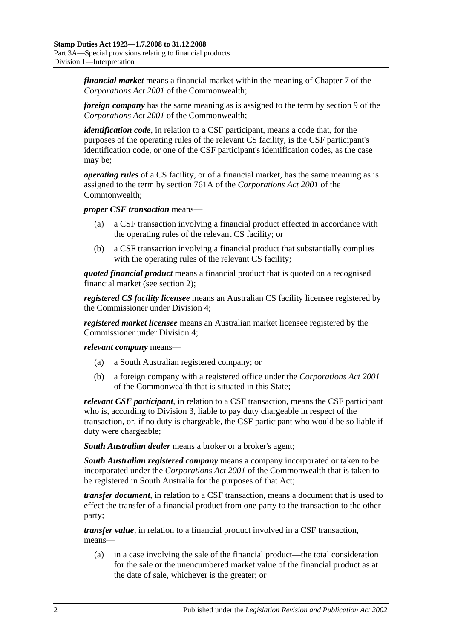*financial market* means a financial market within the meaning of Chapter 7 of the *Corporations Act 2001* of the Commonwealth;

*foreign company* has the same meaning as is assigned to the term by section 9 of the *Corporations Act 2001* of the Commonwealth;

*identification code*, in relation to a CSF participant, means a code that, for the purposes of the operating rules of the relevant CS facility, is the CSF participant's identification code, or one of the CSF participant's identification codes, as the case may be;

*operating rules* of a CS facility, or of a financial market, has the same meaning as is assigned to the term by section 761A of the *Corporations Act 2001* of the Commonwealth;

*proper CSF transaction* means—

- (a) a CSF transaction involving a financial product effected in accordance with the operating rules of the relevant CS facility; or
- (b) a CSF transaction involving a financial product that substantially complies with the operating rules of the relevant CS facility;

*quoted financial product* means a financial product that is quoted on a recognised financial market (see [section](#page-6-0) 2);

*registered CS facility licensee* means an Australian CS facility licensee registered by the Commissioner under [Division 4;](#page-88-0)

*registered market licensee* means an Australian market licensee registered by the Commissioner under [Division 4;](#page-88-0)

*relevant company* means—

- (a) a South Australian registered company; or
- (b) a foreign company with a registered office under the *Corporations Act 2001* of the Commonwealth that is situated in this State;

*relevant CSF participant*, in relation to a CSF transaction, means the CSF participant who is, according to [Division 3,](#page-85-0) liable to pay duty chargeable in respect of the transaction, or, if no duty is chargeable, the CSF participant who would be so liable if duty were chargeable;

*South Australian dealer* means a broker or a broker's agent;

*South Australian registered company* means a company incorporated or taken to be incorporated under the *Corporations Act 2001* of the Commonwealth that is taken to be registered in South Australia for the purposes of that Act;

*transfer document*, in relation to a CSF transaction, means a document that is used to effect the transfer of a financial product from one party to the transaction to the other party;

*transfer value*, in relation to a financial product involved in a CSF transaction, means—

(a) in a case involving the sale of the financial product—the total consideration for the sale or the unencumbered market value of the financial product as at the date of sale, whichever is the greater; or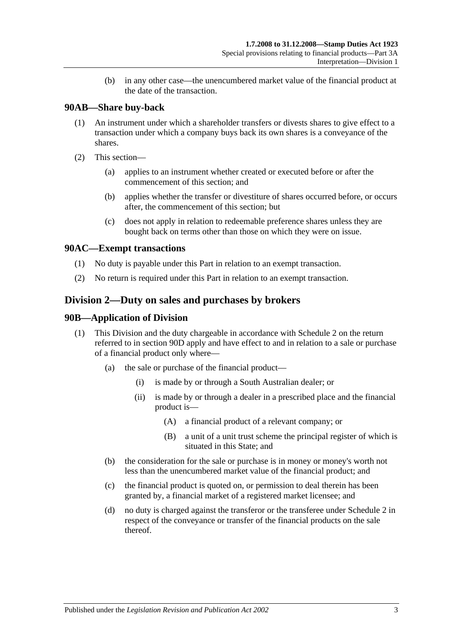(b) in any other case—the unencumbered market value of the financial product at the date of the transaction.

# **90AB—Share buy-back**

- (1) An instrument under which a shareholder transfers or divests shares to give effect to a transaction under which a company buys back its own shares is a conveyance of the shares.
- (2) This section—
	- (a) applies to an instrument whether created or executed before or after the commencement of this section; and
	- (b) applies whether the transfer or divestiture of shares occurred before, or occurs after, the commencement of this section; but
	- (c) does not apply in relation to redeemable preference shares unless they are bought back on terms other than those on which they were on issue.

# **90AC—Exempt transactions**

- (1) No duty is payable under this Part in relation to an exempt transaction.
- (2) No return is required under this Part in relation to an exempt transaction.

# <span id="page-80-0"></span>**Division 2—Duty on sales and purchases by brokers**

#### **90B—Application of Division**

- (1) This Division and the duty chargeable in accordance with [Schedule 2](#page-106-0) on the return referred to in [section](#page-82-0) 90D apply and have effect to and in relation to a sale or purchase of a financial product only where—
	- (a) the sale or purchase of the financial product—
		- (i) is made by or through a South Australian dealer; or
		- (ii) is made by or through a dealer in a prescribed place and the financial product is—
			- (A) a financial product of a relevant company; or
			- (B) a unit of a unit trust scheme the principal register of which is situated in this State; and
	- (b) the consideration for the sale or purchase is in money or money's worth not less than the unencumbered market value of the financial product; and
	- (c) the financial product is quoted on, or permission to deal therein has been granted by, a financial market of a registered market licensee; and
	- (d) no duty is charged against the transferor or the transferee under [Schedule 2](#page-106-0) in respect of the conveyance or transfer of the financial products on the sale thereof.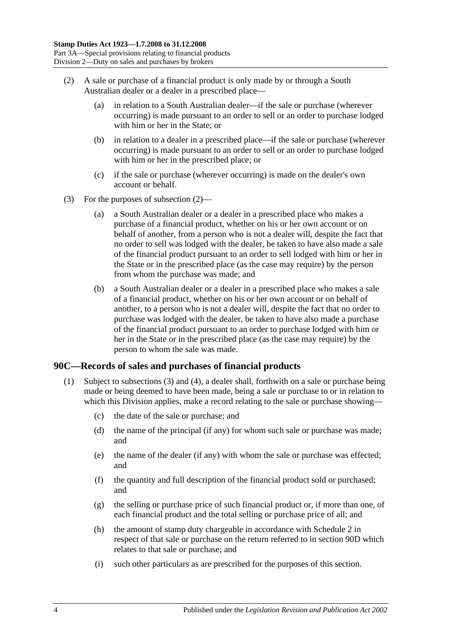- <span id="page-81-0"></span>(2) A sale or purchase of a financial product is only made by or through a South Australian dealer or a dealer in a prescribed place—
	- (a) in relation to a South Australian dealer—if the sale or purchase (wherever occurring) is made pursuant to an order to sell or an order to purchase lodged with him or her in the State; or
	- (b) in relation to a dealer in a prescribed place—if the sale or purchase (wherever occurring) is made pursuant to an order to sell or an order to purchase lodged with him or her in the prescribed place; or
	- (c) if the sale or purchase (wherever occurring) is made on the dealer's own account or behalf.
- (3) For the purposes of [subsection](#page-81-0) (2)—
	- (a) a South Australian dealer or a dealer in a prescribed place who makes a purchase of a financial product, whether on his or her own account or on behalf of another, from a person who is not a dealer will, despite the fact that no order to sell was lodged with the dealer, be taken to have also made a sale of the financial product pursuant to an order to sell lodged with him or her in the State or in the prescribed place (as the case may require) by the person from whom the purchase was made; and
	- (b) a South Australian dealer or a dealer in a prescribed place who makes a sale of a financial product, whether on his or her own account or on behalf of another, to a person who is not a dealer will, despite the fact that no order to purchase was lodged with the dealer, be taken to have also made a purchase of the financial product pursuant to an order to purchase lodged with him or her in the State or in the prescribed place (as the case may require) by the person to whom the sale was made.

### <span id="page-81-2"></span><span id="page-81-1"></span>**90C—Records of sales and purchases of financial products**

- (1) Subject to [subsections](#page-82-1) (3) and [\(4\),](#page-82-2) a dealer shall, forthwith on a sale or purchase being made or being deemed to have been made, being a sale or purchase to or in relation to which this Division applies, make a record relating to the sale or purchase showing—
	- (c) the date of the sale or purchase; and
	- (d) the name of the principal (if any) for whom such sale or purchase was made; and
	- (e) the name of the dealer (if any) with whom the sale or purchase was effected; and
	- (f) the quantity and full description of the financial product sold or purchased; and
	- (g) the selling or purchase price of such financial product or, if more than one, of each financial product and the total selling or purchase price of all; and
	- (h) the amount of stamp duty chargeable in accordance with [Schedule 2](#page-106-0) in respect of that sale or purchase on the return referred to in [section](#page-82-0) 90D which relates to that sale or purchase; and
	- (i) such other particulars as are prescribed for the purposes of this section.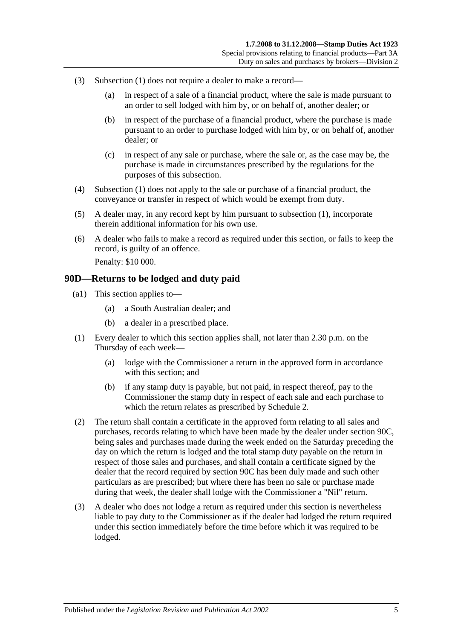- <span id="page-82-1"></span>(3) [Subsection](#page-81-1) (1) does not require a dealer to make a record—
	- (a) in respect of a sale of a financial product, where the sale is made pursuant to an order to sell lodged with him by, or on behalf of, another dealer; or
	- (b) in respect of the purchase of a financial product, where the purchase is made pursuant to an order to purchase lodged with him by, or on behalf of, another dealer; or
	- (c) in respect of any sale or purchase, where the sale or, as the case may be, the purchase is made in circumstances prescribed by the regulations for the purposes of this subsection.
- <span id="page-82-2"></span>(4) [Subsection](#page-81-1) (1) does not apply to the sale or purchase of a financial product, the conveyance or transfer in respect of which would be exempt from duty.
- (5) A dealer may, in any record kept by him pursuant to [subsection](#page-81-1) (1), incorporate therein additional information for his own use.
- (6) A dealer who fails to make a record as required under this section, or fails to keep the record, is guilty of an offence. Penalty: \$10 000.

#### <span id="page-82-0"></span>**90D—Returns to be lodged and duty paid**

- (a1) This section applies to—
	- (a) a South Australian dealer; and
	- (b) a dealer in a prescribed place.
- (1) Every dealer to which this section applies shall, not later than 2.30 p.m. on the Thursday of each week—
	- (a) lodge with the Commissioner a return in the approved form in accordance with this section; and
	- (b) if any stamp duty is payable, but not paid, in respect thereof, pay to the Commissioner the stamp duty in respect of each sale and each purchase to which the return relates as prescribed by [Schedule 2.](#page-106-0)
- (2) The return shall contain a certificate in the approved form relating to all sales and purchases, records relating to which have been made by the dealer under [section](#page-81-2) 90C, being sales and purchases made during the week ended on the Saturday preceding the day on which the return is lodged and the total stamp duty payable on the return in respect of those sales and purchases, and shall contain a certificate signed by the dealer that the record required by [section](#page-81-2) 90C has been duly made and such other particulars as are prescribed; but where there has been no sale or purchase made during that week, the dealer shall lodge with the Commissioner a "Nil" return.
- (3) A dealer who does not lodge a return as required under this section is nevertheless liable to pay duty to the Commissioner as if the dealer had lodged the return required under this section immediately before the time before which it was required to be lodged.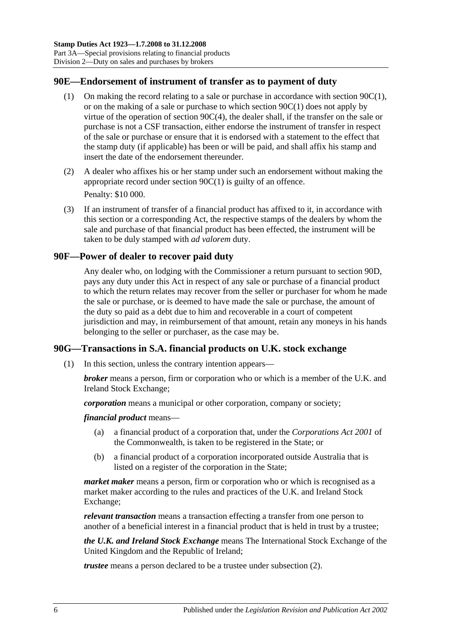### **90E—Endorsement of instrument of transfer as to payment of duty**

- (1) On making the record relating to a sale or purchase in accordance with [section](#page-81-1) 90C(1), or on the making of a sale or purchase to which [section](#page-81-1) 90C(1) does not apply by virtue of the operation of section [90C\(4\),](#page-82-2) the dealer shall, if the transfer on the sale or purchase is not a CSF transaction, either endorse the instrument of transfer in respect of the sale or purchase or ensure that it is endorsed with a statement to the effect that the stamp duty (if applicable) has been or will be paid, and shall affix his stamp and insert the date of the endorsement thereunder.
- (2) A dealer who affixes his or her stamp under such an endorsement without making the appropriate record under [section](#page-81-1) 90C(1) is guilty of an offence. Penalty: \$10 000.
- <span id="page-83-0"></span>(3) If an instrument of transfer of a financial product has affixed to it, in accordance with this section or a corresponding Act, the respective stamps of the dealers by whom the sale and purchase of that financial product has been effected, the instrument will be taken to be duly stamped with *ad valorem* duty.

### **90F—Power of dealer to recover paid duty**

Any dealer who, on lodging with the Commissioner a return pursuant to [section](#page-82-0) 90D, pays any duty under this Act in respect of any sale or purchase of a financial product to which the return relates may recover from the seller or purchaser for whom he made the sale or purchase, or is deemed to have made the sale or purchase, the amount of the duty so paid as a debt due to him and recoverable in a court of competent jurisdiction and may, in reimbursement of that amount, retain any moneys in his hands belonging to the seller or purchaser, as the case may be.

# **90G—Transactions in S.A. financial products on U.K. stock exchange**

(1) In this section, unless the contrary intention appears—

*broker* means a person, firm or corporation who or which is a member of the U.K. and Ireland Stock Exchange;

*corporation* means a municipal or other corporation, company or society;

*financial product* means—

- (a) a financial product of a corporation that, under the *Corporations Act 2001* of the Commonwealth, is taken to be registered in the State; or
- (b) a financial product of a corporation incorporated outside Australia that is listed on a register of the corporation in the State;

*market maker* means a person, firm or corporation who or which is recognised as a market maker according to the rules and practices of the U.K. and Ireland Stock Exchange;

*relevant transaction* means a transaction effecting a transfer from one person to another of a beneficial interest in a financial product that is held in trust by a trustee;

*the U.K. and Ireland Stock Exchange* means The International Stock Exchange of the United Kingdom and the Republic of Ireland;

*trustee* means a person declared to be a trustee under [subsection](#page-84-0) (2).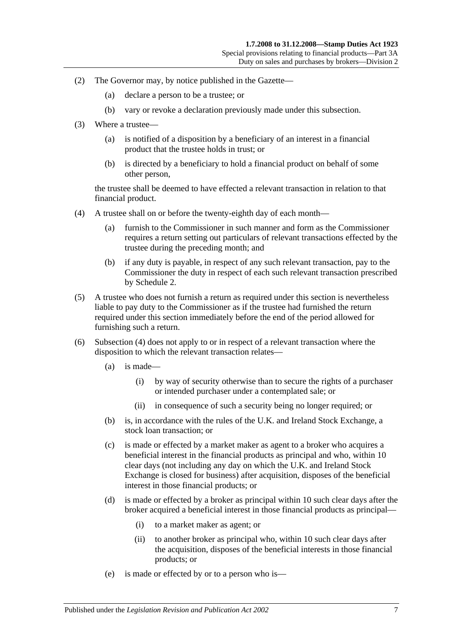- <span id="page-84-0"></span>(2) The Governor may, by notice published in the Gazette—
	- (a) declare a person to be a trustee; or
	- (b) vary or revoke a declaration previously made under this subsection.
- (3) Where a trustee—
	- (a) is notified of a disposition by a beneficiary of an interest in a financial product that the trustee holds in trust; or
	- (b) is directed by a beneficiary to hold a financial product on behalf of some other person,

the trustee shall be deemed to have effected a relevant transaction in relation to that financial product.

- <span id="page-84-1"></span>(4) A trustee shall on or before the twenty-eighth day of each month—
	- (a) furnish to the Commissioner in such manner and form as the Commissioner requires a return setting out particulars of relevant transactions effected by the trustee during the preceding month; and
	- (b) if any duty is payable, in respect of any such relevant transaction, pay to the Commissioner the duty in respect of each such relevant transaction prescribed by [Schedule 2.](#page-106-0)
- (5) A trustee who does not furnish a return as required under this section is nevertheless liable to pay duty to the Commissioner as if the trustee had furnished the return required under this section immediately before the end of the period allowed for furnishing such a return.
- (6) [Subsection](#page-84-1) (4) does not apply to or in respect of a relevant transaction where the disposition to which the relevant transaction relates—
	- (a) is made—
		- (i) by way of security otherwise than to secure the rights of a purchaser or intended purchaser under a contemplated sale; or
		- (ii) in consequence of such a security being no longer required; or
	- (b) is, in accordance with the rules of the U.K. and Ireland Stock Exchange, a stock loan transaction; or
	- (c) is made or effected by a market maker as agent to a broker who acquires a beneficial interest in the financial products as principal and who, within 10 clear days (not including any day on which the U.K. and Ireland Stock Exchange is closed for business) after acquisition, disposes of the beneficial interest in those financial products; or
	- (d) is made or effected by a broker as principal within 10 such clear days after the broker acquired a beneficial interest in those financial products as principal—
		- (i) to a market maker as agent; or
		- (ii) to another broker as principal who, within 10 such clear days after the acquisition, disposes of the beneficial interests in those financial products; or
	- (e) is made or effected by or to a person who is—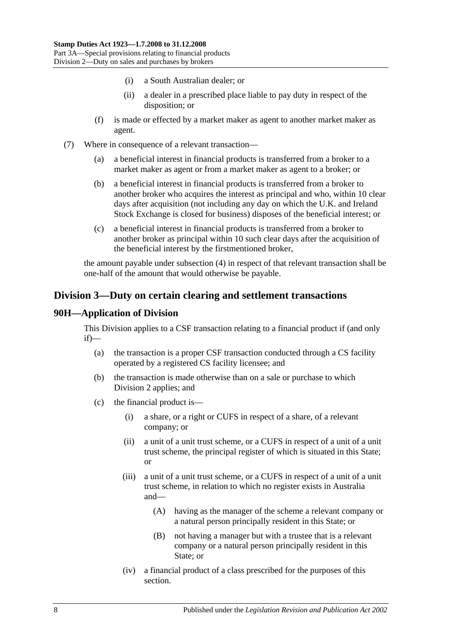- (i) a South Australian dealer; or
- (ii) a dealer in a prescribed place liable to pay duty in respect of the disposition; or
- (f) is made or effected by a market maker as agent to another market maker as agent.
- (7) Where in consequence of a relevant transaction—
	- (a) a beneficial interest in financial products is transferred from a broker to a market maker as agent or from a market maker as agent to a broker; or
	- (b) a beneficial interest in financial products is transferred from a broker to another broker who acquires the interest as principal and who, within 10 clear days after acquisition (not including any day on which the U.K. and Ireland Stock Exchange is closed for business) disposes of the beneficial interest; or
	- (c) a beneficial interest in financial products is transferred from a broker to another broker as principal within 10 such clear days after the acquisition of the beneficial interest by the firstmentioned broker,

the amount payable under [subsection](#page-84-1) (4) in respect of that relevant transaction shall be one-half of the amount that would otherwise be payable.

# <span id="page-85-0"></span>**Division 3—Duty on certain clearing and settlement transactions**

### **90H—Application of Division**

This Division applies to a CSF transaction relating to a financial product if (and only if)—

- (a) the transaction is a proper CSF transaction conducted through a CS facility operated by a registered CS facility licensee; and
- (b) the transaction is made otherwise than on a sale or purchase to which [Division 2](#page-80-0) applies; and
- (c) the financial product is—
	- (i) a share, or a right or CUFS in respect of a share, of a relevant company; or
	- (ii) a unit of a unit trust scheme, or a CUFS in respect of a unit of a unit trust scheme, the principal register of which is situated in this State; or
	- (iii) a unit of a unit trust scheme, or a CUFS in respect of a unit of a unit trust scheme, in relation to which no register exists in Australia and—
		- (A) having as the manager of the scheme a relevant company or a natural person principally resident in this State; or
		- (B) not having a manager but with a trustee that is a relevant company or a natural person principally resident in this State; or
	- (iv) a financial product of a class prescribed for the purposes of this section.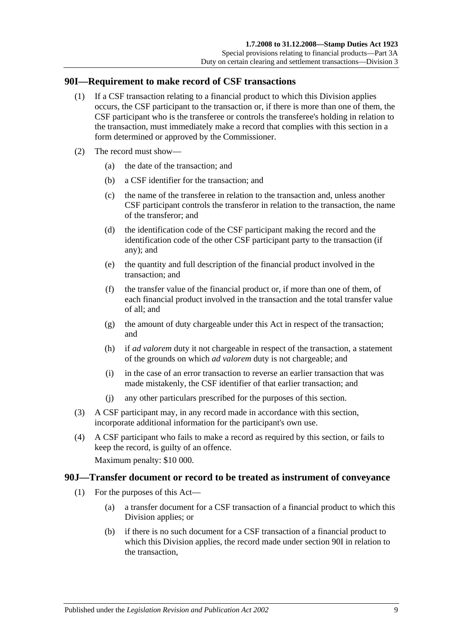#### <span id="page-86-0"></span>**90I—Requirement to make record of CSF transactions**

- (1) If a CSF transaction relating to a financial product to which this Division applies occurs, the CSF participant to the transaction or, if there is more than one of them, the CSF participant who is the transferee or controls the transferee's holding in relation to the transaction, must immediately make a record that complies with this section in a form determined or approved by the Commissioner.
- (2) The record must show—
	- (a) the date of the transaction; and
	- (b) a CSF identifier for the transaction; and
	- (c) the name of the transferee in relation to the transaction and, unless another CSF participant controls the transferor in relation to the transaction, the name of the transferor; and
	- (d) the identification code of the CSF participant making the record and the identification code of the other CSF participant party to the transaction (if any); and
	- (e) the quantity and full description of the financial product involved in the transaction; and
	- (f) the transfer value of the financial product or, if more than one of them, of each financial product involved in the transaction and the total transfer value of all; and
	- (g) the amount of duty chargeable under this Act in respect of the transaction; and
	- (h) if *ad valorem* duty it not chargeable in respect of the transaction, a statement of the grounds on which *ad valorem* duty is not chargeable; and
	- (i) in the case of an error transaction to reverse an earlier transaction that was made mistakenly, the CSF identifier of that earlier transaction; and
	- (j) any other particulars prescribed for the purposes of this section.
- (3) A CSF participant may, in any record made in accordance with this section, incorporate additional information for the participant's own use.
- (4) A CSF participant who fails to make a record as required by this section, or fails to keep the record, is guilty of an offence.

Maximum penalty: \$10 000.

#### <span id="page-86-1"></span>**90J—Transfer document or record to be treated as instrument of conveyance**

- (1) For the purposes of this Act—
	- (a) a transfer document for a CSF transaction of a financial product to which this Division applies; or
	- (b) if there is no such document for a CSF transaction of a financial product to which this Division applies, the record made under [section](#page-86-0) 90I in relation to the transaction,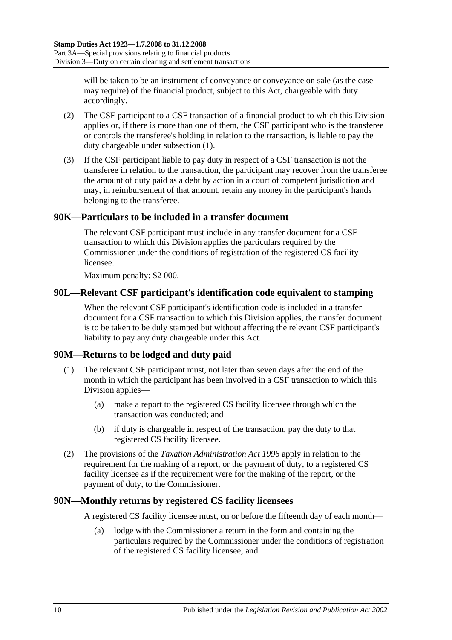will be taken to be an instrument of conveyance or conveyance on sale (as the case may require) of the financial product, subject to this Act, chargeable with duty accordingly.

- (2) The CSF participant to a CSF transaction of a financial product to which this Division applies or, if there is more than one of them, the CSF participant who is the transferee or controls the transferee's holding in relation to the transaction, is liable to pay the duty chargeable under [subsection](#page-86-1) (1).
- (3) If the CSF participant liable to pay duty in respect of a CSF transaction is not the transferee in relation to the transaction, the participant may recover from the transferee the amount of duty paid as a debt by action in a court of competent jurisdiction and may, in reimbursement of that amount, retain any money in the participant's hands belonging to the transferee.

# **90K—Particulars to be included in a transfer document**

The relevant CSF participant must include in any transfer document for a CSF transaction to which this Division applies the particulars required by the Commissioner under the conditions of registration of the registered CS facility licensee.

Maximum penalty: \$2 000.

### **90L—Relevant CSF participant's identification code equivalent to stamping**

When the relevant CSF participant's identification code is included in a transfer document for a CSF transaction to which this Division applies, the transfer document is to be taken to be duly stamped but without affecting the relevant CSF participant's liability to pay any duty chargeable under this Act.

### **90M—Returns to be lodged and duty paid**

- (1) The relevant CSF participant must, not later than seven days after the end of the month in which the participant has been involved in a CSF transaction to which this Division applies—
	- (a) make a report to the registered CS facility licensee through which the transaction was conducted; and
	- (b) if duty is chargeable in respect of the transaction, pay the duty to that registered CS facility licensee.
- (2) The provisions of the *[Taxation Administration Act](http://www.legislation.sa.gov.au/index.aspx?action=legref&type=act&legtitle=Taxation%20Administration%20Act%201996) 1996* apply in relation to the requirement for the making of a report, or the payment of duty, to a registered CS facility licensee as if the requirement were for the making of the report, or the payment of duty, to the Commissioner.

#### **90N—Monthly returns by registered CS facility licensees**

A registered CS facility licensee must, on or before the fifteenth day of each month—

(a) lodge with the Commissioner a return in the form and containing the particulars required by the Commissioner under the conditions of registration of the registered CS facility licensee; and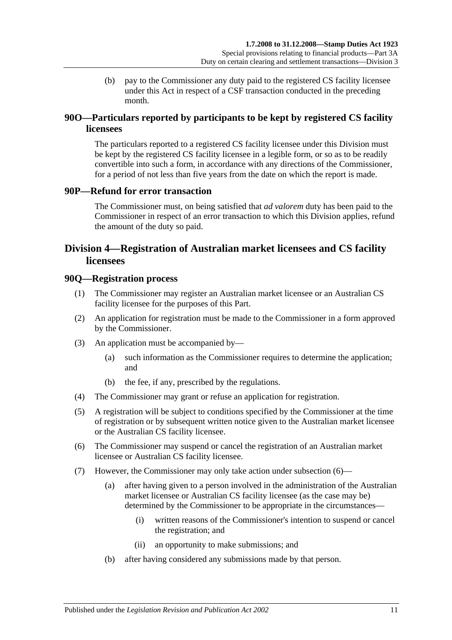(b) pay to the Commissioner any duty paid to the registered CS facility licensee under this Act in respect of a CSF transaction conducted in the preceding month.

# **90O—Particulars reported by participants to be kept by registered CS facility licensees**

The particulars reported to a registered CS facility licensee under this Division must be kept by the registered CS facility licensee in a legible form, or so as to be readily convertible into such a form, in accordance with any directions of the Commissioner, for a period of not less than five years from the date on which the report is made.

### **90P—Refund for error transaction**

The Commissioner must, on being satisfied that *ad valorem* duty has been paid to the Commissioner in respect of an error transaction to which this Division applies, refund the amount of the duty so paid.

# <span id="page-88-0"></span>**Division 4—Registration of Australian market licensees and CS facility licensees**

#### **90Q—Registration process**

- (1) The Commissioner may register an Australian market licensee or an Australian CS facility licensee for the purposes of this Part.
- (2) An application for registration must be made to the Commissioner in a form approved by the Commissioner.
- (3) An application must be accompanied by—
	- (a) such information as the Commissioner requires to determine the application; and
	- (b) the fee, if any, prescribed by the regulations.
- (4) The Commissioner may grant or refuse an application for registration.
- (5) A registration will be subject to conditions specified by the Commissioner at the time of registration or by subsequent written notice given to the Australian market licensee or the Australian CS facility licensee.
- <span id="page-88-1"></span>(6) The Commissioner may suspend or cancel the registration of an Australian market licensee or Australian CS facility licensee.
- <span id="page-88-2"></span>(7) However, the Commissioner may only take action under [subsection](#page-88-1) (6)—
	- (a) after having given to a person involved in the administration of the Australian market licensee or Australian CS facility licensee (as the case may be) determined by the Commissioner to be appropriate in the circumstances—
		- (i) written reasons of the Commissioner's intention to suspend or cancel the registration; and
		- (ii) an opportunity to make submissions; and
	- (b) after having considered any submissions made by that person.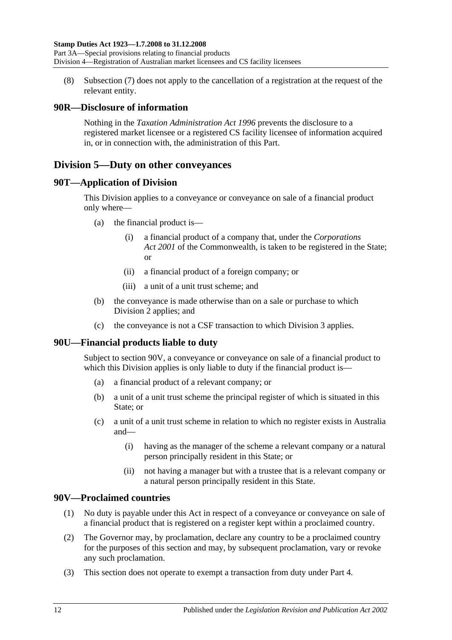(8) [Subsection](#page-88-2) (7) does not apply to the cancellation of a registration at the request of the relevant entity.

# **90R—Disclosure of information**

Nothing in the *[Taxation Administration Act](http://www.legislation.sa.gov.au/index.aspx?action=legref&type=act&legtitle=Taxation%20Administration%20Act%201996) 1996* prevents the disclosure to a registered market licensee or a registered CS facility licensee of information acquired in, or in connection with, the administration of this Part.

# <span id="page-89-1"></span>**Division 5—Duty on other conveyances**

### **90T—Application of Division**

This Division applies to a conveyance or conveyance on sale of a financial product only where—

- (a) the financial product is—
	- (i) a financial product of a company that, under the *Corporations Act 2001* of the Commonwealth, is taken to be registered in the State; or
	- (ii) a financial product of a foreign company; or
	- (iii) a unit of a unit trust scheme; and
- (b) the conveyance is made otherwise than on a sale or purchase to which [Division 2](#page-80-0) applies; and
- (c) the conveyance is not a CSF transaction to which [Division 3](#page-85-0) applies.

# **90U—Financial products liable to duty**

Subject to [section](#page-89-0) 90V, a conveyance or conveyance on sale of a financial product to which this Division applies is only liable to duty if the financial product is—

- (a) a financial product of a relevant company; or
- (b) a unit of a unit trust scheme the principal register of which is situated in this State; or
- (c) a unit of a unit trust scheme in relation to which no register exists in Australia and—
	- (i) having as the manager of the scheme a relevant company or a natural person principally resident in this State; or
	- (ii) not having a manager but with a trustee that is a relevant company or a natural person principally resident in this State.

# <span id="page-89-0"></span>**90V—Proclaimed countries**

- (1) No duty is payable under this Act in respect of a conveyance or conveyance on sale of a financial product that is registered on a register kept within a proclaimed country.
- (2) The Governor may, by proclamation, declare any country to be a proclaimed country for the purposes of this section and may, by subsequent proclamation, vary or revoke any such proclamation.
- (3) This section does not operate to exempt a transaction from duty under [Part 4.](#page-90-0)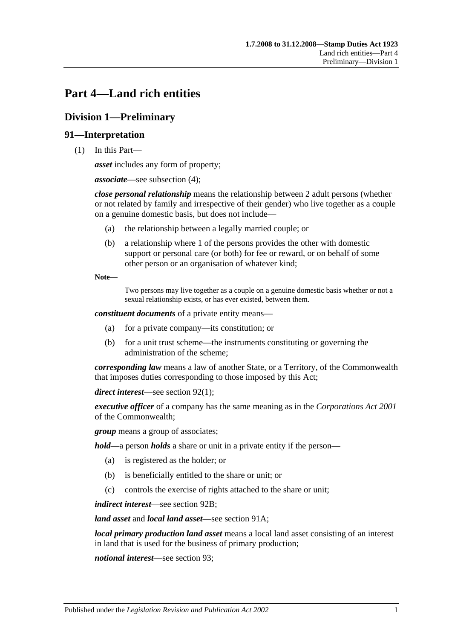# <span id="page-90-0"></span>**Part 4—Land rich entities**

# **Division 1—Preliminary**

# **91—Interpretation**

(1) In this Part—

*asset* includes any form of property;

*associate*—see [subsection](#page-92-0) (4);

*close personal relationship* means the relationship between 2 adult persons (whether or not related by family and irrespective of their gender) who live together as a couple on a genuine domestic basis, but does not include—

- (a) the relationship between a legally married couple; or
- (b) a relationship where 1 of the persons provides the other with domestic support or personal care (or both) for fee or reward, or on behalf of some other person or an organisation of whatever kind;

**Note—**

Two persons may live together as a couple on a genuine domestic basis whether or not a sexual relationship exists, or has ever existed, between them.

*constituent documents* of a private entity means—

- (a) for a private company—its constitution; or
- (b) for a unit trust scheme—the instruments constituting or governing the administration of the scheme;

*corresponding law* means a law of another State, or a Territory, of the Commonwealth that imposes duties corresponding to those imposed by this Act;

*direct interest*—see [section](#page-93-0) 92(1);

*executive officer* of a company has the same meaning as in the *Corporations Act 2001* of the Commonwealth;

*group* means a group of associates;

*hold*—a person *holds* a share or unit in a private entity if the person—

- (a) is registered as the holder; or
- (b) is beneficially entitled to the share or unit; or
- (c) controls the exercise of rights attached to the share or unit;

*indirect interest*—see [section](#page-94-0) 92B;

*land asset* and *local land asset*—see [section](#page-92-1) 91A;

*local primary production land asset* means a local land asset consisting of an interest in land that is used for the business of primary production;

*notional interest*—see [section](#page-94-1) 93;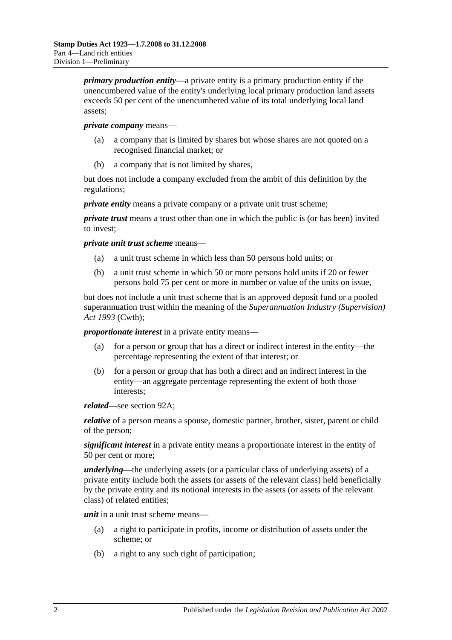*primary production entity*—a private entity is a primary production entity if the unencumbered value of the entity's underlying local primary production land assets exceeds 50 per cent of the unencumbered value of its total underlying local land assets;

#### *private company* means—

- (a) a company that is limited by shares but whose shares are not quoted on a recognised financial market; or
- (b) a company that is not limited by shares,

but does not include a company excluded from the ambit of this definition by the regulations;

*private entity* means a private company or a private unit trust scheme;

*private trust* means a trust other than one in which the public is (or has been) invited to invest;

*private unit trust scheme* means—

- (a) a unit trust scheme in which less than 50 persons hold units; or
- (b) a unit trust scheme in which 50 or more persons hold units if 20 or fewer persons hold 75 per cent or more in number or value of the units on issue,

but does not include a unit trust scheme that is an approved deposit fund or a pooled superannuation trust within the meaning of the *Superannuation Industry (Supervision) Act 1993* (Cwth);

*proportionate interest* in a private entity means—

- (a) for a person or group that has a direct or indirect interest in the entity—the percentage representing the extent of that interest; or
- (b) for a person or group that has both a direct and an indirect interest in the entity—an aggregate percentage representing the extent of both those interests;

*related*—see [section](#page-93-1) 92A;

*relative* of a person means a spouse, domestic partner, brother, sister, parent or child of the person;

*significant interest* in a private entity means a proportionate interest in the entity of 50 per cent or more;

*underlying*—the underlying assets (or a particular class of underlying assets) of a private entity include both the assets (or assets of the relevant class) held beneficially by the private entity and its notional interests in the assets (or assets of the relevant class) of related entities;

*unit* in a unit trust scheme means—

- (a) a right to participate in profits, income or distribution of assets under the scheme; or
- (b) a right to any such right of participation;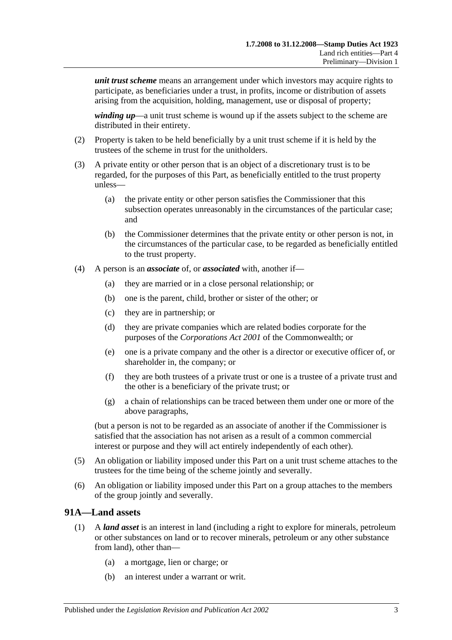*unit trust scheme* means an arrangement under which investors may acquire rights to participate, as beneficiaries under a trust, in profits, income or distribution of assets arising from the acquisition, holding, management, use or disposal of property;

*winding up*—a unit trust scheme is wound up if the assets subject to the scheme are distributed in their entirety.

- (2) Property is taken to be held beneficially by a unit trust scheme if it is held by the trustees of the scheme in trust for the unitholders.
- (3) A private entity or other person that is an object of a discretionary trust is to be regarded, for the purposes of this Part, as beneficially entitled to the trust property unless—
	- (a) the private entity or other person satisfies the Commissioner that this subsection operates unreasonably in the circumstances of the particular case; and
	- (b) the Commissioner determines that the private entity or other person is not, in the circumstances of the particular case, to be regarded as beneficially entitled to the trust property.
- <span id="page-92-0"></span>(4) A person is an *associate* of, or *associated* with, another if—
	- (a) they are married or in a close personal relationship; or
	- (b) one is the parent, child, brother or sister of the other; or
	- (c) they are in partnership; or
	- (d) they are private companies which are related bodies corporate for the purposes of the *Corporations Act 2001* of the Commonwealth; or
	- (e) one is a private company and the other is a director or executive officer of, or shareholder in, the company; or
	- (f) they are both trustees of a private trust or one is a trustee of a private trust and the other is a beneficiary of the private trust; or
	- (g) a chain of relationships can be traced between them under one or more of the above paragraphs,

(but a person is not to be regarded as an associate of another if the Commissioner is satisfied that the association has not arisen as a result of a common commercial interest or purpose and they will act entirely independently of each other).

- (5) An obligation or liability imposed under this Part on a unit trust scheme attaches to the trustees for the time being of the scheme jointly and severally.
- (6) An obligation or liability imposed under this Part on a group attaches to the members of the group jointly and severally.

#### <span id="page-92-1"></span>**91A—Land assets**

- (1) A *land asset* is an interest in land (including a right to explore for minerals, petroleum or other substances on land or to recover minerals, petroleum or any other substance from land), other than—
	- (a) a mortgage, lien or charge; or
	- (b) an interest under a warrant or writ.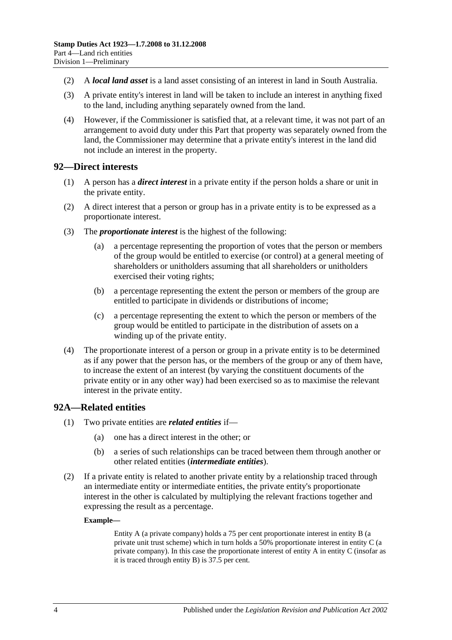- (2) A *local land asset* is a land asset consisting of an interest in land in South Australia.
- (3) A private entity's interest in land will be taken to include an interest in anything fixed to the land, including anything separately owned from the land.
- (4) However, if the Commissioner is satisfied that, at a relevant time, it was not part of an arrangement to avoid duty under this Part that property was separately owned from the land, the Commissioner may determine that a private entity's interest in the land did not include an interest in the property.

#### <span id="page-93-0"></span>**92—Direct interests**

- (1) A person has a *direct interest* in a private entity if the person holds a share or unit in the private entity.
- (2) A direct interest that a person or group has in a private entity is to be expressed as a proportionate interest.
- (3) The *proportionate interest* is the highest of the following:
	- (a) a percentage representing the proportion of votes that the person or members of the group would be entitled to exercise (or control) at a general meeting of shareholders or unitholders assuming that all shareholders or unitholders exercised their voting rights;
	- (b) a percentage representing the extent the person or members of the group are entitled to participate in dividends or distributions of income;
	- (c) a percentage representing the extent to which the person or members of the group would be entitled to participate in the distribution of assets on a winding up of the private entity.
- (4) The proportionate interest of a person or group in a private entity is to be determined as if any power that the person has, or the members of the group or any of them have, to increase the extent of an interest (by varying the constituent documents of the private entity or in any other way) had been exercised so as to maximise the relevant interest in the private entity.

### <span id="page-93-1"></span>**92A—Related entities**

- (1) Two private entities are *related entities* if—
	- (a) one has a direct interest in the other; or
	- (b) a series of such relationships can be traced between them through another or other related entities (*intermediate entities*).
- (2) If a private entity is related to another private entity by a relationship traced through an intermediate entity or intermediate entities, the private entity's proportionate interest in the other is calculated by multiplying the relevant fractions together and expressing the result as a percentage.

#### **Example—**

Entity A (a private company) holds a 75 per cent proportionate interest in entity B (a private unit trust scheme) which in turn holds a 50% proportionate interest in entity C (a private company). In this case the proportionate interest of entity A in entity C (insofar as it is traced through entity B) is 37.5 per cent.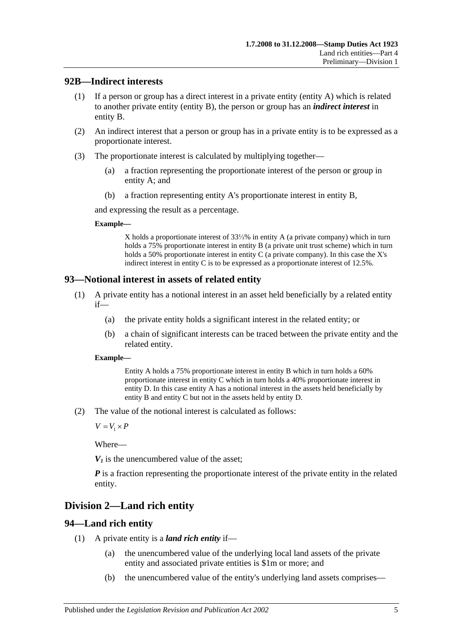### <span id="page-94-0"></span>**92B—Indirect interests**

- (1) If a person or group has a direct interest in a private entity (entity A) which is related to another private entity (entity B), the person or group has an *indirect interest* in entity B.
- (2) An indirect interest that a person or group has in a private entity is to be expressed as a proportionate interest.
- (3) The proportionate interest is calculated by multiplying together—
	- (a) a fraction representing the proportionate interest of the person or group in entity A; and
	- (b) a fraction representing entity A's proportionate interest in entity B,

and expressing the result as a percentage.

#### **Example—**

X holds a proportionate interest of 33⅓% in entity A (a private company) which in turn holds a 75% proportionate interest in entity B (a private unit trust scheme) which in turn holds a 50% proportionate interest in entity C (a private company). In this case the X's indirect interest in entity C is to be expressed as a proportionate interest of 12.5%.

### <span id="page-94-1"></span>**93—Notional interest in assets of related entity**

- (1) A private entity has a notional interest in an asset held beneficially by a related entity if—
	- (a) the private entity holds a significant interest in the related entity; or
	- (b) a chain of significant interests can be traced between the private entity and the related entity.

#### **Example—**

Entity A holds a 75% proportionate interest in entity B which in turn holds a 60% proportionate interest in entity C which in turn holds a 40% proportionate interest in entity D. In this case entity A has a notional interest in the assets held beneficially by entity B and entity C but not in the assets held by entity D.

(2) The value of the notional interest is calculated as follows:

 $V = V_1 \times P$ 

Where—

 $V_1$  is the unencumbered value of the asset:

*P* is a fraction representing the proportionate interest of the private entity in the related entity.

# **Division 2—Land rich entity**

### <span id="page-94-2"></span>**94—Land rich entity**

- (1) A private entity is a *land rich entity* if—
	- (a) the unencumbered value of the underlying local land assets of the private entity and associated private entities is \$1m or more; and
	- (b) the unencumbered value of the entity's underlying land assets comprises—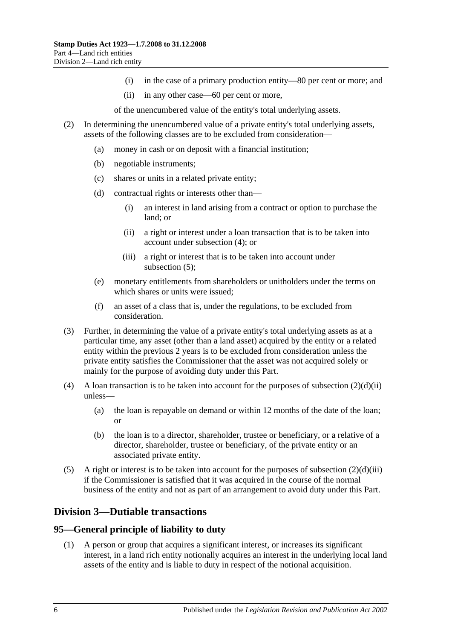- (i) in the case of a primary production entity—80 per cent or more; and
- (ii) in any other case—60 per cent or more,

of the unencumbered value of the entity's total underlying assets.

- <span id="page-95-2"></span>(2) In determining the unencumbered value of a private entity's total underlying assets, assets of the following classes are to be excluded from consideration—
	- (a) money in cash or on deposit with a financial institution;
	- (b) negotiable instruments;
	- (c) shares or units in a related private entity;
	- (d) contractual rights or interests other than—
		- (i) an interest in land arising from a contract or option to purchase the land; or
		- (ii) a right or interest under a loan transaction that is to be taken into account under [subsection](#page-95-0) (4); or
		- (iii) a right or interest that is to be taken into account under [subsection](#page-95-1) (5);
	- (e) monetary entitlements from shareholders or unitholders under the terms on which shares or units were issued;
	- (f) an asset of a class that is, under the regulations, to be excluded from consideration.
- <span id="page-95-3"></span>(3) Further, in determining the value of a private entity's total underlying assets as at a particular time, any asset (other than a land asset) acquired by the entity or a related entity within the previous 2 years is to be excluded from consideration unless the private entity satisfies the Commissioner that the asset was not acquired solely or mainly for the purpose of avoiding duty under this Part.
- <span id="page-95-0"></span>(4) A loan transaction is to be taken into account for the purposes of [subsection](#page-95-2)  $(2)(d)(ii)$ unless—
	- (a) the loan is repayable on demand or within 12 months of the date of the loan; or
	- (b) the loan is to a director, shareholder, trustee or beneficiary, or a relative of a director, shareholder, trustee or beneficiary, of the private entity or an associated private entity.
- <span id="page-95-1"></span>(5) A right or interest is to be taken into account for the purposes of [subsection](#page-95-3)  $(2)(d)(iii)$ if the Commissioner is satisfied that it was acquired in the course of the normal business of the entity and not as part of an arrangement to avoid duty under this Part.

# **Division 3—Dutiable transactions**

### **95—General principle of liability to duty**

(1) A person or group that acquires a significant interest, or increases its significant interest, in a land rich entity notionally acquires an interest in the underlying local land assets of the entity and is liable to duty in respect of the notional acquisition.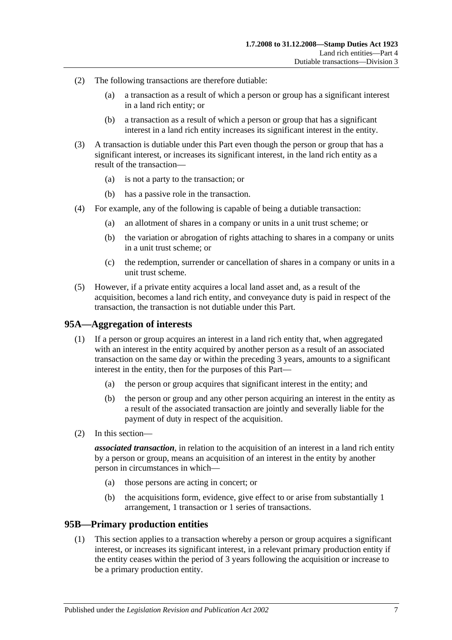- (2) The following transactions are therefore dutiable:
	- (a) a transaction as a result of which a person or group has a significant interest in a land rich entity; or
	- (b) a transaction as a result of which a person or group that has a significant interest in a land rich entity increases its significant interest in the entity.
- (3) A transaction is dutiable under this Part even though the person or group that has a significant interest, or increases its significant interest, in the land rich entity as a result of the transaction—
	- (a) is not a party to the transaction; or
	- (b) has a passive role in the transaction.
- (4) For example, any of the following is capable of being a dutiable transaction:
	- (a) an allotment of shares in a company or units in a unit trust scheme; or
	- (b) the variation or abrogation of rights attaching to shares in a company or units in a unit trust scheme; or
	- (c) the redemption, surrender or cancellation of shares in a company or units in a unit trust scheme.
- (5) However, if a private entity acquires a local land asset and, as a result of the acquisition, becomes a land rich entity, and conveyance duty is paid in respect of the transaction, the transaction is not dutiable under this Part.

#### **95A—Aggregation of interests**

- (1) If a person or group acquires an interest in a land rich entity that, when aggregated with an interest in the entity acquired by another person as a result of an associated transaction on the same day or within the preceding 3 years, amounts to a significant interest in the entity, then for the purposes of this Part—
	- (a) the person or group acquires that significant interest in the entity; and
	- (b) the person or group and any other person acquiring an interest in the entity as a result of the associated transaction are jointly and severally liable for the payment of duty in respect of the acquisition.
- (2) In this section—

*associated transaction*, in relation to the acquisition of an interest in a land rich entity by a person or group, means an acquisition of an interest in the entity by another person in circumstances in which—

- (a) those persons are acting in concert; or
- (b) the acquisitions form, evidence, give effect to or arise from substantially 1 arrangement, 1 transaction or 1 series of transactions.

#### <span id="page-96-0"></span>**95B—Primary production entities**

(1) This section applies to a transaction whereby a person or group acquires a significant interest, or increases its significant interest, in a relevant primary production entity if the entity ceases within the period of 3 years following the acquisition or increase to be a primary production entity.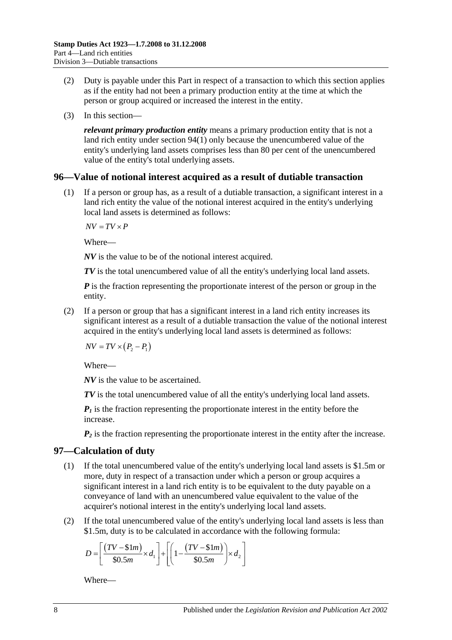- (2) Duty is payable under this Part in respect of a transaction to which this section applies as if the entity had not been a primary production entity at the time at which the person or group acquired or increased the interest in the entity.
- (3) In this section—

*relevant primary production entity* means a primary production entity that is not a land rich entity under [section](#page-94-2) 94(1) only because the unencumbered value of the entity's underlying land assets comprises less than 80 per cent of the unencumbered value of the entity's total underlying assets.

#### **96—Value of notional interest acquired as a result of dutiable transaction**

(1) If a person or group has, as a result of a dutiable transaction, a significant interest in a land rich entity the value of the notional interest acquired in the entity's underlying local land assets is determined as follows:

 $\overline{AV} = \overline{TV} \times \overline{P}$ 

Where—

*NV* is the value to be of the notional interest acquired.

*TV* is the total unencumbered value of all the entity's underlying local land assets.

*P* is the fraction representing the proportionate interest of the person or group in the entity.

(2) If a person or group that has a significant interest in a land rich entity increases its significant interest as a result of a dutiable transaction the value of the notional interest acquired in the entity's underlying local land assets is determined as follows:

 $NV = TV \times (P_2 - P_1)$ 

Where—

*NV* is the value to be ascertained.

*TV* is the total unencumbered value of all the entity's underlying local land assets.

 $P_1$  is the fraction representing the proportionate interest in the entity before the increase.

 $P_2$  is the fraction representing the proportionate interest in the entity after the increase.

### <span id="page-97-0"></span>**97—Calculation of duty**

- (1) If the total unencumbered value of the entity's underlying local land assets is \$1.5m or more, duty in respect of a transaction under which a person or group acquires a significant interest in a land rich entity is to be equivalent to the duty payable on a conveyance of land with an unencumbered value equivalent to the value of the acquirer's notional interest in the entity's underlying local land assets.
- (2) If the total unencumbered value of the entity's underlying local land assets is less than \$1.5m, duty is to be calculated in accordance with the following formula:

$$
D = \left[ \frac{(TV - $1m)}{$30.5m} \times d_1 \right] + \left[ \left( 1 - \frac{(TV - $1m)}{$30.5m} \right) \times d_2 \right]
$$

Where—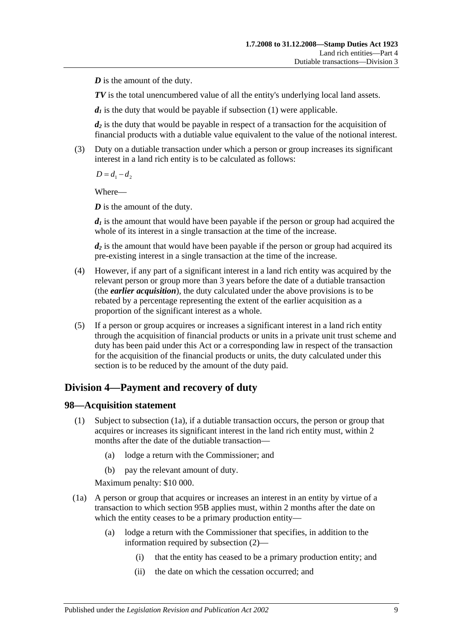*D* is the amount of the duty.

*TV* is the total unencumbered value of all the entity's underlying local land assets.

 $d_1$  is the duty that would be payable if [subsection](#page-97-0) (1) were applicable.

*d2* is the duty that would be payable in respect of a transaction for the acquisition of financial products with a dutiable value equivalent to the value of the notional interest.

(3) Duty on a dutiable transaction under which a person or group increases its significant interest in a land rich entity is to be calculated as follows:

 $D = d_1 - d_2$ 

Where—

*D* is the amount of the duty.

 $d_1$  is the amount that would have been payable if the person or group had acquired the whole of its interest in a single transaction at the time of the increase.

*d2* is the amount that would have been payable if the person or group had acquired its pre-existing interest in a single transaction at the time of the increase.

- (4) However, if any part of a significant interest in a land rich entity was acquired by the relevant person or group more than 3 years before the date of a dutiable transaction (the *earlier acquisition*), the duty calculated under the above provisions is to be rebated by a percentage representing the extent of the earlier acquisition as a proportion of the significant interest as a whole.
- (5) If a person or group acquires or increases a significant interest in a land rich entity through the acquisition of financial products or units in a private unit trust scheme and duty has been paid under this Act or a corresponding law in respect of the transaction for the acquisition of the financial products or units, the duty calculated under this section is to be reduced by the amount of the duty paid.

# **Division 4—Payment and recovery of duty**

### **98—Acquisition statement**

- (1) Subject to [subsection](#page-98-0) (1a), if a dutiable transaction occurs, the person or group that acquires or increases its significant interest in the land rich entity must, within 2 months after the date of the dutiable transaction—
	- (a) lodge a return with the Commissioner; and
	- (b) pay the relevant amount of duty.

Maximum penalty: \$10 000.

- <span id="page-98-0"></span>(1a) A person or group that acquires or increases an interest in an entity by virtue of a transaction to which [section](#page-96-0) 95B applies must, within 2 months after the date on which the entity ceases to be a primary production entity—
	- (a) lodge a return with the Commissioner that specifies, in addition to the information required by [subsection](#page-99-0) (2)—
		- (i) that the entity has ceased to be a primary production entity; and
		- (ii) the date on which the cessation occurred; and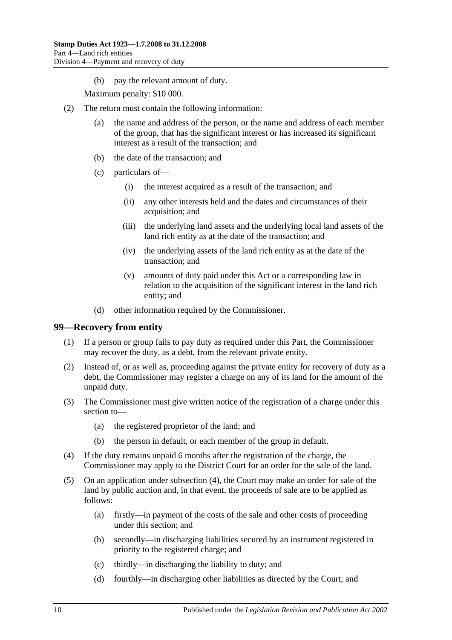(b) pay the relevant amount of duty.

Maximum penalty: \$10 000.

- <span id="page-99-0"></span>(2) The return must contain the following information:
	- (a) the name and address of the person, or the name and address of each member of the group, that has the significant interest or has increased its significant interest as a result of the transaction; and
	- (b) the date of the transaction; and
	- (c) particulars of—
		- (i) the interest acquired as a result of the transaction; and
		- (ii) any other interests held and the dates and circumstances of their acquisition; and
		- (iii) the underlying land assets and the underlying local land assets of the land rich entity as at the date of the transaction; and
		- (iv) the underlying assets of the land rich entity as at the date of the transaction; and
		- (v) amounts of duty paid under this Act or a corresponding law in relation to the acquisition of the significant interest in the land rich entity; and
	- (d) other information required by the Commissioner.

#### **99—Recovery from entity**

- (1) If a person or group fails to pay duty as required under this Part, the Commissioner may recover the duty, as a debt, from the relevant private entity.
- (2) Instead of, or as well as, proceeding against the private entity for recovery of duty as a debt, the Commissioner may register a charge on any of its land for the amount of the unpaid duty.
- (3) The Commissioner must give written notice of the registration of a charge under this section to—
	- (a) the registered proprietor of the land; and
	- (b) the person in default, or each member of the group in default.
- <span id="page-99-1"></span>(4) If the duty remains unpaid 6 months after the registration of the charge, the Commissioner may apply to the District Court for an order for the sale of the land.
- (5) On an application under [subsection](#page-99-1) (4), the Court may make an order for sale of the land by public auction and, in that event, the proceeds of sale are to be applied as follows:
	- (a) firstly—in payment of the costs of the sale and other costs of proceeding under this section; and
	- (b) secondly—in discharging liabilities secured by an instrument registered in priority to the registered charge; and
	- (c) thirdly—in discharging the liability to duty; and
	- (d) fourthly—in discharging other liabilities as directed by the Court; and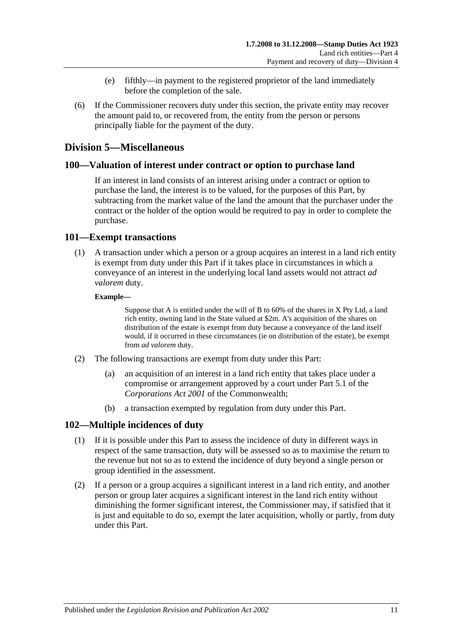- (e) fifthly—in payment to the registered proprietor of the land immediately before the completion of the sale.
- (6) If the Commissioner recovers duty under this section, the private entity may recover the amount paid to, or recovered from, the entity from the person or persons principally liable for the payment of the duty.

# **Division 5—Miscellaneous**

#### **100—Valuation of interest under contract or option to purchase land**

If an interest in land consists of an interest arising under a contract or option to purchase the land, the interest is to be valued, for the purposes of this Part, by subtracting from the market value of the land the amount that the purchaser under the contract or the holder of the option would be required to pay in order to complete the purchase.

#### **101—Exempt transactions**

(1) A transaction under which a person or a group acquires an interest in a land rich entity is exempt from duty under this Part if it takes place in circumstances in which a conveyance of an interest in the underlying local land assets would not attract *ad valorem* duty.

#### **Example—**

Suppose that A is entitled under the will of B to 60% of the shares in X Pty Ltd, a land rich entity, owning land in the State valued at \$2m. A's acquisition of the shares on distribution of the estate is exempt from duty because a conveyance of the land itself would, if it occurred in these circumstances (ie on distribution of the estate), be exempt from *ad valorem* duty.

- (2) The following transactions are exempt from duty under this Part:
	- (a) an acquisition of an interest in a land rich entity that takes place under a compromise or arrangement approved by a court under Part 5.1 of the *Corporations Act 2001* of the Commonwealth;
	- (b) a transaction exempted by regulation from duty under this Part.

### **102—Multiple incidences of duty**

- (1) If it is possible under this Part to assess the incidence of duty in different ways in respect of the same transaction, duty will be assessed so as to maximise the return to the revenue but not so as to extend the incidence of duty beyond a single person or group identified in the assessment.
- (2) If a person or a group acquires a significant interest in a land rich entity, and another person or group later acquires a significant interest in the land rich entity without diminishing the former significant interest, the Commissioner may, if satisfied that it is just and equitable to do so, exempt the later acquisition, wholly or partly, from duty under this Part.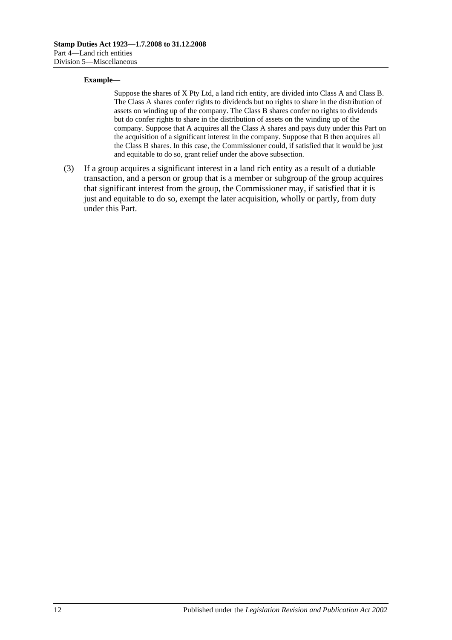#### **Example—**

Suppose the shares of X Pty Ltd, a land rich entity, are divided into Class A and Class B. The Class A shares confer rights to dividends but no rights to share in the distribution of assets on winding up of the company. The Class B shares confer no rights to dividends but do confer rights to share in the distribution of assets on the winding up of the company. Suppose that A acquires all the Class A shares and pays duty under this Part on the acquisition of a significant interest in the company. Suppose that B then acquires all the Class B shares. In this case, the Commissioner could, if satisfied that it would be just and equitable to do so, grant relief under the above subsection.

(3) If a group acquires a significant interest in a land rich entity as a result of a dutiable transaction, and a person or group that is a member or subgroup of the group acquires that significant interest from the group, the Commissioner may, if satisfied that it is just and equitable to do so, exempt the later acquisition, wholly or partly, from duty under this Part.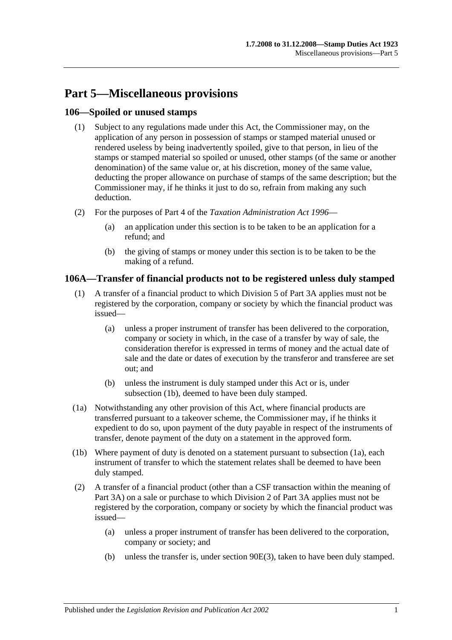# **Part 5—Miscellaneous provisions**

## **106—Spoiled or unused stamps**

- (1) Subject to any regulations made under this Act, the Commissioner may, on the application of any person in possession of stamps or stamped material unused or rendered useless by being inadvertently spoiled, give to that person, in lieu of the stamps or stamped material so spoiled or unused, other stamps (of the same or another denomination) of the same value or, at his discretion, money of the same value, deducting the proper allowance on purchase of stamps of the same description; but the Commissioner may, if he thinks it just to do so, refrain from making any such deduction.
- (2) For the purposes of Part 4 of the *[Taxation Administration Act](http://www.legislation.sa.gov.au/index.aspx?action=legref&type=act&legtitle=Taxation%20Administration%20Act%201996) 1996*
	- (a) an application under this section is to be taken to be an application for a refund; and
	- (b) the giving of stamps or money under this section is to be taken to be the making of a refund.

# **106A—Transfer of financial products not to be registered unless duly stamped**

- (1) A transfer of a financial product to which [Division 5](#page-89-1) of [Part 3A](#page-78-0) applies must not be registered by the corporation, company or society by which the financial product was issued—
	- (a) unless a proper instrument of transfer has been delivered to the corporation, company or society in which, in the case of a transfer by way of sale, the consideration therefor is expressed in terms of money and the actual date of sale and the date or dates of execution by the transferor and transferee are set out; and
	- (b) unless the instrument is duly stamped under this Act or is, under [subsection](#page-102-0) (1b), deemed to have been duly stamped.
- <span id="page-102-1"></span>(1a) Notwithstanding any other provision of this Act, where financial products are transferred pursuant to a takeover scheme, the Commissioner may, if he thinks it expedient to do so, upon payment of the duty payable in respect of the instruments of transfer, denote payment of the duty on a statement in the approved form.
- <span id="page-102-0"></span>(1b) Where payment of duty is denoted on a statement pursuant to [subsection](#page-102-1) (1a), each instrument of transfer to which the statement relates shall be deemed to have been duly stamped.
- (2) A transfer of a financial product (other than a CSF transaction within the meaning of [Part 3A\)](#page-78-0) on a sale or purchase to which [Division 2](#page-80-0) of [Part 3A](#page-78-0) applies must not be registered by the corporation, company or society by which the financial product was issued—
	- (a) unless a proper instrument of transfer has been delivered to the corporation, company or society; and
	- (b) unless the transfer is, under [section](#page-83-0) 90E(3), taken to have been duly stamped.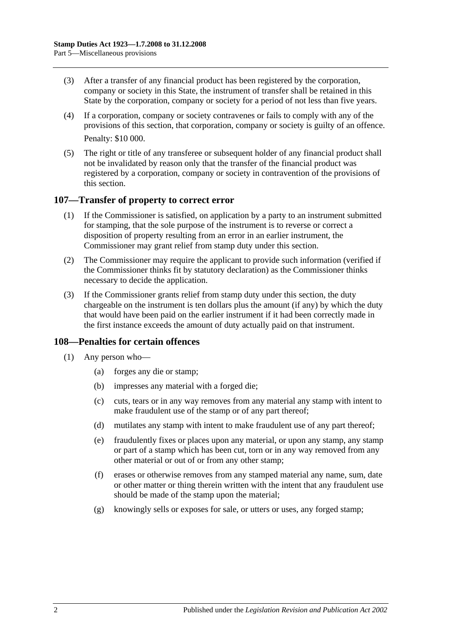- (3) After a transfer of any financial product has been registered by the corporation, company or society in this State, the instrument of transfer shall be retained in this State by the corporation, company or society for a period of not less than five years.
- (4) If a corporation, company or society contravenes or fails to comply with any of the provisions of this section, that corporation, company or society is guilty of an offence. Penalty: \$10 000.
- (5) The right or title of any transferee or subsequent holder of any financial product shall not be invalidated by reason only that the transfer of the financial product was registered by a corporation, company or society in contravention of the provisions of this section.

#### **107—Transfer of property to correct error**

- (1) If the Commissioner is satisfied, on application by a party to an instrument submitted for stamping, that the sole purpose of the instrument is to reverse or correct a disposition of property resulting from an error in an earlier instrument, the Commissioner may grant relief from stamp duty under this section.
- (2) The Commissioner may require the applicant to provide such information (verified if the Commissioner thinks fit by statutory declaration) as the Commissioner thinks necessary to decide the application.
- (3) If the Commissioner grants relief from stamp duty under this section, the duty chargeable on the instrument is ten dollars plus the amount (if any) by which the duty that would have been paid on the earlier instrument if it had been correctly made in the first instance exceeds the amount of duty actually paid on that instrument.

### **108—Penalties for certain offences**

- <span id="page-103-0"></span>(1) Any person who—
	- (a) forges any die or stamp;
	- (b) impresses any material with a forged die;
	- (c) cuts, tears or in any way removes from any material any stamp with intent to make fraudulent use of the stamp or of any part thereof;
	- (d) mutilates any stamp with intent to make fraudulent use of any part thereof;
	- (e) fraudulently fixes or places upon any material, or upon any stamp, any stamp or part of a stamp which has been cut, torn or in any way removed from any other material or out of or from any other stamp;
	- (f) erases or otherwise removes from any stamped material any name, sum, date or other matter or thing therein written with the intent that any fraudulent use should be made of the stamp upon the material;
	- (g) knowingly sells or exposes for sale, or utters or uses, any forged stamp;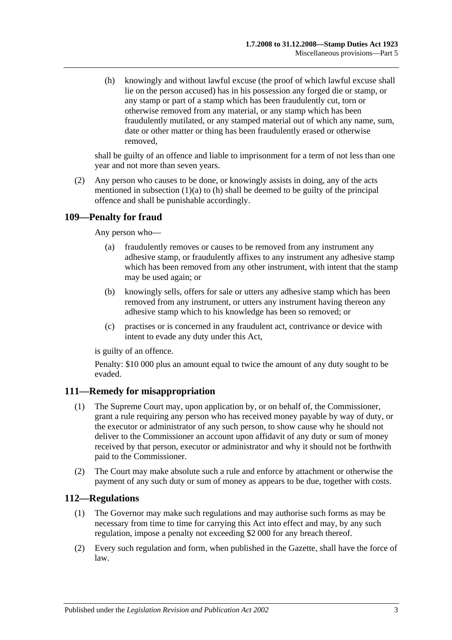<span id="page-104-0"></span>(h) knowingly and without lawful excuse (the proof of which lawful excuse shall lie on the person accused) has in his possession any forged die or stamp, or any stamp or part of a stamp which has been fraudulently cut, torn or otherwise removed from any material, or any stamp which has been fraudulently mutilated, or any stamped material out of which any name, sum, date or other matter or thing has been fraudulently erased or otherwise removed,

shall be guilty of an offence and liable to imprisonment for a term of not less than one year and not more than seven years.

(2) Any person who causes to be done, or knowingly assists in doing, any of the acts mentioned in [subsection](#page-103-0)  $(1)(a)$  to  $(h)$  shall be deemed to be guilty of the principal offence and shall be punishable accordingly.

# **109—Penalty for fraud**

Any person who—

- (a) fraudulently removes or causes to be removed from any instrument any adhesive stamp, or fraudulently affixes to any instrument any adhesive stamp which has been removed from any other instrument, with intent that the stamp may be used again; or
- (b) knowingly sells, offers for sale or utters any adhesive stamp which has been removed from any instrument, or utters any instrument having thereon any adhesive stamp which to his knowledge has been so removed; or
- (c) practises or is concerned in any fraudulent act, contrivance or device with intent to evade any duty under this Act,

is guilty of an offence.

Penalty: \$10 000 plus an amount equal to twice the amount of any duty sought to be evaded.

### **111—Remedy for misappropriation**

- (1) The Supreme Court may, upon application by, or on behalf of, the Commissioner, grant a rule requiring any person who has received money payable by way of duty, or the executor or administrator of any such person, to show cause why he should not deliver to the Commissioner an account upon affidavit of any duty or sum of money received by that person, executor or administrator and why it should not be forthwith paid to the Commissioner.
- (2) The Court may make absolute such a rule and enforce by attachment or otherwise the payment of any such duty or sum of money as appears to be due, together with costs.

### **112—Regulations**

- (1) The Governor may make such regulations and may authorise such forms as may be necessary from time to time for carrying this Act into effect and may, by any such regulation, impose a penalty not exceeding \$2 000 for any breach thereof.
- (2) Every such regulation and form, when published in the Gazette, shall have the force of law.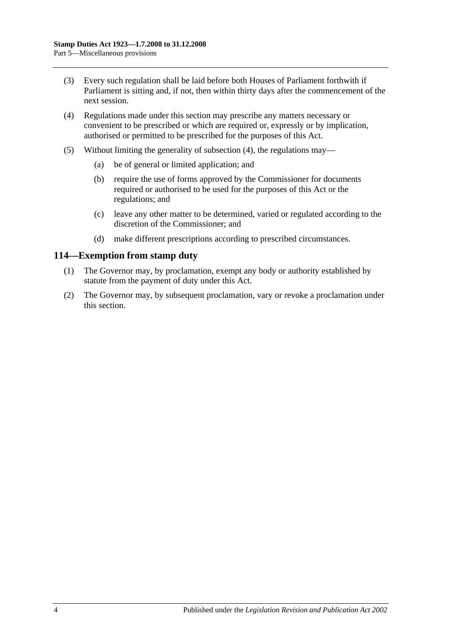- (3) Every such regulation shall be laid before both Houses of Parliament forthwith if Parliament is sitting and, if not, then within thirty days after the commencement of the next session.
- <span id="page-105-0"></span>(4) Regulations made under this section may prescribe any matters necessary or convenient to be prescribed or which are required or, expressly or by implication, authorised or permitted to be prescribed for the purposes of this Act.
- (5) Without limiting the generality of [subsection](#page-105-0) (4), the regulations may—
	- (a) be of general or limited application; and
	- (b) require the use of forms approved by the Commissioner for documents required or authorised to be used for the purposes of this Act or the regulations; and
	- (c) leave any other matter to be determined, varied or regulated according to the discretion of the Commissioner; and
	- (d) make different prescriptions according to prescribed circumstances.

#### **114—Exemption from stamp duty**

- (1) The Governor may, by proclamation, exempt any body or authority established by statute from the payment of duty under this Act.
- (2) The Governor may, by subsequent proclamation, vary or revoke a proclamation under this section.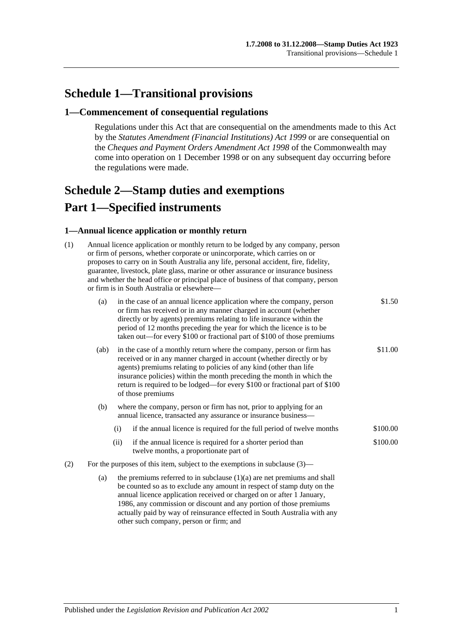# **Schedule 1—Transitional provisions**

#### **1—Commencement of consequential regulations**

Regulations under this Act that are consequential on the amendments made to this Act by the *[Statutes Amendment \(Financial Institutions\) Act](http://www.legislation.sa.gov.au/index.aspx?action=legref&type=act&legtitle=Statutes%20Amendment%20(Financial%20Institutions)%20Act%201999) 1999* or are consequential on the *Cheques and Payment Orders Amendment Act 1998* of the Commonwealth may come into operation on 1 December 1998 or on any subsequent day occurring before the regulations were made.

# <span id="page-106-0"></span>**Schedule 2—Stamp duties and exemptions Part 1—Specified instruments**

#### **1—Annual licence application or monthly return**

| (1) | Annual licence application or monthly return to be lodged by any company, person<br>or firm of persons, whether corporate or unincorporate, which carries on or<br>proposes to carry on in South Australia any life, personal accident, fire, fidelity,<br>guarantee, livestock, plate glass, marine or other assurance or insurance business<br>and whether the head office or principal place of business of that company, person<br>or firm is in South Australia or elsewhere- |                                                                                                                                                                                                                                                                                                                                                                                                             |                                                                                                       |          |
|-----|------------------------------------------------------------------------------------------------------------------------------------------------------------------------------------------------------------------------------------------------------------------------------------------------------------------------------------------------------------------------------------------------------------------------------------------------------------------------------------|-------------------------------------------------------------------------------------------------------------------------------------------------------------------------------------------------------------------------------------------------------------------------------------------------------------------------------------------------------------------------------------------------------------|-------------------------------------------------------------------------------------------------------|----------|
|     | (a)                                                                                                                                                                                                                                                                                                                                                                                                                                                                                | in the case of an annual licence application where the company, person<br>or firm has received or in any manner charged in account (whether<br>directly or by agents) premiums relating to life insurance within the<br>period of 12 months preceding the year for which the licence is to be<br>taken out—for every \$100 or fractional part of \$100 of those premiums                                    |                                                                                                       | \$1.50   |
|     | (ab)                                                                                                                                                                                                                                                                                                                                                                                                                                                                               | \$11.00<br>in the case of a monthly return where the company, person or firm has<br>received or in any manner charged in account (whether directly or by<br>agents) premiums relating to policies of any kind (other than life<br>insurance policies) within the month preceding the month in which the<br>return is required to be lodged—for every \$100 or fractional part of \$100<br>of those premiums |                                                                                                       |          |
|     | (b)                                                                                                                                                                                                                                                                                                                                                                                                                                                                                | where the company, person or firm has not, prior to applying for an<br>annual licence, transacted any assurance or insurance business-                                                                                                                                                                                                                                                                      |                                                                                                       |          |
|     |                                                                                                                                                                                                                                                                                                                                                                                                                                                                                    | (i)                                                                                                                                                                                                                                                                                                                                                                                                         | if the annual licence is required for the full period of twelve months                                | \$100.00 |
|     |                                                                                                                                                                                                                                                                                                                                                                                                                                                                                    | (ii)                                                                                                                                                                                                                                                                                                                                                                                                        | if the annual licence is required for a shorter period than<br>twelve months, a proportionate part of | \$100.00 |
| (2) | For the purposes of this item, subject to the exemptions in subclause $(3)$ —                                                                                                                                                                                                                                                                                                                                                                                                      |                                                                                                                                                                                                                                                                                                                                                                                                             |                                                                                                       |          |
|     | (a)                                                                                                                                                                                                                                                                                                                                                                                                                                                                                | the premiums referred to in subclause $(1)(a)$ are net premiums and shall<br>be counted so as to exclude any amount in respect of stamp duty on the<br>annual licence application received or charged on or after 1 January,<br>1986, any commission or discount and any portion of those premiums<br>actually paid by way of reinsurance effected in South Australia with any                              |                                                                                                       |          |

other such company, person or firm; and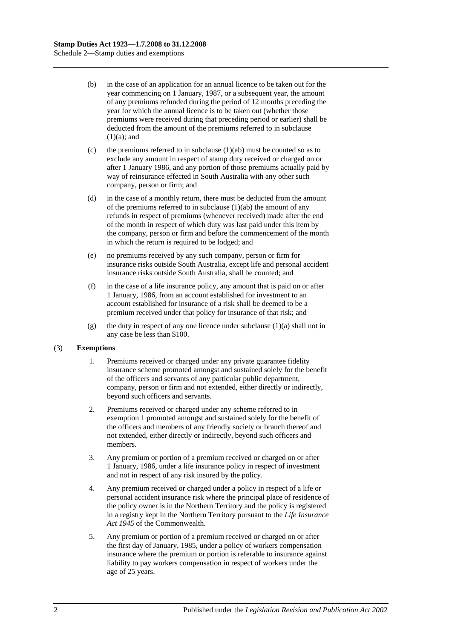- (b) in the case of an application for an annual licence to be taken out for the year commencing on 1 January, 1987, or a subsequent year, the amount of any premiums refunded during the period of 12 months preceding the year for which the annual licence is to be taken out (whether those premiums were received during that preceding period or earlier) shall be deducted from the amount of the premiums referred to in subclause  $(1)(a)$ ; and
- (c) the premiums referred to in subclause  $(1)(ab)$  must be counted so as to exclude any amount in respect of stamp duty received or charged on or after 1 January 1986, and any portion of those premiums actually paid by way of reinsurance effected in South Australia with any other such company, person or firm; and
- (d) in the case of a monthly return, there must be deducted from the amount of the premiums referred to in subclause  $(1)(ab)$  the amount of any refunds in respect of premiums (whenever received) made after the end of the month in respect of which duty was last paid under this item by the company, person or firm and before the commencement of the month in which the return is required to be lodged; and
- (e) no premiums received by any such company, person or firm for insurance risks outside South Australia, except life and personal accident insurance risks outside South Australia, shall be counted; and
- (f) in the case of a life insurance policy, any amount that is paid on or after 1 January, 1986, from an account established for investment to an account established for insurance of a risk shall be deemed to be a premium received under that policy for insurance of that risk; and
- (g) the duty in respect of any one licence under subclause  $(1)(a)$  shall not in any case be less than \$100.

#### (3) **Exemptions**

- 1. Premiums received or charged under any private guarantee fidelity insurance scheme promoted amongst and sustained solely for the benefit of the officers and servants of any particular public department, company, person or firm and not extended, either directly or indirectly, beyond such officers and servants.
- 2. Premiums received or charged under any scheme referred to in exemption 1 promoted amongst and sustained solely for the benefit of the officers and members of any friendly society or branch thereof and not extended, either directly or indirectly, beyond such officers and members.
- 3. Any premium or portion of a premium received or charged on or after 1 January, 1986, under a life insurance policy in respect of investment and not in respect of any risk insured by the policy.
- 4. Any premium received or charged under a policy in respect of a life or personal accident insurance risk where the principal place of residence of the policy owner is in the Northern Territory and the policy is registered in a registry kept in the Northern Territory pursuant to the *Life Insurance Act 1945* of the Commonwealth.
- 5. Any premium or portion of a premium received or charged on or after the first day of January, 1985, under a policy of workers compensation insurance where the premium or portion is referable to insurance against liability to pay workers compensation in respect of workers under the age of 25 years.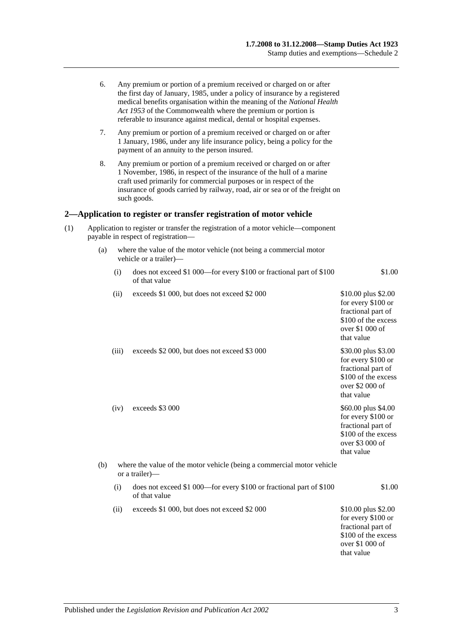|     | 6.  |       | Any premium or portion of a premium received or charged on or after<br>the first day of January, 1985, under a policy of insurance by a registered<br>medical benefits organisation within the meaning of the National Health<br>Act 1953 of the Commonwealth where the premium or portion is<br>referable to insurance against medical, dental or hospital expenses. |                                                                                                                         |
|-----|-----|-------|-----------------------------------------------------------------------------------------------------------------------------------------------------------------------------------------------------------------------------------------------------------------------------------------------------------------------------------------------------------------------|-------------------------------------------------------------------------------------------------------------------------|
|     | 7.  |       | Any premium or portion of a premium received or charged on or after<br>1 January, 1986, under any life insurance policy, being a policy for the<br>payment of an annuity to the person insured.                                                                                                                                                                       |                                                                                                                         |
|     | 8.  |       | Any premium or portion of a premium received or charged on or after<br>1 November, 1986, in respect of the insurance of the hull of a marine<br>craft used primarily for commercial purposes or in respect of the<br>insurance of goods carried by railway, road, air or sea or of the freight on<br>such goods.                                                      |                                                                                                                         |
|     |     |       | 2—Application to register or transfer registration of motor vehicle                                                                                                                                                                                                                                                                                                   |                                                                                                                         |
| (1) |     |       | Application to register or transfer the registration of a motor vehicle—component<br>payable in respect of registration-                                                                                                                                                                                                                                              |                                                                                                                         |
|     | (a) |       | where the value of the motor vehicle (not being a commercial motor<br>vehicle or a trailer)-                                                                                                                                                                                                                                                                          |                                                                                                                         |
|     |     | (i)   | does not exceed \$1 000—for every \$100 or fractional part of \$100<br>of that value                                                                                                                                                                                                                                                                                  | \$1.00                                                                                                                  |
|     |     | (ii)  | exceeds \$1 000, but does not exceed \$2 000                                                                                                                                                                                                                                                                                                                          | \$10.00 plus \$2.00<br>for every \$100 or<br>fractional part of<br>\$100 of the excess<br>over \$1 000 of<br>that value |
|     |     | (iii) | exceeds \$2 000, but does not exceed \$3 000                                                                                                                                                                                                                                                                                                                          | \$30.00 plus \$3.00<br>for every \$100 or<br>fractional part of<br>\$100 of the excess<br>over \$2 000 of<br>that value |
|     |     | (iv)  | exceeds \$3 000                                                                                                                                                                                                                                                                                                                                                       | \$60.00 plus \$4.00<br>for every \$100 or<br>fractional part of<br>\$100 of the excess<br>over \$3 000 of<br>that value |
|     | (b) |       | where the value of the motor vehicle (being a commercial motor vehicle<br>or a trailer)—                                                                                                                                                                                                                                                                              |                                                                                                                         |
|     |     | (i)   | does not exceed \$1 000—for every \$100 or fractional part of \$100<br>of that value                                                                                                                                                                                                                                                                                  | \$1.00                                                                                                                  |
|     |     | (ii)  | exceeds \$1 000, but does not exceed \$2 000                                                                                                                                                                                                                                                                                                                          | \$10.00 plus \$2.00<br>for every \$100 or<br>fractional part of<br>\$100 of the excess<br>over \$1 000 of<br>that value |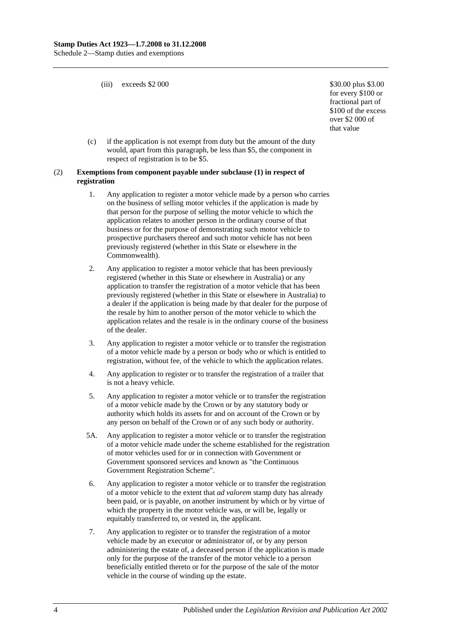(iii) exceeds  $$2\,000$   $$30.00 \, \text{plus } $3.00$ 

for every \$100 or fractional part of \$100 of the excess over \$2 000 of that value

(c) if the application is not exempt from duty but the amount of the duty would, apart from this paragraph, be less than \$5, the component in respect of registration is to be \$5.

#### (2) **Exemptions from component payable under subclause (1) in respect of registration**

- 1. Any application to register a motor vehicle made by a person who carries on the business of selling motor vehicles if the application is made by that person for the purpose of selling the motor vehicle to which the application relates to another person in the ordinary course of that business or for the purpose of demonstrating such motor vehicle to prospective purchasers thereof and such motor vehicle has not been previously registered (whether in this State or elsewhere in the Commonwealth).
- 2. Any application to register a motor vehicle that has been previously registered (whether in this State or elsewhere in Australia) or any application to transfer the registration of a motor vehicle that has been previously registered (whether in this State or elsewhere in Australia) to a dealer if the application is being made by that dealer for the purpose of the resale by him to another person of the motor vehicle to which the application relates and the resale is in the ordinary course of the business of the dealer.
- 3. Any application to register a motor vehicle or to transfer the registration of a motor vehicle made by a person or body who or which is entitled to registration, without fee, of the vehicle to which the application relates.
- 4. Any application to register or to transfer the registration of a trailer that is not a heavy vehicle.
- 5. Any application to register a motor vehicle or to transfer the registration of a motor vehicle made by the Crown or by any statutory body or authority which holds its assets for and on account of the Crown or by any person on behalf of the Crown or of any such body or authority.
- 5A. Any application to register a motor vehicle or to transfer the registration of a motor vehicle made under the scheme established for the registration of motor vehicles used for or in connection with Government or Government sponsored services and known as "the Continuous Government Registration Scheme".
- 6. Any application to register a motor vehicle or to transfer the registration of a motor vehicle to the extent that *ad valorem* stamp duty has already been paid, or is payable, on another instrument by which or by virtue of which the property in the motor vehicle was, or will be, legally or equitably transferred to, or vested in, the applicant.
- 7. Any application to register or to transfer the registration of a motor vehicle made by an executor or administrator of, or by any person administering the estate of, a deceased person if the application is made only for the purpose of the transfer of the motor vehicle to a person beneficially entitled thereto or for the purpose of the sale of the motor vehicle in the course of winding up the estate.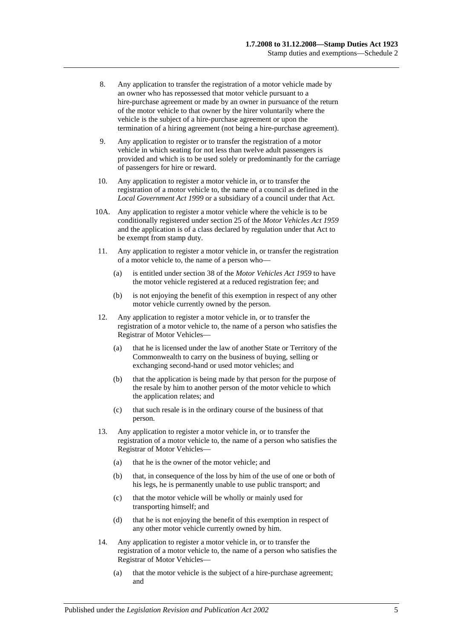- 8. Any application to transfer the registration of a motor vehicle made by an owner who has repossessed that motor vehicle pursuant to a hire-purchase agreement or made by an owner in pursuance of the return of the motor vehicle to that owner by the hirer voluntarily where the vehicle is the subject of a hire-purchase agreement or upon the termination of a hiring agreement (not being a hire-purchase agreement).
- 9. Any application to register or to transfer the registration of a motor vehicle in which seating for not less than twelve adult passengers is provided and which is to be used solely or predominantly for the carriage of passengers for hire or reward.
- 10. Any application to register a motor vehicle in, or to transfer the registration of a motor vehicle to, the name of a council as defined in the *[Local Government Act](http://www.legislation.sa.gov.au/index.aspx?action=legref&type=act&legtitle=Local%20Government%20Act%201999) 1999* or a subsidiary of a council under that Act.
- 10A. Any application to register a motor vehicle where the vehicle is to be conditionally registered under section 25 of the *[Motor Vehicles Act](http://www.legislation.sa.gov.au/index.aspx?action=legref&type=act&legtitle=Motor%20Vehicles%20Act%201959) 1959* and the application is of a class declared by regulation under that Act to be exempt from stamp duty.
- 11. Any application to register a motor vehicle in, or transfer the registration of a motor vehicle to, the name of a person who—
	- (a) is entitled under section 38 of the *[Motor Vehicles Act](http://www.legislation.sa.gov.au/index.aspx?action=legref&type=act&legtitle=Motor%20Vehicles%20Act%201959) 1959* to have the motor vehicle registered at a reduced registration fee; and
	- (b) is not enjoying the benefit of this exemption in respect of any other motor vehicle currently owned by the person.
- 12. Any application to register a motor vehicle in, or to transfer the registration of a motor vehicle to, the name of a person who satisfies the Registrar of Motor Vehicles—
	- (a) that he is licensed under the law of another State or Territory of the Commonwealth to carry on the business of buying, selling or exchanging second-hand or used motor vehicles; and
	- (b) that the application is being made by that person for the purpose of the resale by him to another person of the motor vehicle to which the application relates; and
	- (c) that such resale is in the ordinary course of the business of that person.
- 13. Any application to register a motor vehicle in, or to transfer the registration of a motor vehicle to, the name of a person who satisfies the Registrar of Motor Vehicles—
	- (a) that he is the owner of the motor vehicle; and
	- (b) that, in consequence of the loss by him of the use of one or both of his legs, he is permanently unable to use public transport; and
	- (c) that the motor vehicle will be wholly or mainly used for transporting himself; and
	- (d) that he is not enjoying the benefit of this exemption in respect of any other motor vehicle currently owned by him.
- 14. Any application to register a motor vehicle in, or to transfer the registration of a motor vehicle to, the name of a person who satisfies the Registrar of Motor Vehicles—
	- (a) that the motor vehicle is the subject of a hire-purchase agreement; and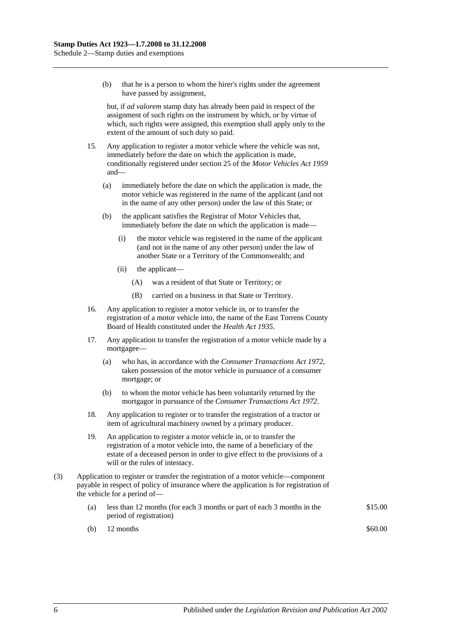(b) that he is a person to whom the hirer's rights under the agreement have passed by assignment,

but, if *ad valorem* stamp duty has already been paid in respect of the assignment of such rights on the instrument by which, or by virtue of which, such rights were assigned, this exemption shall apply only to the extent of the amount of such duty so paid.

- 15. Any application to register a motor vehicle where the vehicle was not, immediately before the date on which the application is made, conditionally registered under section 25 of the *[Motor Vehicles Act](http://www.legislation.sa.gov.au/index.aspx?action=legref&type=act&legtitle=Motor%20Vehicles%20Act%201959) 1959* and—
	- (a) immediately before the date on which the application is made, the motor vehicle was registered in the name of the applicant (and not in the name of any other person) under the law of this State; or
	- (b) the applicant satisfies the Registrar of Motor Vehicles that, immediately before the date on which the application is made—
		- (i) the motor vehicle was registered in the name of the applicant (and not in the name of any other person) under the law of another State or a Territory of the Commonwealth; and
		- (ii) the applicant—
			- (A) was a resident of that State or Territory; or
			- (B) carried on a business in that State or Territory.
- 16. Any application to register a motor vehicle in, or to transfer the registration of a motor vehicle into, the name of the East Torrens County Board of Health constituted under the *[Health Act](http://www.legislation.sa.gov.au/index.aspx?action=legref&type=act&legtitle=Health%20Act%201935) 1935*.
- 17. Any application to transfer the registration of a motor vehicle made by a mortgagee—
	- (a) who has, in accordance with the *[Consumer Transactions Act](http://www.legislation.sa.gov.au/index.aspx?action=legref&type=act&legtitle=Consumer%20Transactions%20Act%201972) 1972*, taken possession of the motor vehicle in pursuance of a consumer mortgage; or
	- (b) to whom the motor vehicle has been voluntarily returned by the mortgagor in pursuance of the *[Consumer Transactions Act](http://www.legislation.sa.gov.au/index.aspx?action=legref&type=act&legtitle=Consumer%20Transactions%20Act%201972) 1972*.
- 18. Any application to register or to transfer the registration of a tractor or item of agricultural machinery owned by a primary producer.
- 19. An application to register a motor vehicle in, or to transfer the registration of a motor vehicle into, the name of a beneficiary of the estate of a deceased person in order to give effect to the provisions of a will or the rules of intestacy.
- (3) Application to register or transfer the registration of a motor vehicle—component payable in respect of policy of insurance where the application is for registration of the vehicle for a period of—
	- (a) less than 12 months (for each 3 months or part of each 3 months in the period of registration) \$15.00
	- (b)  $12 \text{ months}$  \$60.00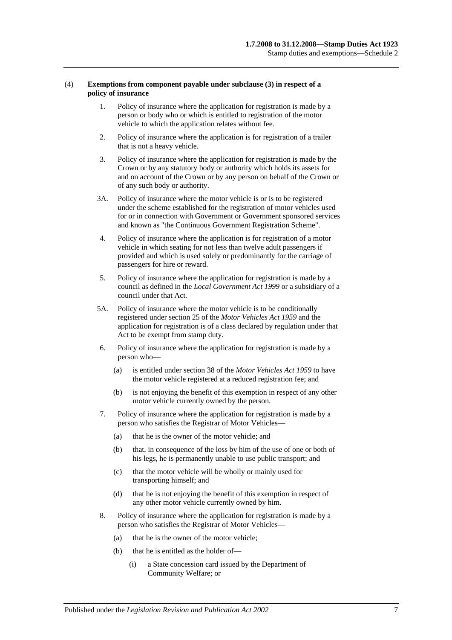#### (4) **Exemptions from component payable under subclause (3) in respect of a policy of insurance**

- 1. Policy of insurance where the application for registration is made by a person or body who or which is entitled to registration of the motor vehicle to which the application relates without fee.
- 2. Policy of insurance where the application is for registration of a trailer that is not a heavy vehicle.
- 3. Policy of insurance where the application for registration is made by the Crown or by any statutory body or authority which holds its assets for and on account of the Crown or by any person on behalf of the Crown or of any such body or authority.
- 3A. Policy of insurance where the motor vehicle is or is to be registered under the scheme established for the registration of motor vehicles used for or in connection with Government or Government sponsored services and known as "the Continuous Government Registration Scheme".
- 4. Policy of insurance where the application is for registration of a motor vehicle in which seating for not less than twelve adult passengers if provided and which is used solely or predominantly for the carriage of passengers for hire or reward.
- 5. Policy of insurance where the application for registration is made by a council as defined in the *[Local Government Act](http://www.legislation.sa.gov.au/index.aspx?action=legref&type=act&legtitle=Local%20Government%20Act%201999) 1999* or a subsidiary of a council under that Act.
- 5A. Policy of insurance where the motor vehicle is to be conditionally registered under section 25 of the *[Motor Vehicles Act](http://www.legislation.sa.gov.au/index.aspx?action=legref&type=act&legtitle=Motor%20Vehicles%20Act%201959) 1959* and the application for registration is of a class declared by regulation under that Act to be exempt from stamp duty.
- 6. Policy of insurance where the application for registration is made by a person who—
	- (a) is entitled under section 38 of the *[Motor Vehicles Act](http://www.legislation.sa.gov.au/index.aspx?action=legref&type=act&legtitle=Motor%20Vehicles%20Act%201959) 1959* to have the motor vehicle registered at a reduced registration fee; and
	- (b) is not enjoying the benefit of this exemption in respect of any other motor vehicle currently owned by the person.
- 7. Policy of insurance where the application for registration is made by a person who satisfies the Registrar of Motor Vehicles—
	- (a) that he is the owner of the motor vehicle; and
	- (b) that, in consequence of the loss by him of the use of one or both of his legs, he is permanently unable to use public transport; and
	- (c) that the motor vehicle will be wholly or mainly used for transporting himself; and
	- (d) that he is not enjoying the benefit of this exemption in respect of any other motor vehicle currently owned by him.
- 8. Policy of insurance where the application for registration is made by a person who satisfies the Registrar of Motor Vehicles—
	- (a) that he is the owner of the motor vehicle;
	- (b) that he is entitled as the holder of—
		- (i) a State concession card issued by the Department of Community Welfare; or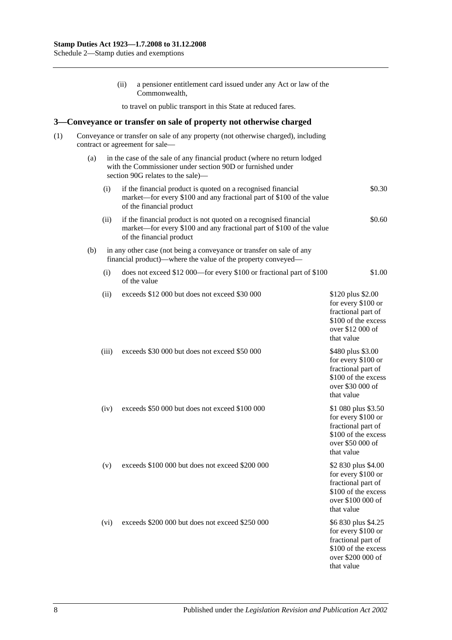(ii) a pensioner entitlement card issued under any Act or law of the Commonwealth, to travel on public transport in this State at reduced fares. **3—Conveyance or transfer on sale of property not otherwise charged** (1) Conveyance or transfer on sale of any property (not otherwise charged), including contract or agreement for sale— (a) in the case of the sale of any financial product (where no return lodged with the Commissioner under [section](#page-82-0) 90D or furnished under [section](#page-83-0) 90G relates to the sale)— (i) if the financial product is quoted on a recognised financial market—for every \$100 and any fractional part of \$100 of the value of the financial product \$0.30 (ii) if the financial product is not quoted on a recognised financial market—for every \$100 and any fractional part of \$100 of the value of the financial product \$0.60 (b) in any other case (not being a conveyance or transfer on sale of any financial product)—where the value of the property conveyed— (i) does not exceed \$12 000—for every \$100 or fractional part of \$100 of the value \$1.00 (ii) exceeds  $$12,000$  but does not exceed  $$30,000$  \$120 plus \$2.00 for every \$100 or fractional part of \$100 of the excess over \$12 000 of that value (iii) exceeds \$30 000 but does not exceed \$50 000 \$480 plus \$3.00 for every \$100 or fractional part of \$100 of the excess over \$30 000 of that value (iv) exceeds \$50 000 but does not exceed \$100 000 \$1 080 plus \$3.50 for every \$100 or fractional part of \$100 of the excess over \$50 000 of that value (v) exceeds \$100 000 but does not exceed \$200 000 \$2 830 plus \$4.00 for every \$100 or fractional part of \$100 of the excess over \$100 000 of that value (vi) exceeds  $$200,000$  but does not exceed  $$250,000$  \$6 830 plus \$4.25 for every \$100 or fractional part of \$100 of the excess over \$200 000 of that value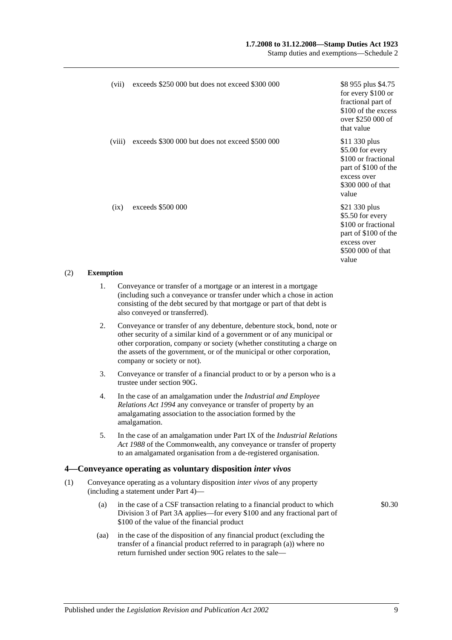## **1.7.2008 to 31.12.2008—Stamp Duties Act 1923**

Stamp duties and exemptions—Schedule 2

| (vii)  | exceeds \$250 000 but does not exceed \$300 000 | \$8 955 plus \$4.75<br>for every \$100 or<br>fractional part of<br>\$100 of the excess<br>over \$250 000 of<br>that value     |
|--------|-------------------------------------------------|-------------------------------------------------------------------------------------------------------------------------------|
| (viii) | exceeds \$300 000 but does not exceed \$500 000 | \$11 330 plus<br>\$5.00 for every<br>\$100 or fractional<br>part of \$100 of the<br>excess over<br>\$300 000 of that<br>value |
| (ix)   | exceeds \$500 000                               | \$21 330 plus<br>\$5.50 for every<br>\$100 or fractional<br>part of \$100 of the<br>excess over<br>\$500 000 of that<br>value |

#### (2) **Exemption**

- 1. Conveyance or transfer of a mortgage or an interest in a mortgage (including such a conveyance or transfer under which a chose in action consisting of the debt secured by that mortgage or part of that debt is also conveyed or transferred).
- 2. Conveyance or transfer of any debenture, debenture stock, bond, note or other security of a similar kind of a government or of any municipal or other corporation, company or society (whether constituting a charge on the assets of the government, or of the municipal or other corporation, company or society or not).
- 3. Conveyance or transfer of a financial product to or by a person who is a trustee unde[r section](#page-83-0) 90G.
- 4. In the case of an amalgamation under the *[Industrial and Employee](http://www.legislation.sa.gov.au/index.aspx?action=legref&type=act&legtitle=Industrial%20and%20Employee%20Relations%20Act%201994)  [Relations Act](http://www.legislation.sa.gov.au/index.aspx?action=legref&type=act&legtitle=Industrial%20and%20Employee%20Relations%20Act%201994) 1994* any conveyance or transfer of property by an amalgamating association to the association formed by the amalgamation.
- 5. In the case of an amalgamation under Part IX of the *Industrial Relations Act 1988* of the Commonwealth, any conveyance or transfer of property to an amalgamated organisation from a de-registered organisation.

## **4—Conveyance operating as voluntary disposition** *inter vivos*

- (1) Conveyance operating as a voluntary disposition *inter vivos* of any property (including a statement under [Part 4\)](#page-90-0)—
	- (a) in the case of a CSF transaction relating to a financial product to which [Division 3](#page-85-0) of [Part 3A](#page-78-0) applies—for every \$100 and any fractional part of \$100 of the value of the financial product
	- (aa) in the case of the disposition of any financial product (excluding the transfer of a financial product referred to in paragraph (a)) where no return furnished under [section](#page-83-0) 90G relates to the sale—

\$0.30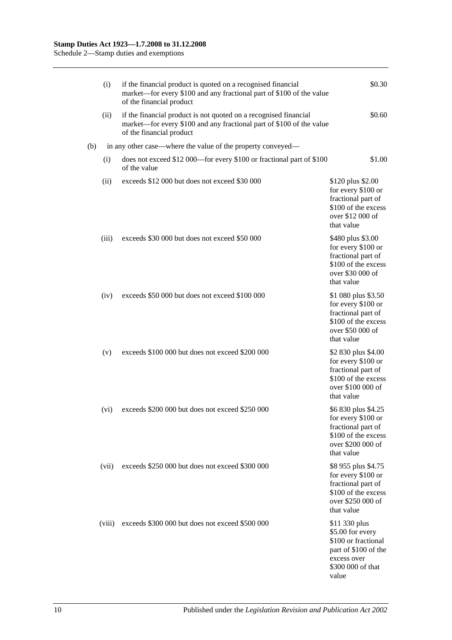|     | (i)    | if the financial product is quoted on a recognised financial<br>market—for every \$100 and any fractional part of \$100 of the value<br>of the financial product     | \$0.30                                                                                                                        |
|-----|--------|----------------------------------------------------------------------------------------------------------------------------------------------------------------------|-------------------------------------------------------------------------------------------------------------------------------|
|     | (ii)   | if the financial product is not quoted on a recognised financial<br>market—for every \$100 and any fractional part of \$100 of the value<br>of the financial product | \$0.60                                                                                                                        |
| (b) |        | in any other case—where the value of the property conveyed—                                                                                                          |                                                                                                                               |
|     | (i)    | does not exceed \$12 000—for every \$100 or fractional part of \$100<br>of the value                                                                                 | \$1.00                                                                                                                        |
|     | (ii)   | exceeds \$12 000 but does not exceed \$30 000                                                                                                                        | \$120 plus \$2.00<br>for every \$100 or<br>fractional part of<br>\$100 of the excess<br>over \$12 000 of<br>that value        |
|     | (iii)  | exceeds \$30 000 but does not exceed \$50 000                                                                                                                        | \$480 plus \$3.00<br>for every \$100 or<br>fractional part of<br>\$100 of the excess<br>over \$30 000 of<br>that value        |
|     | (iv)   | exceeds \$50 000 but does not exceed \$100 000                                                                                                                       | \$1 080 plus \$3.50<br>for every \$100 or<br>fractional part of<br>\$100 of the excess<br>over \$50 000 of<br>that value      |
|     | (v)    | exceeds \$100 000 but does not exceed \$200 000                                                                                                                      | \$2 830 plus \$4.00<br>for every \$100 or<br>fractional part of<br>\$100 of the excess<br>over \$100 000 of<br>that value     |
|     | (vi)   | exceeds \$200 000 but does not exceed \$250 000                                                                                                                      | \$6 830 plus \$4.25<br>for every \$100 or<br>fractional part of<br>\$100 of the excess<br>over \$200 000 of<br>that value     |
|     | (vii)  | exceeds \$250 000 but does not exceed \$300 000                                                                                                                      | \$8 955 plus \$4.75<br>for every \$100 or<br>fractional part of<br>\$100 of the excess<br>over \$250 000 of<br>that value     |
|     | (viii) | exceeds \$300 000 but does not exceed \$500 000                                                                                                                      | \$11 330 plus<br>\$5.00 for every<br>\$100 or fractional<br>part of \$100 of the<br>excess over<br>\$300 000 of that<br>value |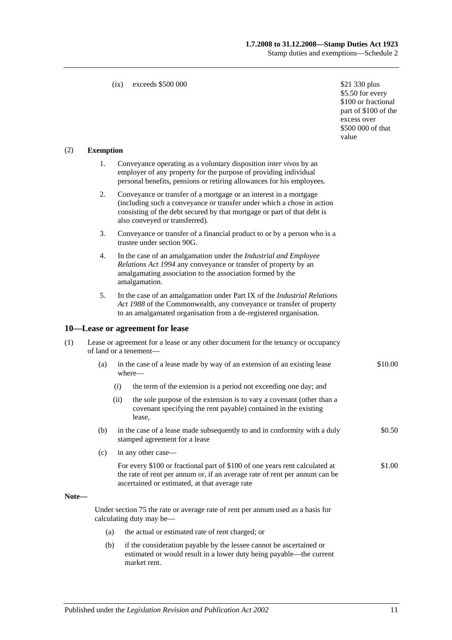#### (ix) exceeds  $$500,000$  \$21 330 plus

\$5.50 for every \$100 or fractional part of \$100 of the excess over \$500 000 of that value

#### (2) **Exemption**

- 1. Conveyance operating as a voluntary disposition *inter vivos* by an employer of any property for the purpose of providing individual personal benefits, pensions or retiring allowances for his employees.
- 2. Conveyance or transfer of a mortgage or an interest in a mortgage (including such a conveyance or transfer under which a chose in action consisting of the debt secured by that mortgage or part of that debt is also conveyed or transferred).
- 3. Conveyance or transfer of a financial product to or by a person who is a trustee unde[r section](#page-83-0) 90G.
- 4. In the case of an amalgamation under the *[Industrial and Employee](http://www.legislation.sa.gov.au/index.aspx?action=legref&type=act&legtitle=Industrial%20and%20Employee%20Relations%20Act%201994)  [Relations Act](http://www.legislation.sa.gov.au/index.aspx?action=legref&type=act&legtitle=Industrial%20and%20Employee%20Relations%20Act%201994) 1994* any conveyance or transfer of property by an amalgamating association to the association formed by the amalgamation.
- 5. In the case of an amalgamation under Part IX of the *Industrial Relations Act 1988* of the Commonwealth, any conveyance or transfer of property to an amalgamated organisation from a de-registered organisation.

#### **10—Lease or agreement for lease**

| (1) | Lease or agreement for a lease or any other document for the tenancy or occupancy |
|-----|-----------------------------------------------------------------------------------|
|     | of land or a tenement—                                                            |

- (a) in the case of a lease made by way of an extension of an existing lease where— \$10.00
	- (i) the term of the extension is a period not exceeding one day; and
	- (ii) the sole purpose of the extension is to vary a covenant (other than a covenant specifying the rent payable) contained in the existing lease,
- (b) in the case of a lease made subsequently to and in conformity with a duly stamped agreement for a lease \$0.50
- (c) in any other case—
	- For every \$100 or fractional part of \$100 of one years rent calculated at the rate of rent per annum or, if an average rate of rent per annum can be ascertained or estimated, at that average rate \$1.00

#### **Note—**

Under [section](#page-70-0) 75 the rate or average rate of rent per annum used as a basis for calculating duty may be—

- (a) the actual or estimated rate of rent charged; or
- (b) if the consideration payable by the lessee cannot be ascertained or estimated or would result in a lower duty being payable—the current market rent.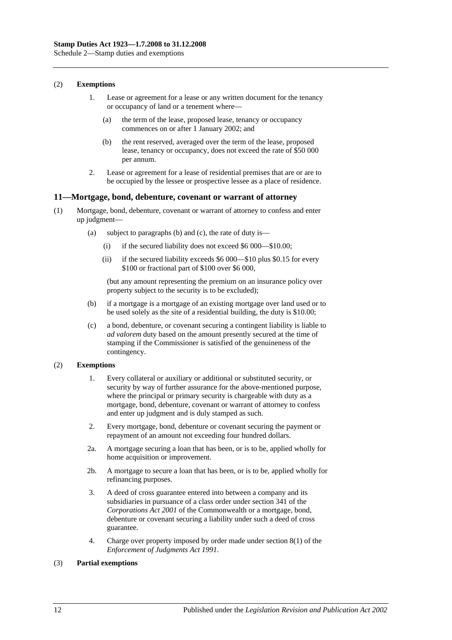#### (2) **Exemptions**

- 1. Lease or agreement for a lease or any written document for the tenancy or occupancy of land or a tenement where—
	- (a) the term of the lease, proposed lease, tenancy or occupancy commences on or after 1 January 2002; and
	- (b) the rent reserved, averaged over the term of the lease, proposed lease, tenancy or occupancy, does not exceed the rate of \$50 000 per annum.
- 2. Lease or agreement for a lease of residential premises that are or are to be occupied by the lessee or prospective lessee as a place of residence.

#### **11—Mortgage, bond, debenture, covenant or warrant of attorney**

- (1) Mortgage, bond, debenture, covenant or warrant of attorney to confess and enter up judgment—
	- (a) subject to paragraphs (b) and (c), the rate of duty is—
		- (i) if the secured liability does not exceed \$6 000—\$10.00;
		- (ii) if the secured liability exceeds \$6 000—\$10 plus \$0.15 for every \$100 or fractional part of \$100 over \$6 000,

(but any amount representing the premium on an insurance policy over property subject to the security is to be excluded);

- (b) if a mortgage is a mortgage of an existing mortgage over land used or to be used solely as the site of a residential building, the duty is \$10.00;
- (c) a bond, debenture, or covenant securing a contingent liability is liable to *ad valorem* duty based on the amount presently secured at the time of stamping if the Commissioner is satisfied of the genuineness of the contingency.

## (2) **Exemptions**

- 1. Every collateral or auxiliary or additional or substituted security, or security by way of further assurance for the above-mentioned purpose, where the principal or primary security is chargeable with duty as a mortgage, bond, debenture, covenant or warrant of attorney to confess and enter up judgment and is duly stamped as such.
- 2. Every mortgage, bond, debenture or covenant securing the payment or repayment of an amount not exceeding four hundred dollars.
- 2a. A mortgage securing a loan that has been, or is to be, applied wholly for home acquisition or improvement.
- 2b. A mortgage to secure a loan that has been, or is to be, applied wholly for refinancing purposes.
- 3. A deed of cross guarantee entered into between a company and its subsidiaries in pursuance of a class order under section 341 of the *Corporations Act 2001* of the Commonwealth or a mortgage, bond, debenture or covenant securing a liability under such a deed of cross guarantee.
- 4. Charge over property imposed by order made under section 8(1) of the *[Enforcement of Judgments Act](http://www.legislation.sa.gov.au/index.aspx?action=legref&type=act&legtitle=Enforcement%20of%20Judgments%20Act%201991) 1991*.

## (3) **Partial exemptions**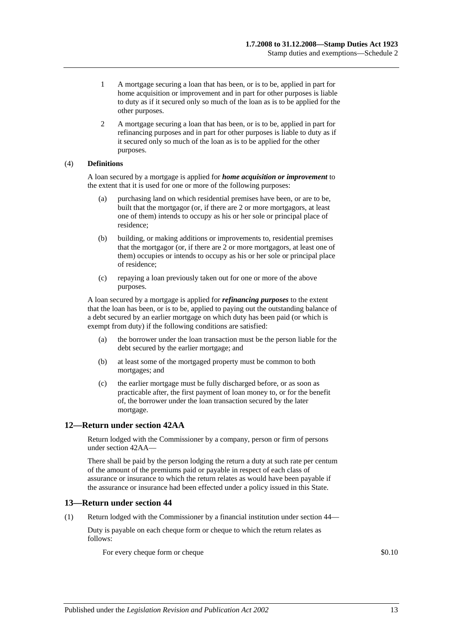- 1 A mortgage securing a loan that has been, or is to be, applied in part for home acquisition or improvement and in part for other purposes is liable to duty as if it secured only so much of the loan as is to be applied for the other purposes.
- 2 A mortgage securing a loan that has been, or is to be, applied in part for refinancing purposes and in part for other purposes is liable to duty as if it secured only so much of the loan as is to be applied for the other purposes.

## (4) **Definitions**

A loan secured by a mortgage is applied for *home acquisition or improvement* to the extent that it is used for one or more of the following purposes:

- (a) purchasing land on which residential premises have been, or are to be, built that the mortgagor (or, if there are 2 or more mortgagors, at least one of them) intends to occupy as his or her sole or principal place of residence;
- (b) building, or making additions or improvements to, residential premises that the mortgagor (or, if there are 2 or more mortgagors, at least one of them) occupies or intends to occupy as his or her sole or principal place of residence;
- (c) repaying a loan previously taken out for one or more of the above purposes.

A loan secured by a mortgage is applied for *refinancing purposes* to the extent that the loan has been, or is to be, applied to paying out the outstanding balance of a debt secured by an earlier mortgage on which duty has been paid (or which is exempt from duty) if the following conditions are satisfied:

- (a) the borrower under the loan transaction must be the person liable for the debt secured by the earlier mortgage; and
- (b) at least some of the mortgaged property must be common to both mortgages; and
- (c) the earlier mortgage must be fully discharged before, or as soon as practicable after, the first payment of loan money to, or for the benefit of, the borrower under the loan transaction secured by the later mortgage.

## **12—Return under section 42AA**

Return lodged with the Commissioner by a company, person or firm of persons unde[r section](#page-29-0) 42AA—

There shall be paid by the person lodging the return a duty at such rate per centum of the amount of the premiums paid or payable in respect of each class of assurance or insurance to which the return relates as would have been payable if the assurance or insurance had been effected under a policy issued in this State.

## **13—Return under section 44**

(1) Return lodged with the Commissioner by a financial institution under [section](#page-34-0) 44—

Duty is payable on each cheque form or cheque to which the return relates as follows:

For every cheque form or cheque  $\$0.10$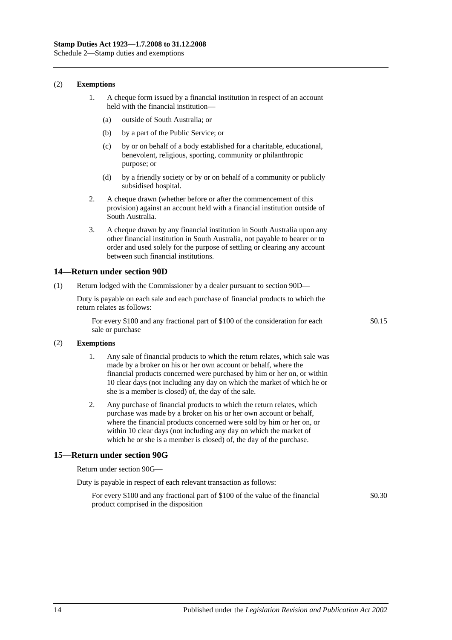#### (2) **Exemptions**

- 1. A cheque form issued by a financial institution in respect of an account held with the financial institution—
	- (a) outside of South Australia; or
	- (b) by a part of the Public Service; or
	- (c) by or on behalf of a body established for a charitable, educational, benevolent, religious, sporting, community or philanthropic purpose; or
	- (d) by a friendly society or by or on behalf of a community or publicly subsidised hospital.
- 2. A cheque drawn (whether before or after the commencement of this provision) against an account held with a financial institution outside of South Australia.
- 3. A cheque drawn by any financial institution in South Australia upon any other financial institution in South Australia, not payable to bearer or to order and used solely for the purpose of settling or clearing any account between such financial institutions.

#### **14—Return under section 90D**

(1) Return lodged with the Commissioner by a dealer pursuant to [section](#page-82-0) 90D—

Duty is payable on each sale and each purchase of financial products to which the return relates as follows:

For every \$100 and any fractional part of \$100 of the consideration for each sale or purchase

\$0.15

#### (2) **Exemptions**

- 1. Any sale of financial products to which the return relates, which sale was made by a broker on his or her own account or behalf, where the financial products concerned were purchased by him or her on, or within 10 clear days (not including any day on which the market of which he or she is a member is closed) of, the day of the sale.
- 2. Any purchase of financial products to which the return relates, which purchase was made by a broker on his or her own account or behalf, where the financial products concerned were sold by him or her on, or within 10 clear days (not including any day on which the market of which he or she is a member is closed) of, the day of the purchase.

## **15—Return under section 90G**

Return under [section](#page-83-0) 90G—

| Duty is payable in respect of each relevant transaction as follows: |  |
|---------------------------------------------------------------------|--|
|---------------------------------------------------------------------|--|

For every \$100 and any fractional part of \$100 of the value of the financial product comprised in the disposition \$0.30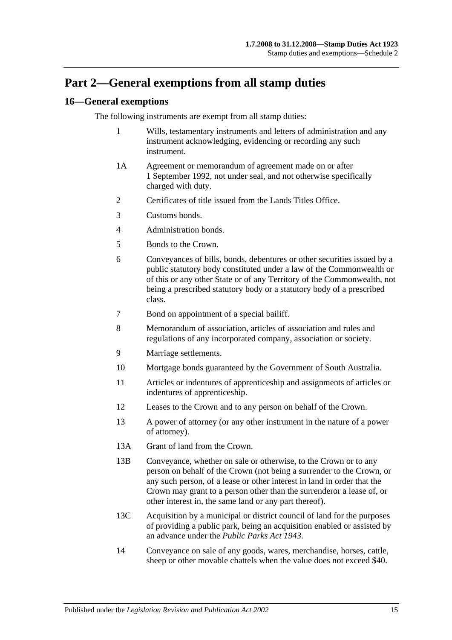## **Part 2—General exemptions from all stamp duties**

## **16—General exemptions**

The following instruments are exempt from all stamp duties:

- 1 Wills, testamentary instruments and letters of administration and any instrument acknowledging, evidencing or recording any such instrument.
- 1A Agreement or memorandum of agreement made on or after 1 September 1992, not under seal, and not otherwise specifically charged with duty.
- 2 Certificates of title issued from the Lands Titles Office.
- 3 Customs bonds.
- 4 Administration bonds.
- 5 Bonds to the Crown.
- 6 Conveyances of bills, bonds, debentures or other securities issued by a public statutory body constituted under a law of the Commonwealth or of this or any other State or of any Territory of the Commonwealth, not being a prescribed statutory body or a statutory body of a prescribed class.
- 7 Bond on appointment of a special bailiff.
- 8 Memorandum of association, articles of association and rules and regulations of any incorporated company, association or society.
- 9 Marriage settlements.
- 10 Mortgage bonds guaranteed by the Government of South Australia.
- 11 Articles or indentures of apprenticeship and assignments of articles or indentures of apprenticeship.
- 12 Leases to the Crown and to any person on behalf of the Crown.
- 13 A power of attorney (or any other instrument in the nature of a power of attorney).
- 13A Grant of land from the Crown.
- 13B Conveyance, whether on sale or otherwise, to the Crown or to any person on behalf of the Crown (not being a surrender to the Crown, or any such person, of a lease or other interest in land in order that the Crown may grant to a person other than the surrenderor a lease of, or other interest in, the same land or any part thereof).
- 13C Acquisition by a municipal or district council of land for the purposes of providing a public park, being an acquisition enabled or assisted by an advance under the *[Public Parks Act](http://www.legislation.sa.gov.au/index.aspx?action=legref&type=act&legtitle=Public%20Parks%20Act%201943) 1943*.
- 14 Conveyance on sale of any goods, wares, merchandise, horses, cattle, sheep or other movable chattels when the value does not exceed \$40.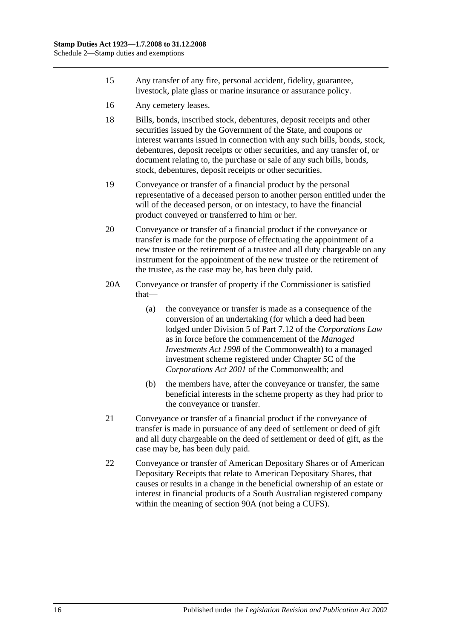- 15 Any transfer of any fire, personal accident, fidelity, guarantee, livestock, plate glass or marine insurance or assurance policy.
- 16 Any cemetery leases.
- 18 Bills, bonds, inscribed stock, debentures, deposit receipts and other securities issued by the Government of the State, and coupons or interest warrants issued in connection with any such bills, bonds, stock, debentures, deposit receipts or other securities, and any transfer of, or document relating to, the purchase or sale of any such bills, bonds, stock, debentures, deposit receipts or other securities.
- 19 Conveyance or transfer of a financial product by the personal representative of a deceased person to another person entitled under the will of the deceased person, or on intestacy, to have the financial product conveyed or transferred to him or her.
- 20 Conveyance or transfer of a financial product if the conveyance or transfer is made for the purpose of effectuating the appointment of a new trustee or the retirement of a trustee and all duty chargeable on any instrument for the appointment of the new trustee or the retirement of the trustee, as the case may be, has been duly paid.
- 20A Conveyance or transfer of property if the Commissioner is satisfied that—
	- (a) the conveyance or transfer is made as a consequence of the conversion of an undertaking (for which a deed had been lodged under Division 5 of Part 7.12 of the *Corporations Law* as in force before the commencement of the *Managed Investments Act 1998* of the Commonwealth) to a managed investment scheme registered under Chapter 5C of the *Corporations Act 2001* of the Commonwealth; and
	- (b) the members have, after the conveyance or transfer, the same beneficial interests in the scheme property as they had prior to the conveyance or transfer.
- 21 Conveyance or transfer of a financial product if the conveyance of transfer is made in pursuance of any deed of settlement or deed of gift and all duty chargeable on the deed of settlement or deed of gift, as the case may be, has been duly paid.
- 22 Conveyance or transfer of American Depositary Shares or of American Depositary Receipts that relate to American Depositary Shares, that causes or results in a change in the beneficial ownership of an estate or interest in financial products of a South Australian registered company within the meaning of [section](#page-78-1) 90A (not being a CUFS).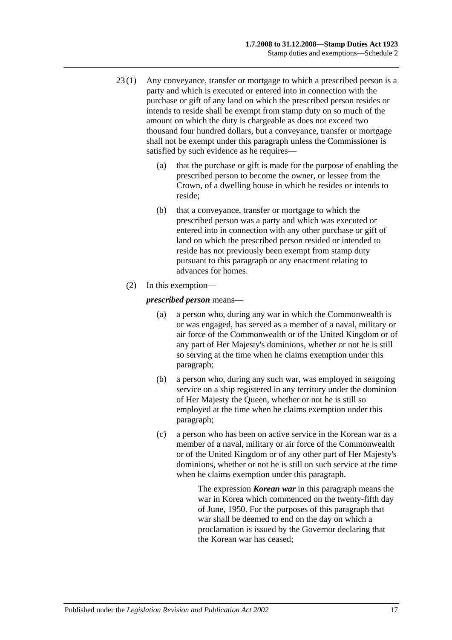- 23 (1) Any conveyance, transfer or mortgage to which a prescribed person is a party and which is executed or entered into in connection with the purchase or gift of any land on which the prescribed person resides or intends to reside shall be exempt from stamp duty on so much of the amount on which the duty is chargeable as does not exceed two thousand four hundred dollars, but a conveyance, transfer or mortgage shall not be exempt under this paragraph unless the Commissioner is satisfied by such evidence as he requires—
	- (a) that the purchase or gift is made for the purpose of enabling the prescribed person to become the owner, or lessee from the Crown, of a dwelling house in which he resides or intends to reside;
	- (b) that a conveyance, transfer or mortgage to which the prescribed person was a party and which was executed or entered into in connection with any other purchase or gift of land on which the prescribed person resided or intended to reside has not previously been exempt from stamp duty pursuant to this paragraph or any enactment relating to advances for homes.
	- (2) In this exemption—

<span id="page-122-0"></span>*prescribed person* means—

- (a) a person who, during any war in which the Commonwealth is or was engaged, has served as a member of a naval, military or air force of the Commonwealth or of the United Kingdom or of any part of Her Majesty's dominions, whether or not he is still so serving at the time when he claims exemption under this paragraph;
- <span id="page-122-1"></span>(b) a person who, during any such war, was employed in seagoing service on a ship registered in any territory under the dominion of Her Majesty the Queen, whether or not he is still so employed at the time when he claims exemption under this paragraph;
- <span id="page-122-2"></span>(c) a person who has been on active service in the Korean war as a member of a naval, military or air force of the Commonwealth or of the United Kingdom or of any other part of Her Majesty's dominions, whether or not he is still on such service at the time when he claims exemption under this paragraph.

The expression *Korean war* in this paragraph means the war in Korea which commenced on the twenty-fifth day of June, 1950. For the purposes of this paragraph that war shall be deemed to end on the day on which a proclamation is issued by the Governor declaring that the Korean war has ceased;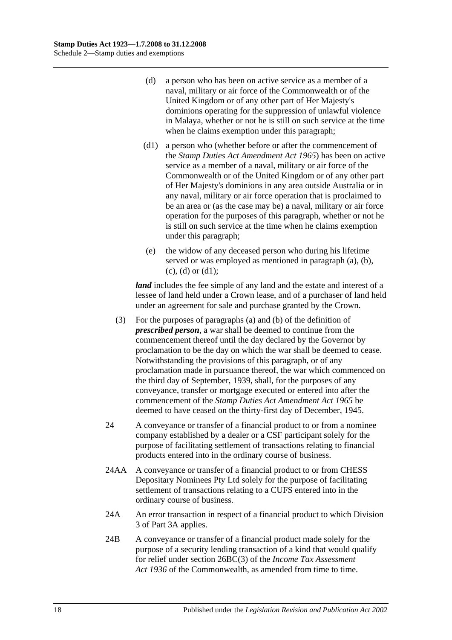- <span id="page-123-0"></span>(d) a person who has been on active service as a member of a naval, military or air force of the Commonwealth or of the United Kingdom or of any other part of Her Majesty's dominions operating for the suppression of unlawful violence in Malaya, whether or not he is still on such service at the time when he claims exemption under this paragraph;
- <span id="page-123-1"></span>(d1) a person who (whether before or after the commencement of the *[Stamp Duties Act Amendment Act](http://www.legislation.sa.gov.au/index.aspx?action=legref&type=act&legtitle=Stamp%20Duties%20Act%20Amendment%20Act%201965) 1965*) has been on active service as a member of a naval, military or air force of the Commonwealth or of the United Kingdom or of any other part of Her Majesty's dominions in any area outside Australia or in any naval, military or air force operation that is proclaimed to be an area or (as the case may be) a naval, military or air force operation for the purposes of this paragraph, whether or not he is still on such service at the time when he claims exemption under this paragraph;
- (e) the widow of any deceased person who during his lifetime served or was employed as mentioned in [paragraph](#page-122-0) (a), [\(b\),](#page-122-1)  $(c)$ ,  $(d)$  or  $(d1)$ ;

*land* includes the fee simple of any land and the estate and interest of a lessee of land held under a Crown lease, and of a purchaser of land held under an agreement for sale and purchase granted by the Crown.

- (3) For the purposes of [paragraphs](#page-122-0) (a) and [\(b\)](#page-122-1) of the definition of *prescribed person*, a war shall be deemed to continue from the commencement thereof until the day declared by the Governor by proclamation to be the day on which the war shall be deemed to cease. Notwithstanding the provisions of this paragraph, or of any proclamation made in pursuance thereof, the war which commenced on the third day of September, 1939, shall, for the purposes of any conveyance, transfer or mortgage executed or entered into after the commencement of the *[Stamp Duties Act Amendment Act](http://www.legislation.sa.gov.au/index.aspx?action=legref&type=act&legtitle=Stamp%20Duties%20Act%20Amendment%20Act%201965) 1965* be deemed to have ceased on the thirty-first day of December, 1945.
- 24 A conveyance or transfer of a financial product to or from a nominee company established by a dealer or a CSF participant solely for the purpose of facilitating settlement of transactions relating to financial products entered into in the ordinary course of business.
- 24AA A conveyance or transfer of a financial product to or from CHESS Depositary Nominees Pty Ltd solely for the purpose of facilitating settlement of transactions relating to a CUFS entered into in the ordinary course of business.
- 24A An error transaction in respect of a financial product to which [Division](#page-85-0)  [3](#page-85-0) of [Part 3A](#page-78-0) applies.
- 24B A conveyance or transfer of a financial product made solely for the purpose of a security lending transaction of a kind that would qualify for relief under section 26BC(3) of the *Income Tax Assessment Act 1936* of the Commonwealth, as amended from time to time.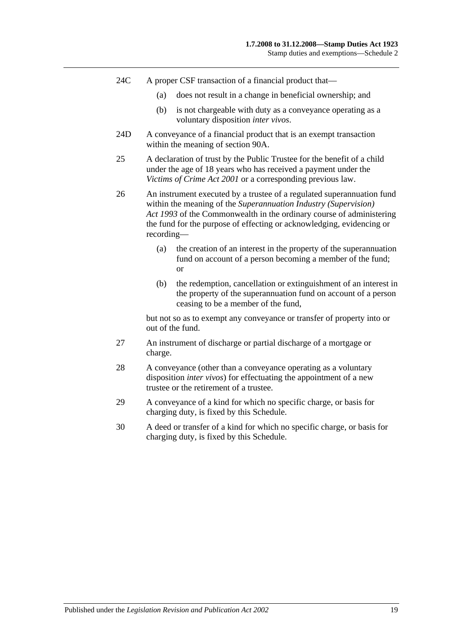- 24C A proper CSF transaction of a financial product that—
	- (a) does not result in a change in beneficial ownership; and
	- (b) is not chargeable with duty as a conveyance operating as a voluntary disposition *inter vivos*.
- 24D A conveyance of a financial product that is an exempt transaction within the meaning of [section](#page-78-1) 90A.
- 25 A declaration of trust by the Public Trustee for the benefit of a child under the age of 18 years who has received a payment under the *[Victims of Crime Act](http://www.legislation.sa.gov.au/index.aspx?action=legref&type=act&legtitle=Victims%20of%20Crime%20Act%202001) 2001* or a corresponding previous law.
- 26 An instrument executed by a trustee of a regulated superannuation fund within the meaning of the *Superannuation Industry (Supervision) Act 1993* of the Commonwealth in the ordinary course of administering the fund for the purpose of effecting or acknowledging, evidencing or recording—
	- (a) the creation of an interest in the property of the superannuation fund on account of a person becoming a member of the fund; or
	- (b) the redemption, cancellation or extinguishment of an interest in the property of the superannuation fund on account of a person ceasing to be a member of the fund,

but not so as to exempt any conveyance or transfer of property into or out of the fund.

- 27 An instrument of discharge or partial discharge of a mortgage or charge.
- 28 A conveyance (other than a conveyance operating as a voluntary disposition *inter vivos*) for effectuating the appointment of a new trustee or the retirement of a trustee.
- 29 A conveyance of a kind for which no specific charge, or basis for charging duty, is fixed by this Schedule.
- 30 A deed or transfer of a kind for which no specific charge, or basis for charging duty, is fixed by this Schedule.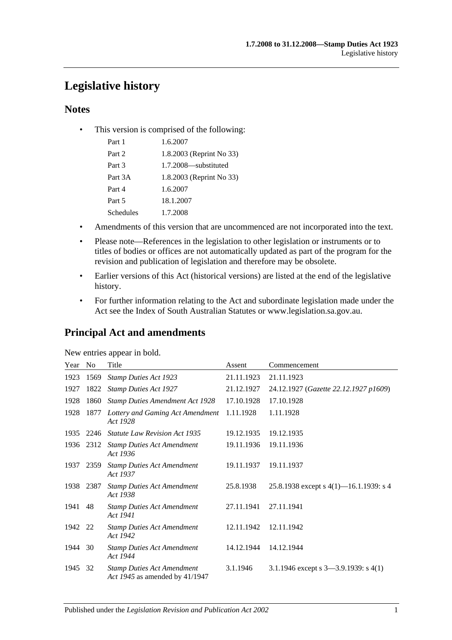# **Legislative history**

## **Notes**

• This version is comprised of the following:

| Part 1    | 1.6.2007                 |
|-----------|--------------------------|
| Part 2    | 1.8.2003 (Reprint No 33) |
| Part 3    | 1.7.2008—substituted     |
| Part 3A   | 1.8.2003 (Reprint No 33) |
| Part 4    | 1.6.2007                 |
| Part 5    | 18.1.2007                |
| Schedules | 1.7.2008                 |

- Amendments of this version that are uncommenced are not incorporated into the text.
- Please note—References in the legislation to other legislation or instruments or to titles of bodies or offices are not automatically updated as part of the program for the revision and publication of legislation and therefore may be obsolete.
- Earlier versions of this Act (historical versions) are listed at the end of the legislative history.
- For further information relating to the Act and subordinate legislation made under the Act see the Index of South Australian Statutes or www.legislation.sa.gov.au.

## **Principal Act and amendments**

| New entries appear in bold. |
|-----------------------------|
|-----------------------------|

| Year | No   | Title                                                               | Assent     | Commencement                              |
|------|------|---------------------------------------------------------------------|------------|-------------------------------------------|
| 1923 | 1569 | <b>Stamp Duties Act 1923</b>                                        | 21.11.1923 | 21.11.1923                                |
| 1927 | 1822 | <b>Stamp Duties Act 1927</b>                                        | 21.12.1927 | 24.12.1927 (Gazette 22.12.1927 p1609)     |
| 1928 | 1860 | <b>Stamp Duties Amendment Act 1928</b>                              | 17.10.1928 | 17.10.1928                                |
| 1928 | 1877 | Lottery and Gaming Act Amendment<br>Act 1928                        | 1.11.1928  | 1.11.1928                                 |
| 1935 | 2246 | <b>Statute Law Revision Act 1935</b>                                | 19.12.1935 | 19.12.1935                                |
| 1936 | 2312 | <b>Stamp Duties Act Amendment</b><br>Act 1936                       | 19.11.1936 | 19.11.1936                                |
| 1937 | 2359 | <b>Stamp Duties Act Amendment</b><br>Act 1937                       | 19.11.1937 | 19.11.1937                                |
| 1938 | 2387 | <b>Stamp Duties Act Amendment</b><br>Act 1938                       | 25.8.1938  | 25.8.1938 except s $4(1)$ —16.1.1939: s 4 |
| 1941 | 48   | <b>Stamp Duties Act Amendment</b><br>Act 1941                       | 27.11.1941 | 27.11.1941                                |
| 1942 | 22   | <b>Stamp Duties Act Amendment</b><br>Act 1942                       | 12.11.1942 | 12.11.1942                                |
| 1944 | 30   | <b>Stamp Duties Act Amendment</b><br>Act 1944                       | 14.12.1944 | 14.12.1944                                |
| 1945 | 32   | <b>Stamp Duties Act Amendment</b><br>Act 1945 as amended by 41/1947 | 3.1.1946   | 3.1.1946 except s $3-3.9.1939$ : s $4(1)$ |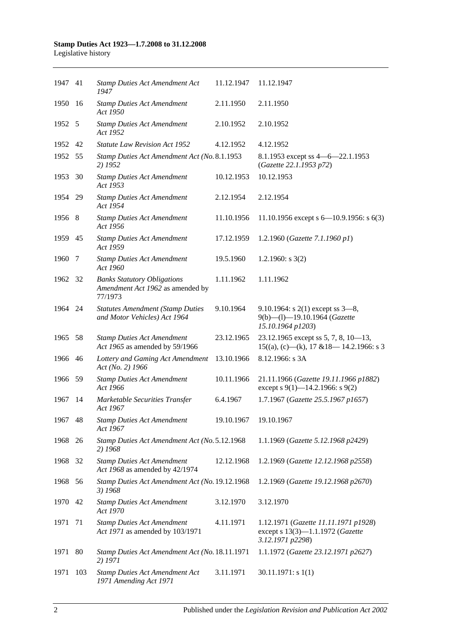| 1947 41 |      | <b>Stamp Duties Act Amendment Act</b><br>1947                                     | 11.12.1947 | 11.12.1947                                                                                   |
|---------|------|-----------------------------------------------------------------------------------|------------|----------------------------------------------------------------------------------------------|
| 1950    | -16  | <b>Stamp Duties Act Amendment</b><br>Act 1950                                     | 2.11.1950  | 2.11.1950                                                                                    |
| 1952 5  |      | <b>Stamp Duties Act Amendment</b><br>Act 1952                                     | 2.10.1952  | 2.10.1952                                                                                    |
| 1952 42 |      | <b>Statute Law Revision Act 1952</b>                                              | 4.12.1952  | 4.12.1952                                                                                    |
| 1952    | - 55 | Stamp Duties Act Amendment Act (No. 8.1.1953<br>2) 1952                           |            | 8.1.1953 except ss $4 - 6 - 22.1.1953$<br>(Gazette 22.1.1953 p72)                            |
| 1953    | 30   | <b>Stamp Duties Act Amendment</b><br>Act 1953                                     | 10.12.1953 | 10.12.1953                                                                                   |
| 1954 29 |      | <b>Stamp Duties Act Amendment</b><br>Act 1954                                     | 2.12.1954  | 2.12.1954                                                                                    |
| 1956 8  |      | <b>Stamp Duties Act Amendment</b><br>Act 1956                                     | 11.10.1956 | 11.10.1956 except s $6-10.9.1956$ : s $6(3)$                                                 |
| 1959 45 |      | <b>Stamp Duties Act Amendment</b><br>Act 1959                                     | 17.12.1959 | 1.2.1960 (Gazette 7.1.1960 p1)                                                               |
| 1960    | 7    | <b>Stamp Duties Act Amendment</b><br>Act 1960                                     | 19.5.1960  | 1.2.1960: $s$ 3(2)                                                                           |
| 1962 32 |      | <b>Banks Statutory Obligations</b><br>Amendment Act 1962 as amended by<br>77/1973 | 1.11.1962  | 1.11.1962                                                                                    |
| 1964 24 |      | <b>Statutes Amendment (Stamp Duties</b><br>and Motor Vehicles) Act 1964           | 9.10.1964  | 9.10.1964: s $2(1)$ except ss $3-8$ ,<br>9(b)-(l)-19.10.1964 (Gazette<br>15.10.1964 p1203)   |
| 1965    | -58  | <b>Stamp Duties Act Amendment</b><br>Act 1965 as amended by 59/1966               | 23.12.1965 | 23.12.1965 except ss 5, 7, 8, 10-13,<br>$15((a), (c)$ —(k), 17 & 18—14.2.1966: s 3           |
| 1966 46 |      | Lottery and Gaming Act Amendment<br>Act (No. 2) 1966                              | 13.10.1966 | 8.12.1966: s 3A                                                                              |
| 1966    | - 59 | <b>Stamp Duties Act Amendment</b><br>Act 1966                                     | 10.11.1966 | 21.11.1966 (Gazette 19.11.1966 p1882)<br>except s 9(1)–14.2.1966: s 9(2)                     |
| 1967    | -14  | Marketable Securities Transfer<br>Act 1967                                        | 6.4.1967   | 1.7.1967 (Gazette 25.5.1967 p1657)                                                           |
| 1967    | 48   | <b>Stamp Duties Act Amendment</b><br>Act 1967                                     | 19.10.1967 | 19.10.1967                                                                                   |
| 1968    | 26   | Stamp Duties Act Amendment Act (No. 5.12.1968<br>2) 1968                          |            | 1.1.1969 (Gazette 5.12.1968 p2429)                                                           |
| 1968    | 32   | <b>Stamp Duties Act Amendment</b><br>Act 1968 as amended by 42/1974               | 12.12.1968 | 1.2.1969 (Gazette 12.12.1968 p2558)                                                          |
| 1968    | 56   | Stamp Duties Act Amendment Act (No. 19.12.1968<br>3) 1968                         |            | 1.2.1969 (Gazette 19.12.1968 p2670)                                                          |
| 1970    | 42   | <b>Stamp Duties Act Amendment</b><br>Act 1970                                     | 3.12.1970  | 3.12.1970                                                                                    |
| 1971    | 71   | <b>Stamp Duties Act Amendment</b><br>Act 1971 as amended by 103/1971              | 4.11.1971  | 1.12.1971 (Gazette 11.11.1971 p1928)<br>except s 13(3)-1.1.1972 (Gazette<br>3.12.1971 p2298) |
| 1971    | 80   | Stamp Duties Act Amendment Act (No. 18.11.1971<br>2) 1971                         |            | 1.1.1972 (Gazette 23.12.1971 p2627)                                                          |
| 1971    | 103  | <b>Stamp Duties Act Amendment Act</b><br>1971 Amending Act 1971                   | 3.11.1971  | 30.11.1971: s1(1)                                                                            |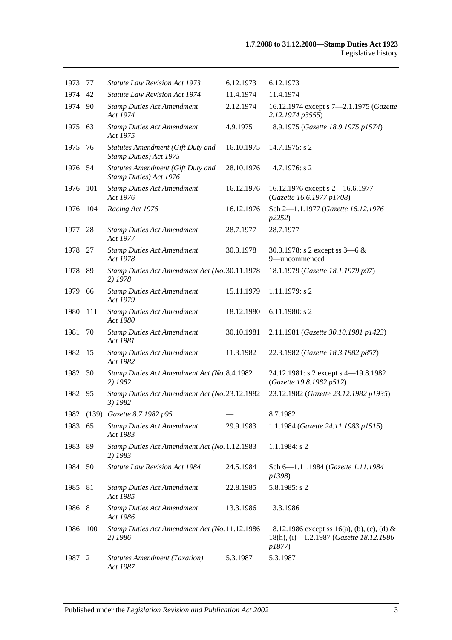| 1973    | 77  | <b>Statute Law Revision Act 1973</b>                        | 6.12.1973  | 6.12.1973                                                                                        |
|---------|-----|-------------------------------------------------------------|------------|--------------------------------------------------------------------------------------------------|
| 1974    | 42  | <b>Statute Law Revision Act 1974</b>                        | 11.4.1974  | 11.4.1974                                                                                        |
| 1974 90 |     | <b>Stamp Duties Act Amendment</b><br>Act 1974               | 2.12.1974  | 16.12.1974 except s 7-2.1.1975 (Gazette<br>2.12.1974 p3555)                                      |
| 1975 63 |     | <b>Stamp Duties Act Amendment</b><br>Act 1975               | 4.9.1975   | 18.9.1975 (Gazette 18.9.1975 p1574)                                                              |
| 1975    | 76  | Statutes Amendment (Gift Duty and<br>Stamp Duties) Act 1975 | 16.10.1975 | $14.7.1975$ : s 2                                                                                |
| 1976 54 |     | Statutes Amendment (Gift Duty and<br>Stamp Duties) Act 1976 | 28.10.1976 | 14.7.1976: s 2                                                                                   |
| 1976    | 101 | <b>Stamp Duties Act Amendment</b><br>Act 1976               | 16.12.1976 | 16.12.1976 except s 2-16.6.1977<br>(Gazette 16.6.1977 p1708)                                     |
| 1976    | 104 | Racing Act 1976                                             | 16.12.1976 | Sch 2-1.1.1977 (Gazette 16.12.1976<br>p2252)                                                     |
| 1977    | 28  | <b>Stamp Duties Act Amendment</b><br>Act 1977               | 28.7.1977  | 28.7.1977                                                                                        |
| 1978 27 |     | <b>Stamp Duties Act Amendment</b><br>Act 1978               | 30.3.1978  | 30.3.1978: s 2 except ss $3-6 &$<br>9-uncommenced                                                |
| 1978 89 |     | Stamp Duties Act Amendment Act (No. 30.11.1978)<br>2) 1978  |            | 18.1.1979 (Gazette 18.1.1979 p97)                                                                |
| 1979    | 66  | <b>Stamp Duties Act Amendment</b><br>Act 1979               | 15.11.1979 | 1.11.1979: s 2                                                                                   |
| 1980    | 111 | <b>Stamp Duties Act Amendment</b><br>Act 1980               | 18.12.1980 | $6.11.1980$ : s 2                                                                                |
| 1981    | 70  | <b>Stamp Duties Act Amendment</b><br>Act 1981               | 30.10.1981 | 2.11.1981 (Gazette 30.10.1981 p1423)                                                             |
| 1982    | -15 | <b>Stamp Duties Act Amendment</b><br>Act 1982               | 11.3.1982  | 22.3.1982 (Gazette 18.3.1982 p857)                                                               |
| 1982    | 30  | Stamp Duties Act Amendment Act (No. 8.4.1982<br>2) 1982     |            | 24.12.1981: s 2 except s 4-19.8.1982<br>(Gazette 19.8.1982 p512)                                 |
| 1982    | 95  | Stamp Duties Act Amendment Act (No. 23.12.1982<br>3) 1982   |            | 23.12.1982 (Gazette 23.12.1982 p1935)                                                            |
|         |     | 1982 (139) Gazette 8.7.1982 p95                             |            | 8.7.1982                                                                                         |
| 1983 65 |     | <b>Stamp Duties Act Amendment</b><br>Act 1983               | 29.9.1983  | 1.1.1984 (Gazette 24.11.1983 p1515)                                                              |
| 1983    | 89  | Stamp Duties Act Amendment Act (No. 1.12.1983<br>2) 1983    |            | 1.1.1984: s 2                                                                                    |
| 1984    | 50  | Statute Law Revision Act 1984                               | 24.5.1984  | Sch 6-1.11.1984 (Gazette 1.11.1984<br>p1398)                                                     |
| 1985    | 81  | <b>Stamp Duties Act Amendment</b><br>Act 1985               | 22.8.1985  | $5.8.1985$ : s 2                                                                                 |
| 1986    | 8   | <b>Stamp Duties Act Amendment</b><br>Act 1986               | 13.3.1986  | 13.3.1986                                                                                        |
| 1986    | 100 | Stamp Duties Act Amendment Act (No. 11.12.1986<br>2) 1986   |            | 18.12.1986 except ss 16(a), (b), (c), (d) &<br>18(h), (i)-1.2.1987 (Gazette 18.12.1986<br>p1877) |
| 1987    | 2   | <b>Statutes Amendment (Taxation)</b><br>Act 1987            | 5.3.1987   | 5.3.1987                                                                                         |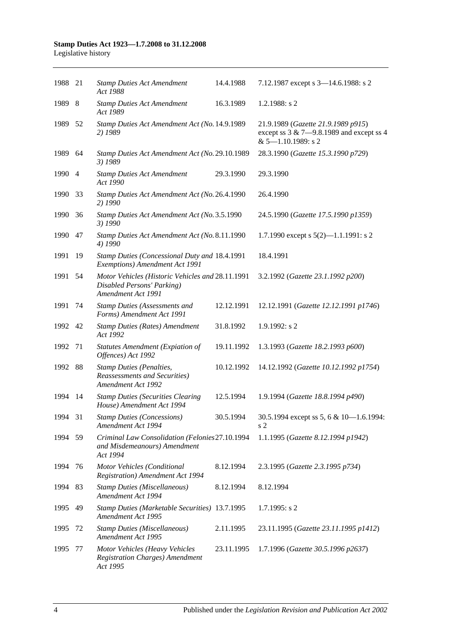| 1988 21 |     | <b>Stamp Duties Act Amendment</b><br>Act 1988                                                        | 14.4.1988  | 7.12.1987 except s 3-14.6.1988: s 2                                                                           |
|---------|-----|------------------------------------------------------------------------------------------------------|------------|---------------------------------------------------------------------------------------------------------------|
| 1989 8  |     | <b>Stamp Duties Act Amendment</b><br>Act 1989                                                        | 16.3.1989  | $1.2.1988$ : s 2                                                                                              |
| 1989 52 |     | Stamp Duties Act Amendment Act (No. 14.9.1989<br>2) 1989                                             |            | 21.9.1989 (Gazette 21.9.1989 p915)<br>except ss $3 & 7 - 9.8.1989$ and except ss 4<br>$& 5 - 1.10.1989$ : s 2 |
| 1989    | 64  | Stamp Duties Act Amendment Act (No. 29.10.1989<br>3) 1989                                            |            | 28.3.1990 (Gazette 15.3.1990 p729)                                                                            |
| 1990 4  |     | <b>Stamp Duties Act Amendment</b><br>Act 1990                                                        | 29.3.1990  | 29.3.1990                                                                                                     |
| 1990    | 33  | Stamp Duties Act Amendment Act (No. 26.4.1990<br>2) 1990                                             |            | 26.4.1990                                                                                                     |
| 1990    | 36  | Stamp Duties Act Amendment Act (No. 3.5.1990<br>3) 1990                                              |            | 24.5.1990 (Gazette 17.5.1990 p1359)                                                                           |
| 1990    | 47  | Stamp Duties Act Amendment Act (No. 8.11.1990<br>4) 1990                                             |            | 1.7.1990 except s $5(2)$ —1.1.1991: s 2                                                                       |
| 1991    | 19  | Stamp Duties (Concessional Duty and 18.4.1991<br>Exemptions) Amendment Act 1991                      |            | 18.4.1991                                                                                                     |
| 1991    | 54  | Motor Vehicles (Historic Vehicles and 28.11.1991<br>Disabled Persons' Parking)<br>Amendment Act 1991 |            | 3.2.1992 (Gazette 23.1.1992 p200)                                                                             |
| 1991    | 74  | <b>Stamp Duties (Assessments and</b><br>Forms) Amendment Act 1991                                    | 12.12.1991 | 12.12.1991 (Gazette 12.12.1991 p1746)                                                                         |
| 1992 42 |     | <b>Stamp Duties (Rates) Amendment</b><br>Act 1992                                                    | 31.8.1992  | $1.9.1992$ : s 2                                                                                              |
| 1992    | 71  | <b>Statutes Amendment (Expiation of</b><br>Offences) Act 1992                                        | 19.11.1992 | 1.3.1993 (Gazette 18.2.1993 p600)                                                                             |
| 1992    | 88  | <b>Stamp Duties (Penalties,</b><br><b>Reassessments and Securities</b> )<br>Amendment Act 1992       | 10.12.1992 | 14.12.1992 (Gazette 10.12.1992 p1754)                                                                         |
| 1994    | 14  | <b>Stamp Duties (Securities Clearing</b><br>House) Amendment Act 1994                                | 12.5.1994  | 1.9.1994 (Gazette 18.8.1994 p490)                                                                             |
| 1994 31 |     | <b>Stamp Duties (Concessions)</b><br>Amendment Act 1994                                              | 30.5.1994  | 30.5.1994 except ss 5, 6 & 10-1.6.1994:<br>s 2                                                                |
| 1994 59 |     | Criminal Law Consolidation (Felonies27.10.1994<br>and Misdemeanours) Amendment<br>Act 1994           |            | 1.1.1995 (Gazette 8.12.1994 p1942)                                                                            |
| 1994    | 76  | Motor Vehicles (Conditional<br><b>Registration</b> ) Amendment Act 1994                              | 8.12.1994  | 2.3.1995 (Gazette 2.3.1995 p734)                                                                              |
| 1994    | -83 | <b>Stamp Duties (Miscellaneous)</b><br>Amendment Act 1994                                            | 8.12.1994  | 8.12.1994                                                                                                     |
| 1995    | 49  | Stamp Duties (Marketable Securities) 13.7.1995<br>Amendment Act 1995                                 |            | $1.7.1995$ : s 2                                                                                              |
| 1995    | 72  | <b>Stamp Duties (Miscellaneous)</b><br>Amendment Act 1995                                            | 2.11.1995  | 23.11.1995 (Gazette 23.11.1995 p1412)                                                                         |
| 1995    | 77  | Motor Vehicles (Heavy Vehicles<br><b>Registration Charges)</b> Amendment<br>Act 1995                 | 23.11.1995 | 1.7.1996 (Gazette 30.5.1996 p2637)                                                                            |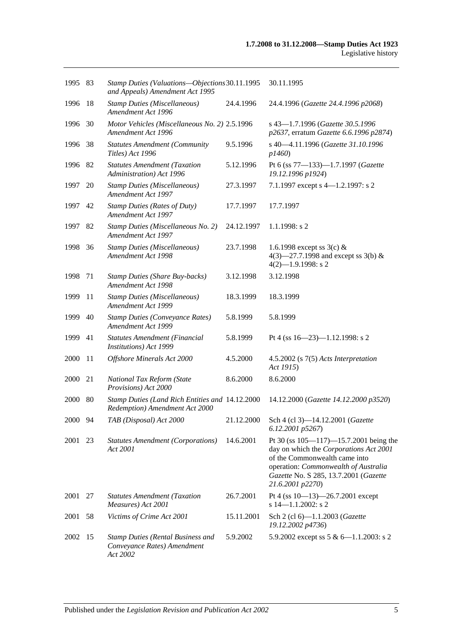| 1995 83 |     | Stamp Duties (Valuations-Objections 30.11.1995<br>and Appeals) Amendment Act 1995   |            | 30.11.1995                                                                                                                                                                                                             |
|---------|-----|-------------------------------------------------------------------------------------|------------|------------------------------------------------------------------------------------------------------------------------------------------------------------------------------------------------------------------------|
| 1996    | -18 | <b>Stamp Duties (Miscellaneous)</b><br>Amendment Act 1996                           | 24.4.1996  | 24.4.1996 (Gazette 24.4.1996 p2068)                                                                                                                                                                                    |
| 1996 30 |     | Motor Vehicles (Miscellaneous No. 2) 2.5.1996<br>Amendment Act 1996                 |            | s 43-1.7.1996 (Gazette 30.5.1996<br>p2637, erratum Gazette 6.6.1996 p2874)                                                                                                                                             |
| 1996    | 38  | <b>Statutes Amendment (Community</b><br>Titles) Act 1996                            | 9.5.1996   | s 40-4.11.1996 (Gazette 31.10.1996<br>p1460)                                                                                                                                                                           |
| 1996 82 |     | <b>Statutes Amendment (Taxation</b><br>Administration) Act 1996                     | 5.12.1996  | Pt 6 (ss 77-133)-1.7.1997 (Gazette<br>19.12.1996 p1924)                                                                                                                                                                |
| 1997    | 20  | <b>Stamp Duties (Miscellaneous)</b><br>Amendment Act 1997                           | 27.3.1997  | 7.1.1997 except s 4-1.2.1997: s 2                                                                                                                                                                                      |
| 1997    | 42  | <b>Stamp Duties (Rates of Duty)</b><br>Amendment Act 1997                           | 17.7.1997  | 17.7.1997                                                                                                                                                                                                              |
| 1997    | 82  | Stamp Duties (Miscellaneous No. 2)<br>Amendment Act 1997                            | 24.12.1997 | $1.1.1998$ : s 2                                                                                                                                                                                                       |
| 1998    | 36  | <b>Stamp Duties (Miscellaneous)</b><br>Amendment Act 1998                           | 23.7.1998  | 1.6.1998 except ss $3(c)$ &<br>4(3)–27.7.1998 and except ss 3(b) $&$<br>$4(2)$ -1.9.1998: s 2                                                                                                                          |
| 1998    | 71  | <b>Stamp Duties (Share Buy-backs)</b><br>Amendment Act 1998                         | 3.12.1998  | 3.12.1998                                                                                                                                                                                                              |
| 1999    | 11  | <b>Stamp Duties (Miscellaneous)</b><br>Amendment Act 1999                           | 18.3.1999  | 18.3.1999                                                                                                                                                                                                              |
| 1999    | 40  | <b>Stamp Duties (Conveyance Rates)</b><br>Amendment Act 1999                        | 5.8.1999   | 5.8.1999                                                                                                                                                                                                               |
| 1999    | 41  | Statutes Amendment (Financial<br>Institutions) Act 1999                             | 5.8.1999   | Pt 4 (ss $16 - 23$ )-1.12.1998: s 2                                                                                                                                                                                    |
| 2000    | 11  | Offshore Minerals Act 2000                                                          | 4.5.2000   | $4.5.2002$ (s $7(5)$ Acts Interpretation<br>Act 1915)                                                                                                                                                                  |
| 2000    | 21  | National Tax Reform (State<br>Provisions) Act 2000                                  | 8.6.2000   | 8.6.2000                                                                                                                                                                                                               |
| 2000    | 80  | Stamp Duties (Land Rich Entities and 14.12.2000<br>Redemption) Amendment Act 2000   |            | 14.12.2000 (Gazette 14.12.2000 p3520)                                                                                                                                                                                  |
| 2000 94 |     | TAB (Disposal) Act 2000                                                             | 21.12.2000 | Sch 4 (cl 3)-14.12.2001 (Gazette<br>6.12.2001 p5267)                                                                                                                                                                   |
| 2001    | 23  | <b>Statutes Amendment (Corporations)</b><br>Act 2001                                | 14.6.2001  | Pt 30 (ss 105-117)-15.7.2001 being the<br>day on which the Corporations Act 2001<br>of the Commonwealth came into<br>operation: Commonwealth of Australia<br>Gazette No. S 285, 13.7.2001 (Gazette<br>21.6.2001 p2270) |
| 2001    | 27  | <b>Statutes Amendment (Taxation</b><br>Measures) Act 2001                           | 26.7.2001  | Pt 4 (ss $10-13$ )-26.7.2001 except<br>s $14 - 1.1.2002$ : s 2                                                                                                                                                         |
| 2001    | 58  | Victims of Crime Act 2001                                                           | 15.11.2001 | Sch 2 (cl 6)-1.1.2003 (Gazette<br>19.12.2002 p4736)                                                                                                                                                                    |
| 2002    | -15 | <b>Stamp Duties (Rental Business and</b><br>Conveyance Rates) Amendment<br>Act 2002 | 5.9.2002   | 5.9.2002 except ss $5 & 6 - 1.1.2003$ : s 2                                                                                                                                                                            |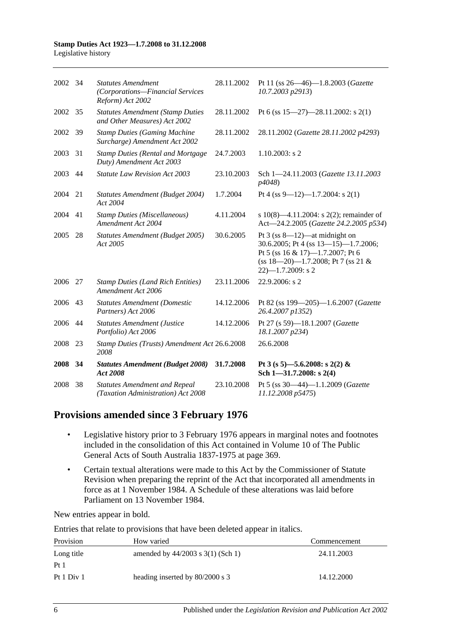| 2002 34 |    | <b>Statutes Amendment</b><br>(Corporations-Financial Services<br>Reform) Act 2002 | 28.11.2002 | Pt 11 (ss 26-46)-1.8.2003 (Gazette<br>10.7.2003 p2913)                                                                                                                          |
|---------|----|-----------------------------------------------------------------------------------|------------|---------------------------------------------------------------------------------------------------------------------------------------------------------------------------------|
| 2002    | 35 | <b>Statutes Amendment (Stamp Duties</b><br>and Other Measures) Act 2002           | 28.11.2002 | Pt 6 (ss $15-27$ )-28.11.2002: s 2(1)                                                                                                                                           |
| 2002 39 |    | <b>Stamp Duties (Gaming Machine</b><br>Surcharge) Amendment Act 2002              | 28.11.2002 | 28.11.2002 (Gazette 28.11.2002 p4293)                                                                                                                                           |
| 2003    | 31 | <b>Stamp Duties (Rental and Mortgage)</b><br>Duty) Amendment Act 2003             | 24.7.2003  | $1.10.2003$ : s 2                                                                                                                                                               |
| 2003    | 44 | <b>Statute Law Revision Act 2003</b>                                              | 23.10.2003 | Sch 1-24.11.2003 (Gazette 13.11.2003<br>p4048)                                                                                                                                  |
| 2004    | 21 | Statutes Amendment (Budget 2004)<br>Act 2004                                      | 1.7.2004   | Pt 4 (ss 9–12)–1.7.2004: s 2(1)                                                                                                                                                 |
| 2004    | 41 | <b>Stamp Duties (Miscellaneous)</b><br>Amendment Act 2004                         | 4.11.2004  | s 10(8)—4.11.2004: s 2(2); remainder of<br>Act-24.2.2005 (Gazette 24.2.2005 p534)                                                                                               |
| 2005    | 28 | Statutes Amendment (Budget 2005)<br>Act 2005                                      | 30.6.2005  | Pt $3$ (ss $8-12$ )—at midnight on<br>30.6.2005; Pt 4 (ss 13-15)-1.7.2006;<br>Pt 5 (ss 16 & 17)-1.7.2007; Pt 6<br>$(ss 18-20)$ -1.7.2008; Pt 7 (ss 21 &<br>$22$ )-1.7.2009: s 2 |
| 2006    | 27 | <b>Stamp Duties (Land Rich Entities)</b><br>Amendment Act 2006                    | 23.11.2006 | 22.9.2006: s 2                                                                                                                                                                  |
| 2006    | 43 | <b>Statutes Amendment (Domestic</b><br>Partners) Act 2006                         | 14.12.2006 | Pt 82 (ss 199-205)-1.6.2007 (Gazette<br>26.4.2007 p1352)                                                                                                                        |
| 2006    | 44 | <b>Statutes Amendment (Justice</b><br>Portfolio) Act 2006                         | 14.12.2006 | Pt 27 (s 59)-18.1.2007 (Gazette<br>18.1.2007 p234)                                                                                                                              |
| 2008    | 23 | Stamp Duties (Trusts) Amendment Act 26.6.2008<br>2008                             |            | 26.6.2008                                                                                                                                                                       |
| 2008    | 34 | <b>Statutes Amendment (Budget 2008)</b><br>Act 2008                               | 31.7.2008  | Pt 3 (s 5)-5.6.2008: s 2(2) &<br>Sch $1 - 31.7.2008$ : s 2(4)                                                                                                                   |
| 2008    | 38 | <b>Statutes Amendment and Repeal</b><br>(Taxation Administration) Act 2008        | 23.10.2008 | Pt 5 (ss $30-44$ )-1.1.2009 (Gazette<br>11.12.2008 p5475)                                                                                                                       |

# **Provisions amended since 3 February 1976**

- Legislative history prior to 3 February 1976 appears in marginal notes and footnotes included in the consolidation of this Act contained in Volume 10 of The Public General Acts of South Australia 1837-1975 at page 369.
- Certain textual alterations were made to this Act by the Commissioner of Statute Revision when preparing the reprint of the Act that incorporated all amendments in force as at 1 November 1984. A Schedule of these alterations was laid before Parliament on 13 November 1984.

New entries appear in bold.

Entries that relate to provisions that have been deleted appear in italics.

| Provision       | How varied                            | Commencement |
|-----------------|---------------------------------------|--------------|
| Long title      | amended by $44/2003$ s $3(1)$ (Sch 1) | 24.11.2003   |
| Pt <sub>1</sub> |                                       |              |
| Pt 1 Div 1      | heading inserted by 80/2000 s 3       | 14.12.2000   |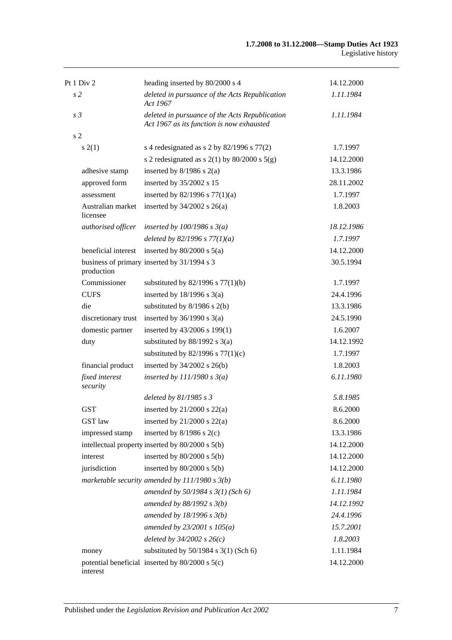| Pt 1 Div 2                    | heading inserted by 80/2000 s 4                                                             | 14.12.2000 |
|-------------------------------|---------------------------------------------------------------------------------------------|------------|
| s <sub>2</sub>                | deleted in pursuance of the Acts Republication<br>Act 1967                                  | 1.11.1984  |
| s <sub>3</sub>                | deleted in pursuance of the Acts Republication<br>Act 1967 as its function is now exhausted | 1.11.1984  |
| s <sub>2</sub>                |                                                                                             |            |
| s(2(1))                       | s 4 redesignated as s 2 by $82/1996$ s $77(2)$                                              | 1.7.1997   |
|                               | s 2 redesignated as s $2(1)$ by $80/2000$ s $5(g)$                                          | 14.12.2000 |
| adhesive stamp                | inserted by $8/1986$ s $2(a)$                                                               | 13.3.1986  |
| approved form                 | inserted by 35/2002 s 15                                                                    | 28.11.2002 |
| assessment                    | inserted by $82/1996$ s $77(1)(a)$                                                          | 1.7.1997   |
| Australian market<br>licensee | inserted by $34/2002$ s $26(a)$                                                             | 1.8.2003   |
| authorised officer            | inserted by $100/1986$ s $3(a)$                                                             | 18.12.1986 |
|                               | deleted by 82/1996 s $77(1)(a)$                                                             | 1.7.1997   |
| beneficial interest           | inserted by $80/2000$ s $5(a)$                                                              | 14.12.2000 |
| production                    | business of primary inserted by 31/1994 s 3                                                 | 30.5.1994  |
| Commissioner                  | substituted by $82/1996$ s $77(1)(b)$                                                       | 1.7.1997   |
| <b>CUFS</b>                   | inserted by $18/1996$ s $3(a)$                                                              | 24.4.1996  |
| die                           | substituted by 8/1986 s 2(b)                                                                | 13.3.1986  |
| discretionary trust           | inserted by $36/1990$ s $3(a)$                                                              | 24.5.1990  |
| domestic partner              | inserted by 43/2006 s 199(1)                                                                | 1.6.2007   |
| duty                          | substituted by $88/1992$ s 3(a)                                                             | 14.12.1992 |
|                               | substituted by $82/1996$ s $77(1)(c)$                                                       | 1.7.1997   |
| financial product             | inserted by 34/2002 s 26(b)                                                                 | 1.8.2003   |
| fixed interest<br>security    | inserted by $111/1980 s 3(a)$                                                               | 6.11.1980  |
|                               | deleted by 81/1985 s 3                                                                      | 5.8.1985   |
| <b>GST</b>                    | inserted by $21/2000$ s $22(a)$                                                             | 8.6.2000   |
| GST law                       | inserted by $21/2000$ s $22(a)$                                                             | 8.6.2000   |
| impressed stamp               | inserted by $8/1986$ s $2(c)$                                                               | 13.3.1986  |
|                               | intellectual property inserted by 80/2000 s 5(b)                                            | 14.12.2000 |
| interest                      | inserted by $80/2000$ s $5(b)$                                                              | 14.12.2000 |
| jurisdiction                  | inserted by $80/2000$ s $5(b)$                                                              | 14.12.2000 |
|                               | marketable security amended by $111/1980 s 3(b)$                                            | 6.11.1980  |
|                               | amended by $50/1984 s 3(1)$ (Sch 6)                                                         | 1.11.1984  |
|                               | amended by $88/1992 s 3(b)$                                                                 | 14.12.1992 |
|                               | amended by $18/1996 s 3(b)$                                                                 | 24.4.1996  |
|                               | amended by $23/2001 s 105(a)$                                                               | 15.7.2001  |
|                               | deleted by $34/2002$ s $26(c)$                                                              | 1.8.2003   |
| money                         | substituted by $50/1984$ s $3(1)$ (Sch 6)                                                   | 1.11.1984  |
| interest                      | potential beneficial inserted by 80/2000 s 5(c)                                             | 14.12.2000 |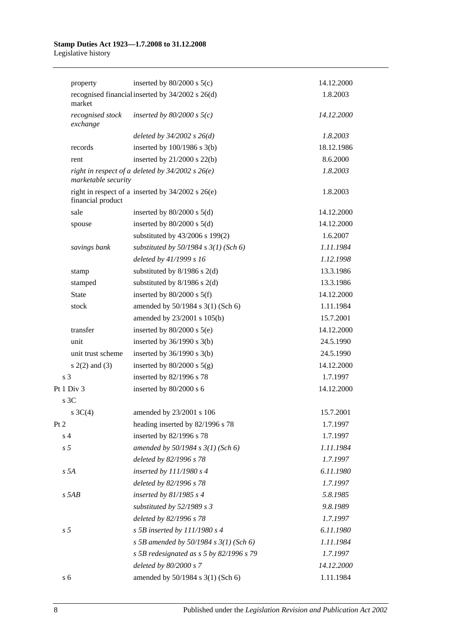| property                     | inserted by $80/2000$ s $5(c)$                        | 14.12.2000 |
|------------------------------|-------------------------------------------------------|------------|
| market                       | recognised financial inserted by 34/2002 s 26(d)      | 1.8.2003   |
| recognised stock<br>exchange | inserted by $80/2000$ s $5(c)$                        | 14.12.2000 |
|                              | deleted by $34/2002$ s $26(d)$                        | 1.8.2003   |
| records                      | inserted by $100/1986$ s $3(b)$                       | 18.12.1986 |
| rent                         | inserted by $21/2000$ s $22(b)$                       | 8.6.2000   |
| marketable security          | right in respect of a deleted by $34/2002$ s $26(e)$  | 1.8.2003   |
| financial product            | right in respect of a inserted by $34/2002$ s $26(e)$ | 1.8.2003   |
| sale                         | inserted by $80/2000$ s $5(d)$                        | 14.12.2000 |
| spouse                       | inserted by $80/2000$ s $5(d)$                        | 14.12.2000 |
|                              | substituted by 43/2006 s 199(2)                       | 1.6.2007   |
| savings bank                 | substituted by $50/1984$ s $3(1)$ (Sch 6)             | 1.11.1984  |
|                              | deleted by 41/1999 s 16                               | 1.12.1998  |
| stamp                        | substituted by $8/1986$ s $2(d)$                      | 13.3.1986  |
| stamped                      | substituted by $8/1986$ s $2(d)$                      | 13.3.1986  |
| <b>State</b>                 | inserted by $80/2000$ s $5(f)$                        | 14.12.2000 |
| stock                        | amended by 50/1984 s 3(1) (Sch 6)                     | 1.11.1984  |
|                              | amended by 23/2001 s 105(b)                           | 15.7.2001  |
| transfer                     | inserted by $80/2000$ s $5(e)$                        | 14.12.2000 |
| unit                         | inserted by $36/1990$ s $3(b)$                        | 24.5.1990  |
| unit trust scheme            | inserted by $36/1990$ s $3(b)$                        | 24.5.1990  |
| $s(2(2)$ and $(3)$           | inserted by $80/2000$ s $5(g)$                        | 14.12.2000 |
| s <sub>3</sub>               | inserted by 82/1996 s 78                              | 1.7.1997   |
| Pt 1 Div 3                   | inserted by 80/2000 s 6                               | 14.12.2000 |
| s <sub>3C</sub>              |                                                       |            |
| $s \, 3C(4)$                 | amended by 23/2001 s 106                              | 15.7.2001  |
| Pt 2                         | heading inserted by 82/1996 s 78                      | 1.7.1997   |
| s <sub>4</sub>               | inserted by 82/1996 s 78                              | 1.7.1997   |
| s <sub>5</sub>               | amended by $50/1984$ s $3(1)$ (Sch 6)                 | 1.11.1984  |
|                              | deleted by 82/1996 s 78                               | 1.7.1997   |
| s 5A                         | inserted by 111/1980 s 4                              | 6.11.1980  |
|                              | deleted by 82/1996 s 78                               | 1.7.1997   |
| $s$ 5AB                      | inserted by $81/1985 s 4$                             | 5.8.1985   |
|                              | substituted by 52/1989 s 3                            | 9.8.1989   |
|                              | deleted by 82/1996 s 78                               | 1.7.1997   |
| s <sub>5</sub>               | s 5B inserted by $111/1980$ s 4                       | 6.11.1980  |
|                              | s 5B amended by 50/1984 s $3(1)$ (Sch 6)              | 1.11.1984  |
|                              | s 5B redesignated as s 5 by 82/1996 s 79              | 1.7.1997   |
|                              | deleted by 80/2000 s 7                                | 14.12.2000 |
| s 6                          | amended by 50/1984 s 3(1) (Sch 6)                     | 1.11.1984  |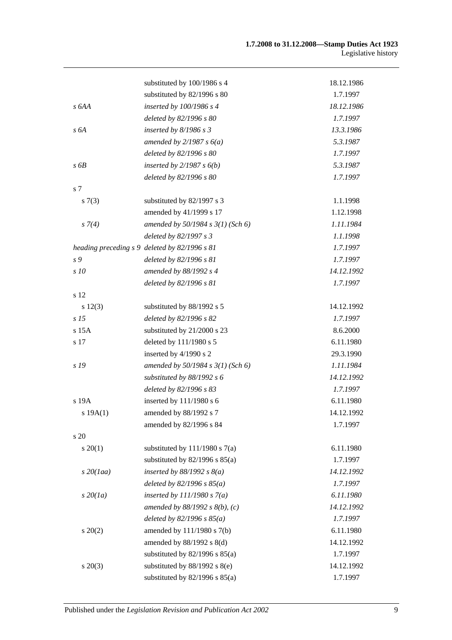|                 | substituted by 100/1986 s 4                   | 18.12.1986 |
|-----------------|-----------------------------------------------|------------|
|                 | substituted by 82/1996 s 80                   | 1.7.1997   |
| s 6AA           | inserted by $100/1986$ s 4                    | 18.12.1986 |
|                 | deleted by 82/1996 s 80                       | 1.7.1997   |
| s6A             | inserted by $8/1986 s 3$                      | 13.3.1986  |
|                 | amended by $2/1987 s 6(a)$                    | 5.3.1987   |
|                 | deleted by 82/1996 s 80                       | 1.7.1997   |
| s6B             | inserted by $2/1987 s 6(b)$                   | 5.3.1987   |
|                 | deleted by 82/1996 s 80                       | 1.7.1997   |
| s 7             |                                               |            |
| s(7(3)          | substituted by 82/1997 s 3                    | 1.1.1998   |
|                 | amended by 41/1999 s 17                       | 1.12.1998  |
| $s \, 7(4)$     | amended by $50/1984 s 3(1)$ (Sch 6)           | 1.11.1984  |
|                 | deleted by 82/1997 s 3                        | 1.1.1998   |
|                 | heading preceding s 9 deleted by 82/1996 s 81 | 1.7.1997   |
| s 9             | deleted by 82/1996 s 81                       | 1.7.1997   |
| s 10            | amended by 88/1992 s 4                        | 14.12.1992 |
|                 | deleted by 82/1996 s 81                       | 1.7.1997   |
| s 12            |                                               |            |
| s 12(3)         | substituted by 88/1992 s 5                    | 14.12.1992 |
| s <sub>15</sub> | deleted by 82/1996 s 82                       | 1.7.1997   |
| s 15A           | substituted by 21/2000 s 23                   | 8.6.2000   |
| s 17            | deleted by 111/1980 s 5                       | 6.11.1980  |
|                 | inserted by 4/1990 s 2                        | 29.3.1990  |
| s 19            | amended by $50/1984 s 3(1)$ (Sch 6)           | 1.11.1984  |
|                 | substituted by 88/1992 s 6                    | 14.12.1992 |
|                 | deleted by 82/1996 s 83                       | 1.7.1997   |
| s 19A           | inserted by 111/1980 s 6                      | 6.11.1980  |
| s 19A(1)        | amended by 88/1992 s 7                        | 14.12.1992 |
|                 | amended by 82/1996 s 84                       | 1.7.1997   |
| s 20            |                                               |            |
| $s \ 20(1)$     | substituted by $111/1980$ s $7(a)$            | 6.11.1980  |
|                 | substituted by $82/1996$ s $85(a)$            | 1.7.1997   |
| $s$ 20(1aa)     | inserted by $88/1992$ s $8(a)$                | 14.12.1992 |
|                 | deleted by $82/1996 s 85(a)$                  | 1.7.1997   |
| $s\,20(1a)$     | inserted by $111/1980 s 7(a)$                 | 6.11.1980  |
|                 | amended by $88/1992$ s $8(b)$ , (c)           | 14.12.1992 |
|                 | deleted by $82/1996 s 85(a)$                  | 1.7.1997   |
| $s\ 20(2)$      | amended by 111/1980 s 7(b)                    | 6.11.1980  |
|                 | amended by 88/1992 s 8(d)                     | 14.12.1992 |
|                 | substituted by $82/1996$ s $85(a)$            | 1.7.1997   |
| $s \ 20(3)$     | substituted by $88/1992$ s $8(e)$             | 14.12.1992 |
|                 | substituted by $82/1996$ s $85(a)$            | 1.7.1997   |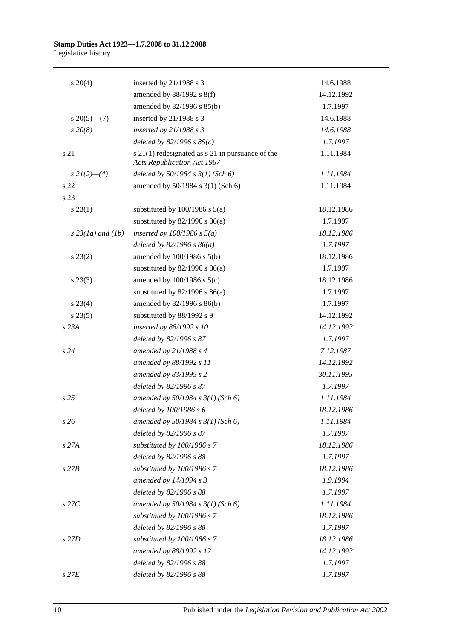| $s \ 20(4)$         | inserted by $21/1988$ s 3                                                                  | 14.6.1988  |
|---------------------|--------------------------------------------------------------------------------------------|------------|
|                     | amended by 88/1992 s 8(f)                                                                  | 14.12.1992 |
|                     | amended by 82/1996 s 85(b)                                                                 | 1.7.1997   |
| $s \, 20(5)$ —(7)   | inserted by 21/1988 s 3                                                                    | 14.6.1988  |
| $s\,20(8)$          | inserted by $21/1988 s 3$                                                                  | 14.6.1988  |
|                     | deleted by $82/1996 s 85(c)$                                                               | 1.7.1997   |
| s 21                | $s$ 21(1) redesignated as $s$ 21 in pursuance of the<br><b>Acts Republication Act 1967</b> | 1.11.1984  |
| $s\,2I(2)$ —(4)     | deleted by $50/1984 s 3(1)$ (Sch 6)                                                        | 1.11.1984  |
| s <sub>22</sub>     | amended by 50/1984 s 3(1) (Sch 6)                                                          | 1.11.1984  |
| s 23                |                                                                                            |            |
| $s\,23(1)$          | substituted by $100/1986$ s $5(a)$                                                         | 18.12.1986 |
|                     | substituted by $82/1996$ s $86(a)$                                                         | 1.7.1997   |
| $s$ 23(1a) and (1b) | inserted by $100/1986$ s $5(a)$                                                            | 18.12.1986 |
|                     | deleted by $82/1996 s 86(a)$                                                               | 1.7.1997   |
| $s\,23(2)$          | amended by 100/1986 s 5(b)                                                                 | 18.12.1986 |
|                     | substituted by $82/1996$ s $86(a)$                                                         | 1.7.1997   |
| $s\,23(3)$          | amended by $100/1986$ s $5(c)$                                                             | 18.12.1986 |
|                     | substituted by $82/1996$ s $86(a)$                                                         | 1.7.1997   |
| $s\,23(4)$          | amended by 82/1996 s 86(b)                                                                 | 1.7.1997   |
| $s\,23(5)$          | substituted by 88/1992 s 9                                                                 | 14.12.1992 |
| s 23A               | inserted by 88/1992 s 10                                                                   | 14.12.1992 |
|                     | deleted by 82/1996 s 87                                                                    | 1.7.1997   |
| s24                 | amended by $21/1988 s 4$                                                                   | 7.12.1987  |
|                     | amended by 88/1992 s 11                                                                    | 14.12.1992 |
|                     | amended by 83/1995 s 2                                                                     | 30.11.1995 |
|                     | deleted by 82/1996 s 87                                                                    | 1.7.1997   |
| s <sub>25</sub>     | amended by 50/1984 s 3(1) (Sch 6)                                                          | 1.11.1984  |
|                     | deleted by 100/1986 s 6                                                                    | 18.12.1986 |
| s26                 | amended by $50/1984 s 3(1)$ (Sch 6)                                                        | 1.11.1984  |
|                     | deleted by 82/1996 s 87                                                                    | 1.7.1997   |
| $s$ 27 $A$          | substituted by 100/1986 s 7                                                                | 18.12.1986 |
|                     | deleted by 82/1996 s 88                                                                    | 1.7.1997   |
| $s$ 27 $B$          | substituted by 100/1986 s 7                                                                | 18.12.1986 |
|                     | amended by 14/1994 s 3                                                                     | 1.9.1994   |
|                     | deleted by 82/1996 s 88                                                                    | 1.7.1997   |
| $s$ 27 $C$          | amended by $50/1984 s 3(1)$ (Sch 6)                                                        | 1.11.1984  |
|                     | substituted by 100/1986 s 7                                                                | 18.12.1986 |
|                     | deleted by 82/1996 s 88                                                                    | 1.7.1997   |
| s 27D               | substituted by 100/1986 s 7                                                                | 18.12.1986 |
|                     | amended by 88/1992 s 12                                                                    | 14.12.1992 |
|                     | deleted by 82/1996 s 88                                                                    | 1.7.1997   |
| $s$ 27 $E$          | deleted by 82/1996 s 88                                                                    | 1.7.1997   |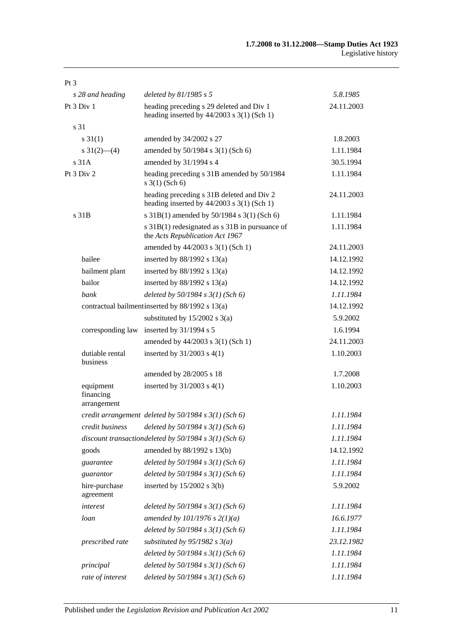| Pt <sub>3</sub>                       |                                                                                             |            |
|---------------------------------------|---------------------------------------------------------------------------------------------|------------|
| s 28 and heading                      | deleted by $81/1985 s 5$                                                                    | 5.8.1985   |
| Pt 3 Div 1                            | heading preceding s 29 deleted and Div 1<br>heading inserted by $44/2003$ s 3(1) (Sch 1)    | 24.11.2003 |
| s 31                                  |                                                                                             |            |
| $s \, 31(1)$                          | amended by 34/2002 s 27                                                                     | 1.8.2003   |
| $s \frac{31(2)}{6}(4)$                | amended by 50/1984 s 3(1) (Sch 6)                                                           | 1.11.1984  |
| s 31A                                 | amended by 31/1994 s 4                                                                      | 30.5.1994  |
| Pt 3 Div 2                            | heading preceding s 31B amended by 50/1984<br>$s \; 3(1)$ (Sch 6)                           | 1.11.1984  |
|                                       | heading preceding s 31B deleted and Div 2<br>heading inserted by $44/2003$ s $3(1)$ (Sch 1) | 24.11.2003 |
| s 31B                                 | s 31B(1) amended by 50/1984 s 3(1) (Sch 6)                                                  | 1.11.1984  |
|                                       | s 31B(1) redesignated as s 31B in pursuance of<br>the Acts Republication Act 1967           | 1.11.1984  |
|                                       | amended by 44/2003 s 3(1) (Sch 1)                                                           | 24.11.2003 |
| bailee                                | inserted by $88/1992$ s $13(a)$                                                             | 14.12.1992 |
| bailment plant                        | inserted by $88/1992$ s $13(a)$                                                             | 14.12.1992 |
| bailor                                | inserted by $88/1992$ s $13(a)$                                                             | 14.12.1992 |
| bank                                  | deleted by $50/1984$ s $3(1)$ (Sch 6)                                                       | 1.11.1984  |
|                                       | contractual bailment inserted by 88/1992 s 13(a)                                            | 14.12.1992 |
|                                       | substituted by $15/2002$ s $3(a)$                                                           | 5.9.2002   |
| corresponding law                     | inserted by 31/1994 s 5                                                                     | 1.6.1994   |
|                                       | amended by 44/2003 s 3(1) (Sch 1)                                                           | 24.11.2003 |
| dutiable rental<br>business           | inserted by 31/2003 s 4(1)                                                                  | 1.10.2003  |
|                                       | amended by 28/2005 s 18                                                                     | 1.7.2008   |
| equipment<br>financing<br>arrangement | inserted by $31/2003$ s $4(1)$                                                              | 1.10.2003  |
|                                       | credit arrangement deleted by $50/1984$ s $3(1)$ (Sch 6)                                    | 1.11.1984  |
| credit business                       | deleted by $50/1984$ s $3(1)$ (Sch 6)                                                       | 1.11.1984  |
|                                       | discount transaction deleted by $50/1984$ s $3(1)$ (Sch 6)                                  | 1.11.1984  |
| goods                                 | amended by 88/1992 s 13(b)                                                                  | 14.12.1992 |
| guarantee                             | deleted by $50/1984 s 3(1)$ (Sch 6)                                                         | 1.11.1984  |
| guarantor                             | deleted by $50/1984 s 3(1)$ (Sch 6)                                                         | 1.11.1984  |
| hire-purchase<br>agreement            | inserted by $15/2002$ s 3(b)                                                                | 5.9.2002   |
| interest                              | deleted by $50/1984 s 3(1)$ (Sch 6)                                                         | 1.11.1984  |
| loan                                  | amended by $101/1976$ s $2(1)(a)$                                                           | 16.6.1977  |
|                                       | deleted by $50/1984$ s $3(1)$ (Sch 6)                                                       | 1.11.1984  |
| prescribed rate                       | substituted by $95/1982$ s $3(a)$                                                           | 23.12.1982 |
|                                       | deleted by 50/1984 s 3(1) (Sch 6)                                                           | 1.11.1984  |
| principal                             | deleted by $50/1984 s 3(1)$ (Sch 6)                                                         | 1.11.1984  |
| rate of interest                      | deleted by $50/1984$ s $3(1)$ (Sch 6)                                                       | 1.11.1984  |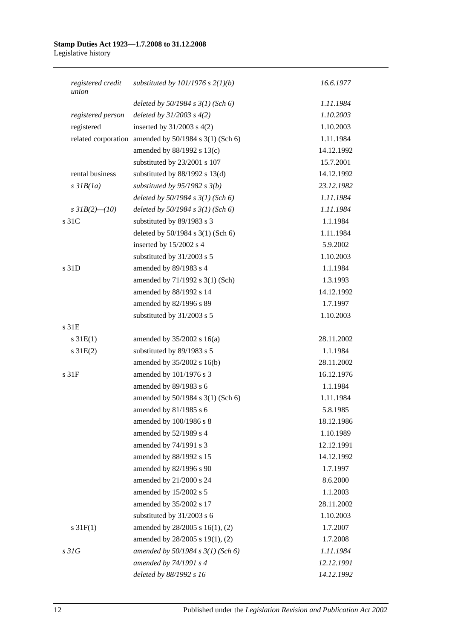| registered credit<br>union | substituted by $101/1976$ s $2(1)(b)$                 | 16.6.1977  |
|----------------------------|-------------------------------------------------------|------------|
|                            | deleted by $50/1984$ s $3(1)$ (Sch 6)                 | 1.11.1984  |
| registered person          | deleted by $31/2003$ s $4(2)$                         | 1.10.2003  |
| registered                 | inserted by $31/2003$ s $4(2)$                        | 1.10.2003  |
|                            | related corporation amended by 50/1984 s 3(1) (Sch 6) | 1.11.1984  |
|                            | amended by $88/1992$ s $13(c)$                        | 14.12.1992 |
|                            | substituted by 23/2001 s 107                          | 15.7.2001  |
| rental business            | substituted by $88/1992$ s $13(d)$                    | 14.12.1992 |
| $s$ 31 $B(1a)$             | substituted by $95/1982$ s $3(b)$                     | 23.12.1982 |
|                            | deleted by $50/1984$ s $3(1)$ (Sch 6)                 | 1.11.1984  |
| s $3IB(2)$ - (10)          | deleted by $50/1984$ s $3(1)$ (Sch 6)                 | 1.11.1984  |
| s 31C                      | substituted by 89/1983 s 3                            | 1.1.1984   |
|                            | deleted by 50/1984 s 3(1) (Sch 6)                     | 1.11.1984  |
|                            | inserted by 15/2002 s 4                               | 5.9.2002   |
|                            | substituted by 31/2003 s 5                            | 1.10.2003  |
| s 31D                      | amended by 89/1983 s 4                                | 1.1.1984   |
|                            | amended by 71/1992 s 3(1) (Sch)                       | 1.3.1993   |
|                            | amended by 88/1992 s 14                               | 14.12.1992 |
|                            | amended by 82/1996 s 89                               | 1.7.1997   |
|                            | substituted by 31/2003 s 5                            | 1.10.2003  |
| s 31E                      |                                                       |            |
| $s \, 31E(1)$              | amended by $35/2002$ s 16(a)                          | 28.11.2002 |
| $s \, 31E(2)$              | substituted by 89/1983 s 5                            | 1.1.1984   |
|                            | amended by 35/2002 s 16(b)                            | 28.11.2002 |
| s 31F                      | amended by 101/1976 s 3                               | 16.12.1976 |
|                            | amended by 89/1983 s 6                                | 1.1.1984   |
|                            | amended by 50/1984 s 3(1) (Sch 6)                     | 1.11.1984  |
|                            | amended by 81/1985 s 6                                | 5.8.1985   |
|                            | amended by 100/1986 s 8                               | 18.12.1986 |
|                            | amended by 52/1989 s 4                                | 1.10.1989  |
|                            | amended by 74/1991 s 3                                | 12.12.1991 |
|                            | amended by 88/1992 s 15                               | 14.12.1992 |
|                            | amended by 82/1996 s 90                               | 1.7.1997   |
|                            | amended by 21/2000 s 24                               | 8.6.2000   |
|                            | amended by 15/2002 s 5                                | 1.1.2003   |
|                            | amended by 35/2002 s 17                               | 28.11.2002 |
|                            | substituted by 31/2003 s 6                            | 1.10.2003  |
| $s \, 31F(1)$              | amended by 28/2005 s 16(1), (2)                       | 1.7.2007   |
|                            | amended by 28/2005 s 19(1), (2)                       | 1.7.2008   |
| s31G                       | amended by $50/1984$ s $3(1)$ (Sch 6)                 | 1.11.1984  |
|                            | amended by 74/1991 s 4                                | 12.12.1991 |
|                            | deleted by 88/1992 s 16                               | 14.12.1992 |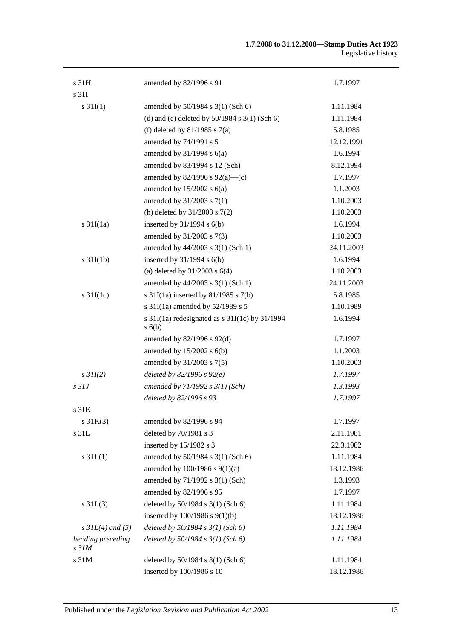| s 31H                                 | amended by 82/1996 s 91                                      | 1.7.1997   |
|---------------------------------------|--------------------------------------------------------------|------------|
| s 31I                                 |                                                              |            |
| $s \, 31I(1)$                         | amended by 50/1984 s 3(1) (Sch 6)                            | 1.11.1984  |
|                                       | (d) and (e) deleted by $50/1984$ s $3(1)$ (Sch 6)            | 1.11.1984  |
|                                       | (f) deleted by $81/1985$ s $7(a)$                            | 5.8.1985   |
|                                       | amended by 74/1991 s 5                                       | 12.12.1991 |
|                                       | amended by $31/1994$ s $6(a)$                                | 1.6.1994   |
|                                       | amended by 83/1994 s 12 (Sch)                                | 8.12.1994  |
|                                       | amended by $82/1996$ s $92(a)$ —(c)                          | 1.7.1997   |
|                                       | amended by $15/2002$ s $6(a)$                                | 1.1.2003   |
|                                       | amended by 31/2003 s 7(1)                                    | 1.10.2003  |
|                                       | (h) deleted by $31/2003$ s $7(2)$                            | 1.10.2003  |
| $s \frac{31I(1a)}{2}$                 | inserted by $31/1994$ s $6(b)$                               | 1.6.1994   |
|                                       | amended by 31/2003 s 7(3)                                    | 1.10.2003  |
|                                       | amended by 44/2003 s 3(1) (Sch 1)                            | 24.11.2003 |
| $s \frac{31I(1b)}{2}$                 | inserted by $31/1994$ s $6(b)$                               | 1.6.1994   |
|                                       | (a) deleted by $31/2003$ s $6(4)$                            | 1.10.2003  |
|                                       | amended by 44/2003 s 3(1) (Sch 1)                            | 24.11.2003 |
| s $31I(1c)$                           | s $31I(1a)$ inserted by $81/1985$ s $7(b)$                   | 5.8.1985   |
|                                       | s 31I(1a) amended by 52/1989 s 5                             | 1.10.1989  |
|                                       | s $31I(1a)$ redesignated as s $31I(1c)$ by $31/1994$<br>s(6) | 1.6.1994   |
|                                       | amended by $82/1996$ s $92(d)$                               | 1.7.1997   |
|                                       | amended by $15/2002$ s $6(b)$                                | 1.1.2003   |
|                                       | amended by 31/2003 s 7(5)                                    | 1.10.2003  |
| $s$ 31I(2)                            | deleted by $82/1996 s 92(e)$                                 | 1.7.1997   |
| s <sub>31J</sub>                      | amended by $71/1992 s 3(1)$ (Sch)                            | 1.3.1993   |
|                                       | deleted by 82/1996 s 93                                      | 1.7.1997   |
| s 31K                                 |                                                              |            |
| $s \, 31K(3)$                         | amended by 82/1996 s 94                                      | 1.7.1997   |
| s 31L                                 | deleted by 70/1981 s 3                                       | 2.11.1981  |
|                                       | inserted by 15/1982 s 3                                      | 22.3.1982  |
| $s \, 31L(1)$                         | amended by 50/1984 s 3(1) (Sch 6)                            | 1.11.1984  |
|                                       | amended by $100/1986$ s $9(1)(a)$                            | 18.12.1986 |
|                                       | amended by 71/1992 s 3(1) (Sch)                              | 1.3.1993   |
|                                       | amended by 82/1996 s 95                                      | 1.7.1997   |
| $s \, 31L(3)$                         | deleted by 50/1984 s 3(1) (Sch 6)                            | 1.11.1984  |
|                                       | inserted by $100/1986$ s $9(1)(b)$                           | 18.12.1986 |
| $s$ 31L(4) and (5)                    | deleted by $50/1984$ s $3(1)$ (Sch 6)                        | 1.11.1984  |
| heading preceding<br>s <sub>31M</sub> | deleted by $50/1984$ s $3(1)$ (Sch 6)                        | 1.11.1984  |
| s 31M                                 | deleted by 50/1984 s 3(1) (Sch 6)                            | 1.11.1984  |
|                                       | inserted by 100/1986 s 10                                    | 18.12.1986 |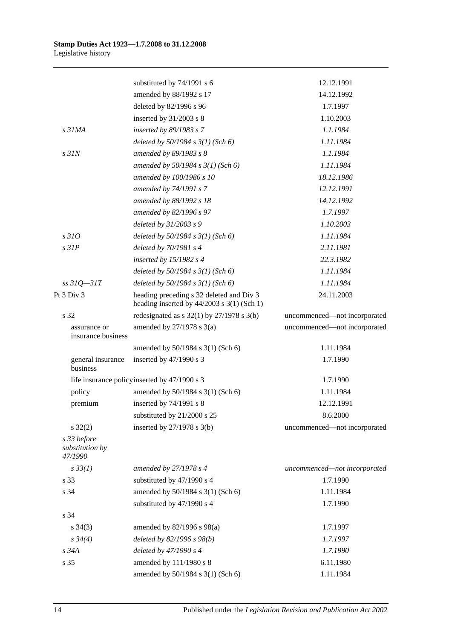|                                           | substituted by 74/1991 s 6                                                               | 12.12.1991                   |
|-------------------------------------------|------------------------------------------------------------------------------------------|------------------------------|
|                                           | amended by 88/1992 s 17                                                                  | 14.12.1992                   |
|                                           | deleted by 82/1996 s 96                                                                  | 1.7.1997                     |
|                                           | inserted by $31/2003$ s 8                                                                | 1.10.2003                    |
| s <sub>31MA</sub>                         | inserted by 89/1983 s 7                                                                  | 1.1.1984                     |
|                                           | deleted by $50/1984$ s $3(1)$ (Sch 6)                                                    | 1.11.1984                    |
| $s$ 31 $N$                                | amended by 89/1983 s 8                                                                   | 1.1.1984                     |
|                                           | amended by $50/1984$ s $3(1)$ (Sch 6)                                                    | 1.11.1984                    |
|                                           | amended by 100/1986 s 10                                                                 | 18.12.1986                   |
|                                           | amended by 74/1991 s 7                                                                   | 12.12.1991                   |
|                                           | amended by 88/1992 s 18                                                                  | 14.12.1992                   |
|                                           | amended by 82/1996 s 97                                                                  | 1.7.1997                     |
|                                           | deleted by 31/2003 s 9                                                                   | 1.10.2003                    |
| s310                                      | deleted by $50/1984$ s $3(1)$ (Sch 6)                                                    | 1.11.1984                    |
| $s$ 31 $P$                                | deleted by $70/1981 s4$                                                                  | 2.11.1981                    |
|                                           | inserted by $15/1982$ s 4                                                                | 22.3.1982                    |
|                                           | deleted by $50/1984$ s $3(1)$ (Sch 6)                                                    | 1.11.1984                    |
| $ss31Q - 31T$                             | deleted by $50/1984$ s $3(1)$ (Sch 6)                                                    | 1.11.1984                    |
| Pt 3 Div 3                                | heading preceding s 32 deleted and Div 3<br>heading inserted by $44/2003$ s 3(1) (Sch 1) | 24.11.2003                   |
| s 32                                      | redesignated as $s$ 32(1) by 27/1978 $s$ 3(b)                                            | uncommenced—not incorporated |
| assurance or<br>insurance business        | amended by $27/1978$ s $3(a)$                                                            | uncommenced-not incorporated |
|                                           | amended by 50/1984 s 3(1) (Sch 6)                                                        | 1.11.1984                    |
| general insurance<br>business             | inserted by $47/1990$ s 3                                                                | 1.7.1990                     |
|                                           | life insurance policy inserted by 47/1990 s 3                                            | 1.7.1990                     |
| policy                                    | amended by 50/1984 s 3(1) (Sch 6)                                                        | 1.11.1984                    |
| premium                                   | inserted by 74/1991 s 8                                                                  | 12.12.1991                   |
|                                           | substituted by 21/2000 s 25                                                              | 8.6.2000                     |
| $s \, 32(2)$                              | inserted by $27/1978$ s 3(b)                                                             | uncommenced—not incorporated |
| s 33 before<br>substitution by<br>47/1990 |                                                                                          |                              |
| $s \, 33(1)$                              | amended by 27/1978 s 4                                                                   | uncommenced-not incorporated |
| s 33                                      | substituted by 47/1990 s 4                                                               | 1.7.1990                     |
| s 34                                      | amended by 50/1984 s 3(1) (Sch 6)                                                        | 1.11.1984                    |
|                                           | substituted by 47/1990 s 4                                                               | 1.7.1990                     |
| s 34                                      |                                                                                          |                              |
| $s \; 34(3)$                              | amended by 82/1996 s 98(a)                                                               | 1.7.1997                     |
| $s \, 34(4)$                              | deleted by $82/1996 s 98(b)$                                                             | 1.7.1997                     |
| s 34A                                     | deleted by 47/1990 s 4                                                                   | 1.7.1990                     |
| s 35                                      | amended by 111/1980 s 8                                                                  | 6.11.1980                    |
|                                           | amended by 50/1984 s 3(1) (Sch 6)                                                        | 1.11.1984                    |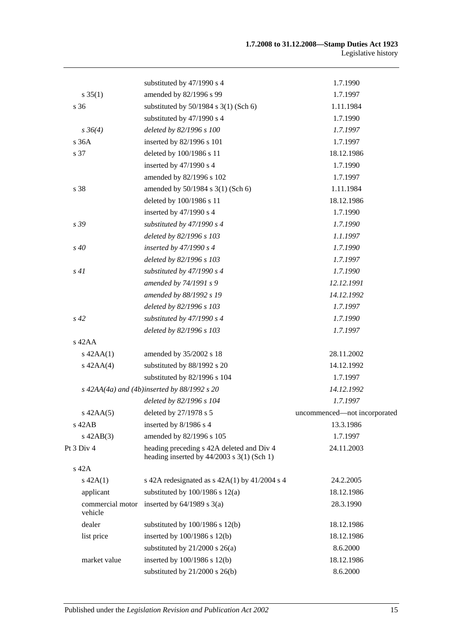|                             | substituted by 47/1990 s 4                                                                | 1.7.1990                     |
|-----------------------------|-------------------------------------------------------------------------------------------|------------------------------|
| $s \, 35(1)$                | amended by 82/1996 s 99                                                                   | 1.7.1997                     |
| s <sub>36</sub>             | substituted by $50/1984$ s $3(1)$ (Sch 6)                                                 | 1.11.1984                    |
|                             | substituted by 47/1990 s 4                                                                | 1.7.1990                     |
| $s \, 36(4)$                | deleted by 82/1996 s 100                                                                  | 1.7.1997                     |
| s 36A                       | inserted by 82/1996 s 101                                                                 | 1.7.1997                     |
| s 37                        | deleted by 100/1986 s 11                                                                  | 18.12.1986                   |
|                             | inserted by 47/1990 s 4                                                                   | 1.7.1990                     |
|                             | amended by 82/1996 s 102                                                                  | 1.7.1997                     |
| s 38                        | amended by 50/1984 s 3(1) (Sch 6)                                                         | 1.11.1984                    |
|                             | deleted by 100/1986 s 11                                                                  | 18.12.1986                   |
|                             | inserted by 47/1990 s 4                                                                   | 1.7.1990                     |
| s 39                        | substituted by 47/1990 s 4                                                                | 1.7.1990                     |
|                             | deleted by 82/1996 s 103                                                                  | 1.1.1997                     |
| $s\,40$                     | inserted by $47/1990 s 4$                                                                 | 1.7.1990                     |
|                             | deleted by 82/1996 s 103                                                                  | 1.7.1997                     |
| s41                         | substituted by $47/1990 s 4$                                                              | 1.7.1990                     |
|                             | amended by 74/1991 s 9                                                                    | 12.12.1991                   |
|                             | amended by 88/1992 s 19                                                                   | 14.12.1992                   |
|                             | deleted by 82/1996 s 103                                                                  | 1.7.1997                     |
| $s\,42$                     | substituted by 47/1990 s 4                                                                | 1.7.1990                     |
|                             | deleted by 82/1996 s 103                                                                  | 1.7.1997                     |
| $s$ 42AA                    |                                                                                           |                              |
| $s$ 42AA $(1)$              | amended by 35/2002 s 18                                                                   | 28.11.2002                   |
| $s$ 42AA $(4)$              | substituted by 88/1992 s 20                                                               | 14.12.1992                   |
|                             | substituted by 82/1996 s 104                                                              | 1.7.1997                     |
|                             | $s$ 42AA(4a) and (4b)inserted by 88/1992 s 20                                             | 14.12.1992                   |
|                             | deleted by 82/1996 s 104                                                                  | 1.7.1997                     |
| $s$ 42AA $(5)$              | deleted by 27/1978 s 5                                                                    | uncommenced—not incorporated |
| $s$ 42AB                    | inserted by 8/1986 s 4                                                                    | 13.3.1986                    |
| $s$ 42AB $(3)$              | amended by 82/1996 s 105                                                                  | 1.7.1997                     |
| Pt 3 Div 4                  | heading preceding s 42A deleted and Div 4<br>heading inserted by $44/2003$ s 3(1) (Sch 1) | 24.11.2003                   |
| s 42A                       |                                                                                           |                              |
| $s\ 42A(1)$                 | s 42A redesignated as $s$ 42A(1) by 41/2004 s 4                                           | 24.2.2005                    |
| applicant                   | substituted by $100/1986$ s $12(a)$                                                       | 18.12.1986                   |
| commercial motor<br>vehicle | inserted by $64/1989$ s $3(a)$                                                            | 28.3.1990                    |
| dealer                      | substituted by $100/1986$ s $12(b)$                                                       | 18.12.1986                   |
| list price                  | inserted by 100/1986 s 12(b)                                                              | 18.12.1986                   |
|                             | substituted by $21/2000$ s $26(a)$                                                        | 8.6.2000                     |
| market value                | inserted by 100/1986 s 12(b)                                                              | 18.12.1986                   |
|                             | substituted by $21/2000$ s $26(b)$                                                        | 8.6.2000                     |
|                             |                                                                                           |                              |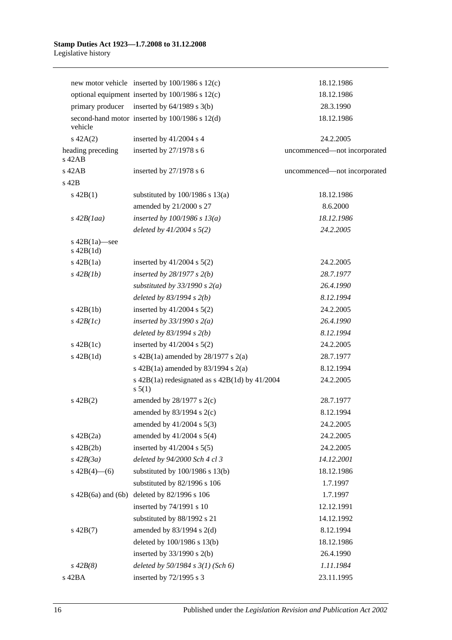|                                 | new motor vehicle inserted by $100/1986$ s $12(c)$             | 18.12.1986                   |
|---------------------------------|----------------------------------------------------------------|------------------------------|
|                                 | optional equipment inserted by 100/1986 s 12(c)                | 18.12.1986                   |
| primary producer                | inserted by $64/1989$ s $3(b)$                                 | 28.3.1990                    |
| vehicle                         | second-hand motor inserted by 100/1986 s 12(d)                 | 18.12.1986                   |
| $s\ 42A(2)$                     | inserted by 41/2004 s 4                                        | 24.2.2005                    |
| heading preceding<br>$s$ 42AB   | inserted by 27/1978 s 6                                        | uncommenced-not incorporated |
| s 42AB                          | inserted by 27/1978 s 6                                        | uncommenced-not incorporated |
| s 42B                           |                                                                |                              |
| $s\ 42B(1)$                     | substituted by $100/1986$ s $13(a)$                            | 18.12.1986                   |
|                                 | amended by 21/2000 s 27                                        | 8.6.2000                     |
| $s\,42B(1aa)$                   | inserted by $100/1986$ s $13(a)$                               | 18.12.1986                   |
|                                 | deleted by $41/2004$ s $5(2)$                                  | 24.2.2005                    |
| s 42B(1a)-see<br>$s$ 42B $(1d)$ |                                                                |                              |
| $s\ 42B(1a)$                    | inserted by $41/2004$ s $5(2)$                                 | 24.2.2005                    |
| $s\,42B(1b)$                    | inserted by $28/1977 s 2(b)$                                   | 28.7.1977                    |
|                                 | substituted by $33/1990$ s $2(a)$                              | 26.4.1990                    |
|                                 | deleted by $83/1994 s 2(b)$                                    | 8.12.1994                    |
| $s\ 42B(1b)$                    | inserted by $41/2004$ s $5(2)$                                 | 24.2.2005                    |
| $s\,42B(1c)$                    | inserted by $33/1990 s 2(a)$                                   | 26.4.1990                    |
|                                 | deleted by $83/1994 s 2(b)$                                    | 8.12.1994                    |
| $s\ 42B(1c)$                    | inserted by $41/2004$ s $5(2)$                                 | 24.2.2005                    |
| $s$ 42B $(1d)$                  | s 42B(1a) amended by $28/1977$ s $2(a)$                        | 28.7.1977                    |
|                                 | s 42B(1a) amended by 83/1994 s 2(a)                            | 8.12.1994                    |
|                                 | s $42B(1a)$ redesignated as s $42B(1d)$ by $41/2004$<br>s 5(1) | 24.2.2005                    |
| $s\ 42B(2)$                     | amended by $28/1977$ s $2(c)$                                  | 28.7.1977                    |
|                                 | amended by $83/1994$ s $2(c)$                                  | 8.12.1994                    |
|                                 | amended by $41/2004$ s $5(3)$                                  | 24.2.2005                    |
| $s\ 42B(2a)$                    | amended by 41/2004 s 5(4)                                      | 24.2.2005                    |
| $s\ 42B(2b)$                    | inserted by $41/2004$ s $5(5)$                                 | 24.2.2005                    |
| $s\,42B(3a)$                    | deleted by 94/2000 Sch 4 cl 3                                  | 14.12.2001                   |
| s $42B(4)$ - (6)                | substituted by 100/1986 s 13(b)                                | 18.12.1986                   |
|                                 | substituted by 82/1996 s 106                                   | 1.7.1997                     |
| s $42B(6a)$ and $(6b)$          | deleted by 82/1996 s 106                                       | 1.7.1997                     |
|                                 | inserted by 74/1991 s 10                                       | 12.12.1991                   |
|                                 | substituted by 88/1992 s 21                                    | 14.12.1992                   |
| $s\ 42B(7)$                     | amended by $83/1994$ s 2(d)                                    | 8.12.1994                    |
|                                 | deleted by 100/1986 s 13(b)                                    | 18.12.1986                   |
|                                 | inserted by $33/1990$ s 2(b)                                   | 26.4.1990                    |
| $s\,42B(8)$                     | deleted by $50/1984$ s $3(1)$ (Sch 6)                          | 1.11.1984                    |
| s 42BA                          | inserted by 72/1995 s 3                                        | 23.11.1995                   |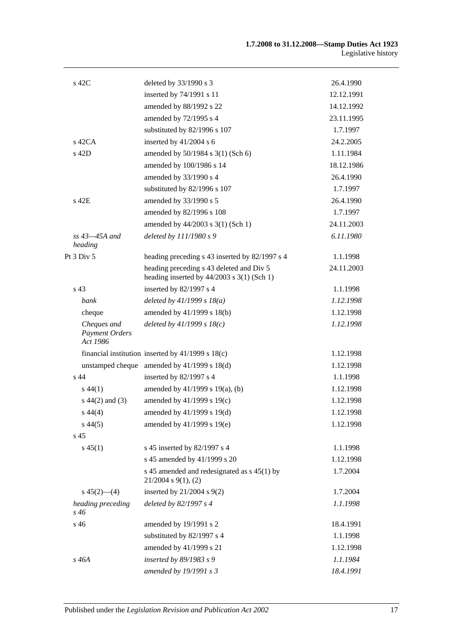| $s$ 42C                                          | deleted by 33/1990 s 3                                                                   | 26.4.1990  |
|--------------------------------------------------|------------------------------------------------------------------------------------------|------------|
|                                                  | inserted by 74/1991 s 11                                                                 | 12.12.1991 |
|                                                  | amended by 88/1992 s 22                                                                  | 14.12.1992 |
|                                                  | amended by 72/1995 s 4                                                                   | 23.11.1995 |
|                                                  | substituted by 82/1996 s 107                                                             | 1.7.1997   |
| $s$ 42CA                                         | inserted by 41/2004 s 6                                                                  | 24.2.2005  |
| s 42D                                            | amended by 50/1984 s 3(1) (Sch 6)                                                        | 1.11.1984  |
|                                                  | amended by 100/1986 s 14                                                                 | 18.12.1986 |
|                                                  | amended by 33/1990 s 4                                                                   | 26.4.1990  |
|                                                  | substituted by 82/1996 s 107                                                             | 1.7.1997   |
| s 42E                                            | amended by 33/1990 s 5                                                                   | 26.4.1990  |
|                                                  | amended by 82/1996 s 108                                                                 | 1.7.1997   |
|                                                  | amended by 44/2003 s 3(1) (Sch 1)                                                        | 24.11.2003 |
| $ss$ 43 $-45A$ and<br>heading                    | deleted by 111/1980 s 9                                                                  | 6.11.1980  |
| Pt $3$ Div $5$                                   | heading preceding s 43 inserted by 82/1997 s 4                                           | 1.1.1998   |
|                                                  | heading preceding s 43 deleted and Div 5<br>heading inserted by $44/2003$ s 3(1) (Sch 1) | 24.11.2003 |
| s <sub>43</sub>                                  | inserted by 82/1997 s 4                                                                  | 1.1.1998   |
| bank                                             | deleted by $41/1999 s 18(a)$                                                             | 1.12.1998  |
| cheque                                           | amended by 41/1999 s 18(b)                                                               | 1.12.1998  |
| Cheques and<br><b>Payment Orders</b><br>Act 1986 | deleted by $41/1999 s 18(c)$                                                             | 1.12.1998  |
|                                                  | financial institution inserted by $41/1999$ s $18(c)$                                    | 1.12.1998  |
|                                                  | unstamped cheque amended by $41/1999$ s $18(d)$                                          | 1.12.1998  |
| $s$ 44                                           | inserted by 82/1997 s 4                                                                  | 1.1.1998   |
| $s\,44(1)$                                       | amended by 41/1999 s 19(a), (b)                                                          | 1.12.1998  |
| $s\ 44(2)$ and (3)                               | amended by $41/1999$ s $19(c)$                                                           | 1.12.1998  |
| $s\,44(4)$                                       | amended by 41/1999 s 19(d)                                                               | 1.12.1998  |
| $s\,44(5)$                                       | amended by 41/1999 s 19(e)                                                               | 1.12.1998  |
| s <sub>45</sub>                                  |                                                                                          |            |
| $s\,45(1)$                                       | s 45 inserted by 82/1997 s 4                                                             | 1.1.1998   |
|                                                  | s 45 amended by 41/1999 s 20                                                             | 1.12.1998  |
|                                                  | s 45 amended and redesignated as s 45(1) by<br>$21/2004$ s $9(1)$ , (2)                  | 1.7.2004   |
| $s\,45(2)$ —(4)                                  | inserted by $21/2004$ s $9(2)$                                                           | 1.7.2004   |
| heading preceding<br>s 46                        | deleted by 82/1997 s 4                                                                   | 1.1.1998   |
| s 46                                             | amended by 19/1991 s 2                                                                   | 18.4.1991  |
|                                                  | substituted by 82/1997 s 4                                                               | 1.1.1998   |
|                                                  | amended by 41/1999 s 21                                                                  | 1.12.1998  |
| $s\,46A$                                         | inserted by 89/1983 s 9                                                                  | 1.1.1984   |
|                                                  | amended by 19/1991 s 3                                                                   | 18.4.1991  |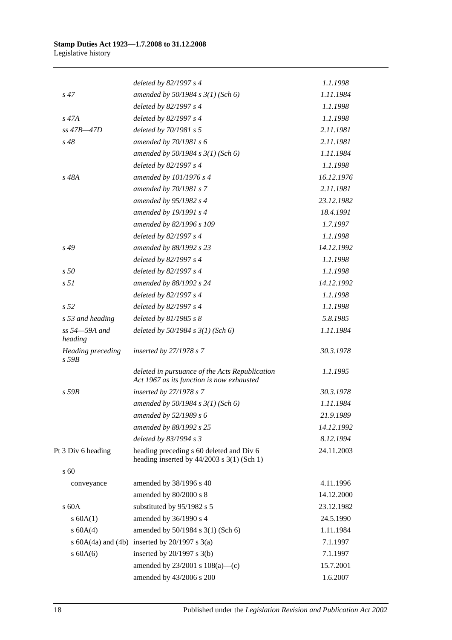|                                 | deleted by 82/1997 s 4                                                                      | 1.1.1998   |
|---------------------------------|---------------------------------------------------------------------------------------------|------------|
| $s\,47$                         | amended by $50/1984 s 3(1)$ (Sch 6)                                                         | 1.11.1984  |
|                                 | deleted by 82/1997 s 4                                                                      | 1.1.1998   |
| $s\,47A$                        | deleted by 82/1997 s 4                                                                      | 1.1.1998   |
| $ss$ 47B $-47D$                 | deleted by 70/1981 s 5                                                                      | 2.11.1981  |
| $s\,48$                         | amended by $70/1981 s$ 6                                                                    | 2.11.1981  |
|                                 | amended by $50/1984 s 3(1)$ (Sch 6)                                                         | 1.11.1984  |
|                                 | deleted by 82/1997 s 4                                                                      | 1.1.1998   |
| s 48A                           | amended by 101/1976 s 4                                                                     | 16.12.1976 |
|                                 | amended by 70/1981 s 7                                                                      | 2.11.1981  |
|                                 | amended by 95/1982 s 4                                                                      | 23.12.1982 |
|                                 | amended by 19/1991 s 4                                                                      | 18.4.1991  |
|                                 | amended by 82/1996 s 109                                                                    | 1.7.1997   |
|                                 | deleted by 82/1997 s 4                                                                      | 1.1.1998   |
| s 49                            | amended by 88/1992 s 23                                                                     | 14.12.1992 |
|                                 | deleted by 82/1997 s 4                                                                      | 1.1.1998   |
| s <sub>50</sub>                 | deleted by 82/1997 s 4                                                                      | 1.1.1998   |
| s <sub>51</sub>                 | amended by 88/1992 s 24                                                                     | 14.12.1992 |
|                                 | deleted by 82/1997 s 4                                                                      | 1.1.1998   |
| s <sub>52</sub>                 | deleted by 82/1997 s 4                                                                      | 1.1.1998   |
| s 53 and heading                | deleted by $81/1985 s 8$                                                                    | 5.8.1985   |
| ss 54-59A and<br>heading        | deleted by $50/1984$ s $3(1)$ (Sch 6)                                                       | 1.11.1984  |
| Heading preceding<br>$s$ 59 $B$ | inserted by 27/1978 s 7                                                                     | 30.3.1978  |
|                                 | deleted in pursuance of the Acts Republication<br>Act 1967 as its function is now exhausted | 1.1.1995   |
| $s$ 59 $B$                      | inserted by 27/1978 s 7                                                                     | 30.3.1978  |
|                                 | amended by 50/1984 s 3(1) (Sch 6)                                                           | 1.11.1984  |
|                                 | amended by $52/1989 s 6$                                                                    | 21.9.1989  |
|                                 | amended by 88/1992 s 25                                                                     | 14.12.1992 |
|                                 | deleted by $83/1994 s3$                                                                     | 8.12.1994  |
| Pt 3 Div 6 heading              | heading preceding s 60 deleted and Div 6<br>heading inserted by $44/2003$ s 3(1) (Sch 1)    | 24.11.2003 |
| s 60                            |                                                                                             |            |
| conveyance                      | amended by 38/1996 s 40                                                                     | 4.11.1996  |
|                                 | amended by 80/2000 s 8                                                                      | 14.12.2000 |
| $s$ 60 $A$                      | substituted by 95/1982 s 5                                                                  | 23.12.1982 |
| s 60A(1)                        | amended by 36/1990 s 4                                                                      | 24.5.1990  |
| s 60A(4)                        | amended by 50/1984 s 3(1) (Sch 6)                                                           | 1.11.1984  |
|                                 | s $60A(4a)$ and $(4b)$ inserted by $20/1997$ s $3(a)$                                       | 7.1.1997   |
| $s$ 60A(6)                      | inserted by $20/1997$ s $3(b)$                                                              | 7.1.1997   |
|                                 | amended by $23/2001$ s $108(a)$ —(c)                                                        | 15.7.2001  |
|                                 | amended by 43/2006 s 200                                                                    | 1.6.2007   |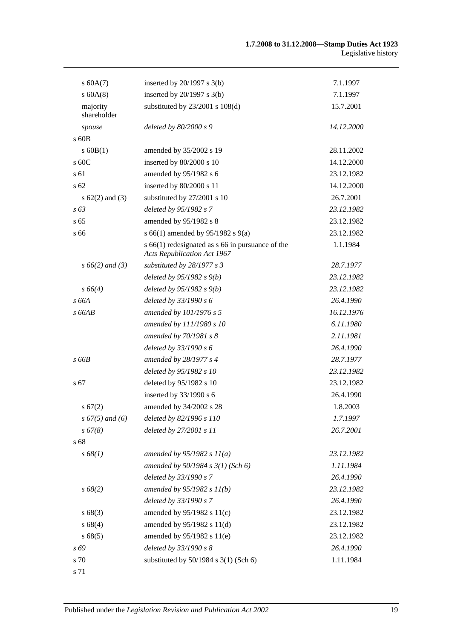| s 60A(7)                | inserted by $20/1997$ s $3(b)$                                                             | 7.1.1997   |
|-------------------------|--------------------------------------------------------------------------------------------|------------|
| $s$ 60A $(8)$           | inserted by $20/1997$ s $3(b)$                                                             | 7.1.1997   |
| majority<br>shareholder | substituted by $23/2001$ s $108(d)$                                                        | 15.7.2001  |
| spouse                  | deleted by 80/2000 s 9                                                                     | 14.12.2000 |
| $\rm s$ 60B             |                                                                                            |            |
| $s$ 60B(1)              | amended by 35/2002 s 19                                                                    | 28.11.2002 |
| s 60C                   | inserted by 80/2000 s 10                                                                   | 14.12.2000 |
| s 61                    | amended by 95/1982 s 6                                                                     | 23.12.1982 |
| s <sub>62</sub>         | inserted by 80/2000 s 11                                                                   | 14.12.2000 |
| s $62(2)$ and $(3)$     | substituted by 27/2001 s 10                                                                | 26.7.2001  |
| $s\,63$                 | deleted by 95/1982 s 7                                                                     | 23.12.1982 |
| s <sub>65</sub>         | amended by 95/1982 s 8                                                                     | 23.12.1982 |
| s 66                    | s 66(1) amended by 95/1982 s 9(a)                                                          | 23.12.1982 |
|                         | $s$ 66(1) redesignated as $s$ 66 in pursuance of the<br><b>Acts Republication Act 1967</b> | 1.1.1984   |
| $s\,66(2)$ and (3)      | substituted by $28/1977 s 3$                                                               | 28.7.1977  |
|                         | deleted by $95/1982 s 9(b)$                                                                | 23.12.1982 |
| $s\,66(4)$              | deleted by $95/1982 s 9(b)$                                                                | 23.12.1982 |
| s 66A                   | deleted by 33/1990 s 6                                                                     | 26.4.1990  |
| $s$ 66AB                | amended by 101/1976 s 5                                                                    | 16.12.1976 |
|                         | amended by 111/1980 s 10                                                                   | 6.11.1980  |
|                         | amended by 70/1981 s 8                                                                     | 2.11.1981  |
|                         | deleted by 33/1990 s 6                                                                     | 26.4.1990  |
| s66B                    | amended by 28/1977 s 4                                                                     | 28.7.1977  |
|                         | deleted by 95/1982 s 10                                                                    | 23.12.1982 |
| s 67                    | deleted by 95/1982 s 10                                                                    | 23.12.1982 |
|                         | inserted by 33/1990 s 6                                                                    | 26.4.1990  |
| s 67(2)                 | amended by 34/2002 s 28                                                                    | 1.8.2003   |
| $s 67(5)$ and (6)       | deleted by 82/1996 s 110                                                                   | 1.7.1997   |
| s 67(8)                 | deleted by 27/2001 s 11                                                                    | 26.7.2001  |
| s 68                    |                                                                                            |            |
| s 68(1)                 | amended by $95/1982 s 11(a)$                                                               | 23.12.1982 |
|                         | amended by $50/1984$ s $3(1)$ (Sch 6)                                                      | 1.11.1984  |
|                         | deleted by 33/1990 s 7                                                                     | 26.4.1990  |
| $s\,68(2)$              | amended by 95/1982 s 11(b)                                                                 | 23.12.1982 |
|                         | deleted by 33/1990 s 7                                                                     | 26.4.1990  |
| s 68(3)                 | amended by 95/1982 s 11(c)                                                                 | 23.12.1982 |
| s68(4)                  | amended by 95/1982 s 11(d)                                                                 | 23.12.1982 |
| s68(5)                  | amended by 95/1982 s 11(e)                                                                 | 23.12.1982 |
| s 69                    | deleted by 33/1990 s 8                                                                     | 26.4.1990  |
| s 70                    | substituted by 50/1984 s 3(1) (Sch 6)                                                      | 1.11.1984  |
| s 71                    |                                                                                            |            |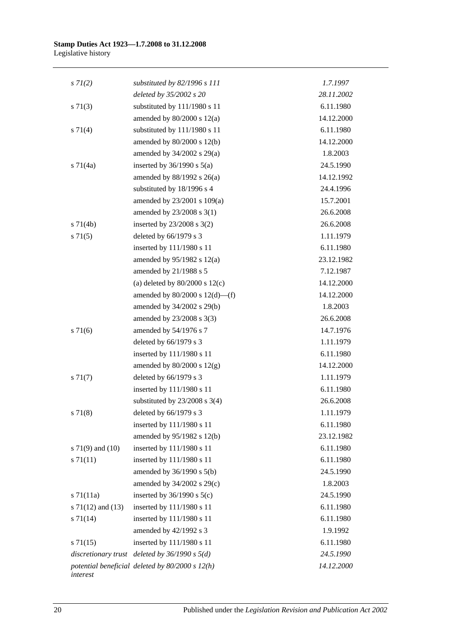| $s \, 7I(2)$          | substituted by $82/1996 s 111$                    | 1.7.1997   |  |
|-----------------------|---------------------------------------------------|------------|--|
|                       | deleted by 35/2002 s 20                           | 28.11.2002 |  |
| $s \, 71(3)$          | substituted by 111/1980 s 11                      | 6.11.1980  |  |
|                       | amended by $80/2000$ s $12(a)$                    | 14.12.2000 |  |
| $s \ 71(4)$           | substituted by 111/1980 s 11                      | 6.11.1980  |  |
|                       | amended by 80/2000 s 12(b)                        | 14.12.2000 |  |
|                       | amended by $34/2002$ s $29(a)$                    | 1.8.2003   |  |
| $s \, 71(4a)$         | inserted by $36/1990$ s $5(a)$                    | 24.5.1990  |  |
|                       | amended by 88/1992 s 26(a)                        | 14.12.1992 |  |
|                       | substituted by 18/1996 s 4                        | 24.4.1996  |  |
|                       | amended by 23/2001 s 109(a)                       | 15.7.2001  |  |
|                       | amended by 23/2008 s 3(1)                         | 26.6.2008  |  |
| $s \, 71(4b)$         | inserted by $23/2008$ s $3(2)$                    | 26.6.2008  |  |
| $s \, 71(5)$          | deleted by $66/1979$ s 3                          | 1.11.1979  |  |
|                       | inserted by 111/1980 s 11                         | 6.11.1980  |  |
|                       | amended by 95/1982 s 12(a)                        | 23.12.1982 |  |
|                       | amended by 21/1988 s 5                            | 7.12.1987  |  |
|                       | (a) deleted by $80/2000$ s $12(c)$                | 14.12.2000 |  |
|                       | amended by $80/2000$ s $12(d)$ —(f)               | 14.12.2000 |  |
|                       | amended by 34/2002 s 29(b)                        | 1.8.2003   |  |
|                       | amended by 23/2008 s 3(3)                         | 26.6.2008  |  |
| $s \, 71(6)$          | amended by 54/1976 s 7                            | 14.7.1976  |  |
|                       | deleted by 66/1979 s 3                            | 1.11.1979  |  |
|                       | inserted by 111/1980 s 11                         | 6.11.1980  |  |
|                       | amended by $80/2000$ s $12(g)$                    | 14.12.2000 |  |
| $s \, 71(7)$          | deleted by 66/1979 s 3                            | 1.11.1979  |  |
|                       | inserted by 111/1980 s 11                         | 6.11.1980  |  |
|                       | substituted by $23/2008$ s $3(4)$                 | 26.6.2008  |  |
| s 71(8)               | deleted by $66/1979$ s 3                          | 1.11.1979  |  |
|                       | inserted by 111/1980 s 11                         | 6.11.1980  |  |
|                       | amended by 95/1982 s 12(b)                        | 23.12.1982 |  |
| s $71(9)$ and $(10)$  | inserted by 111/1980 s 11                         | 6.11.1980  |  |
| $s \, 71(11)$         | inserted by 111/1980 s 11                         | 6.11.1980  |  |
|                       | amended by $36/1990$ s $5(b)$                     | 24.5.1990  |  |
|                       | amended by 34/2002 s 29(c)                        | 1.8.2003   |  |
| $s \, 71(11a)$        | inserted by $36/1990$ s $5(c)$                    | 24.5.1990  |  |
| s $71(12)$ and $(13)$ | inserted by 111/1980 s 11                         | 6.11.1980  |  |
| $s \, 71(14)$         | inserted by 111/1980 s 11                         | 6.11.1980  |  |
|                       | amended by 42/1992 s 3                            | 1.9.1992   |  |
| $s \, 71(15)$         | inserted by 111/1980 s 11                         | 6.11.1980  |  |
|                       | discretionary trust deleted by $36/1990 s 5(d)$   | 24.5.1990  |  |
| interest              | potential beneficial deleted by $80/2000 s 12(h)$ | 14.12.2000 |  |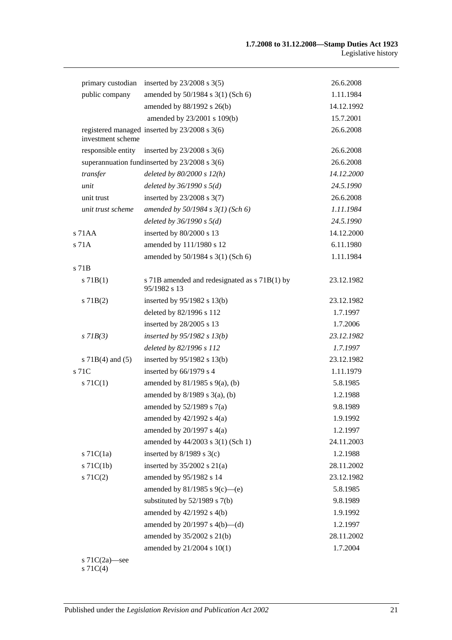| primary custodian    | inserted by $23/2008$ s $3(5)$                                | 26.6.2008  |
|----------------------|---------------------------------------------------------------|------------|
| public company       | amended by 50/1984 s 3(1) (Sch 6)                             | 1.11.1984  |
|                      | amended by 88/1992 s 26(b)                                    | 14.12.1992 |
|                      | amended by 23/2001 s 109(b)                                   | 15.7.2001  |
| investment scheme    | registered managed inserted by 23/2008 s 3(6)                 | 26.6.2008  |
| responsible entity   | inserted by $23/2008$ s 3(6)                                  | 26.6.2008  |
|                      | superannuation fundinserted by 23/2008 s 3(6)                 | 26.6.2008  |
| transfer             | deleted by $80/2000 s 12(h)$                                  | 14.12.2000 |
| unit                 | deleted by $36/1990 s 5(d)$                                   | 24.5.1990  |
| unit trust           | inserted by 23/2008 s 3(7)                                    | 26.6.2008  |
| unit trust scheme    | amended by $50/1984$ s $3(1)$ (Sch 6)                         | 1.11.1984  |
|                      | deleted by $36/1990 s 5(d)$                                   | 24.5.1990  |
| $s$ 71 $AA$          | inserted by 80/2000 s 13                                      | 14.12.2000 |
| s 71A                | amended by 111/1980 s 12                                      | 6.11.1980  |
|                      | amended by 50/1984 s 3(1) (Sch 6)                             | 1.11.1984  |
| s 71 <sub>B</sub>    |                                                               |            |
| s 71B(1)             | s 71B amended and redesignated as s 71B(1) by<br>95/1982 s 13 | 23.12.1982 |
| $s$ 71B(2)           | inserted by $95/1982$ s 13(b)                                 | 23.12.1982 |
|                      | deleted by 82/1996 s 112                                      | 1.7.1997   |
|                      | inserted by 28/2005 s 13                                      | 1.7.2006   |
| $s$ 71 $B(3)$        | inserted by $95/1982$ s $13(b)$                               | 23.12.1982 |
|                      | deleted by 82/1996 s 112                                      | 1.7.1997   |
| s $71B(4)$ and $(5)$ | inserted by $95/1982$ s 13(b)                                 | 23.12.1982 |
| s 71C                | inserted by 66/1979 s 4                                       | 1.11.1979  |
| $s \, 71C(1)$        | amended by $81/1985$ s $9(a)$ , (b)                           | 5.8.1985   |
|                      | amended by $8/1989$ s $3(a)$ , (b)                            | 1.2.1988   |
|                      | amended by $52/1989$ s $7(a)$                                 | 9.8.1989   |
|                      | amended by $42/1992$ s $4(a)$                                 | 1.9.1992   |
|                      | amended by $20/1997$ s $4(a)$                                 | 1.2.1997   |
|                      | amended by 44/2003 s 3(1) (Sch 1)                             | 24.11.2003 |
| $s$ 71 $C(1a)$       | inserted by $8/1989$ s 3(c)                                   | 1.2.1988   |
| $s$ 71 $C(1b)$       | inserted by $35/2002$ s $21(a)$                               | 28.11.2002 |
| $s \, 71C(2)$        | amended by 95/1982 s 14                                       | 23.12.1982 |
|                      | amended by 81/1985 s 9(c)—(e)                                 | 5.8.1985   |
|                      | substituted by $52/1989$ s $7(b)$                             | 9.8.1989   |
|                      | amended by 42/1992 s 4(b)                                     | 1.9.1992   |
|                      | amended by $20/1997$ s $4(b)$ —(d)                            | 1.2.1997   |
|                      | amended by 35/2002 s 21(b)                                    | 28.11.2002 |
|                      | amended by 21/2004 s 10(1)                                    | 1.7.2004   |
| s $71C(2a)$ —see     |                                                               |            |

s 71C(4)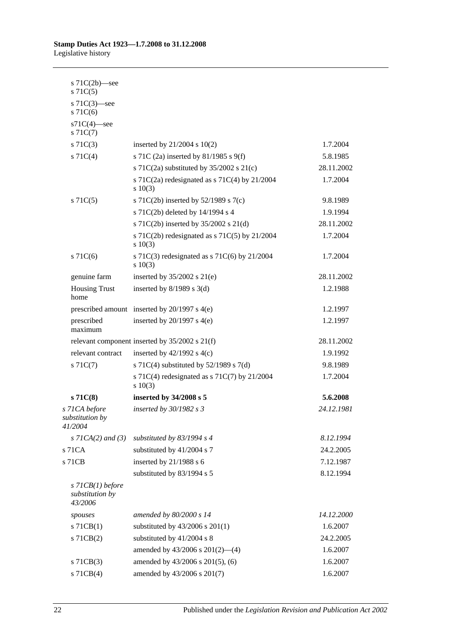| s $71C(2b)$ —see<br>$s \, 71C(5)$                |                                                               |            |
|--------------------------------------------------|---------------------------------------------------------------|------------|
| s $71C(3)$ —see<br>$s$ 71 $C(6)$                 |                                                               |            |
| $s71C(4)$ -see<br>$s \, 71C(7)$                  |                                                               |            |
| $s \, 71C(3)$                                    | inserted by $21/2004$ s $10(2)$                               | 1.7.2004   |
| $s \, 71C(4)$                                    | s 71C (2a) inserted by 81/1985 s 9(f)                         | 5.8.1985   |
|                                                  | s 71C(2a) substituted by $35/2002$ s 21(c)                    | 28.11.2002 |
|                                                  | s 71C(2a) redesignated as s 71C(4) by $21/2004$<br>$s\ 10(3)$ | 1.7.2004   |
| $s \, 71C(5)$                                    | s 71C(2b) inserted by $52/1989$ s 7(c)                        | 9.8.1989   |
|                                                  | s 71C(2b) deleted by 14/1994 s 4                              | 1.9.1994   |
|                                                  | s 71C(2b) inserted by 35/2002 s 21(d)                         | 28.11.2002 |
|                                                  | s 71C(2b) redesignated as s 71C(5) by $21/2004$<br>$s\ 10(3)$ | 1.7.2004   |
| $s$ 71 $C(6)$                                    | s 71C(3) redesignated as s 71C(6) by $21/2004$<br>s 10(3)     | 1.7.2004   |
| genuine farm                                     | inserted by $35/2002$ s $21(e)$                               | 28.11.2002 |
| <b>Housing Trust</b><br>home                     | inserted by $8/1989$ s 3(d)                                   | 1.2.1988   |
|                                                  | prescribed amount inserted by $20/1997$ s $4(e)$              | 1.2.1997   |
| prescribed<br>maximum                            | inserted by $20/1997$ s $4(e)$                                | 1.2.1997   |
|                                                  | relevant component inserted by $35/2002$ s $21(f)$            | 28.11.2002 |
| relevant contract                                | inserted by $42/1992$ s $4(c)$                                | 1.9.1992   |
| $s \, 71C(7)$                                    | s 71C(4) substituted by $52/1989$ s 7(d)                      | 9.8.1989   |
|                                                  | s 71C(4) redesignated as s 71C(7) by $21/2004$<br>s 10(3)     | 1.7.2004   |
| s71C(8)                                          | inserted by 34/2008 s 5                                       | 5.6.2008   |
| s 71CA before<br>substitution by<br>41/2004      | inserted by 30/1982 s 3                                       | 24.12.1981 |
| s $7ICA(2)$ and $(3)$                            | substituted by $83/1994$ s 4                                  | 8.12.1994  |
| s 71CA                                           | substituted by 41/2004 s 7                                    | 24.2.2005  |
| s 71CB                                           | inserted by 21/1988 s 6                                       | 7.12.1987  |
|                                                  | substituted by 83/1994 s 5                                    | 8.12.1994  |
| $s$ 71CB(1) before<br>substitution by<br>43/2006 |                                                               |            |
| spouses                                          | amended by 80/2000 s 14                                       | 14.12.2000 |
| $s$ 71 $CB(1)$                                   | substituted by $43/2006$ s $201(1)$                           | 1.6.2007   |
| s 71CB(2)                                        | substituted by 41/2004 s 8                                    | 24.2.2005  |
|                                                  | amended by $43/2006$ s $201(2)$ —(4)                          | 1.6.2007   |
| s 71CB(3)                                        | amended by 43/2006 s 201(5), (6)                              | 1.6.2007   |
| s 71CB(4)                                        | amended by 43/2006 s 201(7)                                   | 1.6.2007   |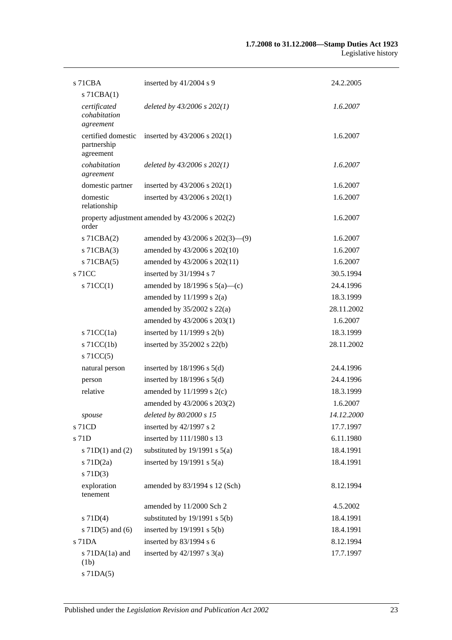| $s$ 71 $CBA$                                   | inserted by 41/2004 s 9                         | 24.2.2005  |
|------------------------------------------------|-------------------------------------------------|------------|
| $s$ 71CBA $(1)$                                |                                                 |            |
| certificated<br>cohabitation<br>agreement      | deleted by $43/2006$ s $202(1)$                 | 1.6.2007   |
| certified domestic<br>partnership<br>agreement | inserted by $43/2006$ s $202(1)$                | 1.6.2007   |
| cohabitation<br>agreement                      | deleted by $43/2006$ s $202(1)$                 | 1.6.2007   |
| domestic partner                               | inserted by $43/2006$ s $202(1)$                | 1.6.2007   |
| domestic<br>relationship                       | inserted by 43/2006 s 202(1)                    | 1.6.2007   |
| order                                          | property adjustment amended by 43/2006 s 202(2) | 1.6.2007   |
| $s$ 71CBA $(2)$                                | amended by 43/2006 s 202(3)–(9)                 | 1.6.2007   |
| $s$ 71CBA $(3)$                                | amended by 43/2006 s 202(10)                    | 1.6.2007   |
| $s$ 71CBA $(5)$                                | amended by 43/2006 s 202(11)                    | 1.6.2007   |
| s 71CC                                         | inserted by 31/1994 s 7                         | 30.5.1994  |
| $s$ 71CC(1)                                    | amended by $18/1996$ s $5(a)$ —(c)              | 24.4.1996  |
|                                                | amended by $11/1999$ s $2(a)$                   | 18.3.1999  |
|                                                | amended by $35/2002$ s $22(a)$                  | 28.11.2002 |
|                                                | amended by 43/2006 s 203(1)                     | 1.6.2007   |
| s $71CC(1a)$                                   | inserted by $11/1999$ s $2(b)$                  | 18.3.1999  |
| $s$ 71CC(1b)                                   | inserted by $35/2002$ s $22(b)$                 | 28.11.2002 |
| $s$ 71CC(5)                                    |                                                 |            |
| natural person                                 | inserted by $18/1996$ s $5(d)$                  | 24.4.1996  |
| person                                         | inserted by $18/1996$ s $5(d)$                  | 24.4.1996  |
| relative                                       | amended by $11/1999$ s $2(c)$                   | 18.3.1999  |
|                                                | amended by 43/2006 s 203(2)                     | 1.6.2007   |
| spouse                                         | deleted by 80/2000 s 15                         | 14.12.2000 |
| s 71CD                                         | inserted by 42/1997 s 2                         | 17.7.1997  |
| s 71D                                          | inserted by 111/1980 s 13                       | 6.11.1980  |
| s $71D(1)$ and $(2)$                           | substituted by $19/1991$ s $5(a)$               | 18.4.1991  |
| s 71D(2a)                                      | inserted by $19/1991$ s $5(a)$                  | 18.4.1991  |
| $s$ 71D(3)                                     |                                                 |            |
| exploration<br>tenement                        | amended by 83/1994 s 12 (Sch)                   | 8.12.1994  |
|                                                | amended by 11/2000 Sch 2                        | 4.5.2002   |
| $s$ 71D(4)                                     | substituted by $19/1991$ s $5(b)$               | 18.4.1991  |
| s $71D(5)$ and $(6)$                           | inserted by $19/1991$ s $5(b)$                  | 18.4.1991  |
| s 71DA                                         | inserted by 83/1994 s 6                         | 8.12.1994  |
| s $71DA(1a)$ and<br>(1b)                       | inserted by $42/1997$ s $3(a)$                  | 17.7.1997  |
| $s$ 71DA $(5)$                                 |                                                 |            |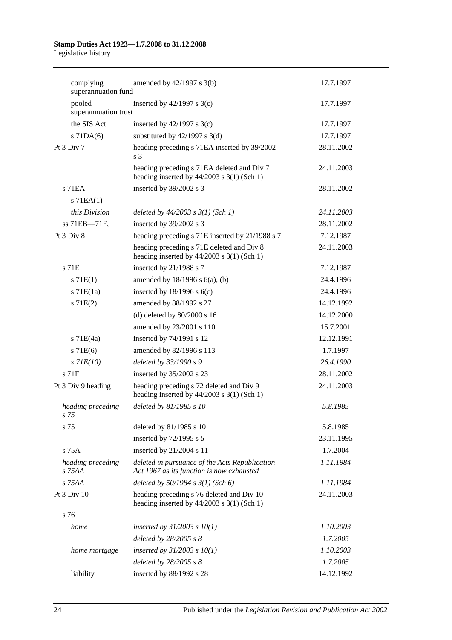| complying<br>superannuation fund | amended by $42/1997$ s $3(b)$                                                               | 17.7.1997  |
|----------------------------------|---------------------------------------------------------------------------------------------|------------|
| pooled<br>superannuation trust   | inserted by $42/1997$ s 3(c)                                                                | 17.7.1997  |
| the SIS Act                      | inserted by $42/1997$ s 3(c)                                                                | 17.7.1997  |
| $s$ 71DA $(6)$                   | substituted by $42/1997$ s 3(d)                                                             | 17.7.1997  |
| Pt 3 Div 7                       | heading preceding s 71EA inserted by 39/2002<br>s <sub>3</sub>                              | 28.11.2002 |
|                                  | heading preceding s 71EA deleted and Div 7<br>heading inserted by $44/2003$ s 3(1) (Sch 1)  | 24.11.2003 |
| $s$ 71EA                         | inserted by 39/2002 s 3                                                                     | 28.11.2002 |
| $s$ 71EA $(1)$                   |                                                                                             |            |
| this Division                    | deleted by $44/2003$ s $3(1)$ (Sch 1)                                                       | 24.11.2003 |
| ss 71EB-71EJ                     | inserted by 39/2002 s 3                                                                     | 28.11.2002 |
| Pt 3 Div 8                       | heading preceding s 71E inserted by 21/1988 s 7                                             | 7.12.1987  |
|                                  | heading preceding s 71E deleted and Div 8<br>heading inserted by $44/2003$ s 3(1) (Sch 1)   | 24.11.2003 |
| $s$ 71 $E$                       | inserted by 21/1988 s 7                                                                     | 7.12.1987  |
| s 71E(1)                         | amended by $18/1996$ s $6(a)$ , (b)                                                         | 24.4.1996  |
| $s$ 71 $E(1a)$                   | inserted by $18/1996$ s $6(c)$                                                              | 24.4.1996  |
| s 71E(2)                         | amended by 88/1992 s 27                                                                     | 14.12.1992 |
|                                  | (d) deleted by $80/2000$ s 16                                                               | 14.12.2000 |
|                                  | amended by 23/2001 s 110                                                                    | 15.7.2001  |
| $s$ 71E(4a)                      | inserted by 74/1991 s 12                                                                    | 12.12.1991 |
| s 71E(6)                         | amended by 82/1996 s 113                                                                    | 1.7.1997   |
| $s$ 71 $E(10)$                   | deleted by 33/1990 s 9                                                                      | 26.4.1990  |
| $s$ 71 $F$                       | inserted by 35/2002 s 23                                                                    | 28.11.2002 |
| Pt 3 Div 9 heading               | heading preceding s 72 deleted and Div 9<br>heading inserted by $44/2003$ s 3(1) (Sch 1)    | 24.11.2003 |
| heading preceding<br>s 75        | deleted by 81/1985 s 10                                                                     | 5.8.1985   |
| s 75                             | deleted by 81/1985 s 10                                                                     | 5.8.1985   |
|                                  | inserted by 72/1995 s 5                                                                     | 23.11.1995 |
| $s$ 75 $A$                       | inserted by 21/2004 s 11                                                                    | 1.7.2004   |
| heading preceding<br>$s$ 75AA    | deleted in pursuance of the Acts Republication<br>Act 1967 as its function is now exhausted | 1.11.1984  |
| s 75AA                           | deleted by $50/1984$ s $3(1)$ (Sch 6)                                                       | 1.11.1984  |
| Pt 3 Div 10                      | heading preceding s 76 deleted and Div 10<br>heading inserted by $44/2003$ s 3(1) (Sch 1)   | 24.11.2003 |
| s 76                             |                                                                                             |            |
| home                             | inserted by $31/2003$ s $10(1)$                                                             | 1.10.2003  |
|                                  | deleted by 28/2005 s 8                                                                      | 1.7.2005   |
| home mortgage                    | inserted by $31/2003$ s $10(1)$                                                             | 1.10.2003  |
|                                  | deleted by $28/2005 s 8$                                                                    | 1.7.2005   |
| liability                        | inserted by 88/1992 s 28                                                                    | 14.12.1992 |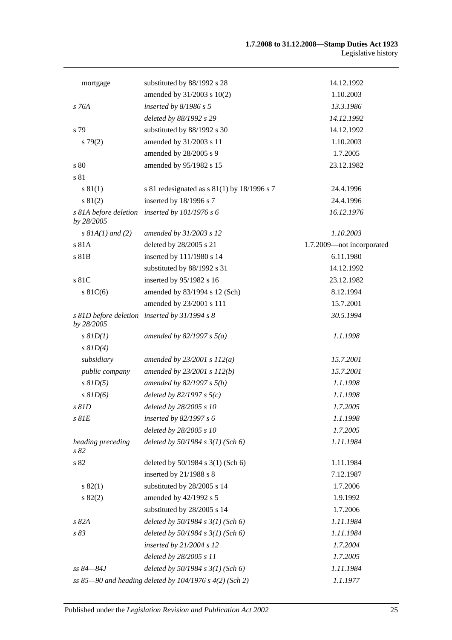| mortgage                            | substituted by 88/1992 s 28                                 | 14.12.1992                |
|-------------------------------------|-------------------------------------------------------------|---------------------------|
|                                     | amended by 31/2003 s 10(2)                                  | 1.10.2003                 |
| s 76A                               | inserted by $8/1986 s 5$                                    | 13.3.1986                 |
|                                     | deleted by 88/1992 s 29                                     | 14.12.1992                |
| s 79                                | substituted by 88/1992 s 30                                 | 14.12.1992                |
| $s\,79(2)$                          | amended by 31/2003 s 11                                     | 1.10.2003                 |
|                                     | amended by 28/2005 s 9                                      | 1.7.2005                  |
| s 80                                | amended by 95/1982 s 15                                     | 23.12.1982                |
| s 81                                |                                                             |                           |
| s 81(1)                             | s 81 redesignated as $s$ 81(1) by 18/1996 s 7               | 24.4.1996                 |
| s 81(2)                             | inserted by 18/1996 s 7                                     | 24.4.1996                 |
| s 81A before deletion<br>by 28/2005 | inserted by $101/1976 s 6$                                  | 16.12.1976                |
| $s$ 81A(1) and (2)                  | amended by 31/2003 s 12                                     | 1.10.2003                 |
| s 81A                               | deleted by 28/2005 s 21                                     | 1.7.2009-not incorporated |
| s 81B                               | inserted by 111/1980 s 14                                   | 6.11.1980                 |
|                                     | substituted by 88/1992 s 31                                 | 14.12.1992                |
| s 81C                               | inserted by 95/1982 s 16                                    | 23.12.1982                |
| $s$ 81C(6)                          | amended by 83/1994 s 12 (Sch)                               | 8.12.1994                 |
|                                     | amended by 23/2001 s 111                                    | 15.7.2001                 |
| by 28/2005                          | s 81D before deletion inserted by 31/1994 s 8               | 30.5.1994                 |
| $s$ $81D(1)$                        | amended by 82/1997 s $5(a)$                                 | 1.1.1998                  |
| $s$ $81D(4)$                        |                                                             |                           |
| subsidiary                          | amended by $23/2001 s 112(a)$                               | 15.7.2001                 |
| public company                      | amended by 23/2001 s 112(b)                                 | 15.7.2001                 |
| $s$ $81D(5)$                        | amended by $82/1997 s 5(b)$                                 | 1.1.1998                  |
| $s$ $81D(6)$                        | deleted by $82/1997 s 5(c)$                                 | 1.1.1998                  |
| $s$ $81D$                           | deleted by 28/2005 s 10                                     | 1.7.2005                  |
| $s$ $81E$                           | inserted by $82/1997 s 6$                                   | 1.1.1998                  |
|                                     | deleted by 28/2005 s 10                                     | 1.7.2005                  |
| heading preceding<br>s82            | deleted by $50/1984$ s $3(1)$ (Sch 6)                       | 1.11.1984                 |
| s 82                                | deleted by 50/1984 s 3(1) (Sch 6)                           | 1.11.1984                 |
|                                     | inserted by $21/1988$ s 8                                   | 7.12.1987                 |
| s 82(1)                             | substituted by 28/2005 s 14                                 | 1.7.2006                  |
| s 82(2)                             | amended by 42/1992 s 5                                      | 1.9.1992                  |
|                                     | substituted by 28/2005 s 14                                 | 1.7.2006                  |
| s 82A                               | deleted by $50/1984$ s $3(1)$ (Sch 6)                       | 1.11.1984                 |
| s 83                                | deleted by $50/1984$ s $3(1)$ (Sch 6)                       | 1.11.1984                 |
|                                     | inserted by $21/2004 s 12$                                  | 1.7.2004                  |
|                                     | deleted by 28/2005 s 11                                     | 1.7.2005                  |
| ss 84–84J                           | deleted by $50/1984$ s $3(1)$ (Sch 6)                       | 1.11.1984                 |
|                                     | ss 85-90 and heading deleted by $104/1976$ s $4(2)$ (Sch 2) | 1.1.1977                  |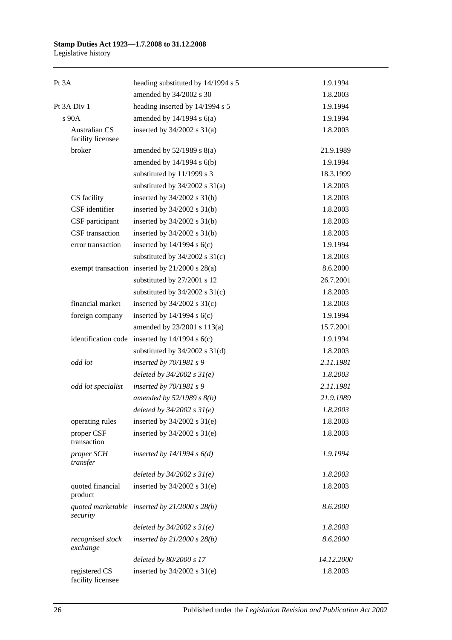# **Stamp Duties Act 1923—1.7.2008 to 31.12.2008**

Legislative history

| Pt 3A                                     | heading substituted by 14/1994 s 5                 | 1.9.1994   |
|-------------------------------------------|----------------------------------------------------|------------|
|                                           | amended by 34/2002 s 30                            | 1.8.2003   |
| Pt 3A Div 1                               | heading inserted by 14/1994 s 5                    | 1.9.1994   |
| s 90A                                     | amended by $14/1994$ s $6(a)$                      | 1.9.1994   |
| <b>Australian CS</b><br>facility licensee | inserted by $34/2002$ s $31(a)$                    | 1.8.2003   |
| broker                                    | amended by $52/1989$ s $8(a)$                      | 21.9.1989  |
|                                           | amended by 14/1994 s 6(b)                          | 1.9.1994   |
|                                           | substituted by 11/1999 s 3                         | 18.3.1999  |
|                                           | substituted by $34/2002$ s $31(a)$                 | 1.8.2003   |
| CS facility                               | inserted by $34/2002$ s $31(b)$                    | 1.8.2003   |
| CSF identifier                            | inserted by $34/2002$ s $31(b)$                    | 1.8.2003   |
| CSF participant                           | inserted by $34/2002$ s $31(b)$                    | 1.8.2003   |
| CSF transaction                           | inserted by $34/2002$ s $31(b)$                    | 1.8.2003   |
| error transaction                         | inserted by $14/1994$ s $6(c)$                     | 1.9.1994   |
|                                           | substituted by $34/2002$ s $31(c)$                 | 1.8.2003   |
|                                           | exempt transaction inserted by 21/2000 s 28(a)     | 8.6.2000   |
|                                           | substituted by 27/2001 s 12                        | 26.7.2001  |
|                                           | substituted by $34/2002$ s $31(c)$                 | 1.8.2003   |
| financial market                          | inserted by $34/2002$ s $31(c)$                    | 1.8.2003   |
| foreign company                           | inserted by $14/1994$ s $6(c)$                     | 1.9.1994   |
|                                           | amended by 23/2001 s 113(a)                        | 15.7.2001  |
|                                           | identification code inserted by $14/1994$ s $6(c)$ | 1.9.1994   |
|                                           | substituted by $34/2002$ s $31(d)$                 | 1.8.2003   |
| odd lot                                   | inserted by $70/1981$ s 9                          | 2.11.1981  |
|                                           | deleted by $34/2002 s 31(e)$                       | 1.8.2003   |
| odd lot specialist                        | inserted by 70/1981 s 9                            | 2.11.1981  |
|                                           | amended by $52/1989 s 8(b)$                        | 21.9.1989  |
|                                           | deleted by $34/2002 s 31(e)$                       | 1.8.2003   |
| operating rules                           | inserted by $34/2002$ s $31(e)$                    | 1.8.2003   |
| proper CSF<br>transaction                 | inserted by $34/2002$ s $31(e)$                    | 1.8.2003   |
| proper SCH<br>transfer                    | inserted by $14/1994 s 6(d)$                       | 1.9.1994   |
|                                           | deleted by $34/2002 s 31(e)$                       | 1.8.2003   |
| quoted financial<br>product               | inserted by $34/2002$ s $31(e)$                    | 1.8.2003   |
| security                                  | quoted marketable inserted by $21/2000 s 28(b)$    | 8.6.2000   |
|                                           | deleted by $34/2002 s 31(e)$                       | 1.8.2003   |
| recognised stock<br>exchange              | inserted by $21/2000 s 28(b)$                      | 8.6.2000   |
|                                           | deleted by 80/2000 s 17                            | 14.12.2000 |
| registered CS<br>facility licensee        | inserted by $34/2002$ s $31(e)$                    | 1.8.2003   |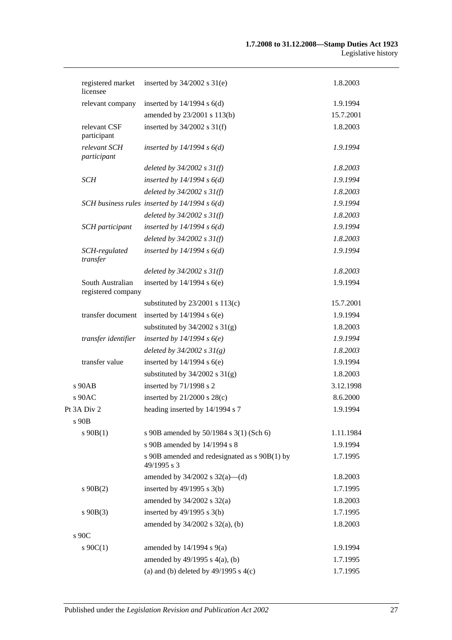| registered market<br>licensee          | inserted by $34/2002$ s $31(e)$                              | 1.8.2003  |
|----------------------------------------|--------------------------------------------------------------|-----------|
| relevant company                       | inserted by $14/1994$ s $6(d)$                               | 1.9.1994  |
|                                        | amended by 23/2001 s 113(b)                                  | 15.7.2001 |
| relevant CSF<br>participant            | inserted by $34/2002$ s $31(f)$                              | 1.8.2003  |
| relevant SCH<br>participant            | inserted by $14/1994 s 6(d)$                                 | 1.9.1994  |
|                                        | deleted by $34/2002$ s $31(f)$                               | 1.8.2003  |
| <b>SCH</b>                             | inserted by $14/1994 s 6(d)$                                 | 1.9.1994  |
|                                        | deleted by $34/2002$ s $31(f)$                               | 1.8.2003  |
|                                        | SCH business rules inserted by $14/1994 s 6(d)$              | 1.9.1994  |
|                                        | deleted by $34/2002 s 31(f)$                                 | 1.8.2003  |
| SCH participant                        | inserted by $14/1994 s 6(d)$                                 | 1.9.1994  |
|                                        | deleted by $34/2002$ s $31(f)$                               | 1.8.2003  |
| SCH-regulated<br>transfer              | inserted by $14/1994 s 6(d)$                                 | 1.9.1994  |
|                                        | deleted by $34/2002 s 31(f)$                                 | 1.8.2003  |
| South Australian<br>registered company | inserted by $14/1994$ s $6(e)$                               | 1.9.1994  |
|                                        | substituted by $23/2001$ s $113(c)$                          | 15.7.2001 |
| transfer document                      | inserted by $14/1994$ s $6(e)$                               | 1.9.1994  |
|                                        | substituted by $34/2002$ s $31(g)$                           | 1.8.2003  |
| transfer identifier                    | inserted by $14/1994 s6(e)$                                  | 1.9.1994  |
|                                        | deleted by $34/2002 s 31(g)$                                 | 1.8.2003  |
| transfer value                         | inserted by $14/1994$ s $6(e)$                               | 1.9.1994  |
|                                        | substituted by $34/2002$ s $31(g)$                           | 1.8.2003  |
| s 90AB                                 | inserted by 71/1998 s 2                                      | 3.12.1998 |
| s 90AC                                 | inserted by $21/2000$ s $28(c)$                              | 8.6.2000  |
| Pt 3A Div 2                            | heading inserted by 14/1994 s 7                              | 1.9.1994  |
| s 90B                                  |                                                              |           |
| $s\ 90B(1)$                            | s 90B amended by 50/1984 s 3(1) (Sch 6)                      | 1.11.1984 |
|                                        | s 90B amended by 14/1994 s 8                                 | 1.9.1994  |
|                                        | s 90B amended and redesignated as s 90B(1) by<br>49/1995 s 3 | 1.7.1995  |
|                                        | amended by $34/2002$ s $32(a)$ —(d)                          | 1.8.2003  |
| $s\ 90B(2)$                            | inserted by $49/1995$ s $3(b)$                               | 1.7.1995  |
|                                        | amended by $34/2002$ s $32(a)$                               | 1.8.2003  |
| $s$ 90B(3)                             | inserted by $49/1995$ s $3(b)$                               | 1.7.1995  |
| s 90C                                  | amended by $34/2002$ s $32(a)$ , (b)                         | 1.8.2003  |
| $s \ 90C(1)$                           | amended by $14/1994$ s $9(a)$                                | 1.9.1994  |
|                                        | amended by $49/1995$ s $4(a)$ , (b)                          | 1.7.1995  |
|                                        | (a) and (b) deleted by $49/1995$ s $4(c)$                    | 1.7.1995  |
|                                        |                                                              |           |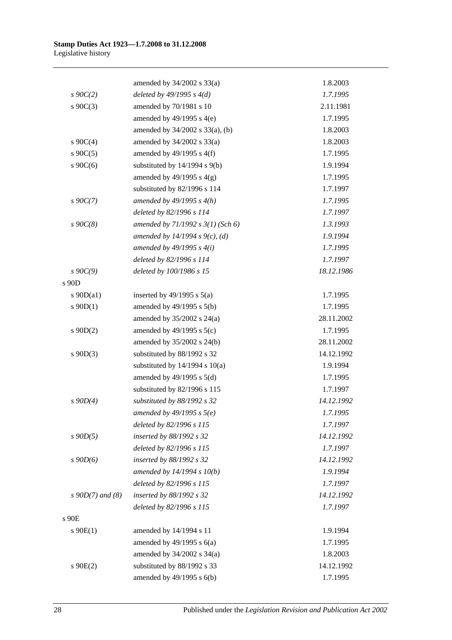|                       | amended by 34/2002 s 33(a)            | 1.8.2003   |
|-----------------------|---------------------------------------|------------|
| $s \, 90C(2)$         | deleted by $49/1995 s 4(d)$           | 1.7.1995   |
| $s \ 90C(3)$          | amended by 70/1981 s 10               | 2.11.1981  |
|                       | amended by $49/1995$ s $4(e)$         | 1.7.1995   |
|                       | amended by 34/2002 s 33(a), (b)       | 1.8.2003   |
| $s \ 90C(4)$          | amended by 34/2002 s 33(a)            | 1.8.2003   |
| $s \ 90C(5)$          | amended by $49/1995$ s $4(f)$         | 1.7.1995   |
| s $90C(6)$            | substituted by $14/1994$ s $9(b)$     | 1.9.1994   |
|                       | amended by $49/1995$ s $4(g)$         | 1.7.1995   |
|                       | substituted by 82/1996 s 114          | 1.7.1997   |
| $s \, 90C(7)$         | amended by $49/1995 s 4(h)$           | 1.7.1995   |
|                       | deleted by 82/1996 s 114              | 1.7.1997   |
| $s$ 90 $C(8)$         | amended by $71/1992$ s $3(1)$ (Sch 6) | 1.3.1993   |
|                       | amended by 14/1994 s $9(c)$ , (d)     | 1.9.1994   |
|                       | amended by $49/1995 s 4(i)$           | 1.7.1995   |
|                       | deleted by 82/1996 s 114              | 1.7.1997   |
| $s \, 90C(9)$         | deleted by 100/1986 s 15              | 18.12.1986 |
| s 90D                 |                                       |            |
| s $90D(a1)$           | inserted by $49/1995$ s $5(a)$        | 1.7.1995   |
| $s \ 90D(1)$          | amended by $49/1995$ s $5(b)$         | 1.7.1995   |
|                       | amended by $35/2002$ s $24(a)$        | 28.11.2002 |
| $s \ 90D(2)$          | amended by $49/1995$ s $5(c)$         | 1.7.1995   |
|                       | amended by 35/2002 s 24(b)            | 28.11.2002 |
| $s \ 90D(3)$          | substituted by 88/1992 s 32           | 14.12.1992 |
|                       | substituted by $14/1994$ s $10(a)$    | 1.9.1994   |
|                       | amended by $49/1995$ s $5(d)$         | 1.7.1995   |
|                       | substituted by 82/1996 s 115          | 1.7.1997   |
| $s$ 90D(4)            | substituted by 88/1992 s 32           | 14.12.1992 |
|                       | amended by $49/1995 s 5(e)$           | 1.7.1995   |
|                       | deleted by 82/1996 s 115              | 1.7.1997   |
| $s$ 90 $D(5)$         | inserted by 88/1992 s 32              | 14.12.1992 |
|                       | deleted by 82/1996 s 115              | 1.7.1997   |
| $s$ 90 $D(6)$         | inserted by 88/1992 s 32              | 14.12.1992 |
|                       | amended by $14/1994 s 10(b)$          | 1.9.1994   |
|                       | deleted by 82/1996 s 115              | 1.7.1997   |
| $s \, 90D(7)$ and (8) | inserted by 88/1992 s 32              | 14.12.1992 |
|                       | deleted by 82/1996 s 115              | 1.7.1997   |
| s 90E                 |                                       |            |
| $s \ 90E(1)$          | amended by 14/1994 s 11               | 1.9.1994   |
|                       | amended by $49/1995$ s $6(a)$         | 1.7.1995   |
|                       | amended by $34/2002$ s $34(a)$        | 1.8.2003   |
| $s$ 90 $E(2)$         | substituted by 88/1992 s 33           | 14.12.1992 |
|                       | amended by 49/1995 s 6(b)             | 1.7.1995   |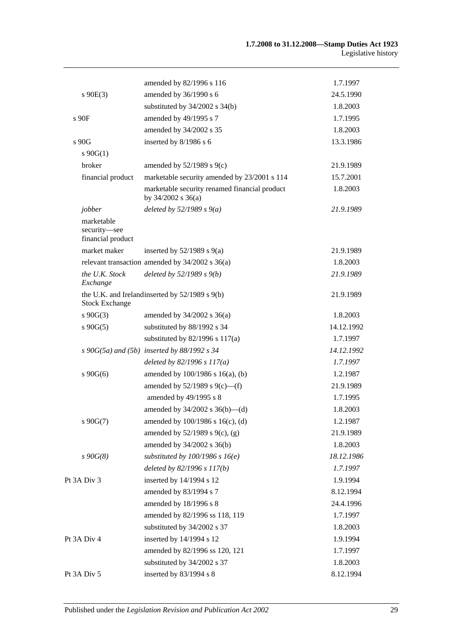|                                                 | amended by 82/1996 s 116                                                | 1.7.1997   |
|-------------------------------------------------|-------------------------------------------------------------------------|------------|
| $s\ 90E(3)$                                     | amended by 36/1990 s 6                                                  | 24.5.1990  |
|                                                 | substituted by $34/2002$ s $34(b)$                                      | 1.8.2003   |
| $s$ 90 $F$                                      | amended by 49/1995 s 7                                                  | 1.7.1995   |
|                                                 | amended by 34/2002 s 35                                                 | 1.8.2003   |
| s 90G                                           | inserted by 8/1986 s 6                                                  | 13.3.1986  |
| $s \ 90G(1)$                                    |                                                                         |            |
| broker                                          | amended by $52/1989$ s $9(c)$                                           | 21.9.1989  |
| financial product                               | marketable security amended by 23/2001 s 114                            | 15.7.2001  |
|                                                 | marketable security renamed financial product<br>by $34/2002$ s $36(a)$ | 1.8.2003   |
| jobber                                          | deleted by $52/1989 s 9(a)$                                             | 21.9.1989  |
| marketable<br>security-see<br>financial product |                                                                         |            |
| market maker                                    | inserted by $52/1989$ s $9(a)$                                          | 21.9.1989  |
|                                                 | relevant transaction amended by $34/2002$ s $36(a)$                     | 1.8.2003   |
| the U.K. Stock<br>Exchange                      | deleted by $52/1989 s 9(b)$                                             | 21.9.1989  |
| <b>Stock Exchange</b>                           | the U.K. and Irelandinserted by 52/1989 s 9(b)                          | 21.9.1989  |
| $s\ 90G(3)$                                     | amended by 34/2002 s 36(a)                                              | 1.8.2003   |
| $s\ 90G(5)$                                     | substituted by 88/1992 s 34                                             | 14.12.1992 |
|                                                 | substituted by $82/1996$ s $117(a)$                                     | 1.7.1997   |
|                                                 | $s$ 90G(5a) and (5b) inserted by 88/1992 $s$ 34                         | 14.12.1992 |
|                                                 | deleted by $82/1996 s 117(a)$                                           | 1.7.1997   |
| $s\ 90G(6)$                                     | amended by $100/1986$ s $16(a)$ , (b)                                   | 1.2.1987   |
|                                                 | amended by $52/1989$ s $9(c)$ —(f)                                      | 21.9.1989  |
|                                                 | amended by 49/1995 s 8                                                  | 1.7.1995   |
|                                                 | amended by $34/2002$ s $36(b)$ —(d)                                     | 1.8.2003   |
| $s\ 90G(7)$                                     | amended by 100/1986 s 16(c), (d)                                        | 1.2.1987   |
|                                                 | amended by $52/1989$ s $9(c)$ , (g)                                     | 21.9.1989  |
|                                                 | amended by 34/2002 s 36(b)                                              | 1.8.2003   |
| $s\,90G(8)$                                     | substituted by $100/1986$ s $16(e)$                                     | 18.12.1986 |
|                                                 | deleted by 82/1996 s 117(b)                                             | 1.7.1997   |
| Pt 3A Div 3                                     | inserted by 14/1994 s 12                                                | 1.9.1994   |
|                                                 | amended by 83/1994 s 7                                                  | 8.12.1994  |
|                                                 | amended by 18/1996 s 8                                                  | 24.4.1996  |
|                                                 | amended by 82/1996 ss 118, 119                                          | 1.7.1997   |
|                                                 | substituted by 34/2002 s 37                                             | 1.8.2003   |
| Pt 3A Div 4                                     | inserted by 14/1994 s 12                                                | 1.9.1994   |
|                                                 | amended by 82/1996 ss 120, 121                                          | 1.7.1997   |
|                                                 | substituted by 34/2002 s 37                                             | 1.8.2003   |
| Pt 3A Div 5                                     | inserted by 83/1994 s 8                                                 | 8.12.1994  |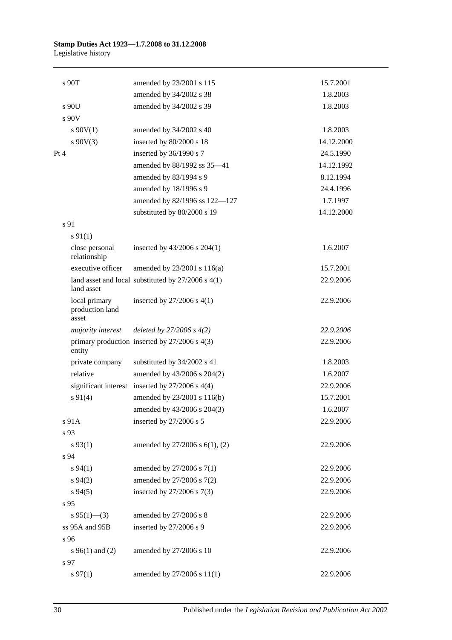|      | s 90T                                     | amended by 23/2001 s 115                               | 15.7.2001  |  |
|------|-------------------------------------------|--------------------------------------------------------|------------|--|
|      |                                           | amended by 34/2002 s 38                                | 1.8.2003   |  |
|      | s 90U                                     | amended by 34/2002 s 39                                | 1.8.2003   |  |
|      | $s$ 90V                                   |                                                        |            |  |
|      | $s\ 90V(1)$                               | amended by 34/2002 s 40                                | 1.8.2003   |  |
|      | $s\ 90V(3)$                               | inserted by 80/2000 s 18                               | 14.12.2000 |  |
| Pt 4 |                                           | inserted by 36/1990 s 7                                | 24.5.1990  |  |
|      |                                           | amended by 88/1992 ss 35-41                            | 14.12.1992 |  |
|      |                                           | amended by 83/1994 s 9                                 | 8.12.1994  |  |
|      |                                           | amended by 18/1996 s 9                                 | 24.4.1996  |  |
|      |                                           | amended by 82/1996 ss 122-127                          | 1.7.1997   |  |
|      |                                           | substituted by 80/2000 s 19                            | 14.12.2000 |  |
|      | s 91                                      |                                                        |            |  |
|      | $s\ 91(1)$                                |                                                        |            |  |
|      | close personal<br>relationship            | inserted by $43/2006$ s $204(1)$                       | 1.6.2007   |  |
|      | executive officer                         | amended by 23/2001 s 116(a)                            | 15.7.2001  |  |
|      | land asset                                | land asset and local substituted by $27/2006$ s $4(1)$ | 22.9.2006  |  |
|      | local primary<br>production land<br>asset | inserted by $27/2006$ s $4(1)$                         | 22.9.2006  |  |
|      | majority interest                         | deleted by $27/2006 s 4(2)$                            | 22.9.2006  |  |
|      | entity                                    | primary production inserted by 27/2006 s 4(3)          | 22.9.2006  |  |
|      | private company                           | substituted by 34/2002 s 41                            | 1.8.2003   |  |
|      | relative                                  | amended by 43/2006 s 204(2)                            | 1.6.2007   |  |
|      |                                           | significant interest inserted by $27/2006$ s $4(4)$    | 22.9.2006  |  |
|      | $s\ 91(4)$                                | amended by 23/2001 s 116(b)                            | 15.7.2001  |  |
|      |                                           | amended by 43/2006 s 204(3)                            | 1.6.2007   |  |
|      | s 91A                                     | inserted by 27/2006 s 5                                | 22.9.2006  |  |
|      | s 93                                      |                                                        |            |  |
|      | $s\,93(1)$                                | amended by 27/2006 s 6(1), (2)                         | 22.9.2006  |  |
|      | s 94                                      |                                                        |            |  |
|      | s 94(1)                                   | amended by 27/2006 s 7(1)                              | 22.9.2006  |  |
|      | $s\,94(2)$                                | amended by 27/2006 s 7(2)                              | 22.9.2006  |  |
|      | $s\,94(5)$                                | inserted by 27/2006 s 7(3)                             | 22.9.2006  |  |
|      | s 95                                      |                                                        |            |  |
|      | $s\,95(1)$ (3)                            | amended by 27/2006 s 8                                 | 22.9.2006  |  |
|      | ss 95A and 95B                            | inserted by 27/2006 s 9                                | 22.9.2006  |  |
|      | s 96                                      |                                                        |            |  |
|      | s $96(1)$ and (2)                         | amended by 27/2006 s 10                                | 22.9.2006  |  |
|      | s 97                                      |                                                        |            |  |
|      | $s\,97(1)$                                | amended by 27/2006 s 11(1)                             | 22.9.2006  |  |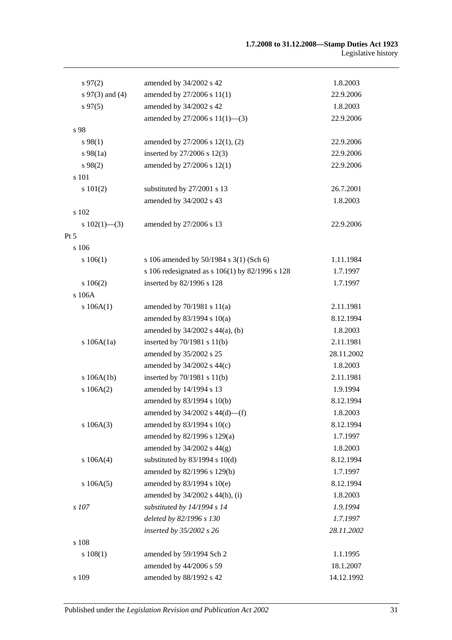| $s\,97(2)$        | amended by 34/2002 s 42                         | 1.8.2003   |
|-------------------|-------------------------------------------------|------------|
| s $97(3)$ and (4) | amended by 27/2006 s 11(1)                      | 22.9.2006  |
| $s\,97(5)$        | amended by 34/2002 s 42                         | 1.8.2003   |
|                   | amended by 27/2006 s 11(1)-(3)                  | 22.9.2006  |
| s 98              |                                                 |            |
| s 98(1)           | amended by 27/2006 s 12(1), (2)                 | 22.9.2006  |
| $s\,98(1a)$       | inserted by 27/2006 s 12(3)                     | 22.9.2006  |
| $s\,98(2)$        | amended by 27/2006 s 12(1)                      | 22.9.2006  |
| s 101             |                                                 |            |
| s 101(2)          | substituted by 27/2001 s 13                     | 26.7.2001  |
|                   | amended by 34/2002 s 43                         | 1.8.2003   |
| s 102             |                                                 |            |
| s $102(1)$ —(3)   | amended by 27/2006 s 13                         | 22.9.2006  |
| Pt 5              |                                                 |            |
| $s$ 106           |                                                 |            |
| $s\ 106(1)$       | s 106 amended by 50/1984 s 3(1) (Sch 6)         | 1.11.1984  |
|                   | s 106 redesignated as s 106(1) by 82/1996 s 128 | 1.7.1997   |
| 106(2)            | inserted by 82/1996 s 128                       | 1.7.1997   |
| s 106A            |                                                 |            |
| s 106A(1)         | amended by $70/1981$ s $11(a)$                  | 2.11.1981  |
|                   | amended by $83/1994$ s $10(a)$                  | 8.12.1994  |
|                   | amended by 34/2002 s 44(a), (b)                 | 1.8.2003   |
| s $106A(1a)$      | inserted by $70/1981$ s $11(b)$                 | 2.11.1981  |
|                   | amended by 35/2002 s 25                         | 28.11.2002 |
|                   | amended by 34/2002 s 44(c)                      | 1.8.2003   |
| s 106A(1b)        | inserted by $70/1981$ s $11(b)$                 | 2.11.1981  |
| s 106A(2)         | amended by 14/1994 s 13                         | 1.9.1994   |
|                   | amended by 83/1994 s 10(b)                      | 8.12.1994  |
|                   | amended by $34/2002$ s $44(d)$ —(f)             | 1.8.2003   |
| s 106A(3)         | amended by 83/1994 s 10(c)                      | 8.12.1994  |
|                   | amended by 82/1996 s 129(a)                     | 1.7.1997   |
|                   | amended by 34/2002 s 44(g)                      | 1.8.2003   |
| s 106A(4)         | substituted by $83/1994$ s $10(d)$              | 8.12.1994  |
|                   | amended by 82/1996 s 129(b)                     | 1.7.1997   |
| s 106A(5)         | amended by 83/1994 s 10(e)                      | 8.12.1994  |
|                   | amended by 34/2002 s 44(h), (i)                 | 1.8.2003   |
| s 107             | substituted by 14/1994 s 14                     | 1.9.1994   |
|                   | deleted by 82/1996 s 130                        | 1.7.1997   |
|                   | inserted by 35/2002 s 26                        | 28.11.2002 |
| s 108             |                                                 |            |
| s 108(1)          | amended by 59/1994 Sch 2                        | 1.1.1995   |
|                   | amended by 44/2006 s 59                         | 18.1.2007  |
| s 109             | amended by 88/1992 s 42                         | 14.12.1992 |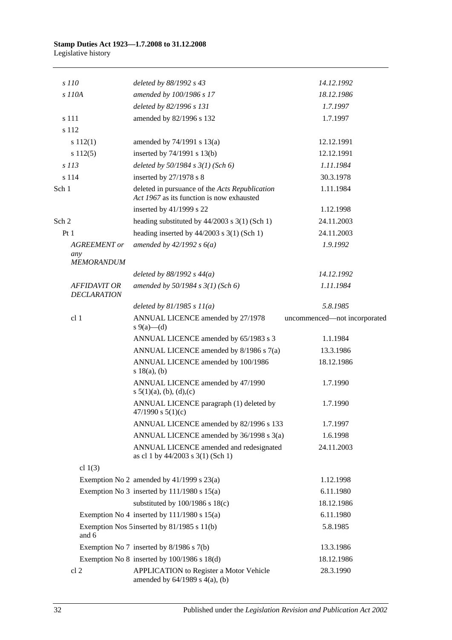| s 110                                     | deleted by 88/1992 s 43                                                                     | 14.12.1992                   |
|-------------------------------------------|---------------------------------------------------------------------------------------------|------------------------------|
| s 110A                                    | amended by 100/1986 s 17                                                                    | 18.12.1986                   |
|                                           | deleted by 82/1996 s 131                                                                    | 1.7.1997                     |
| s 111                                     | amended by 82/1996 s 132                                                                    | 1.7.1997                     |
| s 112                                     |                                                                                             |                              |
| s 112(1)                                  | amended by $74/1991$ s $13(a)$                                                              | 12.12.1991                   |
| s 112(5)                                  | inserted by $74/1991$ s $13(b)$                                                             | 12.12.1991                   |
| $s$ 113                                   | deleted by $50/1984 s 3(1)$ (Sch 6)                                                         | 1.11.1984                    |
| s 114                                     | inserted by 27/1978 s 8                                                                     | 30.3.1978                    |
| Sch 1                                     | deleted in pursuance of the Acts Republication<br>Act 1967 as its function is now exhausted | 1.11.1984                    |
|                                           | inserted by 41/1999 s 22                                                                    | 1.12.1998                    |
| Sch 2                                     | heading substituted by $44/2003$ s $3(1)$ (Sch 1)                                           | 24.11.2003                   |
| Pt1                                       | heading inserted by $44/2003$ s 3(1) (Sch 1)                                                | 24.11.2003                   |
| <b>AGREEMENT</b> or                       | amended by $42/1992 s 6(a)$                                                                 | 1.9.1992                     |
| any<br><b>MEMORANDUM</b>                  |                                                                                             |                              |
|                                           | deleted by $88/1992$ s $44(a)$                                                              | 14.12.1992                   |
| <b>AFFIDAVIT OR</b><br><b>DECLARATION</b> | amended by 50/1984 s 3(1) (Sch 6)                                                           | 1.11.1984                    |
|                                           | deleted by $81/1985 s 11(a)$                                                                | 5.8.1985                     |
| cl 1                                      | ANNUAL LICENCE amended by 27/1978<br>s 9(a)—(d)                                             | uncommenced-not incorporated |
|                                           | ANNUAL LICENCE amended by 65/1983 s 3                                                       | 1.1.1984                     |
|                                           | ANNUAL LICENCE amended by 8/1986 s 7(a)                                                     | 13.3.1986                    |
|                                           | ANNUAL LICENCE amended by 100/1986<br>s $18(a)$ , (b)                                       | 18.12.1986                   |
|                                           | ANNUAL LICENCE amended by 47/1990<br>s $5(1)(a)$ , (b), (d), (c)                            | 1.7.1990                     |
|                                           | ANNUAL LICENCE paragraph (1) deleted by<br>$47/1990$ s $5(1)(c)$                            | 1.7.1990                     |
|                                           | ANNUAL LICENCE amended by 82/1996 s 133                                                     | 1.7.1997                     |
|                                           | ANNUAL LICENCE amended by 36/1998 s 3(a)                                                    | 1.6.1998                     |
|                                           | ANNUAL LICENCE amended and redesignated<br>as cl 1 by 44/2003 s 3(1) (Sch 1)                | 24.11.2003                   |
| cl $1(3)$                                 |                                                                                             |                              |
|                                           | Exemption No 2 amended by $41/1999$ s $23(a)$                                               | 1.12.1998                    |
|                                           | Exemption No 3 inserted by $111/1980$ s $15(a)$                                             | 6.11.1980                    |
|                                           | substituted by $100/1986$ s $18(c)$                                                         | 18.12.1986                   |
|                                           | Exemption No 4 inserted by $111/1980$ s $15(a)$                                             | 6.11.1980                    |
| and 6                                     | Exemption Nos 5 inserted by 81/1985 s 11(b)                                                 | 5.8.1985                     |
|                                           | Exemption No 7 inserted by $8/1986$ s $7(b)$                                                | 13.3.1986                    |
|                                           | Exemption No 8 inserted by $100/1986$ s $18(d)$                                             | 18.12.1986                   |
| cl <sub>2</sub>                           | APPLICATION to Register a Motor Vehicle<br>amended by $64/1989$ s $4(a)$ , (b)              | 28.3.1990                    |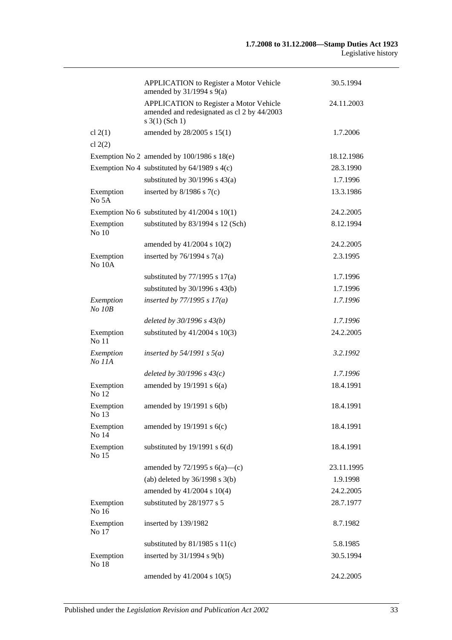|                     | <b>APPLICATION</b> to Register a Motor Vehicle<br>amended by $31/1994$ s $9(a)$                                      | 30.5.1994  |
|---------------------|----------------------------------------------------------------------------------------------------------------------|------------|
|                     | <b>APPLICATION</b> to Register a Motor Vehicle<br>amended and redesignated as cl 2 by 44/2003<br>$s \; 3(1)$ (Sch 1) | 24.11.2003 |
| cl $2(1)$           | amended by 28/2005 s 15(1)                                                                                           | 1.7.2006   |
| cl $2(2)$           |                                                                                                                      |            |
|                     | Exemption No 2 amended by $100/1986$ s $18(e)$                                                                       | 18.12.1986 |
|                     | Exemption No 4 substituted by $64/1989$ s $4(c)$                                                                     | 28.3.1990  |
|                     | substituted by $30/1996$ s $43(a)$                                                                                   | 1.7.1996   |
| Exemption<br>No 5A  | inserted by $8/1986$ s $7(c)$                                                                                        | 13.3.1986  |
|                     | Exemption No 6 substituted by $41/2004$ s 10(1)                                                                      | 24.2.2005  |
| Exemption<br>No 10  | substituted by 83/1994 s 12 (Sch)                                                                                    | 8.12.1994  |
|                     | amended by 41/2004 s 10(2)                                                                                           | 24.2.2005  |
| Exemption<br>No 10A | inserted by $76/1994$ s $7(a)$                                                                                       | 2.3.1995   |
|                     | substituted by $77/1995$ s $17(a)$                                                                                   | 1.7.1996   |
|                     | substituted by $30/1996$ s $43(b)$                                                                                   | 1.7.1996   |
| Exemption<br>No 10B | inserted by $77/1995 s 17(a)$                                                                                        | 1.7.1996   |
|                     | deleted by $30/1996 s 43(b)$                                                                                         | 1.7.1996   |
| Exemption<br>No 11  | substituted by $41/2004$ s $10(3)$                                                                                   | 24.2.2005  |
| Exemption<br>No 11A | inserted by $54/1991$ s $5(a)$                                                                                       | 3.2.1992   |
|                     | deleted by $30/1996 s 43(c)$                                                                                         | 1.7.1996   |
| Exemption<br>No 12  | amended by $19/1991$ s $6(a)$                                                                                        | 18.4.1991  |
| Exemption<br>No 13  | amended by 19/1991 s 6(b)                                                                                            | 18.4.1991  |
| Exemption<br>No 14  | amended by $19/1991$ s $6(c)$                                                                                        | 18.4.1991  |
| Exemption<br>No 15  | substituted by $19/1991$ s $6(d)$                                                                                    | 18.4.1991  |
|                     | amended by $72/1995$ s $6(a)$ —(c)                                                                                   | 23.11.1995 |
|                     | (ab) deleted by $36/1998$ s $3(b)$                                                                                   | 1.9.1998   |
|                     | amended by 41/2004 s 10(4)                                                                                           | 24.2.2005  |
| Exemption<br>No 16  | substituted by 28/1977 s 5                                                                                           | 28.7.1977  |
| Exemption<br>No 17  | inserted by 139/1982                                                                                                 | 8.7.1982   |
|                     | substituted by $81/1985$ s $11(c)$                                                                                   | 5.8.1985   |
| Exemption<br>No 18  | inserted by 31/1994 s 9(b)                                                                                           | 30.5.1994  |
|                     | amended by 41/2004 s 10(5)                                                                                           | 24.2.2005  |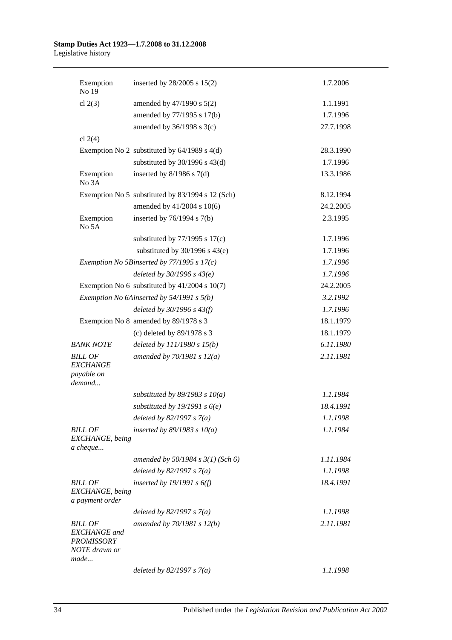| Exemption<br>No 19                                                                  | inserted by 28/2005 s 15(2)                      | 1.7.2006  |
|-------------------------------------------------------------------------------------|--------------------------------------------------|-----------|
| cl $2(3)$                                                                           | amended by 47/1990 s 5(2)                        | 1.1.1991  |
|                                                                                     | amended by 77/1995 s 17(b)                       | 1.7.1996  |
|                                                                                     | amended by $36/1998$ s $3(c)$                    | 27.7.1998 |
| cl $2(4)$                                                                           |                                                  |           |
|                                                                                     | Exemption No 2 substituted by $64/1989$ s $4(d)$ | 28.3.1990 |
|                                                                                     | substituted by $30/1996$ s $43(d)$               | 1.7.1996  |
| Exemption<br>No 3A                                                                  | inserted by $8/1986$ s $7(d)$                    | 13.3.1986 |
|                                                                                     | Exemption No 5 substituted by 83/1994 s 12 (Sch) | 8.12.1994 |
|                                                                                     | amended by 41/2004 s 10(6)                       | 24.2.2005 |
| Exemption<br>No 5A                                                                  | inserted by $76/1994$ s $7(b)$                   | 2.3.1995  |
|                                                                                     | substituted by $77/1995$ s $17(c)$               | 1.7.1996  |
|                                                                                     | substituted by $30/1996$ s $43(e)$               | 1.7.1996  |
|                                                                                     | Exemption No 5Binserted by $77/1995$ s $17(c)$   | 1.7.1996  |
|                                                                                     | deleted by $30/1996 s 43(e)$                     | 1.7.1996  |
|                                                                                     | Exemption No 6 substituted by $41/2004$ s 10(7)  | 24.2.2005 |
|                                                                                     | Exemption No 6Ainserted by 54/1991 s 5(b)        | 3.2.1992  |
|                                                                                     | deleted by $30/1996 s 43(f)$                     | 1.7.1996  |
|                                                                                     | Exemption No 8 amended by 89/1978 s 3            | 18.1.1979 |
|                                                                                     | (c) deleted by 89/1978 s 3                       | 18.1.1979 |
| <b>BANK NOTE</b>                                                                    | deleted by $111/1980 s 15(b)$                    | 6.11.1980 |
| <b>BILL OF</b><br><b>EXCHANGE</b><br>payable on<br>demand                           | amended by $70/1981 s 12(a)$                     | 2.11.1981 |
|                                                                                     | substituted by $89/1983$ s $10(a)$               | 1.1.1984  |
|                                                                                     | substituted by 19/1991 s $6(e)$                  | 18.4.1991 |
|                                                                                     | deleted by $82/1997 s 7(a)$                      | 1.1.1998  |
| <b>BILL OF</b><br>EXCHANGE, being<br>a cheque                                       | inserted by $89/1983$ s $10(a)$                  | 1.1.1984  |
|                                                                                     | amended by $50/1984$ s $3(1)$ (Sch 6)            | 1.11.1984 |
|                                                                                     | deleted by $82/1997 s 7(a)$                      | 1.1.1998  |
| <b>BILL OF</b>                                                                      | inserted by $19/1991 s 6(f)$                     | 18.4.1991 |
| EXCHANGE, being<br>a payment order                                                  |                                                  |           |
|                                                                                     | deleted by $82/1997 s 7(a)$                      | 1.1.1998  |
| <b>BILL OF</b><br><b>EXCHANGE</b> and<br><b>PROMISSORY</b><br>NOTE drawn or<br>made | amended by 70/1981 s 12(b)                       | 2.11.1981 |
|                                                                                     | deleted by $82/1997 s 7(a)$                      | 1.1.1998  |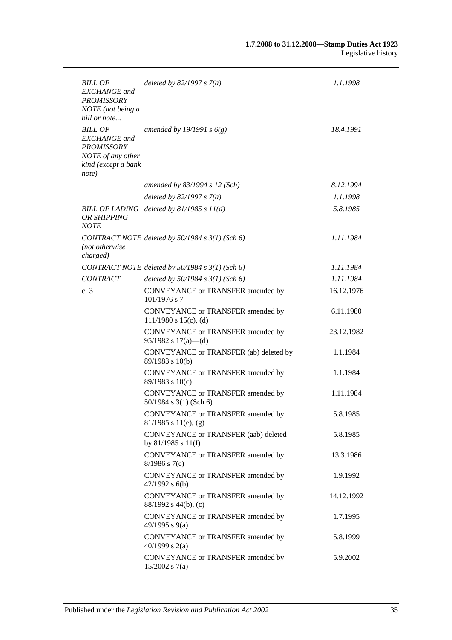| <b>BILL OF</b><br><b>EXCHANGE</b> and<br><b>PROMISSORY</b><br>NOTE (not being a<br>bill or note                 | deleted by $82/1997 s 7(a)$                                     | 1.1.1998   |
|-----------------------------------------------------------------------------------------------------------------|-----------------------------------------------------------------|------------|
| <b>BILL OF</b><br><b>EXCHANGE</b> and<br><b>PROMISSORY</b><br>NOTE of any other<br>kind (except a bank<br>note) | amended by 19/1991 s $6(g)$                                     | 18.4.1991  |
|                                                                                                                 | amended by $83/1994$ s 12 (Sch)                                 | 8.12.1994  |
|                                                                                                                 | deleted by $82/1997 s 7(a)$                                     | 1.1.1998   |
| OR SHIPPING<br><b>NOTE</b>                                                                                      | BILL OF LADING deleted by $81/1985 s 11(d)$                     | 5.8.1985   |
| (not otherwise<br>charged)                                                                                      | CONTRACT NOTE deleted by 50/1984 s 3(1) (Sch 6)                 | 1.11.1984  |
|                                                                                                                 | CONTRACT NOTE deleted by 50/1984 s 3(1) (Sch 6)                 | 1.11.1984  |
| <b>CONTRACT</b>                                                                                                 | deleted by $50/1984 s 3(1)$ (Sch 6)                             | 1.11.1984  |
| cl <sub>3</sub>                                                                                                 | CONVEYANCE or TRANSFER amended by<br>$101/1976$ s 7             | 16.12.1976 |
|                                                                                                                 | CONVEYANCE or TRANSFER amended by<br>$111/1980$ s $15(c)$ , (d) | 6.11.1980  |
|                                                                                                                 | CONVEYANCE or TRANSFER amended by<br>$95/1982$ s $17(a)$ —(d)   | 23.12.1982 |
|                                                                                                                 | CONVEYANCE or TRANSFER (ab) deleted by<br>$89/1983$ s 10(b)     | 1.1.1984   |
|                                                                                                                 | CONVEYANCE or TRANSFER amended by<br>89/1983 s 10(c)            | 1.1.1984   |
|                                                                                                                 | CONVEYANCE or TRANSFER amended by<br>$50/1984$ s 3(1) (Sch 6)   | 1.11.1984  |
|                                                                                                                 | CONVEYANCE or TRANSFER amended by<br>$81/1985$ s $11(e)$ , (g)  | 5.8.1985   |
|                                                                                                                 | CONVEYANCE or TRANSFER (aab) deleted<br>by $81/1985$ s $11(f)$  | 5.8.1985   |
|                                                                                                                 | CONVEYANCE or TRANSFER amended by<br>$8/1986$ s 7(e)            | 13.3.1986  |
|                                                                                                                 | CONVEYANCE or TRANSFER amended by<br>$42/1992$ s $6(b)$         | 1.9.1992   |
|                                                                                                                 | CONVEYANCE or TRANSFER amended by<br>88/1992 s 44(b), (c)       | 14.12.1992 |
|                                                                                                                 | CONVEYANCE or TRANSFER amended by<br>49/1995 s 9(a)             | 1.7.1995   |
|                                                                                                                 | CONVEYANCE or TRANSFER amended by<br>40/1999 s $2(a)$           | 5.8.1999   |
|                                                                                                                 | CONVEYANCE or TRANSFER amended by<br>$15/2002$ s 7(a)           | 5.9.2002   |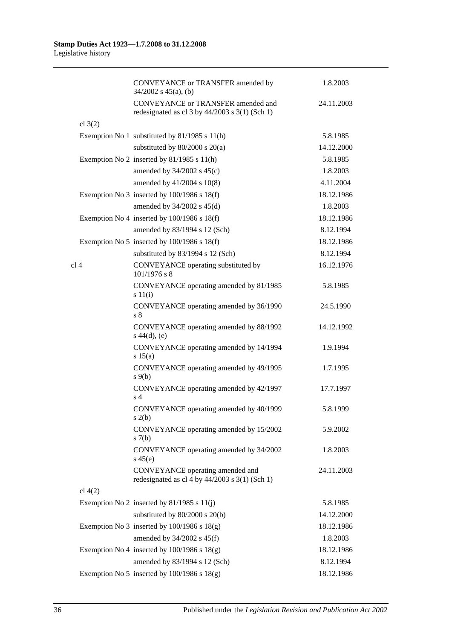|           | CONVEYANCE or TRANSFER amended by<br>$34/2002$ s $45(a)$ , (b)                             | 1.8.2003   |
|-----------|--------------------------------------------------------------------------------------------|------------|
|           | CONVEYANCE or TRANSFER amended and<br>redesignated as cl $3$ by $44/2003$ s $3(1)$ (Sch 1) | 24.11.2003 |
| cl $3(2)$ |                                                                                            |            |
|           | Exemption No 1 substituted by 81/1985 s 11(h)                                              | 5.8.1985   |
|           | substituted by $80/2000$ s $20(a)$                                                         | 14.12.2000 |
|           | Exemption No 2 inserted by $81/1985$ s $11(h)$                                             | 5.8.1985   |
|           | amended by $34/2002$ s $45(c)$                                                             | 1.8.2003   |
|           | amended by 41/2004 s 10(8)                                                                 | 4.11.2004  |
|           | Exemption No 3 inserted by $100/1986$ s $18(f)$                                            | 18.12.1986 |
|           | amended by $34/2002$ s $45(d)$                                                             | 1.8.2003   |
|           | Exemption No 4 inserted by $100/1986$ s $18(f)$                                            | 18.12.1986 |
|           | amended by 83/1994 s 12 (Sch)                                                              | 8.12.1994  |
|           | Exemption No 5 inserted by $100/1986$ s $18(f)$                                            | 18.12.1986 |
|           | substituted by 83/1994 s 12 (Sch)                                                          | 8.12.1994  |
| cl 4      | CONVEYANCE operating substituted by<br>$101/1976$ s 8                                      | 16.12.1976 |
|           | CONVEYANCE operating amended by 81/1985<br>s 11(i)                                         | 5.8.1985   |
|           | CONVEYANCE operating amended by 36/1990<br>$s\,\,8$                                        | 24.5.1990  |
|           | CONVEYANCE operating amended by 88/1992<br>$s\ 44(d), (e)$                                 | 14.12.1992 |
|           | CONVEYANCE operating amended by 14/1994<br>s 15(a)                                         | 1.9.1994   |
|           | CONVEYANCE operating amended by 49/1995<br>$s \theta(b)$                                   | 1.7.1995   |
|           | CONVEYANCE operating amended by 42/1997<br>s <sub>4</sub>                                  | 17.7.1997  |
|           | CONVEYANCE operating amended by 40/1999<br>s(2(b)                                          | 5.8.1999   |
|           | CONVEYANCE operating amended by 15/2002<br>s(7(b)                                          | 5.9.2002   |
|           | CONVEYANCE operating amended by 34/2002<br>$s\,45(e)$                                      | 1.8.2003   |
|           | CONVEYANCE operating amended and<br>redesignated as cl 4 by $44/2003$ s 3(1) (Sch 1)       | 24.11.2003 |
| cl 4(2)   |                                                                                            |            |
|           | Exemption No 2 inserted by $81/1985$ s $11(j)$                                             | 5.8.1985   |
|           | substituted by 80/2000 s 20(b)                                                             | 14.12.2000 |
|           | Exemption No 3 inserted by $100/1986$ s $18(g)$                                            | 18.12.1986 |
|           | amended by $34/2002$ s $45(f)$                                                             | 1.8.2003   |
|           | Exemption No 4 inserted by $100/1986$ s $18(g)$                                            | 18.12.1986 |
|           | amended by 83/1994 s 12 (Sch)                                                              | 8.12.1994  |
|           | Exemption No 5 inserted by $100/1986$ s $18(g)$                                            | 18.12.1986 |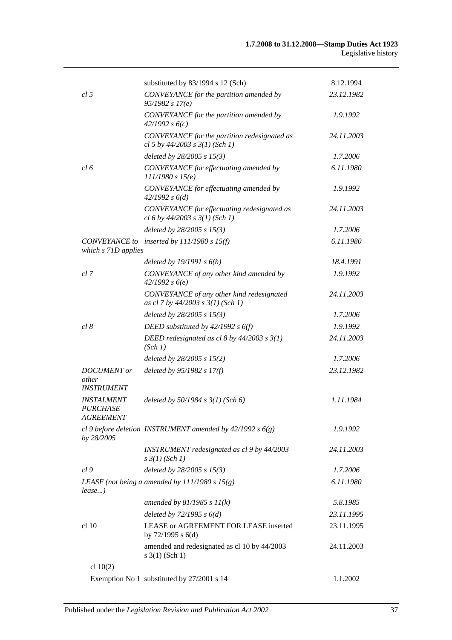|                                                          | substituted by 83/1994 s 12 (Sch)                                                  | 8.12.1994  |
|----------------------------------------------------------|------------------------------------------------------------------------------------|------------|
| cl <sub>5</sub>                                          | CONVEYANCE for the partition amended by<br>95/1982 s 17(e)                         | 23.12.1982 |
|                                                          | CONVEYANCE for the partition amended by<br>42/1992 s6(c)                           | 1.9.1992   |
|                                                          | CONVEYANCE for the partition redesignated as<br>cl 5 by $44/2003$ s $3(1)$ (Sch 1) | 24.11.2003 |
|                                                          | deleted by 28/2005 s 15(3)                                                         | 1.7.2006   |
| cl 6                                                     | CONVEYANCE for effectuating amended by<br>111/1980 s 15(e)                         | 6.11.1980  |
|                                                          | CONVEYANCE for effectuating amended by<br>42/1992 s 6(d)                           | 1.9.1992   |
|                                                          | CONVEYANCE for effectuating redesignated as<br>cl 6 by $44/2003$ s $3(1)$ (Sch 1)  | 24.11.2003 |
|                                                          | deleted by $28/2005 s 15(3)$                                                       | 1.7.2006   |
| which s 71D applies                                      | CONVEYANCE to inserted by $111/1980 s 15(f)$                                       | 6.11.1980  |
|                                                          | deleted by $19/1991 s 6(h)$                                                        | 18.4.1991  |
| cl 7                                                     | CONVEYANCE of any other kind amended by<br>42/1992 s6(e)                           | 1.9.1992   |
|                                                          | CONVEYANCE of any other kind redesignated<br>as cl 7 by 44/2003 s 3(1) (Sch 1)     | 24.11.2003 |
|                                                          | deleted by $28/2005 s 15(3)$                                                       | 1.7.2006   |
| cl 8                                                     | DEED substituted by $42/1992 s 6(f)$                                               | 1.9.1992   |
|                                                          | DEED redesignated as cl 8 by $44/2003$ s $3(1)$<br>(Sch 1)                         | 24.11.2003 |
|                                                          | deleted by 28/2005 s 15(2)                                                         | 1.7.2006   |
| <b>DOCUMENT</b> or<br>other<br><b>INSTRUMENT</b>         | deleted by $95/1982 s 17(f)$                                                       | 23.12.1982 |
| <b>INSTALMENT</b><br><b>PURCHASE</b><br><i>AGREEMENT</i> | deleted by $50/1984$ s $3(1)$ (Sch 6)                                              | 1.11.1984  |
| by 28/2005                                               | cl 9 before deletion INSTRUMENT amended by $42/1992 s 6(g)$                        | 1.9.1992   |
|                                                          | INSTRUMENT redesignated as cl 9 by 44/2003<br>$s \frac{3}{1}$ (Sch 1)              | 24.11.2003 |
| cl <sub>9</sub>                                          | deleted by $28/2005$ s $15(3)$                                                     | 1.7.2006   |
| lease)                                                   | LEASE (not being a amended by $111/1980 s 15(g)$ )                                 | 6.11.1980  |
|                                                          | amended by $81/1985 s 11(k)$                                                       | 5.8.1985   |
|                                                          | deleted by $72/1995 s 6(d)$                                                        | 23.11.1995 |
| cl 10                                                    | LEASE or AGREEMENT FOR LEASE inserted<br>by 72/1995 s 6(d)                         | 23.11.1995 |
|                                                          | amended and redesignated as cl 10 by 44/2003<br>$s \; 3(1)$ (Sch 1)                | 24.11.2003 |
| cl $10(2)$                                               |                                                                                    |            |
|                                                          | Exemption No 1 substituted by 27/2001 s 14                                         | 1.1.2002   |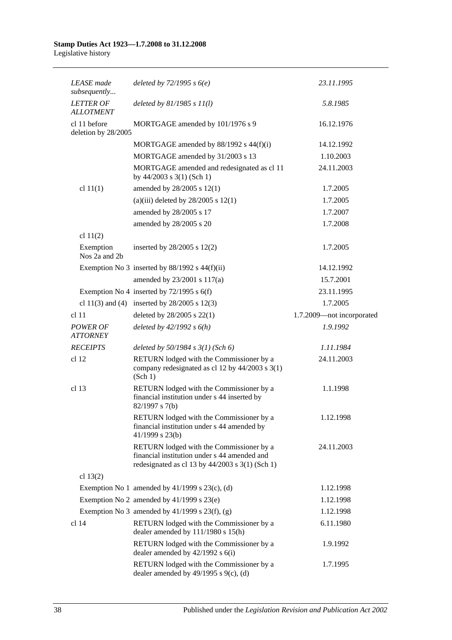| <b>LEASE</b> made<br>subsequently    | deleted by $72/1995 s 6(e)$                                                                                                                   | 23.11.1995                |
|--------------------------------------|-----------------------------------------------------------------------------------------------------------------------------------------------|---------------------------|
| <b>LETTER OF</b><br><b>ALLOTMENT</b> | deleted by $81/1985 s 11(l)$                                                                                                                  | 5.8.1985                  |
| cl 11 before<br>deletion by 28/2005  | MORTGAGE amended by 101/1976 s 9                                                                                                              | 16.12.1976                |
|                                      | MORTGAGE amended by 88/1992 s 44(f)(i)                                                                                                        | 14.12.1992                |
|                                      | MORTGAGE amended by 31/2003 s 13                                                                                                              | 1.10.2003                 |
|                                      | MORTGAGE amended and redesignated as cl 11<br>by 44/2003 s 3(1) (Sch 1)                                                                       | 24.11.2003                |
| cl $11(1)$                           | amended by 28/2005 s 12(1)                                                                                                                    | 1.7.2005                  |
|                                      | (a)(iii) deleted by $28/2005$ s $12(1)$                                                                                                       | 1.7.2005                  |
|                                      | amended by 28/2005 s 17                                                                                                                       | 1.7.2007                  |
|                                      | amended by 28/2005 s 20                                                                                                                       | 1.7.2008                  |
| cl $11(2)$                           |                                                                                                                                               |                           |
| Exemption<br>Nos 2a and 2b           | inserted by $28/2005$ s $12(2)$                                                                                                               | 1.7.2005                  |
|                                      | Exemption No 3 inserted by $88/1992$ s $44(f)(ii)$                                                                                            | 14.12.1992                |
|                                      | amended by 23/2001 s 117(a)                                                                                                                   | 15.7.2001                 |
|                                      | Exemption No 4 inserted by $72/1995$ s 6(f)                                                                                                   | 23.11.1995                |
|                                      | cl 11(3) and (4) inserted by $28/2005$ s 12(3)                                                                                                | 1.7.2005                  |
| cl 11                                | deleted by 28/2005 s 22(1)                                                                                                                    | 1.7.2009-not incorporated |
| <b>POWER OF</b><br><b>ATTORNEY</b>   | deleted by $42/1992 s 6(h)$                                                                                                                   | 1.9.1992                  |
| <b>RECEIPTS</b>                      | deleted by $50/1984$ s $3(1)$ (Sch 6)                                                                                                         | 1.11.1984                 |
| cl 12                                | RETURN lodged with the Commissioner by a<br>company redesignated as cl 12 by 44/2003 s 3(1)<br>(Sch 1)                                        | 24.11.2003                |
| cl <sub>13</sub>                     | RETURN lodged with the Commissioner by a<br>financial institution under s 44 inserted by<br>82/1997 s 7(b)                                    | 1.1.1998                  |
|                                      | RETURN lodged with the Commissioner by a<br>financial institution under s 44 amended by<br>$41/1999$ s 23(b)                                  | 1.12.1998                 |
|                                      | RETURN lodged with the Commissioner by a<br>financial institution under s 44 amended and<br>redesignated as cl 13 by $44/2003$ s 3(1) (Sch 1) | 24.11.2003                |
| cl $13(2)$                           |                                                                                                                                               |                           |
|                                      | Exemption No 1 amended by $41/1999$ s $23(c)$ , (d)                                                                                           | 1.12.1998                 |
|                                      | Exemption No 2 amended by $41/1999$ s $23(e)$                                                                                                 | 1.12.1998                 |
|                                      | Exemption No 3 amended by $41/1999$ s $23(f)$ , (g)                                                                                           | 1.12.1998                 |
| cl 14                                | RETURN lodged with the Commissioner by a<br>dealer amended by 111/1980 s 15(h)                                                                | 6.11.1980                 |
|                                      | RETURN lodged with the Commissioner by a<br>dealer amended by $42/1992$ s $6(i)$                                                              | 1.9.1992                  |
|                                      | RETURN lodged with the Commissioner by a<br>dealer amended by $49/1995$ s $9(c)$ , (d)                                                        | 1.7.1995                  |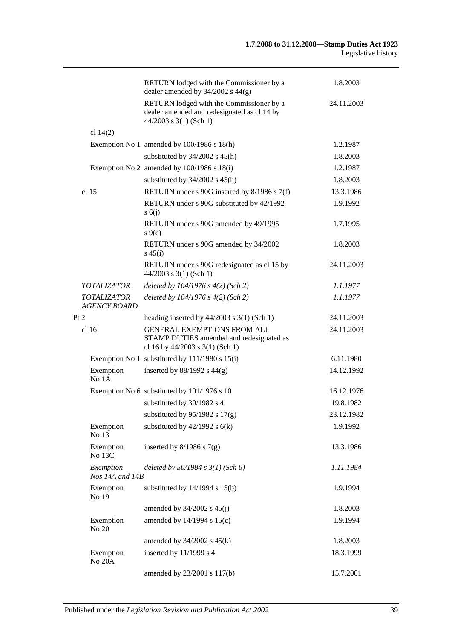|                                           | RETURN lodged with the Commissioner by a<br>dealer amended by $34/2002$ s $44(g)$                                 | 1.8.2003   |
|-------------------------------------------|-------------------------------------------------------------------------------------------------------------------|------------|
|                                           | RETURN lodged with the Commissioner by a<br>dealer amended and redesignated as cl 14 by<br>44/2003 s 3(1) (Sch 1) | 24.11.2003 |
| cl $14(2)$                                |                                                                                                                   |            |
|                                           | Exemption No 1 amended by $100/1986$ s $18(h)$                                                                    | 1.2.1987   |
|                                           | substituted by $34/2002$ s $45(h)$                                                                                | 1.8.2003   |
|                                           | Exemption No 2 amended by $100/1986$ s $18(i)$                                                                    | 1.2.1987   |
|                                           | substituted by $34/2002$ s $45(h)$                                                                                | 1.8.2003   |
| cl <sub>15</sub>                          | RETURN under s 90G inserted by 8/1986 s 7(f)                                                                      | 13.3.1986  |
|                                           | RETURN under s 90G substituted by 42/1992<br>s(6)                                                                 | 1.9.1992   |
|                                           | RETURN under s 90G amended by 49/1995<br>$s \theta(e)$                                                            | 1.7.1995   |
|                                           | RETURN under s 90G amended by 34/2002<br>$s\,45(i)$                                                               | 1.8.2003   |
|                                           | RETURN under s 90G redesignated as cl 15 by<br>44/2003 s 3(1) (Sch 1)                                             | 24.11.2003 |
| <b>TOTALIZATOR</b>                        | deleted by $104/1976$ s $4(2)$ (Sch 2)                                                                            | 1.1.1977   |
| <b>TOTALIZATOR</b><br><b>AGENCY BOARD</b> | deleted by $104/1976$ s $4(2)$ (Sch 2)                                                                            | 1.1.1977   |
| Pt 2                                      | heading inserted by $44/2003$ s 3(1) (Sch 1)                                                                      | 24.11.2003 |
| cl <sub>16</sub>                          | <b>GENERAL EXEMPTIONS FROM ALL</b><br>STAMP DUTIES amended and redesignated as<br>cl 16 by 44/2003 s 3(1) (Sch 1) | 24.11.2003 |
|                                           | Exemption No 1 substituted by 111/1980 s 15(i)                                                                    | 6.11.1980  |
| Exemption<br>No 1A                        | inserted by $88/1992$ s $44(g)$                                                                                   | 14.12.1992 |
|                                           | Exemption No 6 substituted by 101/1976 s 10                                                                       | 16.12.1976 |
|                                           | substituted by 30/1982 s 4                                                                                        | 19.8.1982  |
|                                           | substituted by $95/1982$ s $17(g)$                                                                                | 23.12.1982 |
| Exemption<br>No 13                        | substituted by $42/1992$ s $6(k)$                                                                                 | 1.9.1992   |
| Exemption<br>No 13C                       | inserted by $8/1986$ s $7(g)$                                                                                     | 13.3.1986  |
| Exemption<br>Nos 14A and 14B              | deleted by $50/1984$ s $3(1)$ (Sch 6)                                                                             | 1.11.1984  |
| Exemption<br>No 19                        | substituted by $14/1994$ s $15(b)$                                                                                | 1.9.1994   |
|                                           | amended by $34/2002$ s $45(j)$                                                                                    | 1.8.2003   |
| Exemption<br>No 20                        | amended by 14/1994 s 15(c)                                                                                        | 1.9.1994   |
|                                           | amended by $34/2002$ s $45(k)$                                                                                    | 1.8.2003   |
| Exemption<br>No <sub>20</sub> A           | inserted by 11/1999 s 4                                                                                           | 18.3.1999  |
|                                           | amended by 23/2001 s 117(b)                                                                                       | 15.7.2001  |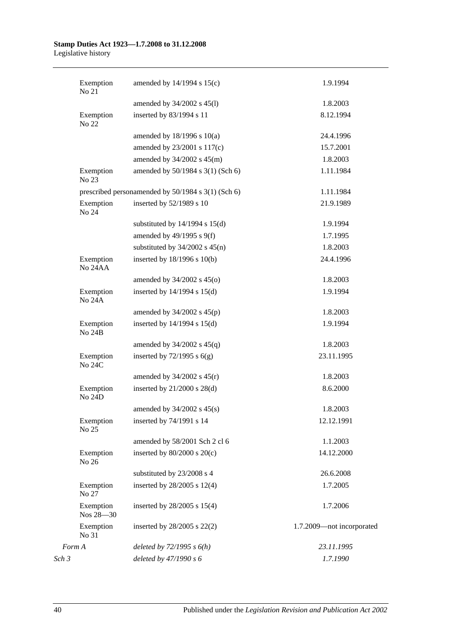| Exemption<br>No 21          | amended by 14/1994 s 15(c)                         | 1.9.1994                  |
|-----------------------------|----------------------------------------------------|---------------------------|
|                             | amended by 34/2002 s 45(l)                         | 1.8.2003                  |
| Exemption<br>No 22          | inserted by 83/1994 s 11                           | 8.12.1994                 |
|                             | amended by $18/1996$ s $10(a)$                     | 24.4.1996                 |
|                             | amended by 23/2001 s 117(c)                        | 15.7.2001                 |
|                             | amended by $34/2002$ s $45(m)$                     | 1.8.2003                  |
| Exemption<br>No 23          | amended by 50/1984 s 3(1) (Sch 6)                  | 1.11.1984                 |
|                             | prescribed personamended by 50/1984 s 3(1) (Sch 6) | 1.11.1984                 |
| Exemption<br>No 24          | inserted by 52/1989 s 10                           | 21.9.1989                 |
|                             | substituted by $14/1994$ s $15(d)$                 | 1.9.1994                  |
|                             | amended by $49/1995$ s $9(f)$                      | 1.7.1995                  |
|                             | substituted by $34/2002$ s $45(n)$                 | 1.8.2003                  |
| Exemption<br><b>No 24AA</b> | inserted by 18/1996 s 10(b)                        | 24.4.1996                 |
|                             | amended by $34/2002$ s $45(0)$                     | 1.8.2003                  |
| Exemption<br><b>No 24A</b>  | inserted by $14/1994$ s $15(d)$                    | 1.9.1994                  |
|                             | amended by $34/2002$ s $45(p)$                     | 1.8.2003                  |
| Exemption<br><b>No 24B</b>  | inserted by $14/1994$ s $15(d)$                    | 1.9.1994                  |
|                             | amended by $34/2002$ s $45(q)$                     | 1.8.2003                  |
| Exemption<br>No 24C         | inserted by $72/1995$ s $6(g)$                     | 23.11.1995                |
|                             | amended by $34/2002$ s $45(r)$                     | 1.8.2003                  |
| Exemption<br>No 24D         | inserted by $21/2000$ s $28(d)$                    | 8.6.2000                  |
|                             | amended by $34/2002$ s $45(s)$                     | 1.8.2003                  |
| Exemption<br>No 25          | inserted by 74/1991 s 14                           | 12.12.1991                |
|                             | amended by 58/2001 Sch 2 cl 6                      | 1.1.2003                  |
| Exemption<br>No 26          | inserted by $80/2000$ s $20(c)$                    | 14.12.2000                |
|                             | substituted by 23/2008 s 4                         | 26.6.2008                 |
| Exemption<br>No 27          | inserted by 28/2005 s 12(4)                        | 1.7.2005                  |
| Exemption<br>Nos 28-30      | inserted by $28/2005$ s $15(4)$                    | 1.7.2006                  |
| Exemption<br>No 31          | inserted by $28/2005$ s $22(2)$                    | 1.7.2009-not incorporated |
| Form A                      | deleted by $72/1995 s 6(h)$                        | 23.11.1995                |
| Sch 3                       | deleted by 47/1990 s 6                             | 1.7.1990                  |
|                             |                                                    |                           |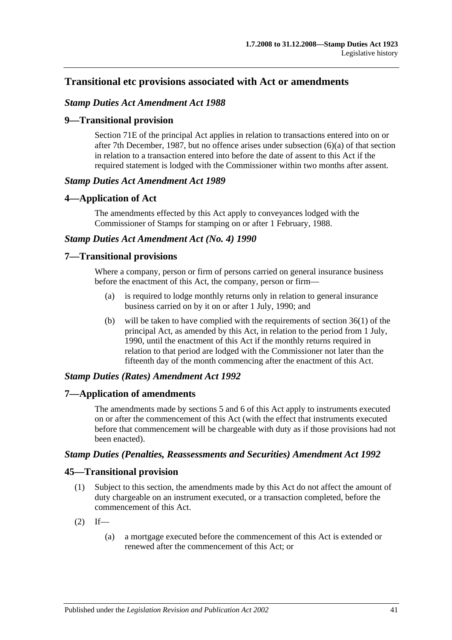# **Transitional etc provisions associated with Act or amendments**

## *Stamp Duties Act Amendment Act 1988*

## **9—Transitional provision**

Section 71E of the principal Act applies in relation to transactions entered into on or after 7th December, 1987, but no offence arises under subsection (6)(a) of that section in relation to a transaction entered into before the date of assent to this Act if the required statement is lodged with the Commissioner within two months after assent.

## *Stamp Duties Act Amendment Act 1989*

## **4—Application of Act**

The amendments effected by this Act apply to conveyances lodged with the Commissioner of Stamps for stamping on or after 1 February, 1988.

## *Stamp Duties Act Amendment Act (No. 4) 1990*

## **7—Transitional provisions**

Where a company, person or firm of persons carried on general insurance business before the enactment of this Act, the company, person or firm—

- (a) is required to lodge monthly returns only in relation to general insurance business carried on by it on or after 1 July, 1990; and
- (b) will be taken to have complied with the requirements of section 36(1) of the principal Act, as amended by this Act, in relation to the period from 1 July, 1990, until the enactment of this Act if the monthly returns required in relation to that period are lodged with the Commissioner not later than the fifteenth day of the month commencing after the enactment of this Act.

## *Stamp Duties (Rates) Amendment Act 1992*

## **7—Application of amendments**

The amendments made by sections 5 and 6 of this Act apply to instruments executed on or after the commencement of this Act (with the effect that instruments executed before that commencement will be chargeable with duty as if those provisions had not been enacted).

## *Stamp Duties (Penalties, Reassessments and Securities) Amendment Act 1992*

# **45—Transitional provision**

- (1) Subject to this section, the amendments made by this Act do not affect the amount of duty chargeable on an instrument executed, or a transaction completed, before the commencement of this Act.
- $(2)$  If—
	- (a) a mortgage executed before the commencement of this Act is extended or renewed after the commencement of this Act; or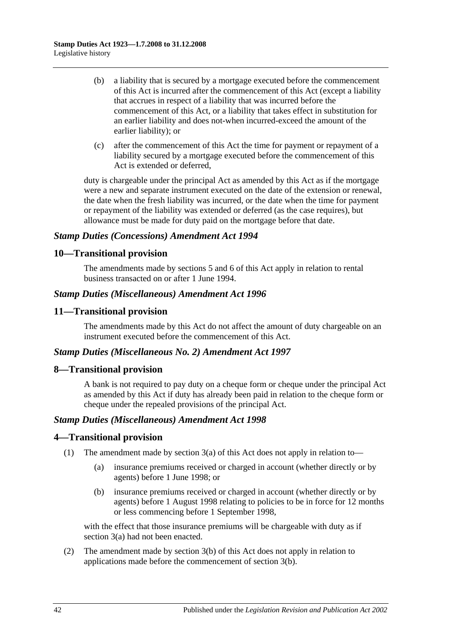- (b) a liability that is secured by a mortgage executed before the commencement of this Act is incurred after the commencement of this Act (except a liability that accrues in respect of a liability that was incurred before the commencement of this Act, or a liability that takes effect in substitution for an earlier liability and does not-when incurred-exceed the amount of the earlier liability); or
- (c) after the commencement of this Act the time for payment or repayment of a liability secured by a mortgage executed before the commencement of this Act is extended or deferred,

duty is chargeable under the principal Act as amended by this Act as if the mortgage were a new and separate instrument executed on the date of the extension or renewal, the date when the fresh liability was incurred, or the date when the time for payment or repayment of the liability was extended or deferred (as the case requires), but allowance must be made for duty paid on the mortgage before that date.

# *Stamp Duties (Concessions) Amendment Act 1994*

# **10—Transitional provision**

The amendments made by sections 5 and 6 of this Act apply in relation to rental business transacted on or after 1 June 1994.

# *Stamp Duties (Miscellaneous) Amendment Act 1996*

# **11—Transitional provision**

The amendments made by this Act do not affect the amount of duty chargeable on an instrument executed before the commencement of this Act.

## *Stamp Duties (Miscellaneous No. 2) Amendment Act 1997*

# **8—Transitional provision**

A bank is not required to pay duty on a cheque form or cheque under the principal Act as amended by this Act if duty has already been paid in relation to the cheque form or cheque under the repealed provisions of the principal Act.

## *Stamp Duties (Miscellaneous) Amendment Act 1998*

# **4—Transitional provision**

- (1) The amendment made by section 3(a) of this Act does not apply in relation to—
	- (a) insurance premiums received or charged in account (whether directly or by agents) before 1 June 1998; or
	- (b) insurance premiums received or charged in account (whether directly or by agents) before 1 August 1998 relating to policies to be in force for 12 months or less commencing before 1 September 1998,

with the effect that those insurance premiums will be chargeable with duty as if section 3(a) had not been enacted.

(2) The amendment made by section 3(b) of this Act does not apply in relation to applications made before the commencement of section 3(b).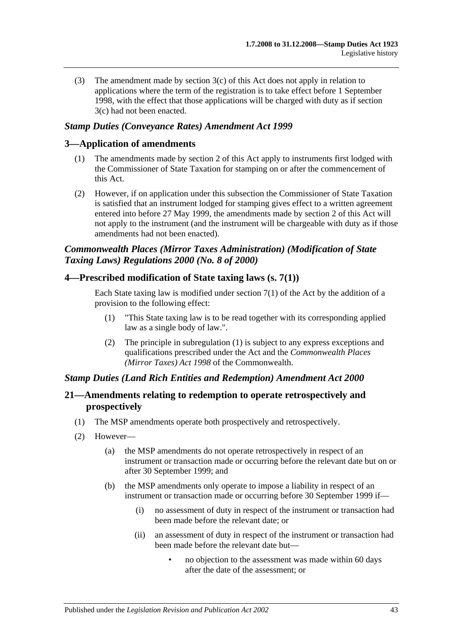(3) The amendment made by section 3(c) of this Act does not apply in relation to applications where the term of the registration is to take effect before 1 September 1998, with the effect that those applications will be charged with duty as if section 3(c) had not been enacted.

## *Stamp Duties (Conveyance Rates) Amendment Act 1999*

## **3—Application of amendments**

- (1) The amendments made by section 2 of this Act apply to instruments first lodged with the Commissioner of State Taxation for stamping on or after the commencement of this Act.
- (2) However, if on application under this subsection the Commissioner of State Taxation is satisfied that an instrument lodged for stamping gives effect to a written agreement entered into before 27 May 1999, the amendments made by section 2 of this Act will not apply to the instrument (and the instrument will be chargeable with duty as if those amendments had not been enacted).

# *Commonwealth Places (Mirror Taxes Administration) (Modification of State Taxing Laws) Regulations 2000 (No. 8 of 2000)*

## **4—Prescribed modification of State taxing laws (s. 7(1))**

Each State taxing law is modified under section  $7(1)$  of the Act by the addition of a provision to the following effect:

- (1) "This State taxing law is to be read together with its corresponding applied law as a single body of law.".
- (2) The principle in subregulation (1) is subject to any express exceptions and qualifications prescribed under the Act and the *Commonwealth Places (Mirror Taxes) Act 1998* of the Commonwealth.

## *Stamp Duties (Land Rich Entities and Redemption) Amendment Act 2000*

# **21—Amendments relating to redemption to operate retrospectively and prospectively**

- (1) The MSP amendments operate both prospectively and retrospectively.
- (2) However—
	- (a) the MSP amendments do not operate retrospectively in respect of an instrument or transaction made or occurring before the relevant date but on or after 30 September 1999; and
	- (b) the MSP amendments only operate to impose a liability in respect of an instrument or transaction made or occurring before 30 September 1999 if—
		- (i) no assessment of duty in respect of the instrument or transaction had been made before the relevant date; or
		- (ii) an assessment of duty in respect of the instrument or transaction had been made before the relevant date but—
			- no objection to the assessment was made within 60 days after the date of the assessment; or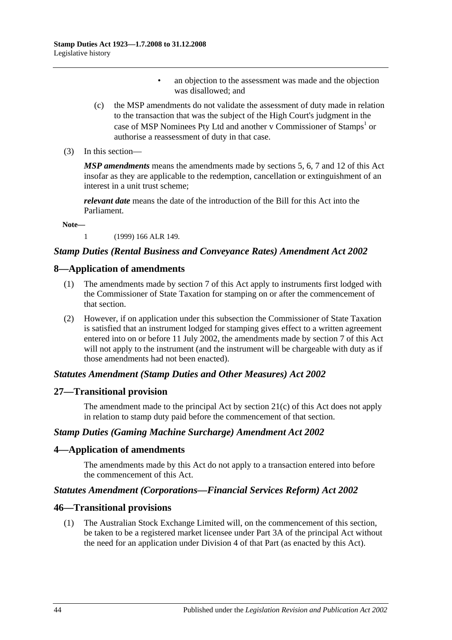- an objection to the assessment was made and the objection was disallowed; and
- (c) the MSP amendments do not validate the assessment of duty made in relation to the transaction that was the subject of the High Court's judgment in the case of MSP Nominees Pty Ltd and another v Commissioner of Stamps<sup>1</sup> or authorise a reassessment of duty in that case.
- (3) In this section—

*MSP amendments* means the amendments made by sections 5, 6, 7 and 12 of this Act insofar as they are applicable to the redemption, cancellation or extinguishment of an interest in a unit trust scheme;

*relevant date* means the date of the introduction of the Bill for this Act into the Parliament.

**Note—**

1 (1999) 166 ALR 149.

## *Stamp Duties (Rental Business and Conveyance Rates) Amendment Act 2002*

## **8—Application of amendments**

- (1) The amendments made by section 7 of this Act apply to instruments first lodged with the Commissioner of State Taxation for stamping on or after the commencement of that section.
- (2) However, if on application under this subsection the Commissioner of State Taxation is satisfied that an instrument lodged for stamping gives effect to a written agreement entered into on or before 11 July 2002, the amendments made by section 7 of this Act will not apply to the instrument (and the instrument will be chargeable with duty as if those amendments had not been enacted).

## *Statutes Amendment (Stamp Duties and Other Measures) Act 2002*

## **27—Transitional provision**

The amendment made to the principal Act by section 21(c) of this Act does not apply in relation to stamp duty paid before the commencement of that section.

## *Stamp Duties (Gaming Machine Surcharge) Amendment Act 2002*

## **4—Application of amendments**

The amendments made by this Act do not apply to a transaction entered into before the commencement of this Act.

## *Statutes Amendment (Corporations—Financial Services Reform) Act 2002*

#### **46—Transitional provisions**

(1) The Australian Stock Exchange Limited will, on the commencement of this section, be taken to be a registered market licensee under Part 3A of the principal Act without the need for an application under Division 4 of that Part (as enacted by this Act).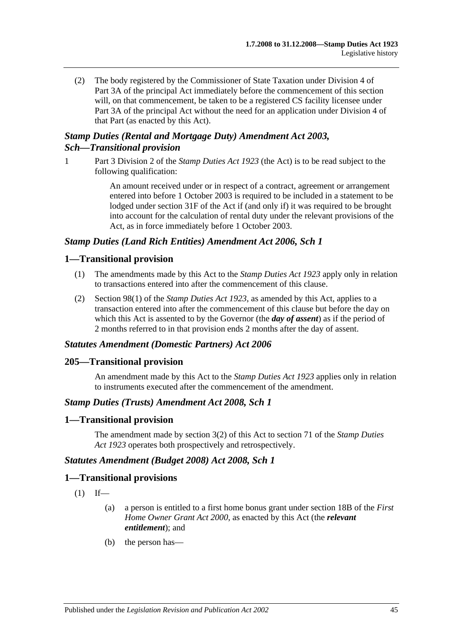(2) The body registered by the Commissioner of State Taxation under Division 4 of Part 3A of the principal Act immediately before the commencement of this section will, on that commencement, be taken to be a registered CS facility licensee under Part 3A of the principal Act without the need for an application under Division 4 of that Part (as enacted by this Act).

# *Stamp Duties (Rental and Mortgage Duty) Amendment Act 2003, Sch—Transitional provision*

1 Part 3 Division 2 of the *[Stamp Duties Act](http://www.legislation.sa.gov.au/index.aspx?action=legref&type=act&legtitle=Stamp%20Duties%20Act%201923) 1923* (the Act) is to be read subject to the following qualification:

> An amount received under or in respect of a contract, agreement or arrangement entered into before 1 October 2003 is required to be included in a statement to be lodged under section 31F of the Act if (and only if) it was required to be brought into account for the calculation of rental duty under the relevant provisions of the Act, as in force immediately before 1 October 2003.

# *Stamp Duties (Land Rich Entities) Amendment Act 2006, Sch 1*

## **1—Transitional provision**

- (1) The amendments made by this Act to the *[Stamp Duties Act](http://www.legislation.sa.gov.au/index.aspx?action=legref&type=act&legtitle=Stamp%20Duties%20Act%201923) 1923* apply only in relation to transactions entered into after the commencement of this clause.
- (2) Section 98(1) of the *[Stamp Duties Act](http://www.legislation.sa.gov.au/index.aspx?action=legref&type=act&legtitle=Stamp%20Duties%20Act%201923) 1923*, as amended by this Act, applies to a transaction entered into after the commencement of this clause but before the day on which this Act is assented to by the Governor (the *day of assent*) as if the period of 2 months referred to in that provision ends 2 months after the day of assent.

## *Statutes Amendment (Domestic Partners) Act 2006*

## **205—Transitional provision**

An amendment made by this Act to the *[Stamp Duties Act](http://www.legislation.sa.gov.au/index.aspx?action=legref&type=act&legtitle=Stamp%20Duties%20Act%201923) 1923* applies only in relation to instruments executed after the commencement of the amendment.

## *Stamp Duties (Trusts) Amendment Act 2008, Sch 1*

## **1—Transitional provision**

The amendment made by section 3(2) of this Act to section 71 of the *[Stamp Duties](http://www.legislation.sa.gov.au/index.aspx?action=legref&type=act&legtitle=Stamp%20Duties%20Act%201923)  Act [1923](http://www.legislation.sa.gov.au/index.aspx?action=legref&type=act&legtitle=Stamp%20Duties%20Act%201923)* operates both prospectively and retrospectively.

#### *Statutes Amendment (Budget 2008) Act 2008, Sch 1*

#### **1—Transitional provisions**

- $(1)$  If—
	- (a) a person is entitled to a first home bonus grant under section 18B of the *[First](http://www.legislation.sa.gov.au/index.aspx?action=legref&type=act&legtitle=First%20Home%20Owner%20Grant%20Act%202000)  [Home Owner Grant Act](http://www.legislation.sa.gov.au/index.aspx?action=legref&type=act&legtitle=First%20Home%20Owner%20Grant%20Act%202000) 2000*, as enacted by this Act (the *relevant entitlement*); and
	- (b) the person has—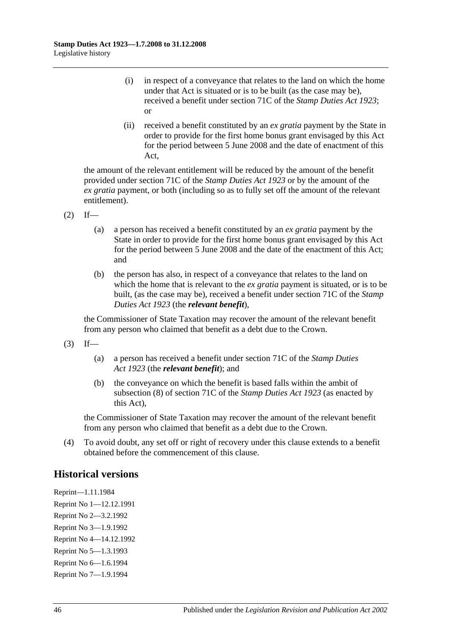- (i) in respect of a conveyance that relates to the land on which the home under that Act is situated or is to be built (as the case may be), received a benefit under section 71C of the *[Stamp Duties Act](http://www.legislation.sa.gov.au/index.aspx?action=legref&type=act&legtitle=Stamp%20Duties%20Act%201923) 1923*; or
- (ii) received a benefit constituted by an *ex gratia* payment by the State in order to provide for the first home bonus grant envisaged by this Act for the period between 5 June 2008 and the date of enactment of this Act,

the amount of the relevant entitlement will be reduced by the amount of the benefit provided under section 71C of the *[Stamp Duties Act](http://www.legislation.sa.gov.au/index.aspx?action=legref&type=act&legtitle=Stamp%20Duties%20Act%201923) 1923* or by the amount of the *ex gratia* payment, or both (including so as to fully set off the amount of the relevant entitlement).

- $(2)$  If—
	- (a) a person has received a benefit constituted by an *ex gratia* payment by the State in order to provide for the first home bonus grant envisaged by this Act for the period between 5 June 2008 and the date of the enactment of this Act; and
	- (b) the person has also, in respect of a conveyance that relates to the land on which the home that is relevant to the *ex gratia* payment is situated, or is to be built, (as the case may be), received a benefit under section 71C of the *[Stamp](http://www.legislation.sa.gov.au/index.aspx?action=legref&type=act&legtitle=Stamp%20Duties%20Act%201923)  [Duties Act](http://www.legislation.sa.gov.au/index.aspx?action=legref&type=act&legtitle=Stamp%20Duties%20Act%201923) 1923* (the *relevant benefit*),

the Commissioner of State Taxation may recover the amount of the relevant benefit from any person who claimed that benefit as a debt due to the Crown.

- $(3)$  If—
	- (a) a person has received a benefit under section 71C of the *[Stamp Duties](http://www.legislation.sa.gov.au/index.aspx?action=legref&type=act&legtitle=Stamp%20Duties%20Act%201923)  Act [1923](http://www.legislation.sa.gov.au/index.aspx?action=legref&type=act&legtitle=Stamp%20Duties%20Act%201923)* (the *relevant benefit*); and
	- (b) the conveyance on which the benefit is based falls within the ambit of subsection (8) of section 71C of the *[Stamp Duties Act](http://www.legislation.sa.gov.au/index.aspx?action=legref&type=act&legtitle=Stamp%20Duties%20Act%201923) 1923* (as enacted by this Act),

the Commissioner of State Taxation may recover the amount of the relevant benefit from any person who claimed that benefit as a debt due to the Crown.

(4) To avoid doubt, any set off or right of recovery under this clause extends to a benefit obtained before the commencement of this clause.

# **Historical versions**

Reprint—1.11.1984 Reprint No 1—12.12.1991 Reprint No 2—3.2.1992 Reprint No 3—1.9.1992 Reprint No 4—14.12.1992 Reprint No 5—1.3.1993 Reprint No 6—1.6.1994 Reprint No 7—1.9.1994